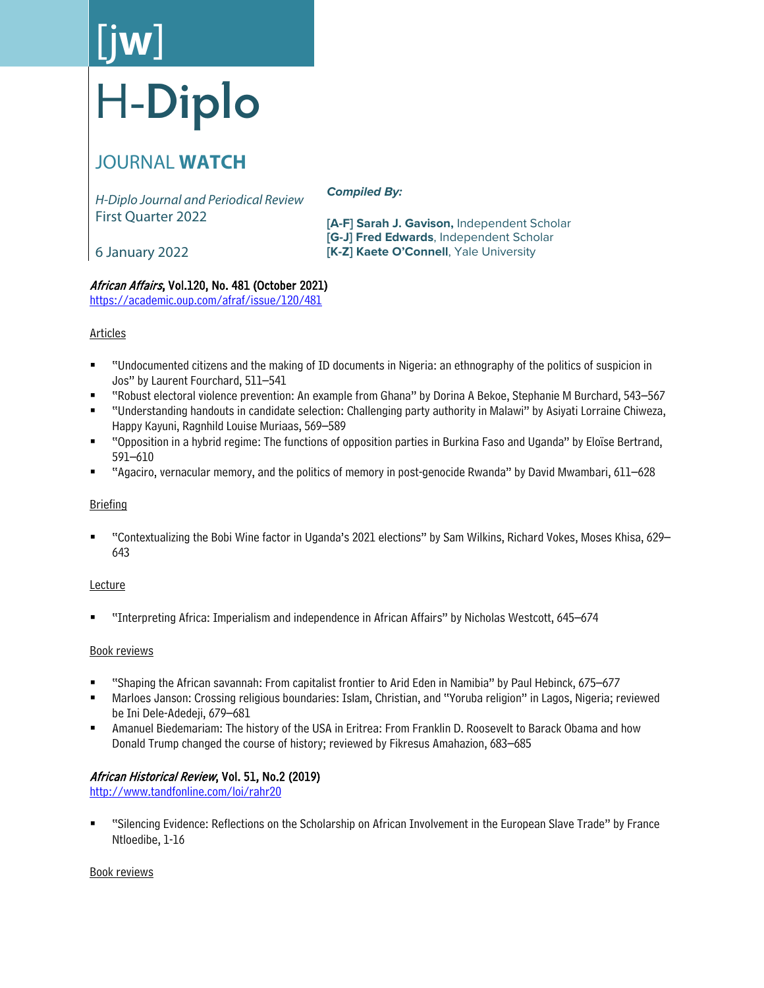# [j**w**] H-**Diplo**

## JOURNAL **WATCH**

*H-Diplo Journal and Periodical Review* First Quarter 2022

*Compiled By:*

**[A-F] Sarah J. Gavison,** Independent Scholar **[G-J] Fred Edwards**, Independent Scholar **[K-Z] Kaete O'Connell**, Yale University

6 January 2022

## African Affairs, Vol.120, No. 481 (October 2021)

<https://academic.oup.com/afraf/issue/120/481>

## **Articles**

- "Undocumented citizens and the making of ID documents in Nigeria: an ethnography of the politics of suspicion in Jos" by Laurent Fourchard, 511–541
- "Robust electoral violence prevention: An example from Ghana" by Dorina A Bekoe, Stephanie M Burchard, 543–567
- "Understanding handouts in candidate selection: Challenging party authority in Malawi" by Asiyati Lorraine Chiweza, Happy Kayuni, Ragnhild Louise Muriaas, 569–589
- "Opposition in a hybrid regime: The functions of opposition parties in Burkina Faso and Uganda" by Eloïse Bertrand, 591–610
- "Agaciro, vernacular memory, and the politics of memory in post-genocide Rwanda" by David Mwambari, 611–628

## **Briefing**

 "Contextualizing the Bobi Wine factor in Uganda's 2021 elections" by Sam Wilkins, Richard Vokes, Moses Khisa, 629– 643

## Lecture

"Interpreting Africa: Imperialism and independence in African Affairs" by Nicholas Westcott, 645–674

## Book reviews

- "Shaping the African savannah: From capitalist frontier to Arid Eden in Namibia" by Paul Hebinck, 675–677
- Marloes Janson: Crossing religious boundaries: Islam, Christian, and "Yoruba religion" in Lagos, Nigeria; reviewed be Ini Dele-Adedeji, 679–681
- Amanuel Biedemariam: The history of the USA in Eritrea: From Franklin D. Roosevelt to Barack Obama and how Donald Trump changed the course of history; reviewed by Fikresus Amahazion, 683–685

## African Historical Review, Vol. 51, No.2 (2019)

<http://www.tandfonline.com/loi/rahr20>

 "Silencing Evidence: Reflections on the Scholarship on African Involvement in the European Slave Trade" by France Ntloedibe, 1-16

## Book reviews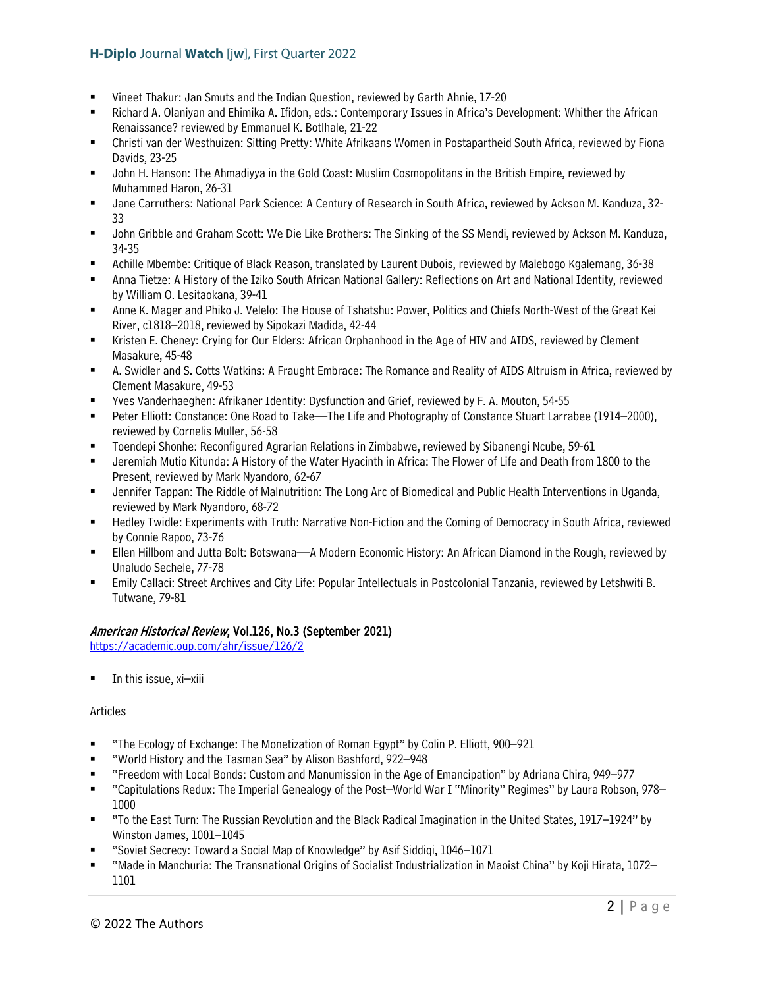- Vineet Thakur: Jan Smuts and the Indian Question, reviewed by Garth Ahnie, 17-20
- Richard A. Olaniyan and Ehimika A. Ifidon, eds.: Contemporary Issues in Africa's Development: Whither the African Renaissance? reviewed by Emmanuel K. Botlhale, 21-22
- Christi van der Westhuizen: Sitting Pretty: White Afrikaans Women in Postapartheid South Africa, reviewed by Fiona Davids, 23-25
- John H. Hanson: The Ahmadiyya in the Gold Coast: Muslim Cosmopolitans in the British Empire, reviewed by Muhammed Haron, 26-31
- Jane Carruthers: National Park Science: A Century of Research in South Africa, reviewed by Ackson M. Kanduza, 32- 33
- John Gribble and Graham Scott: We Die Like Brothers: The Sinking of the SS Mendi, reviewed by Ackson M. Kanduza, 34-35
- Achille Mbembe: Critique of Black Reason, translated by Laurent Dubois, reviewed by Malebogo Kgalemang, 36-38
- Anna Tietze: A History of the Iziko South African National Gallery: Reflections on Art and National Identity, reviewed by William O. Lesitaokana, 39-41
- Anne K. Mager and Phiko J. Velelo: The House of Tshatshu: Power, Politics and Chiefs North-West of the Great Kei River, c1818–2018, reviewed by Sipokazi Madida, 42-44
- Kristen E. Cheney: Crying for Our Elders: African Orphanhood in the Age of HIV and AIDS, reviewed by Clement Masakure, 45-48
- A. Swidler and S. Cotts Watkins: A Fraught Embrace: The Romance and Reality of AIDS Altruism in Africa, reviewed by Clement Masakure, 49-53
- Yves Vanderhaeghen: Afrikaner Identity: Dysfunction and Grief, reviewed by F. A. Mouton, 54-55
- Peter Elliott: Constance: One Road to Take—The Life and Photography of Constance Stuart Larrabee (1914–2000), reviewed by Cornelis Muller, 56-58
- Toendepi Shonhe: Reconfigured Agrarian Relations in Zimbabwe, reviewed by Sibanengi Ncube, 59-61
- Jeremiah Mutio Kitunda: A History of the Water Hyacinth in Africa: The Flower of Life and Death from 1800 to the Present, reviewed by Mark Nyandoro, 62-67
- Jennifer Tappan: The Riddle of Malnutrition: The Long Arc of Biomedical and Public Health Interventions in Uganda, reviewed by Mark Nyandoro, 68-72
- Hedley Twidle: Experiments with Truth: Narrative Non-Fiction and the Coming of Democracy in South Africa, reviewed by Connie Rapoo, 73-76
- Ellen Hillbom and Jutta Bolt: Botswana—A Modern Economic History: An African Diamond in the Rough, reviewed by Unaludo Sechele, 77-78
- Emily Callaci: Street Archives and City Life: Popular Intellectuals in Postcolonial Tanzania, reviewed by Letshwiti B. Tutwane, 79-81

## American Historical Review, Vol.126, No.3 (September 2021)

<https://academic.oup.com/ahr/issue/126/2>

In this issue, xi–xiii

#### Articles

- "The Ecology of Exchange: The Monetization of Roman Egypt" by Colin P. Elliott, 900–921
- "World History and the Tasman Sea" by Alison Bashford, 922–948
- "Freedom with Local Bonds: Custom and Manumission in the Age of Emancipation" by Adriana Chira, 949–977
- "Capitulations Redux: The Imperial Genealogy of the Post–World War I "Minority" Regimes" by Laura Robson, 978– 1000
- "To the East Turn: The Russian Revolution and the Black Radical Imagination in the United States, 1917–1924" by Winston James, 1001–1045
- "Soviet Secrecy: Toward a Social Map of Knowledge" by Asif Siddiqi, 1046–1071
- "Made in Manchuria: The Transnational Origins of Socialist Industrialization in Maoist China" by Koji Hirata, 1072– 1101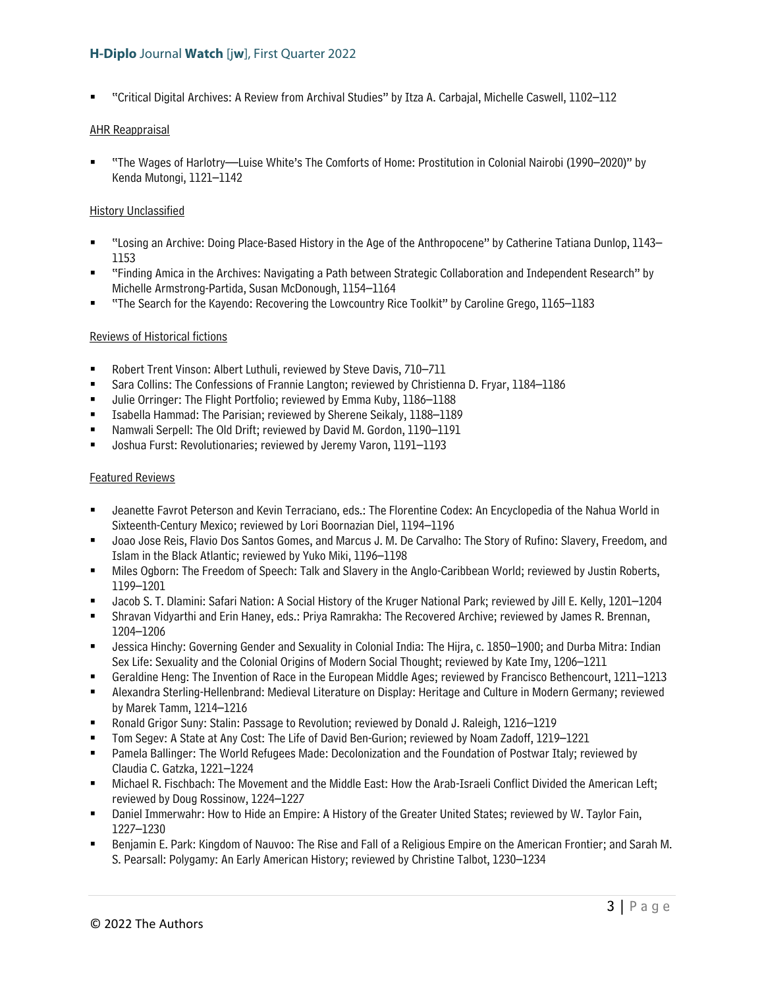"Critical Digital Archives: A Review from Archival Studies" by Itza A. Carbajal, Michelle Caswell, 1102–112

#### AHR Reappraisal

 "The Wages of Harlotry—Luise White's The Comforts of Home: Prostitution in Colonial Nairobi (1990–2020)" by Kenda Mutongi, 1121–1142

#### History Unclassified

- "Losing an Archive: Doing Place-Based History in the Age of the Anthropocene" by Catherine Tatiana Dunlop, 1143– 1153
- "Finding Amica in the Archives: Navigating a Path between Strategic Collaboration and Independent Research" by Michelle Armstrong-Partida, Susan McDonough, 1154–1164
- "The Search for the Kayendo: Recovering the Lowcountry Rice Toolkit" by Caroline Grego, 1165–1183

#### Reviews of Historical fictions

- Robert Trent Vinson: Albert Luthuli, reviewed by Steve Davis, 710–711
- Sara Collins: The Confessions of Frannie Langton; reviewed by Christienna D. Fryar, 1184–1186
- Julie Orringer: The Flight Portfolio; reviewed by Emma Kuby, 1186–1188
- Isabella Hammad: The Parisian; reviewed by Sherene Seikaly, 1188–1189
- Namwali Serpell: The Old Drift; reviewed by David M. Gordon, 1190–1191
- Joshua Furst: Revolutionaries; reviewed by Jeremy Varon, 1191–1193

#### Featured Reviews

- Jeanette Favrot Peterson and Kevin Terraciano, eds.: The Florentine Codex: An Encyclopedia of the Nahua World in Sixteenth-Century Mexico; reviewed by Lori Boornazian Diel, 1194–1196
- Joao Jose Reis, Flavio Dos Santos Gomes, and Marcus J. M. De Carvalho: The Story of Rufino: Slavery, Freedom, and Islam in the Black Atlantic; reviewed by Yuko Miki, 1196–1198
- Miles Ogborn: The Freedom of Speech: Talk and Slavery in the Anglo-Caribbean World; reviewed by Justin Roberts, 1199–1201
- Jacob S. T. Dlamini: Safari Nation: A Social History of the Kruger National Park; reviewed by Jill E. Kelly, 1201–1204
- Shravan Vidyarthi and Erin Haney, eds.: Priya Ramrakha: The Recovered Archive; reviewed by James R. Brennan, 1204–1206
- Jessica Hinchy: Governing Gender and Sexuality in Colonial India: The Hijra, c. 1850–1900; and Durba Mitra: Indian Sex Life: Sexuality and the Colonial Origins of Modern Social Thought; reviewed by Kate Imy, 1206–1211
- Geraldine Heng: The Invention of Race in the European Middle Ages; reviewed by Francisco Bethencourt, 1211–1213
- Alexandra Sterling-Hellenbrand: Medieval Literature on Display: Heritage and Culture in Modern Germany; reviewed by Marek Tamm, 1214–1216
- Ronald Grigor Suny: Stalin: Passage to Revolution; reviewed by Donald J. Raleigh, 1216–1219
- Tom Segev: A State at Any Cost: The Life of David Ben-Gurion; reviewed by Noam Zadoff, 1219–1221
- Pamela Ballinger: The World Refugees Made: Decolonization and the Foundation of Postwar Italy; reviewed by Claudia C. Gatzka, 1221–1224
- Michael R. Fischbach: The Movement and the Middle East: How the Arab-Israeli Conflict Divided the American Left; reviewed by Doug Rossinow, 1224–1227
- Daniel Immerwahr: How to Hide an Empire: A History of the Greater United States; reviewed by W. Taylor Fain, 1227–1230
- Benjamin E. Park: Kingdom of Nauvoo: The Rise and Fall of a Religious Empire on the American Frontier; and Sarah M. S. Pearsall: Polygamy: An Early American History; reviewed by Christine Talbot, 1230–1234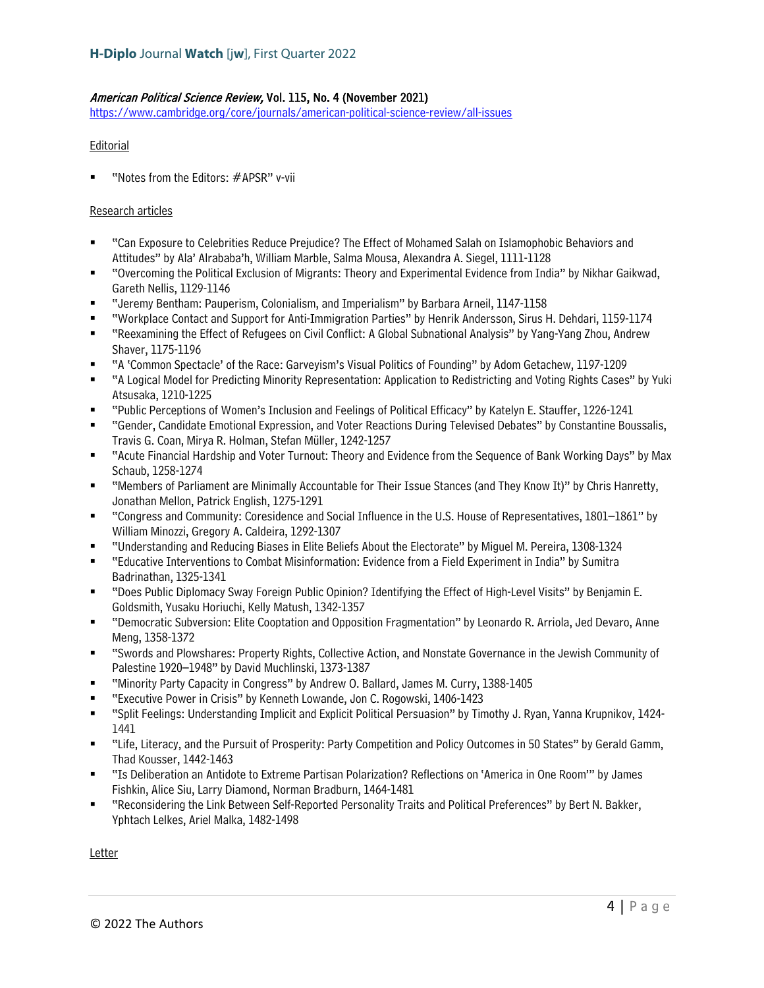## American Political Science Review, Vol. 115, No. 4 (November 2021)

<https://www.cambridge.org/core/journals/american-political-science-review/all-issues>

#### **Editorial**

"Notes from the Editors: #APSR" v-vii

#### Research articles

- "Can Exposure to Celebrities Reduce Prejudice? The Effect of Mohamed Salah on Islamophobic Behaviors and Attitudes" by Ala' Alrababa'h, William Marble, Salma Mousa, Alexandra A. Siegel, 1111-1128
- "Overcoming the Political Exclusion of Migrants: Theory and Experimental Evidence from India" by Nikhar Gaikwad, Gareth Nellis, 1129-1146
- "Jeremy Bentham: Pauperism, Colonialism, and Imperialism" by Barbara Arneil, 1147-1158
- "Workplace Contact and Support for Anti-Immigration Parties" by Henrik Andersson, Sirus H. Dehdari, 1159-1174
- "Reexamining the Effect of Refugees on Civil Conflict: A Global Subnational Analysis" by Yang-Yang Zhou, Andrew Shaver, 1175-1196
- "A 'Common Spectacle' of the Race: Garveyism's Visual Politics of Founding" by Adom Getachew, 1197-1209
- "A Logical Model for Predicting Minority Representation: Application to Redistricting and Voting Rights Cases" by Yuki Atsusaka, 1210-1225
- "Public Perceptions of Women's Inclusion and Feelings of Political Efficacy" by Katelyn E. Stauffer, 1226-1241
- "Gender, Candidate Emotional Expression, and Voter Reactions During Televised Debates" by Constantine Boussalis, Travis G. Coan, Mirya R. Holman, Stefan Müller, 1242-1257
- "Acute Financial Hardship and Voter Turnout: Theory and Evidence from the Sequence of Bank Working Days" by Max Schaub, 1258-1274
- "Members of Parliament are Minimally Accountable for Their Issue Stances (and They Know It)" by Chris Hanretty, Jonathan Mellon, Patrick English, 1275-1291
- "Congress and Community: Coresidence and Social Influence in the U.S. House of Representatives, 1801–1861" by William Minozzi, Gregory A. Caldeira, 1292-1307
- "Understanding and Reducing Biases in Elite Beliefs About the Electorate" by Miguel M. Pereira, 1308-1324
- "Educative Interventions to Combat Misinformation: Evidence from a Field Experiment in India" by Sumitra Badrinathan, 1325-1341
- "Does Public Diplomacy Sway Foreign Public Opinion? Identifying the Effect of High-Level Visits" by Benjamin E. Goldsmith, Yusaku Horiuchi, Kelly Matush, 1342-1357
- "Democratic Subversion: Elite Cooptation and Opposition Fragmentation" by Leonardo R. Arriola, Jed Devaro, Anne Meng, 1358-1372
- "Swords and Plowshares: Property Rights, Collective Action, and Nonstate Governance in the Jewish Community of Palestine 1920–1948" by David Muchlinski, 1373-1387
- "Minority Party Capacity in Congress" by Andrew O. Ballard, James M. Curry, 1388-1405
- "Executive Power in Crisis" by Kenneth Lowande, Jon C. Rogowski, 1406-1423
- "Split Feelings: Understanding Implicit and Explicit Political Persuasion" by Timothy J. Ryan, Yanna Krupnikov, 1424- 1441
- "Life, Literacy, and the Pursuit of Prosperity: Party Competition and Policy Outcomes in 50 States" by Gerald Gamm, Thad Kousser, 1442-1463
- "Is Deliberation an Antidote to Extreme Partisan Polarization? Reflections on 'America in One Room'" by James Fishkin, Alice Siu, Larry Diamond, Norman Bradburn, 1464-1481
- "Reconsidering the Link Between Self-Reported Personality Traits and Political Preferences" by Bert N. Bakker, Yphtach Lelkes, Ariel Malka, 1482-1498

Letter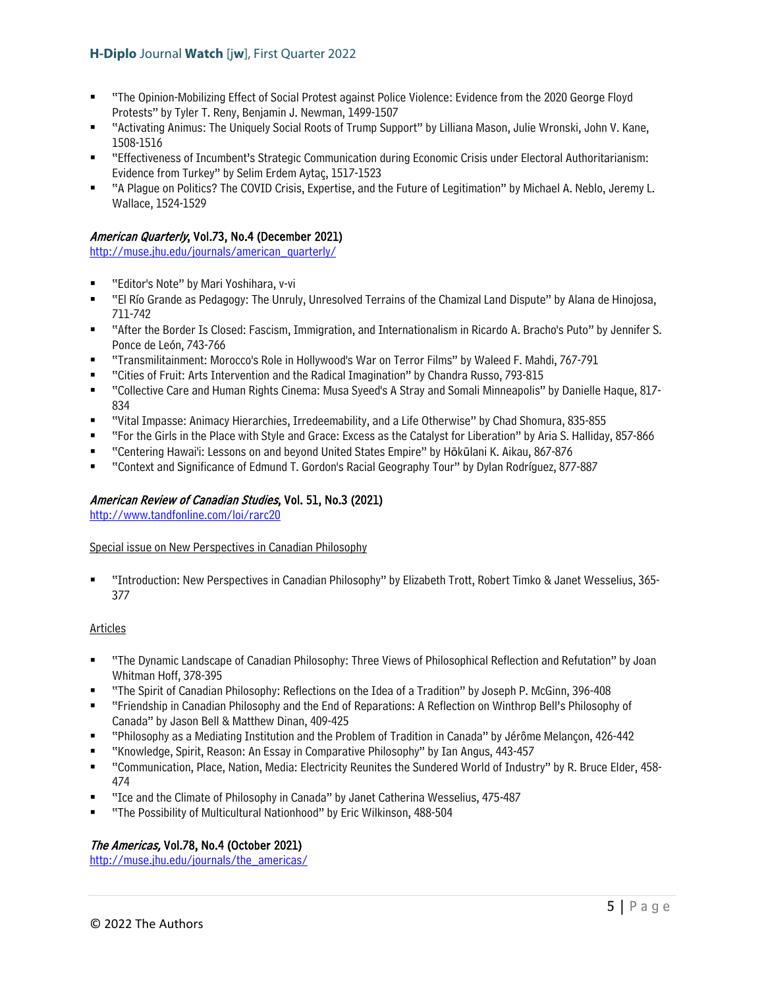- "The Opinion-Mobilizing Effect of Social Protest against Police Violence: Evidence from the 2020 George Floyd Protests" by Tyler T. Reny, Benjamin J. Newman, 1499-1507
- "Activating Animus: The Uniquely Social Roots of Trump Support" by Lilliana Mason, Julie Wronski, John V. Kane, 1508-1516
- "Effectiveness of Incumbent's Strategic Communication during Economic Crisis under Electoral Authoritarianism: Evidence from Turkey" by Selim Erdem Aytaç, 1517-1523
- "A Plague on Politics? The COVID Crisis, Expertise, and the Future of Legitimation" by Michael A. Neblo, Jeremy L. Wallace, 1524-1529

## American Quarterly, Vol.73, No.4 (December 2021)

[http://muse.jhu.edu/journals/american\\_quarterly/](http://muse.jhu.edu/journals/american_quarterly/)

- "Editor's Note" by Mari Yoshihara, v-vi
- "El Río Grande as Pedagogy: The Unruly, Unresolved Terrains of the Chamizal Land Dispute" by Alana de Hinojosa, 711-742
- "After the Border Is Closed: Fascism, Immigration, and Internationalism in Ricardo A. Bracho's Puto" by Jennifer S. Ponce de León, 743-766
- "Transmilitainment: Morocco's Role in Hollywood's War on Terror Films" by Waleed F. Mahdi, 767-791
- "Cities of Fruit: Arts Intervention and the Radical Imagination" by Chandra Russo, 793-815
- "Collective Care and Human Rights Cinema: Musa Syeed's A Stray and Somali Minneapolis" by Danielle Haque, 817- 834
- "Vital Impasse: Animacy Hierarchies, Irredeemability, and a Life Otherwise" by Chad Shomura, 835-855
- "For the Girls in the Place with Style and Grace: Excess as the Catalyst for Liberation" by Aria S. Halliday, 857-866
- "Centering Hawai'i: Lessons on and beyond United States Empire" by Hōkūlani K. Aikau, 867-876
- "Context and Significance of Edmund T. Gordon's Racial Geography Tour" by Dylan Rodríguez, 877-887

## American Review of Canadian Studies, Vol. 51, No.3 (2021)

<http://www.tandfonline.com/loi/rarc20>

#### Special issue on New Perspectives in Canadian Philosophy

 "Introduction: New Perspectives in Canadian Philosophy" by Elizabeth Trott, Robert Timko & Janet Wesselius, 365- 377

#### Articles

- "The Dynamic Landscape of Canadian Philosophy: Three Views of Philosophical Reflection and Refutation" by Joan Whitman Hoff, 378-395
- "The Spirit of Canadian Philosophy: Reflections on the Idea of a Tradition" by Joseph P. McGinn, 396-408
- "Friendship in Canadian Philosophy and the End of Reparations: A Reflection on Winthrop Bell's Philosophy of Canada" by Jason Bell & Matthew Dinan, 409-425
- "Philosophy as a Mediating Institution and the Problem of Tradition in Canada" by Jérôme Melançon, 426-442
- "Knowledge, Spirit, Reason: An Essay in Comparative Philosophy" by Ian Angus, 443-457
- "Communication, Place, Nation, Media: Electricity Reunites the Sundered World of Industry" by R. Bruce Elder, 458- 474
- "Ice and the Climate of Philosophy in Canada" by Janet Catherina Wesselius, 475-487
- "The Possibility of Multicultural Nationhood" by Eric Wilkinson, 488-504

## The Americas, Vol.78, No.4 (October 2021)

http://muse.jhu.edu/journals/the\_americas/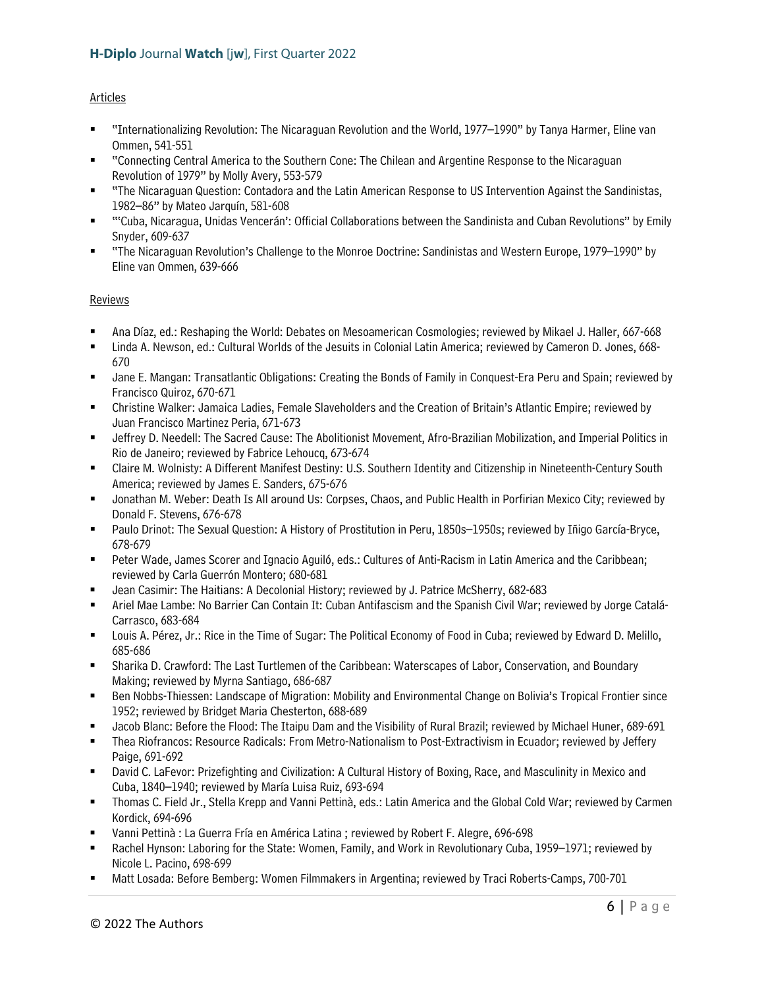## Articles

- "Internationalizing Revolution: The Nicaraguan Revolution and the World, 1977–1990" by Tanya Harmer, Eline van Ommen, 541-551
- "Connecting Central America to the Southern Cone: The Chilean and Argentine Response to the Nicaraguan Revolution of 1979" by Molly Avery, 553-579
- "The Nicaraguan Question: Contadora and the Latin American Response to US Intervention Against the Sandinistas, 1982–86" by Mateo Jarquín, 581-608
- "'Cuba, Nicaragua, Unidas Vencerán': Official Collaborations between the Sandinista and Cuban Revolutions" by Emily Snyder, 609-637
- "The Nicaraguan Revolution's Challenge to the Monroe Doctrine: Sandinistas and Western Europe, 1979–1990" by Eline van Ommen, 639-666

## Reviews

- Ana Díaz, ed.: Reshaping the World: Debates on Mesoamerican Cosmologies; reviewed by Mikael J. Haller, 667-668
- Linda A. Newson, ed.: Cultural Worlds of the Jesuits in Colonial Latin America; reviewed by Cameron D. Jones, 668- 670
- Jane E. Mangan: Transatlantic Obligations: Creating the Bonds of Family in Conquest-Era Peru and Spain; reviewed by Francisco Quiroz, 670-671
- Christine Walker: Jamaica Ladies, Female Slaveholders and the Creation of Britain's Atlantic Empire; reviewed by Juan Francisco Martinez Peria, 671-673
- Jeffrey D. Needell: The Sacred Cause: The Abolitionist Movement, Afro-Brazilian Mobilization, and Imperial Politics in Rio de Janeiro; reviewed by Fabrice Lehoucq, 673-674
- Claire M. Wolnisty: A Different Manifest Destiny: U.S. Southern Identity and Citizenship in Nineteenth-Century South America; reviewed by James E. Sanders, 675-676
- Jonathan M. Weber: Death Is All around Us: Corpses, Chaos, and Public Health in Porfirian Mexico City; reviewed by Donald F. Stevens, 676-678
- Paulo Drinot: The Sexual Question: A History of Prostitution in Peru, 1850s–1950s; reviewed by Iñigo García-Bryce, 678-679
- Peter Wade, James Scorer and Ignacio Aguiló, eds.: Cultures of Anti-Racism in Latin America and the Caribbean; reviewed by Carla Guerrón Montero; 680-681
- Jean Casimir: The Haitians: A Decolonial History; reviewed by J. Patrice McSherry, 682-683
- Ariel Mae Lambe: No Barrier Can Contain It: Cuban Antifascism and the Spanish Civil War; reviewed by Jorge Catalá-Carrasco, 683-684
- Louis A. Pérez, Jr.: Rice in the Time of Sugar: The Political Economy of Food in Cuba; reviewed by Edward D. Melillo, 685-686
- Sharika D. Crawford: The Last Turtlemen of the Caribbean: Waterscapes of Labor, Conservation, and Boundary Making; reviewed by Myrna Santiago, 686-687
- Ben Nobbs-Thiessen: Landscape of Migration: Mobility and Environmental Change on Bolivia's Tropical Frontier since 1952; reviewed by Bridget Maria Chesterton, 688-689
- Jacob Blanc: Before the Flood: The Itaipu Dam and the Visibility of Rural Brazil; reviewed by Michael Huner, 689-691
- Thea Riofrancos: Resource Radicals: From Metro-Nationalism to Post-Extractivism in Ecuador; reviewed by Jeffery Paige, 691-692
- David C. LaFevor: Prizefighting and Civilization: A Cultural History of Boxing, Race, and Masculinity in Mexico and Cuba, 1840–1940; reviewed by María Luisa Ruiz, 693-694
- Thomas C. Field Jr., Stella Krepp and Vanni Pettinà, eds.: Latin America and the Global Cold War; reviewed by Carmen Kordick, 694-696
- Vanni Pettinà : La Guerra Fría en América Latina ; reviewed by Robert F. Alegre, 696-698
- Rachel Hynson: Laboring for the State: Women, Family, and Work in Revolutionary Cuba, 1959–1971; reviewed by Nicole L. Pacino, 698-699
- Matt Losada: Before Bemberg: Women Filmmakers in Argentina; reviewed by Traci Roberts-Camps, 700-701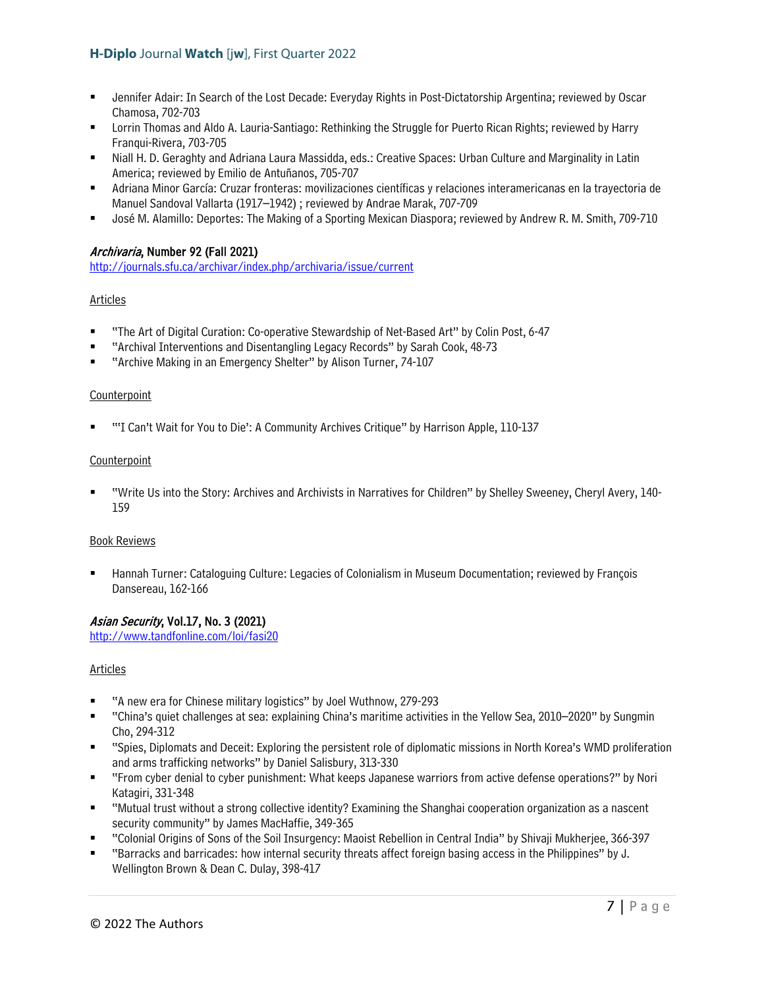- Jennifer Adair: In Search of the Lost Decade: Everyday Rights in Post-Dictatorship Argentina; reviewed by Oscar Chamosa, 702-703
- Lorrin Thomas and Aldo A. Lauria-Santiago: Rethinking the Struggle for Puerto Rican Rights; reviewed by Harry Franqui-Rivera, 703-705
- Niall H. D. Geraghty and Adriana Laura Massidda, eds.: Creative Spaces: Urban Culture and Marginality in Latin America; reviewed by Emilio de Antuñanos, 705-707
- Adriana Minor García: Cruzar fronteras: movilizaciones científicas y relaciones interamericanas en la trayectoria de Manuel Sandoval Vallarta (1917–1942) ; reviewed by Andrae Marak, 707-709
- José M. Alamillo: Deportes: The Making of a Sporting Mexican Diaspora; reviewed by Andrew R. M. Smith, 709-710

## Archivaria, Number 92 (Fall 2021)

<http://journals.sfu.ca/archivar/index.php/archivaria/issue/current>

## Articles

- "The Art of Digital Curation: Co-operative Stewardship of Net-Based Art" by Colin Post, 6-47
- "Archival Interventions and Disentangling Legacy Records" by Sarah Cook, 48-73
- "Archive Making in an Emergency Shelter" by Alison Turner, 74-107

#### **Counterpoint**

"'I Can't Wait for You to Die': A Community Archives Critique" by Harrison Apple, 110-137

#### **Counterpoint**

 "Write Us into the Story: Archives and Archivists in Narratives for Children" by Shelley Sweeney, Cheryl Avery, 140- 159

#### Book Reviews

 Hannah Turner: Cataloguing Culture: Legacies of Colonialism in Museum Documentation; reviewed by François Dansereau, 162-166

## Asian Security, Vol.17, No. 3 (2021)

<http://www.tandfonline.com/loi/fasi20>

#### Articles

- "A new era for Chinese military logistics" by Joel Wuthnow, 279-293
- "China's quiet challenges at sea: explaining China's maritime activities in the Yellow Sea, 2010–2020" by Sungmin Cho, 294-312
- "Spies, Diplomats and Deceit: Exploring the persistent role of diplomatic missions in North Korea's WMD proliferation and arms trafficking networks" by Daniel Salisbury, 313-330
- "From cyber denial to cyber punishment: What keeps Japanese warriors from active defense operations?" by Nori Katagiri, 331-348
- "Mutual trust without a strong collective identity? Examining the Shanghai cooperation organization as a nascent security community" by James MacHaffie, 349-365
- "Colonial Origins of Sons of the Soil Insurgency: Maoist Rebellion in Central India" by Shivaji Mukherjee, 366-397
- "Barracks and barricades: how internal security threats affect foreign basing access in the Philippines" by J. Wellington Brown & Dean C. Dulay, 398-417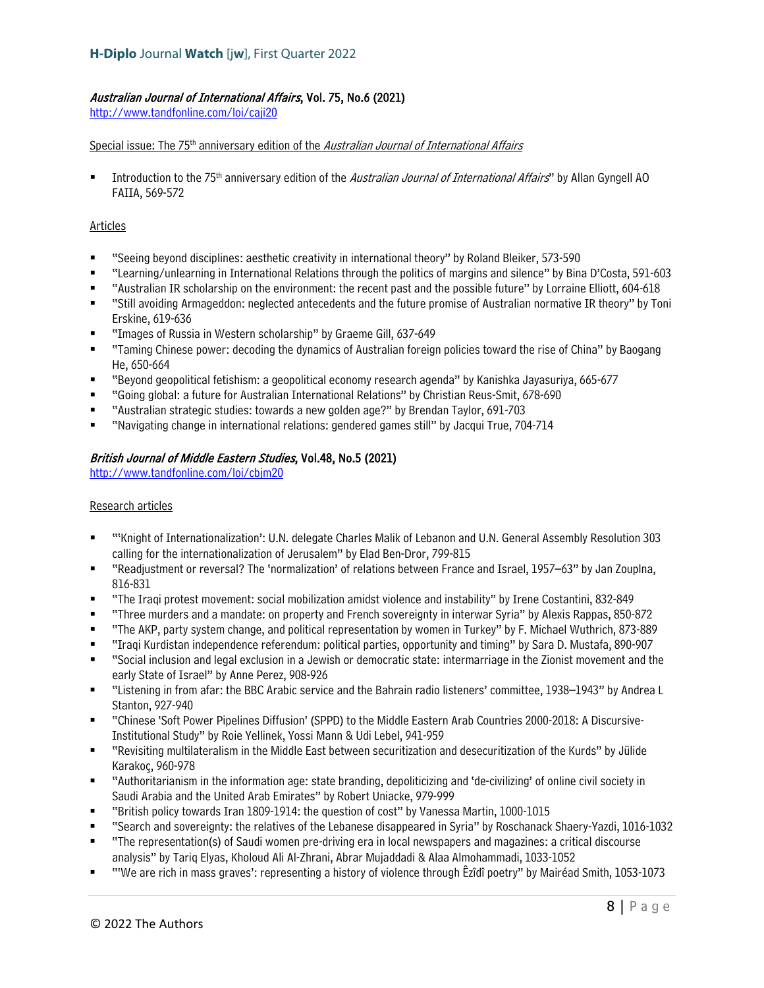## Australian Journal of International Affairs, Vol. 75, No.6 (2021)

<http://www.tandfonline.com/loi/caji20>

#### Special issue: The 75<sup>th</sup> anniversary edition of the *Australian Journal of International Affairs*

Introduction to the 75<sup>th</sup> anniversary edition of the *Australian Journal of International Affairs*" by Allan Gyngell AO FAIIA, 569-572

#### Articles

- "Seeing beyond disciplines: aesthetic creativity in international theory" by Roland Bleiker, 573-590
- "Learning/unlearning in International Relations through the politics of margins and silence" by Bina D'Costa, 591-603
- "Australian IR scholarship on the environment: the recent past and the possible future" by Lorraine Elliott, 604-618
- "Still avoiding Armageddon: neglected antecedents and the future promise of Australian normative IR theory" by Toni Erskine, 619-636
- "Images of Russia in Western scholarship" by Graeme Gill, 637-649
- "Taming Chinese power: decoding the dynamics of Australian foreign policies toward the rise of China" by Baogang He, 650-664
- "Beyond geopolitical fetishism: a geopolitical economy research agenda" by Kanishka Jayasuriya, 665-677
- "Going global: a future for Australian International Relations" by Christian Reus-Smit, 678-690
- "Australian strategic studies: towards a new golden age?" by Brendan Taylor, 691-703
- "Navigating change in international relations: gendered games still" by Jacqui True, 704-714

#### British Journal of Middle Eastern Studies, Vol.48, No.5 (2021)

<http://www.tandfonline.com/loi/cbjm20>

#### Research articles

- "'Knight of Internationalization': U.N. delegate Charles Malik of Lebanon and U.N. General Assembly Resolution 303 calling for the internationalization of Jerusalem" by Elad Ben-Dror, 799-815
- "Readjustment or reversal? The 'normalization' of relations between France and Israel, 1957–63" by Jan Zouplna, 816-831
- "The Iraqi protest movement: social mobilization amidst violence and instability" by Irene Costantini, 832-849
- "Three murders and a mandate: on property and French sovereignty in interwar Syria" by Alexis Rappas, 850-872
- "The AKP, party system change, and political representation by women in Turkey" by F. Michael Wuthrich, 873-889
- "Iraqi Kurdistan independence referendum: political parties, opportunity and timing" by Sara D. Mustafa, 890-907
- "Social inclusion and legal exclusion in a Jewish or democratic state: intermarriage in the Zionist movement and the early State of Israel" by Anne Perez, 908-926
- "Listening in from afar: the BBC Arabic service and the Bahrain radio listeners' committee, 1938–1943" by Andrea L Stanton, 927-940
- "Chinese 'Soft Power Pipelines Diffusion' (SPPD) to the Middle Eastern Arab Countries 2000-2018: A Discursive-Institutional Study" by Roie Yellinek, Yossi Mann & Udi Lebel, 941-959
- "Revisiting multilateralism in the Middle East between securitization and desecuritization of the Kurds" by Jülide Karakoç, 960-978
- "Authoritarianism in the information age: state branding, depoliticizing and 'de-civilizing' of online civil society in Saudi Arabia and the United Arab Emirates" by Robert Uniacke, 979-999
- "British policy towards Iran 1809-1914: the question of cost" by Vanessa Martin, 1000-1015
- "Search and sovereignty: the relatives of the Lebanese disappeared in Syria" by Roschanack Shaery-Yazdi, 1016-1032
- "The representation(s) of Saudi women pre-driving era in local newspapers and magazines: a critical discourse analysis" by Tariq Elyas, Kholoud Ali Al-Zhrani, Abrar Mujaddadi & Alaa Almohammadi, 1033-1052
- "'We are rich in mass graves': representing a history of violence through Êzîdî poetry" by Mairéad Smith, 1053-1073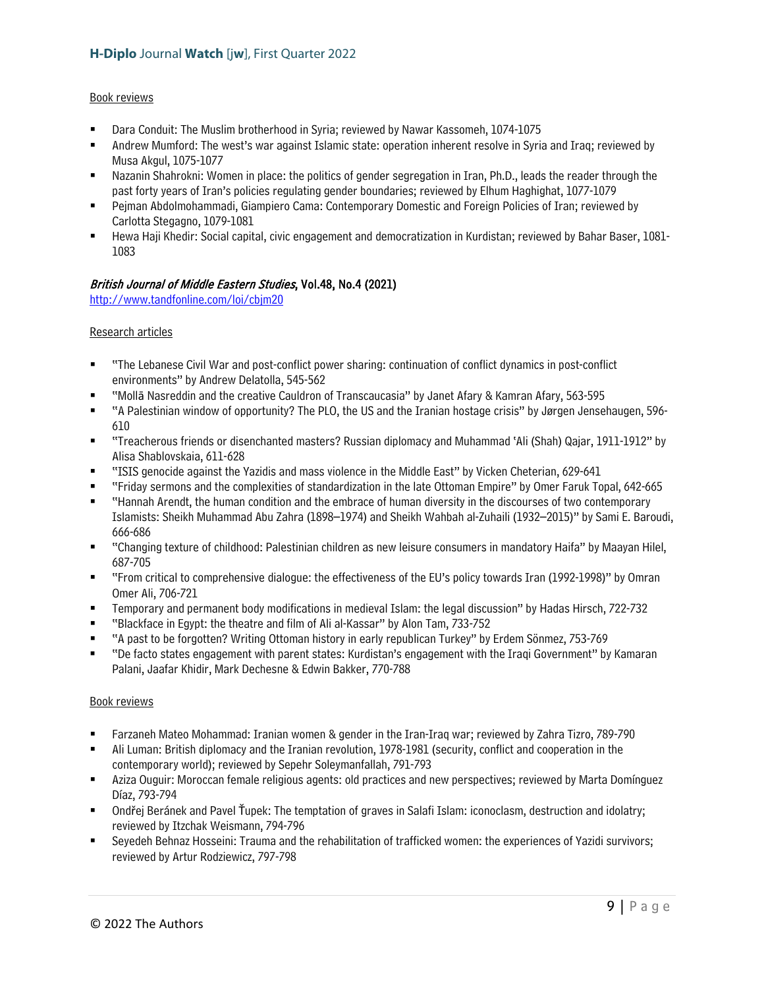#### Book reviews

- Dara Conduit: The Muslim brotherhood in Syria; reviewed by Nawar Kassomeh, 1074-1075
- Andrew Mumford: The west's war against Islamic state: operation inherent resolve in Syria and Iraq; reviewed by Musa Akgul, 1075-1077
- Nazanin Shahrokni: Women in place: the politics of gender segregation in Iran, Ph.D., leads the reader through the past forty years of Iran's policies regulating gender boundaries; reviewed by Elhum Haghighat, 1077-1079
- Pejman Abdolmohammadi, Giampiero Cama: Contemporary Domestic and Foreign Policies of Iran; reviewed by Carlotta Stegagno, 1079-1081
- Hewa Haji Khedir: Social capital, civic engagement and democratization in Kurdistan; reviewed by Bahar Baser, 1081- 1083

#### British Journal of Middle Eastern Studies, Vol.48, No.4 (2021)

<http://www.tandfonline.com/loi/cbjm20>

#### Research articles

- "The Lebanese Civil War and post-conflict power sharing: continuation of conflict dynamics in post-conflict environments" by Andrew Delatolla, 545-562
- "Mollā Nasreddin and the creative Cauldron of Transcaucasia" by Janet Afary & Kamran Afary, 563-595
- "A Palestinian window of opportunity? The PLO, the US and the Iranian hostage crisis" by Jørgen Jensehaugen, 596- 610
- "Treacherous friends or disenchanted masters? Russian diplomacy and Muhammad 'Ali (Shah) Qajar, 1911-1912" by Alisa Shablovskaia, 611-628
- "ISIS genocide against the Yazidis and mass violence in the Middle East" by Vicken Cheterian, 629-641
- "Friday sermons and the complexities of standardization in the late Ottoman Empire" by Omer Faruk Topal, 642-665
- "Hannah Arendt, the human condition and the embrace of human diversity in the discourses of two contemporary Islamists: Sheikh Muhammad Abu Zahra (1898–1974) and Sheikh Wahbah al-Zuhaili (1932–2015)" by Sami E. Baroudi, 666-686
- "Changing texture of childhood: Palestinian children as new leisure consumers in mandatory Haifa" by Maayan Hilel, 687-705
- "From critical to comprehensive dialogue: the effectiveness of the EU's policy towards Iran (1992-1998)" by Omran Omer Ali, 706-721
- Temporary and permanent body modifications in medieval Islam: the legal discussion" by Hadas Hirsch, 722-732
- "Blackface in Egypt: the theatre and film of Ali al-Kassar" by Alon Tam, 733-752
- "A past to be forgotten? Writing Ottoman history in early republican Turkey" by Erdem Sönmez, 753-769
- "De facto states engagement with parent states: Kurdistan's engagement with the Iraqi Government" by Kamaran Palani, Jaafar Khidir, Mark Dechesne & Edwin Bakker, 770-788

#### Book reviews

- Farzaneh Mateo Mohammad: Iranian women & gender in the Iran-Iraq war; reviewed by Zahra Tizro, 789-790
- Ali Luman: British diplomacy and the Iranian revolution, 1978-1981 (security, conflict and cooperation in the contemporary world); reviewed by Sepehr Soleymanfallah, 791-793
- Aziza Ouguir: Moroccan female religious agents: old practices and new perspectives; reviewed by Marta Domínguez Díaz, 793-794
- Ondřej Beránek and Pavel Ťupek: The temptation of graves in Salafi Islam: iconoclasm, destruction and idolatry; reviewed by Itzchak Weismann, 794-796
- Seyedeh Behnaz Hosseini: Trauma and the rehabilitation of trafficked women: the experiences of Yazidi survivors; reviewed by Artur Rodziewicz, 797-798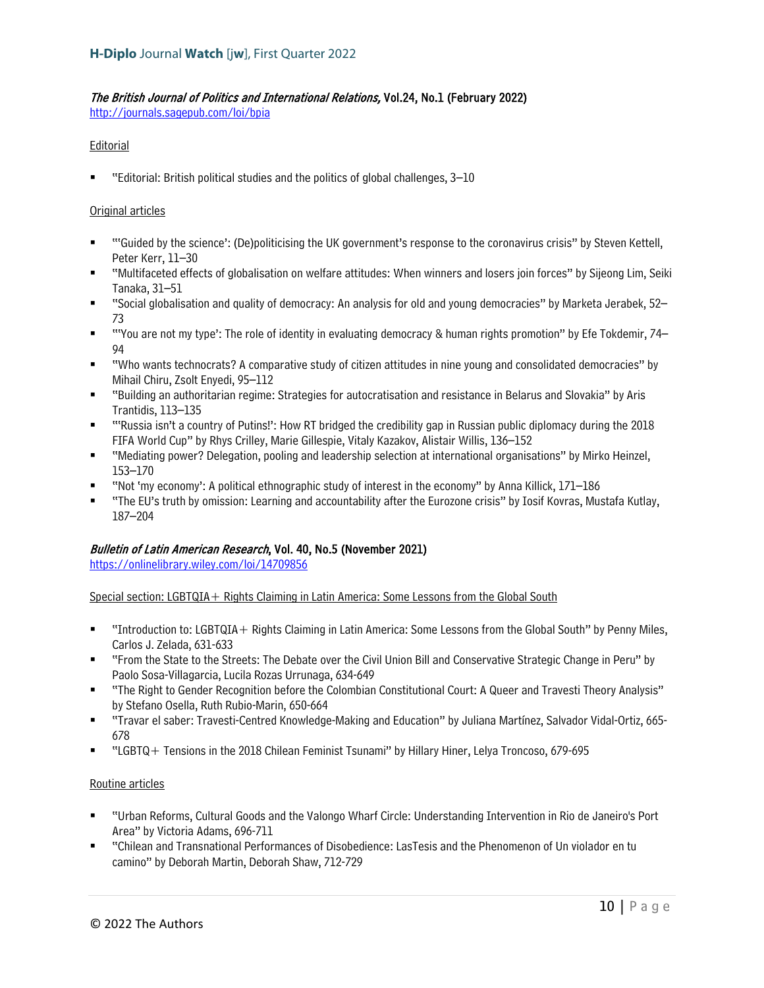## The British Journal of Politics and International Relations, Vol.24, No.1 (February 2022)

<http://journals.sagepub.com/loi/bpia>

## **Editorial**

"Editorial: British political studies and the politics of global challenges, 3–10

#### Original articles

- "'Guided by the science': (De)politicising the UK government's response to the coronavirus crisis" by Steven Kettell, Peter Kerr, 11–30
- "Multifaceted effects of globalisation on welfare attitudes: When winners and losers join forces" by Sijeong Lim, Seiki Tanaka, 31–51
- "Social globalisation and quality of democracy: An analysis for old and young democracies" by Marketa Jerabek, 52– 73
- "'You are not my type': The role of identity in evaluating democracy & human rights promotion" by Efe Tokdemir, 74– 94
- "Who wants technocrats? A comparative study of citizen attitudes in nine young and consolidated democracies" by Mihail Chiru, Zsolt Enyedi, 95–112
- "Building an authoritarian regime: Strategies for autocratisation and resistance in Belarus and Slovakia" by Aris Trantidis, 113–135
- "'Russia isn't a country of Putins!': How RT bridged the credibility gap in Russian public diplomacy during the 2018 FIFA World Cup" by Rhys Crilley, Marie Gillespie, Vitaly Kazakov, Alistair Willis, 136–152
- " "Mediating power? Delegation, pooling and leadership selection at international organisations" by Mirko Heinzel, 153–170
- "Not 'my economy': A political ethnographic study of interest in the economy" by Anna Killick, 171–186
- "The EU's truth by omission: Learning and accountability after the Eurozone crisis" by Iosif Kovras, Mustafa Kutlay, 187–204

## Bulletin of Latin American Research, Vol. 40, No.5 (November 2021)

<https://onlinelibrary.wiley.com/loi/14709856>

Special section: LGBTQIA + Rights Claiming in Latin America: Some Lessons from the Global South

- "Introduction to: LGBTQIA+ Rights Claiming in Latin America: Some Lessons from the Global South" by Penny Miles, Carlos J. Zelada, 631-633
- "From the State to the Streets: The Debate over the Civil Union Bill and Conservative Strategic Change in Peru" by Paolo Sosa-Villagarcia, Lucila Rozas Urrunaga, 634-649
- "The Right to Gender Recognition before the Colombian Constitutional Court: A Queer and Travesti Theory Analysis" by Stefano Osella, Ruth Rubio-Marin, 650-664
- "Travar el saber: Travesti-Centred Knowledge-Making and Education" by Juliana Martínez, Salvador Vidal-Ortiz, 665- 678
- "LGBTQ+ Tensions in the 2018 Chilean Feminist Tsunami" by Hillary Hiner, Lelya Troncoso, 679-695

#### Routine articles

- "Urban Reforms, Cultural Goods and the Valongo Wharf Circle: Understanding Intervention in Rio de Janeiro's Port Area" by Victoria Adams, 696-711
- "Chilean and Transnational Performances of Disobedience: LasTesis and the Phenomenon of Un violador en tu camino" by Deborah Martin, Deborah Shaw, 712-729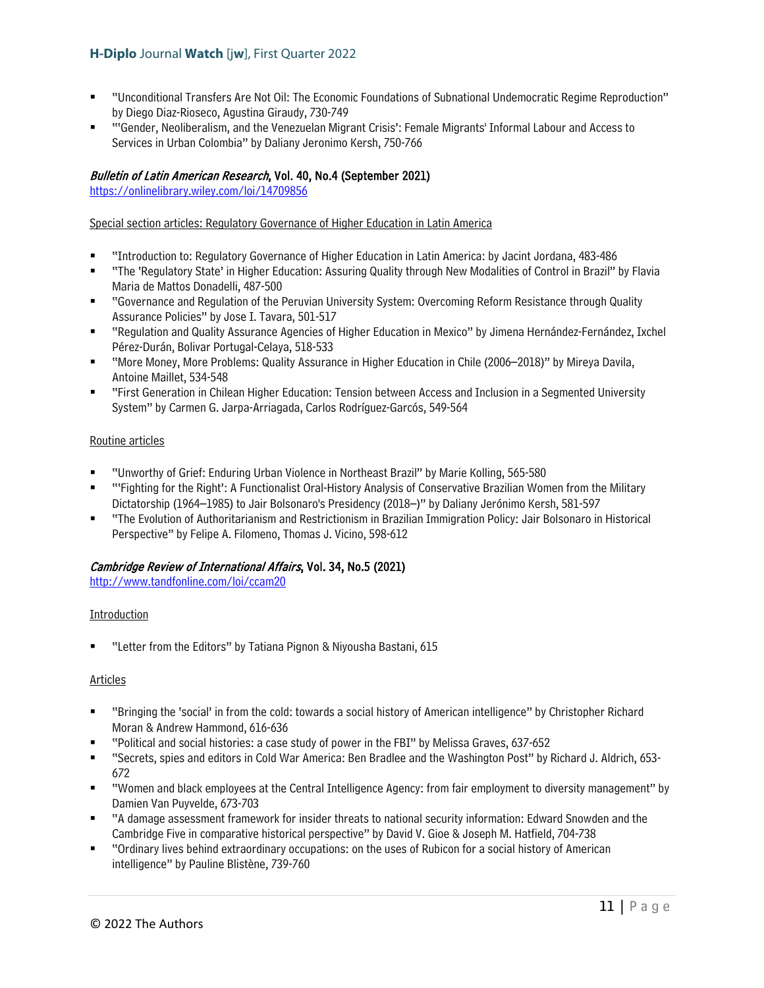- "Unconditional Transfers Are Not Oil: The Economic Foundations of Subnational Undemocratic Regime Reproduction" by Diego Diaz-Rioseco, Agustina Giraudy, 730-749
- "'Gender, Neoliberalism, and the Venezuelan Migrant Crisis': Female Migrants' Informal Labour and Access to Services in Urban Colombia" by Daliany Jeronimo Kersh, 750-766

## Bulletin of Latin American Research, Vol. 40, No.4 (September 2021)

<https://onlinelibrary.wiley.com/loi/14709856>

#### Special section articles: Regulatory Governance of Higher Education in Latin America

- "Introduction to: Regulatory Governance of Higher Education in Latin America: by Jacint Jordana, 483-486
- "The 'Regulatory State' in Higher Education: Assuring Quality through New Modalities of Control in Brazil" by Flavia Maria de Mattos Donadelli, 487-500
- "Governance and Regulation of the Peruvian University System: Overcoming Reform Resistance through Quality Assurance Policies" by Jose I. Tavara, 501-517
- "Regulation and Quality Assurance Agencies of Higher Education in Mexico" by Jimena Hernández-Fernández, Ixchel Pérez-Durán, Bolivar Portugal-Celaya, 518-533
- "More Money, More Problems: Quality Assurance in Higher Education in Chile (2006–2018)" by Mireya Davila, Antoine Maillet, 534-548
- "First Generation in Chilean Higher Education: Tension between Access and Inclusion in a Segmented University System" by Carmen G. Jarpa-Arriagada, Carlos Rodríguez-Garcós, 549-564

#### Routine articles

- "Unworthy of Grief: Enduring Urban Violence in Northeast Brazil" by Marie Kolling, 565-580
- "'Fighting for the Right': A Functionalist Oral-History Analysis of Conservative Brazilian Women from the Military Dictatorship (1964–1985) to Jair Bolsonaro's Presidency (2018–)" by Daliany Jerónimo Kersh, 581-597
- "The Evolution of Authoritarianism and Restrictionism in Brazilian Immigration Policy: Jair Bolsonaro in Historical Perspective" by Felipe A. Filomeno, Thomas J. Vicino, 598-612

#### Cambridge Review of International Affairs, Vol. 34, No.5 (2021)

<http://www.tandfonline.com/loi/ccam20>

#### Introduction

■ "Letter from the Editors" by Tatiana Pignon & Niyousha Bastani, 615

#### Articles

- "Bringing the 'social' in from the cold: towards a social history of American intelligence" by Christopher Richard Moran & Andrew Hammond, 616-636
- "Political and social histories: a case study of power in the FBI" by Melissa Graves, 637-652
- "Secrets, spies and editors in Cold War America: Ben Bradlee and the Washington Post" by Richard J. Aldrich, 653- 672
- "Women and black employees at the Central Intelligence Agency: from fair employment to diversity management" by Damien Van Puyvelde, 673-703
- "A damage assessment framework for insider threats to national security information: Edward Snowden and the Cambridge Five in comparative historical perspective" by David V. Gioe & Joseph M. Hatfield, 704-738
- "Ordinary lives behind extraordinary occupations: on the uses of Rubicon for a social history of American intelligence" by Pauline Blistène, 739-760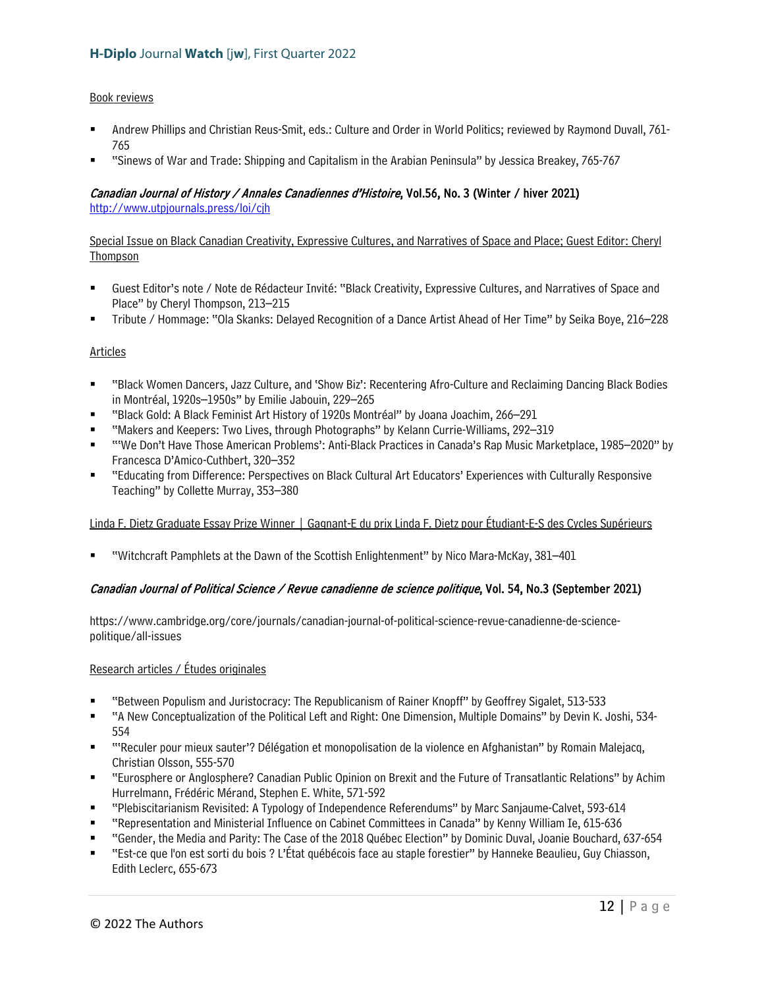#### Book reviews

- Andrew Phillips and Christian Reus-Smit, eds.: Culture and Order in World Politics; reviewed by Raymond Duvall, 761- 765
- "Sinews of War and Trade: Shipping and Capitalism in the Arabian Peninsula" by Jessica Breakey, 765-767

## Canadian Journal of History / Annales Canadiennes d'Histoire, Vol.56, No. 3 (Winter / hiver 2021)

http://www.utpjournals.press/loi/cih

Special Issue on Black Canadian Creativity, Expressive Cultures, and Narratives of Space and Place; Guest Editor: Cheryl Thompson

- Guest Editor's note / Note de Rédacteur Invité: "Black Creativity, Expressive Cultures, and Narratives of Space and Place" by Cheryl Thompson, 213–215
- Tribute / Hommage: "Ola Skanks: Delayed Recognition of a Dance Artist Ahead of Her Time" by Seika Boye, 216–228

#### Articles

- "Black Women Dancers, Jazz Culture, and 'Show Biz': Recentering Afro-Culture and Reclaiming Dancing Black Bodies in Montréal, 1920s–1950s" by Emilie Jabouin, 229–265
- "Black Gold: A Black Feminist Art History of 1920s Montréal" by Joana Joachim, 266–291
- "Makers and Keepers: Two Lives, through Photographs" by Kelann Currie-Williams, 292–319
- "'We Don't Have Those American Problems': Anti-Black Practices in Canada's Rap Music Marketplace, 1985–2020" by Francesca D'Amico-Cuthbert, 320–352
- "Educating from Difference: Perspectives on Black Cultural Art Educators' Experiences with Culturally Responsive Teaching" by Collette Murray, 353–380

Linda F. Dietz Graduate Essay Prize Winner | Gagnant-E du prix Linda F. Dietz pour Étudiant-E-S des Cycles Supérieurs

"Witchcraft Pamphlets at the Dawn of the Scottish Enlightenment" by Nico Mara-McKay, 381–401

## Canadian Journal of Political Science / Revue canadienne de science politique, Vol. 54, No.3 (September 2021)

https://www.cambridge.org/core/journals/canadian-journal-of-political-science-revue-canadienne-de-sciencepolitique/all-issues

#### Research articles / Études originales

- "Between Populism and Juristocracy: The Republicanism of Rainer Knopff" by Geoffrey Sigalet, 513-533
- "A New Conceptualization of the Political Left and Right: One Dimension, Multiple Domains" by Devin K. Joshi, 534- 554
- "'Reculer pour mieux sauter'? Délégation et monopolisation de la violence en Afghanistan" by Romain Malejacq, Christian Olsson, 555-570
- "Eurosphere or Anglosphere? Canadian Public Opinion on Brexit and the Future of Transatlantic Relations" by Achim Hurrelmann, Frédéric Mérand, Stephen E. White, 571-592
- "Plebiscitarianism Revisited: A Typology of Independence Referendums" by Marc Sanjaume-Calvet, 593-614
- "Representation and Ministerial Influence on Cabinet Committees in Canada" by Kenny William Ie, 615-636
- "Gender, the Media and Parity: The Case of the 2018 Québec Election" by Dominic Duval, Joanie Bouchard, 637-654
- "Est-ce que l'on est sorti du bois ? L'État québécois face au staple forestier" by Hanneke Beaulieu, Guy Chiasson, Edith Leclerc, 655-673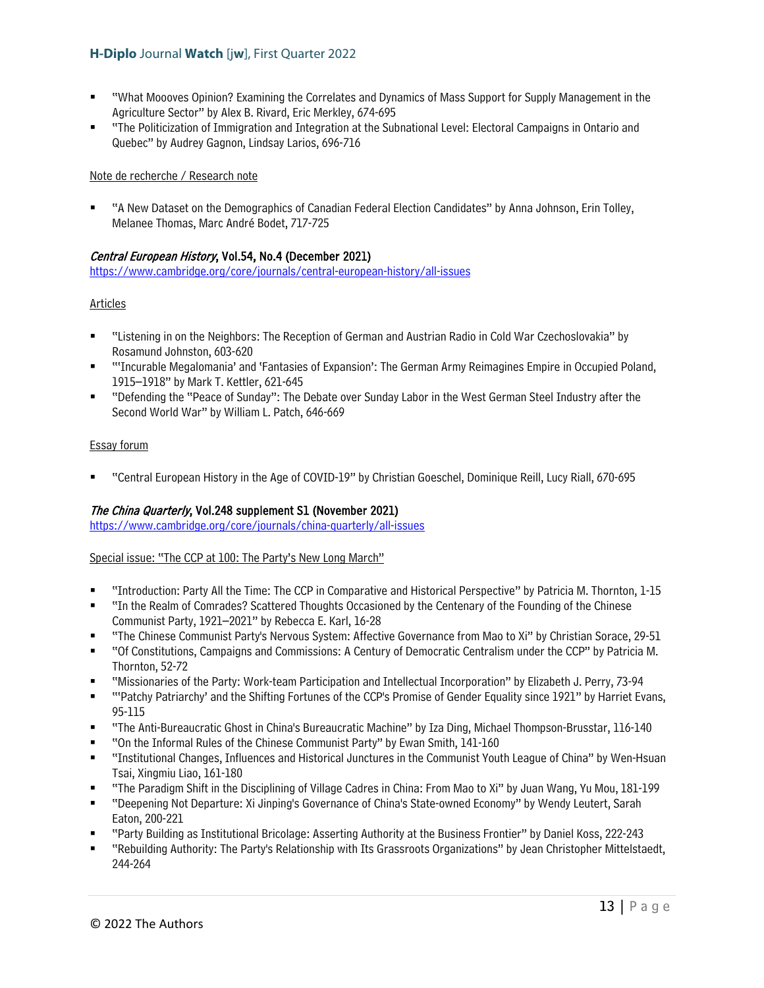- "What Moooves Opinion? Examining the Correlates and Dynamics of Mass Support for Supply Management in the Agriculture Sector" by Alex B. Rivard, Eric Merkley, 674-695
- "The Politicization of Immigration and Integration at the Subnational Level: Electoral Campaigns in Ontario and Quebec" by Audrey Gagnon, Lindsay Larios, 696-716

#### Note de recherche / Research note

 "A New Dataset on the Demographics of Canadian Federal Election Candidates" by Anna Johnson, Erin Tolley, Melanee Thomas, Marc André Bodet, 717-725

## Central European History, Vol.54, No.4 (December 2021)

<https://www.cambridge.org/core/journals/central-european-history/all-issues>

#### Articles

- "Listening in on the Neighbors: The Reception of German and Austrian Radio in Cold War Czechoslovakia" by Rosamund Johnston, 603-620
- "'Incurable Megalomania' and 'Fantasies of Expansion': The German Army Reimagines Empire in Occupied Poland, 1915–1918" by Mark T. Kettler, 621-645
- "Defending the "Peace of Sunday": The Debate over Sunday Labor in the West German Steel Industry after the Second World War" by William L. Patch, 646-669

#### Essay forum

"Central European History in the Age of COVID-19" by Christian Goeschel, Dominique Reill, Lucy Riall, 670-695

## The China Quarterly, Vol.248 supplement S1 (November 2021)

<https://www.cambridge.org/core/journals/china-quarterly/all-issues>

#### Special issue: "The CCP at 100: The Party's New Long March"

- "Introduction: Party All the Time: The CCP in Comparative and Historical Perspective" by Patricia M. Thornton, 1-15
- "In the Realm of Comrades? Scattered Thoughts Occasioned by the Centenary of the Founding of the Chinese Communist Party, 1921–2021" by Rebecca E. Karl, 16-28
- "The Chinese Communist Party's Nervous System: Affective Governance from Mao to Xi" by Christian Sorace, 29-51
- "Of Constitutions, Campaigns and Commissions: A Century of Democratic Centralism under the CCP" by Patricia M. Thornton, 52-72
- "Missionaries of the Party: Work-team Participation and Intellectual Incorporation" by Elizabeth J. Perry, 73-94
- ""Patchy Patriarchy' and the Shifting Fortunes of the CCP's Promise of Gender Equality since 1921" by Harriet Evans, 95-115
- "The Anti-Bureaucratic Ghost in China's Bureaucratic Machine" by Iza Ding, Michael Thompson-Brusstar, 116-140
- "On the Informal Rules of the Chinese Communist Party" by Ewan Smith, 141-160
- "Institutional Changes, Influences and Historical Junctures in the Communist Youth League of China" by Wen-Hsuan Tsai, Xingmiu Liao, 161-180
- "The Paradigm Shift in the Disciplining of Village Cadres in China: From Mao to Xi" by Juan Wang, Yu Mou, 181-199
- "Deepening Not Departure: Xi Jinping's Governance of China's State-owned Economy" by Wendy Leutert, Sarah Eaton, 200-221
- "Party Building as Institutional Bricolage: Asserting Authority at the Business Frontier" by Daniel Koss, 222-243
- "Rebuilding Authority: The Party's Relationship with Its Grassroots Organizations" by Jean Christopher Mittelstaedt, 244-264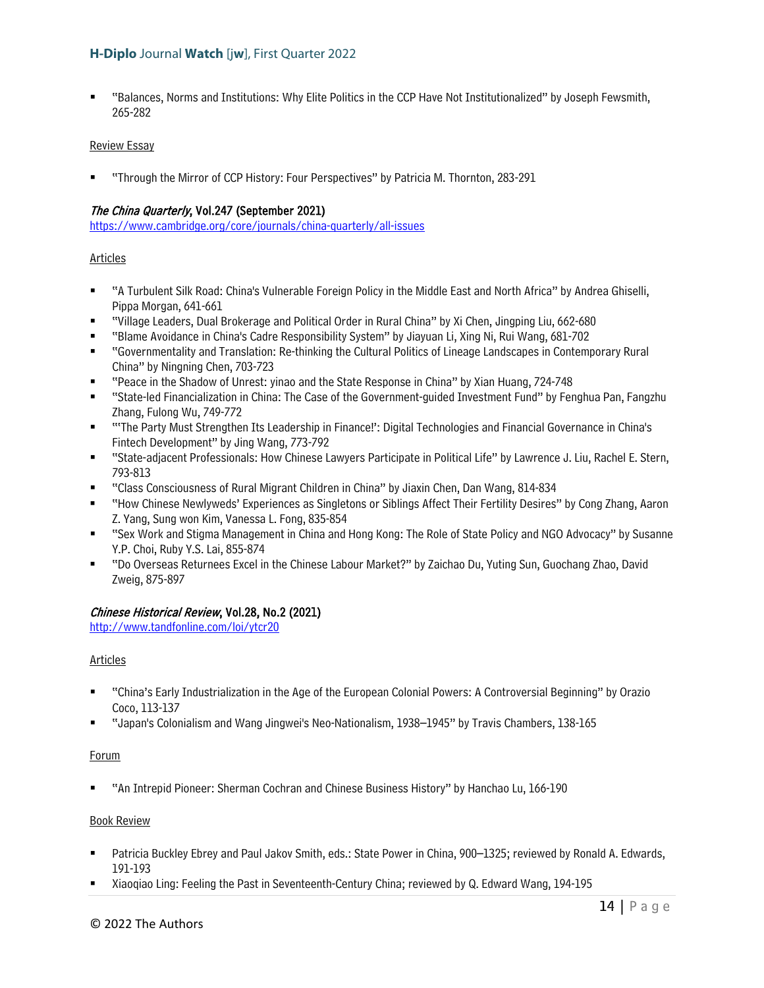"Balances, Norms and Institutions: Why Elite Politics in the CCP Have Not Institutionalized" by Joseph Fewsmith, 265-282

#### Review Essay

"Through the Mirror of CCP History: Four Perspectives" by Patricia M. Thornton, 283-291

#### The China Quarterly, Vol.247 (September 2021)

<https://www.cambridge.org/core/journals/china-quarterly/all-issues>

#### **Articles**

- "A Turbulent Silk Road: China's Vulnerable Foreign Policy in the Middle East and North Africa" by Andrea Ghiselli, Pippa Morgan, 641-661
- "Village Leaders, Dual Brokerage and Political Order in Rural China" by Xi Chen, Jingping Liu, 662-680
- "Blame Avoidance in China's Cadre Responsibility System" by Jiayuan Li, Xing Ni, Rui Wang, 681-702
- "Governmentality and Translation: Re-thinking the Cultural Politics of Lineage Landscapes in Contemporary Rural China" by Ningning Chen, 703-723
- "Peace in the Shadow of Unrest: yinao and the State Response in China" by Xian Huang, 724-748
- "State-led Financialization in China: The Case of the Government-guided Investment Fund" by Fenghua Pan, Fangzhu Zhang, Fulong Wu, 749-772
- "'The Party Must Strengthen Its Leadership in Finance!': Digital Technologies and Financial Governance in China's Fintech Development" by Jing Wang, 773-792
- "State-adjacent Professionals: How Chinese Lawyers Participate in Political Life" by Lawrence J. Liu, Rachel E. Stern, 793-813
- "Class Consciousness of Rural Migrant Children in China" by Jiaxin Chen, Dan Wang, 814-834
- "How Chinese Newlyweds' Experiences as Singletons or Siblings Affect Their Fertility Desires" by Cong Zhang, Aaron Z. Yang, Sung won Kim, Vanessa L. Fong, 835-854
- "Sex Work and Stigma Management in China and Hong Kong: The Role of State Policy and NGO Advocacy" by Susanne Y.P. Choi, Ruby Y.S. Lai, 855-874
- "Do Overseas Returnees Excel in the Chinese Labour Market?" by Zaichao Du, Yuting Sun, Guochang Zhao, David Zweig, 875-897

## Chinese Historical Review, Vol.28, No.2 (2021)

<http://www.tandfonline.com/loi/ytcr20>

#### Articles

- "China's Early Industrialization in the Age of the European Colonial Powers: A Controversial Beginning" by Orazio Coco, 113-137
- "Japan's Colonialism and Wang Jingwei's Neo-Nationalism, 1938–1945" by Travis Chambers, 138-165

#### Forum

"An Intrepid Pioneer: Sherman Cochran and Chinese Business History" by Hanchao Lu, 166-190

#### Book Review

- Patricia Buckley Ebrey and Paul Jakov Smith, eds.: State Power in China, 900–1325; reviewed by Ronald A. Edwards, 191-193
- Xiaoqiao Ling: Feeling the Past in Seventeenth-Century China; reviewed by Q. Edward Wang, 194-195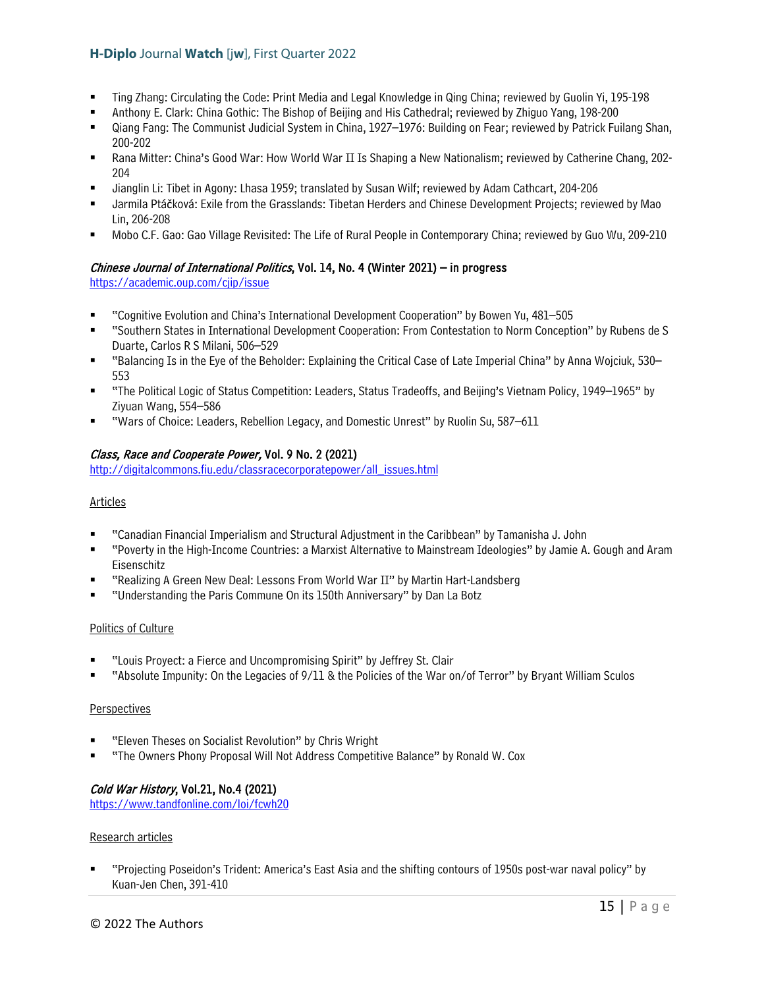- Ting Zhang: Circulating the Code: Print Media and Legal Knowledge in Qing China; reviewed by Guolin Yi, 195-198
- Anthony E. Clark: China Gothic: The Bishop of Beijing and His Cathedral; reviewed by Zhiguo Yang, 198-200
- Qiang Fang: The Communist Judicial System in China, 1927–1976: Building on Fear; reviewed by Patrick Fuilang Shan, 200-202
- Rana Mitter: China's Good War: How World War II Is Shaping a New Nationalism; reviewed by Catherine Chang, 202- 204
- Jianglin Li: Tibet in Agony: Lhasa 1959; translated by Susan Wilf; reviewed by Adam Cathcart, 204-206
- Jarmila Ptáčková: Exile from the Grasslands: Tibetan Herders and Chinese Development Projects; reviewed by Mao Lin, 206-208
- Mobo C.F. Gao: Gao Village Revisited: The Life of Rural People in Contemporary China; reviewed by Guo Wu, 209-210

#### Chinese Journal of International Politics, Vol. 14, No. 4 (Winter 2021) – in progress

<https://academic.oup.com/cjip/issue>

- "Cognitive Evolution and China's International Development Cooperation" by Bowen Yu, 481–505
- "Southern States in International Development Cooperation: From Contestation to Norm Conception" by Rubens de S Duarte, Carlos R S Milani, 506–529
- "Balancing Is in the Eye of the Beholder: Explaining the Critical Case of Late Imperial China" by Anna Wojciuk, 530– 553
- "The Political Logic of Status Competition: Leaders, Status Tradeoffs, and Beijing's Vietnam Policy, 1949–1965" by Ziyuan Wang, 554–586
- "Wars of Choice: Leaders, Rebellion Legacy, and Domestic Unrest" by Ruolin Su, 587–611

#### Class, Race and Cooperate Power, Vol. 9 No. 2 (2021)

[http://digitalcommons.fiu.edu/classracecorporatepower/all\\_issues.html](http://digitalcommons.fiu.edu/classracecorporatepower/all_issues.html) 

#### Articles

- "Canadian Financial Imperialism and Structural Adjustment in the Caribbean" by Tamanisha J. John
- "Poverty in the High-Income Countries: a Marxist Alternative to Mainstream Ideologies" by Jamie A. Gough and Aram Eisenschitz
- "Realizing A Green New Deal: Lessons From World War II" by Martin Hart-Landsberg
- "Understanding the Paris Commune On its 150th Anniversary" by Dan La Botz

#### Politics of Culture

- "Louis Proyect: a Fierce and Uncompromising Spirit" by Jeffrey St. Clair
- "Absolute Impunity: On the Legacies of 9/11 & the Policies of the War on/of Terror" by Bryant William Sculos

#### Perspectives

- "Eleven Theses on Socialist Revolution" by Chris Wright
- "The Owners Phony Proposal Will Not Address Competitive Balance" by Ronald W. Cox

#### Cold War History, Vol.21, No.4 (2021)

<https://www.tandfonline.com/loi/fcwh20>

#### Research articles

 "Projecting Poseidon's Trident: America's East Asia and the shifting contours of 1950s post-war naval policy" by Kuan-Jen Chen, 391-410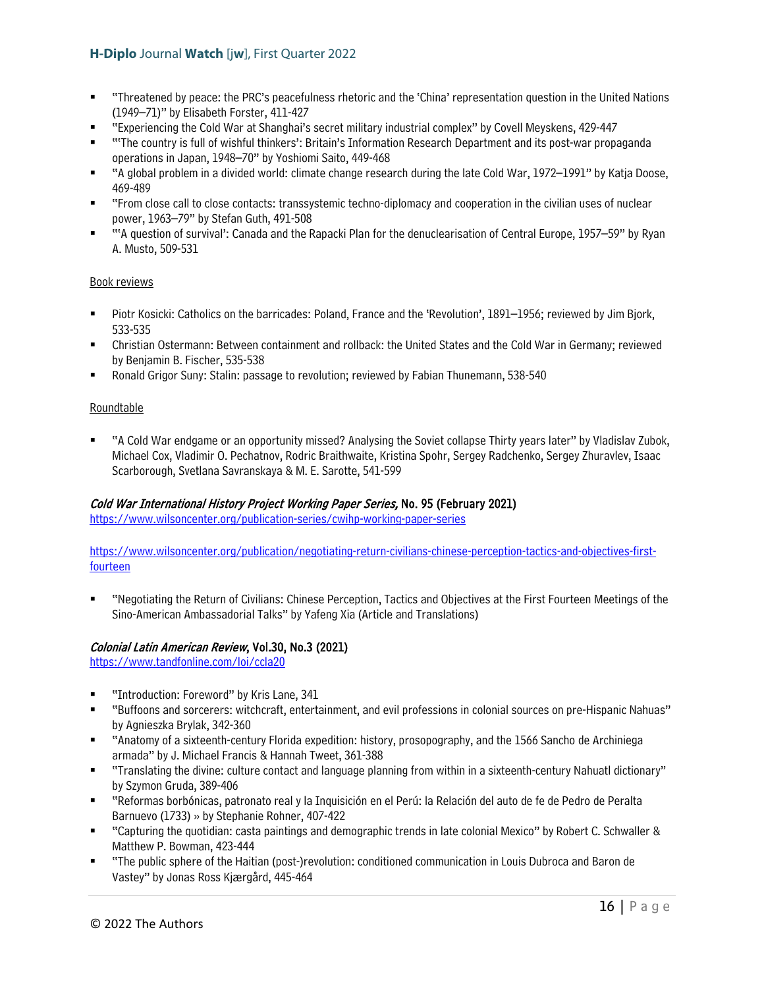- "Threatened by peace: the PRC's peacefulness rhetoric and the 'China' representation question in the United Nations (1949–71)" by Elisabeth Forster, 411-427
- "Experiencing the Cold War at Shanghai's secret military industrial complex" by Covell Meyskens, 429-447
- "'The country is full of wishful thinkers': Britain's Information Research Department and its post-war propaganda operations in Japan, 1948–70" by Yoshiomi Saito, 449-468
- "A global problem in a divided world: climate change research during the late Cold War, 1972–1991" by Katja Doose, 469-489
- "From close call to close contacts: transsystemic techno-diplomacy and cooperation in the civilian uses of nuclear power, 1963–79" by Stefan Guth, 491-508
- "'A question of survival': Canada and the Rapacki Plan for the denuclearisation of Central Europe, 1957–59" by Ryan A. Musto, 509-531

#### Book reviews

- Piotr Kosicki: Catholics on the barricades: Poland, France and the 'Revolution', 1891–1956; reviewed by Jim Bjork, 533-535
- Christian Ostermann: Between containment and rollback: the United States and the Cold War in Germany; reviewed by Benjamin B. Fischer, 535-538
- Ronald Grigor Suny: Stalin: passage to revolution; reviewed by Fabian Thunemann, 538-540

## Roundtable

 "A Cold War endgame or an opportunity missed? Analysing the Soviet collapse Thirty years later" by Vladislav Zubok, Michael Cox, Vladimir O. Pechatnov, Rodric Braithwaite, Kristina Spohr, Sergey Radchenko, Sergey Zhuravlev, Isaac Scarborough, Svetlana Savranskaya & M. E. Sarotte, 541-599

#### Cold War International History Project Working Paper Series, No. 95 (February 2021)

<https://www.wilsoncenter.org/publication-series/cwihp-working-paper-series>

[https://www.wilsoncenter.org/publication/negotiating-return-civilians-chinese-perception-tactics-and-objectives-first](https://www.wilsoncenter.org/publication/negotiating-return-civilians-chinese-perception-tactics-and-objectives-first-fourteen)[fourteen](https://www.wilsoncenter.org/publication/negotiating-return-civilians-chinese-perception-tactics-and-objectives-first-fourteen)

 "Negotiating the Return of Civilians: Chinese Perception, Tactics and Objectives at the First Fourteen Meetings of the Sino-American Ambassadorial Talks" by Yafeng Xia (Article and Translations)

## Colonial Latin American Review, Vol.30, No.3 (2021)

<https://www.tandfonline.com/loi/ccla20>

- **"** "Introduction: Foreword" by Kris Lane, 341
- "Buffoons and sorcerers: witchcraft, entertainment, and evil professions in colonial sources on pre-Hispanic Nahuas" by Agnieszka Brylak, 342-360
- "Anatomy of a sixteenth-century Florida expedition: history, prosopography, and the 1566 Sancho de Archiniega armada" by J. Michael Francis & Hannah Tweet, 361-388
- "Translating the divine: culture contact and language planning from within in a sixteenth-century Nahuatl dictionary" by Szymon Gruda, 389-406
- "Reformas borbónicas, patronato real y la Inquisición en el Perú: la Relación del auto de fe de Pedro de Peralta Barnuevo (1733) » by Stephanie Rohner, 407-422
- "Capturing the quotidian: casta paintings and demographic trends in late colonial Mexico" by Robert C. Schwaller & Matthew P. Bowman, 423-444
- "The public sphere of the Haitian (post-)revolution: conditioned communication in Louis Dubroca and Baron de Vastey" by Jonas Ross Kjærgård, 445-464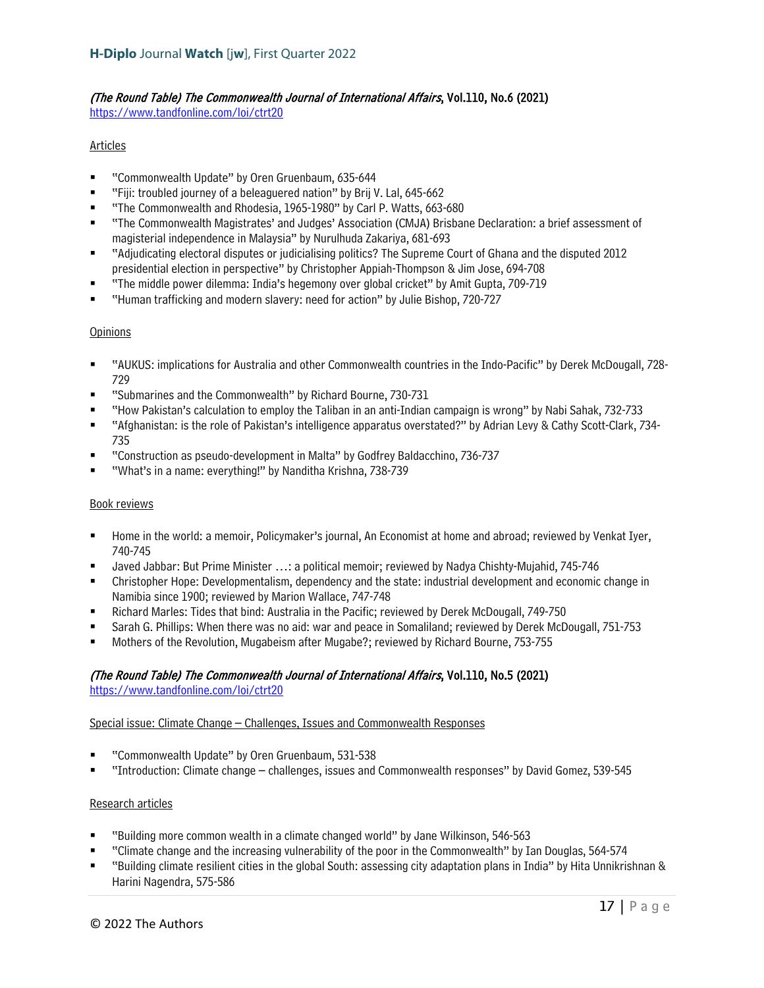#### (The Round Table) The Commonwealth Journal of International Affairs, Vol.110, No.6 (2021) <https://www.tandfonline.com/loi/ctrt20>

Articles

- "Commonwealth Update" by Oren Gruenbaum, 635-644
- "Fiji: troubled journey of a beleaguered nation" by Brij V. Lal, 645-662
- "The Commonwealth and Rhodesia, 1965-1980" by Carl P. Watts, 663-680
- "The Commonwealth Magistrates' and Judges' Association (CMJA) Brisbane Declaration: a brief assessment of magisterial independence in Malaysia" by Nurulhuda Zakariya, 681-693
- "Adjudicating electoral disputes or judicialising politics? The Supreme Court of Ghana and the disputed 2012 presidential election in perspective" by Christopher Appiah-Thompson & Jim Jose, 694-708
- "The middle power dilemma: India's hegemony over global cricket" by Amit Gupta, 709-719
- "Human trafficking and modern slavery: need for action" by Julie Bishop, 720-727

#### Opinions

- "AUKUS: implications for Australia and other Commonwealth countries in the Indo-Pacific" by Derek McDougall, 728- 729
- "Submarines and the Commonwealth" by Richard Bourne, 730-731
- "How Pakistan's calculation to employ the Taliban in an anti-Indian campaign is wrong" by Nabi Sahak, 732-733
- "Afghanistan: is the role of Pakistan's intelligence apparatus overstated?" by Adrian Levy & Cathy Scott-Clark, 734- 735
- "Construction as pseudo-development in Malta" by Godfrey Baldacchino, 736-737
- "What's in a name: everything!" by Nanditha Krishna, 738-739

#### Book reviews

- Home in the world: a memoir, Policymaker's journal, An Economist at home and abroad; reviewed by Venkat Iyer, 740-745
- Javed Jabbar: But Prime Minister …: a political memoir; reviewed by Nadya Chishty-Mujahid, 745-746
- Christopher Hope: Developmentalism, dependency and the state: industrial development and economic change in Namibia since 1900; reviewed by Marion Wallace, 747-748
- Richard Marles: Tides that bind: Australia in the Pacific; reviewed by Derek McDougall, 749-750
- Sarah G. Phillips: When there was no aid: war and peace in Somaliland; reviewed by Derek McDougall, 751-753
- Mothers of the Revolution, Mugabeism after Mugabe?; reviewed by Richard Bourne, 753-755

## (The Round Table) The Commonwealth Journal of International Affairs, Vol.110, No.5 (2021)

<https://www.tandfonline.com/loi/ctrt20>

#### Special issue: Climate Change – Challenges, Issues and Commonwealth Responses

- "Commonwealth Update" by Oren Gruenbaum, 531-538
- "Introduction: Climate change challenges, issues and Commonwealth responses" by David Gomez, 539-545

#### Research articles

- "Building more common wealth in a climate changed world" by Jane Wilkinson, 546-563
- "Climate change and the increasing vulnerability of the poor in the Commonwealth" by Ian Douglas, 564-574
- "Building climate resilient cities in the global South: assessing city adaptation plans in India" by Hita Unnikrishnan & Harini Nagendra, 575-586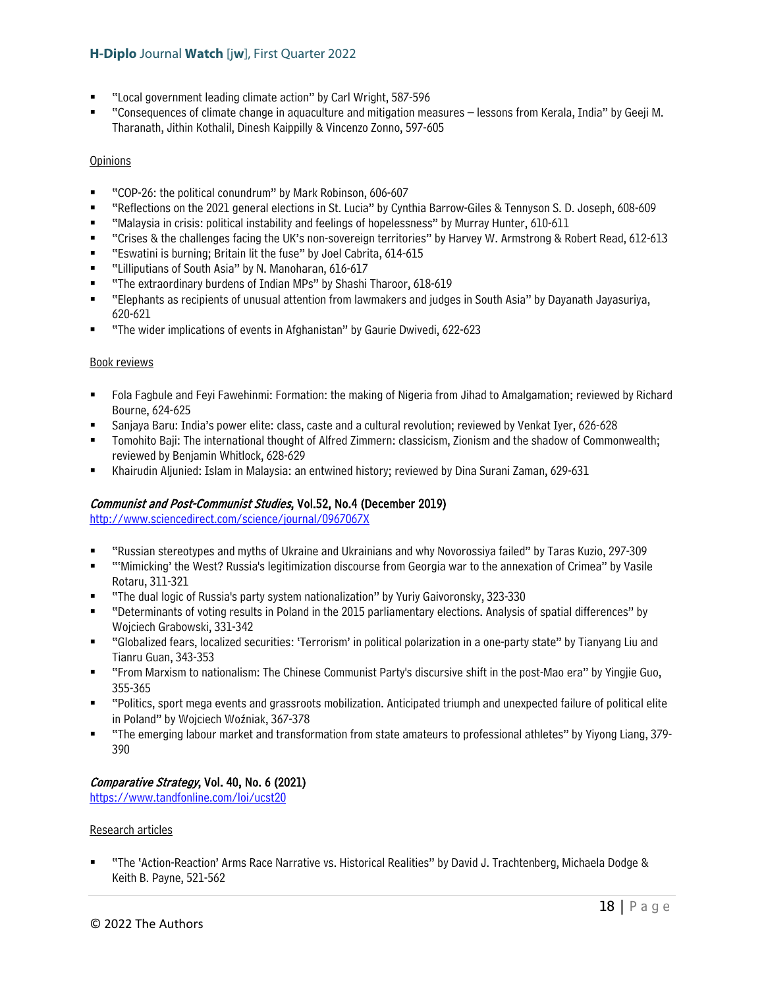- "Local government leading climate action" by Carl Wright, 587-596
- "Consequences of climate change in aquaculture and mitigation measures lessons from Kerala, India" by Geeji M. Tharanath, Jithin Kothalil, Dinesh Kaippilly & Vincenzo Zonno, 597-605

#### **Opinions**

- "COP-26: the political conundrum" by Mark Robinson, 606-607
- "Reflections on the 2021 general elections in St. Lucia" by Cynthia Barrow-Giles & Tennyson S. D. Joseph, 608-609
- "Malaysia in crisis: political instability and feelings of hopelessness" by Murray Hunter, 610-611
- "Crises & the challenges facing the UK's non-sovereign territories" by Harvey W. Armstrong & Robert Read, 612-613
- **EXECT:** "Eswatini is burning; Britain lit the fuse" by Joel Cabrita, 614-615
- "Lilliputians of South Asia" by N. Manoharan, 616-617
- "The extraordinary burdens of Indian MPs" by Shashi Tharoor, 618-619
- "Elephants as recipients of unusual attention from lawmakers and judges in South Asia" by Dayanath Jayasuriya, 620-621
- **The wider implications of events in Afghanistan**" by Gaurie Dwivedi, 622-623

#### Book reviews

- Fola Fagbule and Feyi Fawehinmi: Formation: the making of Nigeria from Jihad to Amalgamation; reviewed by Richard Bourne, 624-625
- Sanjaya Baru: India's power elite: class, caste and a cultural revolution; reviewed by Venkat Iyer, 626-628
- Tomohito Baji: The international thought of Alfred Zimmern: classicism, Zionism and the shadow of Commonwealth; reviewed by Benjamin Whitlock, 628-629
- Khairudin Aljunied: Islam in Malaysia: an entwined history; reviewed by Dina Surani Zaman, 629-631

#### Communist and Post-Communist Studies, Vol.52, No.4 (December 2019)

<http://www.sciencedirect.com/science/journal/0967067X>

- "Russian stereotypes and myths of Ukraine and Ukrainians and why Novorossiya failed" by Taras Kuzio, 297-309
- "'Mimicking' the West? Russia's legitimization discourse from Georgia war to the annexation of Crimea" by Vasile Rotaru, 311-321
- "The dual logic of Russia's party system nationalization" by Yuriy Gaivoronsky, 323-330
- "Determinants of voting results in Poland in the 2015 parliamentary elections. Analysis of spatial differences" by Wojciech Grabowski, 331-342
- "Globalized fears, localized securities: 'Terrorism' in political polarization in a one-party state" by Tianyang Liu and Tianru Guan, 343-353
- "From Marxism to nationalism: The Chinese Communist Party's discursive shift in the post-Mao era" by Yingjie Guo, 355-365
- "Politics, sport mega events and grassroots mobilization. Anticipated triumph and unexpected failure of political elite in Poland" by Wojciech Woźniak, 367-378
- "The emerging labour market and transformation from state amateurs to professional athletes" by Yiyong Liang, 379- 390

#### Comparative Strategy, Vol. 40, No. 6 (2021)

<https://www.tandfonline.com/loi/ucst20>

#### Research articles

 "The 'Action-Reaction' Arms Race Narrative vs. Historical Realities" by David J. Trachtenberg, Michaela Dodge & Keith B. Payne, 521-562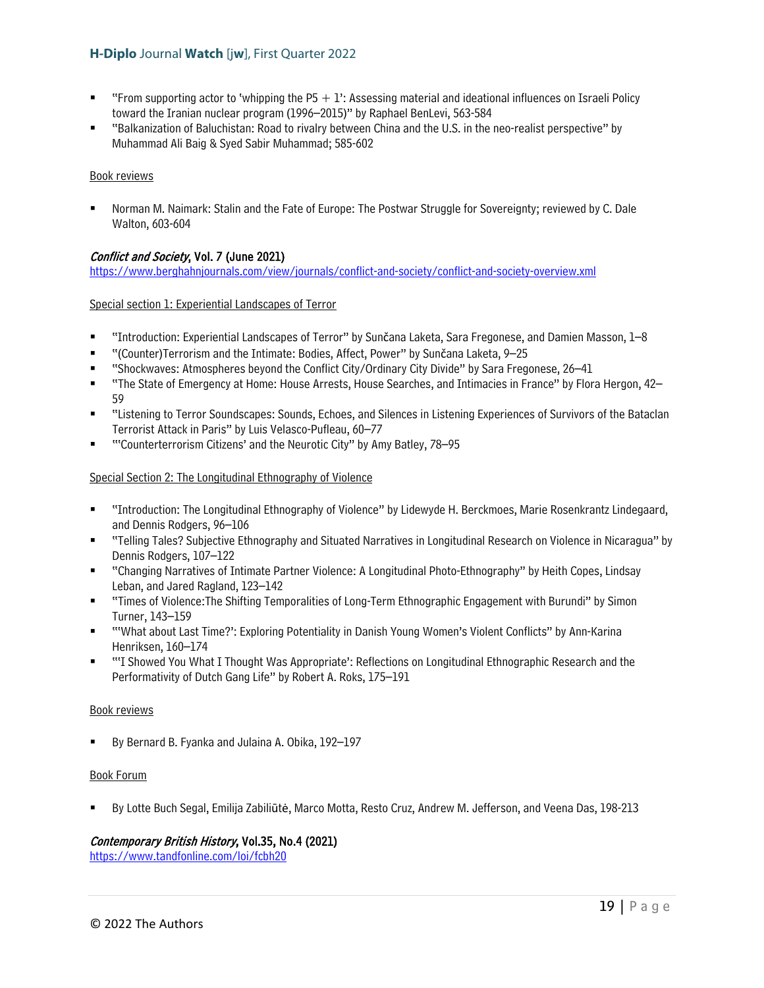- "From supporting actor to 'whipping the  $P5 + 1$ ": Assessing material and ideational influences on Israeli Policy toward the Iranian nuclear program (1996–2015)" by Raphael BenLevi, 563-584
- "Balkanization of Baluchistan: Road to rivalry between China and the U.S. in the neo-realist perspective" by Muhammad Ali Baig & Syed Sabir Muhammad; 585-602

#### Book reviews

 Norman M. Naimark: Stalin and the Fate of Europe: The Postwar Struggle for Sovereignty; reviewed by C. Dale Walton, 603-604

## Conflict and Society, Vol. 7 (June 2021)

<https://www.berghahnjournals.com/view/journals/conflict-and-society/conflict-and-society-overview.xml>

#### Special section 1: Experiential Landscapes of Terror

- "Introduction: Experiential Landscapes of Terror" by Sunčana Laketa, Sara Fregonese, and Damien Masson, 1–8
- "(Counter)Terrorism and the Intimate: Bodies, Affect, Power" by Sunčana Laketa, 9–25
- "Shockwaves: Atmospheres beyond the Conflict City/Ordinary City Divide" by Sara Fregonese, 26–41
- "The State of Emergency at Home: House Arrests, House Searches, and Intimacies in France" by Flora Hergon, 42– 59
- "Listening to Terror Soundscapes: Sounds, Echoes, and Silences in Listening Experiences of Survivors of the Bataclan Terrorist Attack in Paris" by Luis Velasco-Pufleau, 60–77
- "'Counterterrorism Citizens' and the Neurotic City" by Amy Batley, 78–95

#### Special Section 2: The Longitudinal Ethnography of Violence

- "Introduction: The Longitudinal Ethnography of Violence" by Lidewyde H. Berckmoes, Marie Rosenkrantz Lindegaard, and Dennis Rodgers, 96–106
- "Telling Tales? Subjective Ethnography and Situated Narratives in Longitudinal Research on Violence in Nicaragua" by Dennis Rodgers, 107–122
- "Changing Narratives of Intimate Partner Violence: A Longitudinal Photo-Ethnography" by Heith Copes, Lindsay Leban, and Jared Ragland, 123–142
- "Times of Violence:The Shifting Temporalities of Long-Term Ethnographic Engagement with Burundi" by Simon Turner, 143–159
- "'What about Last Time?': Exploring Potentiality in Danish Young Women's Violent Conflicts" by Ann-Karina Henriksen, 160–174
- ""I Showed You What I Thought Was Appropriate': Reflections on Longitudinal Ethnographic Research and the Performativity of Dutch Gang Life" by Robert A. Roks, 175–191

#### Book reviews

By Bernard B. Fyanka and Julaina A. Obika, 192–197

#### Book Forum

By Lotte Buch Segal, Emilija Zabiliūtė, Marco Motta, Resto Cruz, Andrew M. Jefferson, and Veena Das, 198-213

#### Contemporary British History, Vol.35, No.4 (2021)

<https://www.tandfonline.com/loi/fcbh20>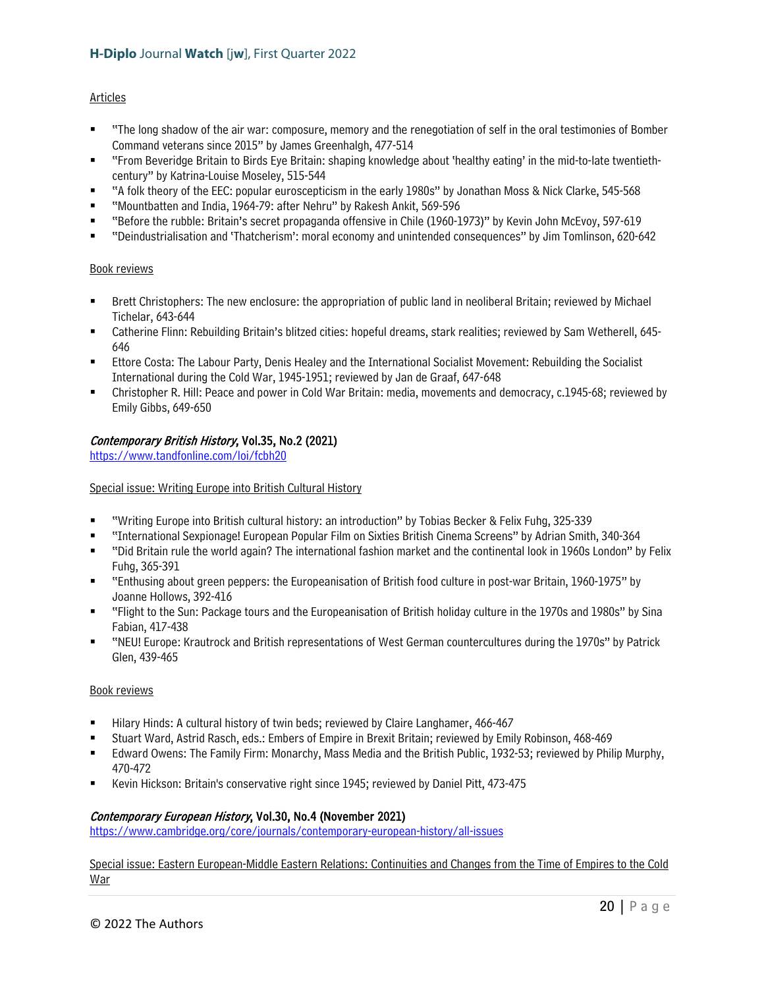#### Articles

- "The long shadow of the air war: composure, memory and the renegotiation of self in the oral testimonies of Bomber Command veterans since 2015" by James Greenhalgh, 477-514
- "From Beveridge Britain to Birds Eye Britain: shaping knowledge about 'healthy eating' in the mid-to-late twentiethcentury" by Katrina-Louise Moseley, 515-544
- "A folk theory of the EEC: popular euroscepticism in the early 1980s" by Jonathan Moss & Nick Clarke, 545-568
- "Mountbatten and India, 1964-79: after Nehru" by Rakesh Ankit, 569-596
- "Before the rubble: Britain's secret propaganda offensive in Chile (1960-1973)" by Kevin John McEvoy, 597-619
- "Deindustrialisation and 'Thatcherism': moral economy and unintended consequences" by Jim Tomlinson, 620-642

#### Book reviews

- Brett Christophers: The new enclosure: the appropriation of public land in neoliberal Britain; reviewed by Michael Tichelar, 643-644
- Catherine Flinn: Rebuilding Britain's blitzed cities: hopeful dreams, stark realities; reviewed by Sam Wetherell, 645- 646
- Ettore Costa: The Labour Party, Denis Healey and the International Socialist Movement: Rebuilding the Socialist International during the Cold War, 1945-1951; reviewed by Jan de Graaf, 647-648
- Christopher R. Hill: Peace and power in Cold War Britain: media, movements and democracy, c.1945-68; reviewed by Emily Gibbs, 649-650

## Contemporary British History, Vol.35, No.2 (2021)

<https://www.tandfonline.com/loi/fcbh20>

Special issue: Writing Europe into British Cultural History

- "Writing Europe into British cultural history: an introduction" by Tobias Becker & Felix Fuhg, 325-339
- "International Sexpionage! European Popular Film on Sixties British Cinema Screens" by Adrian Smith, 340-364
- "Did Britain rule the world again? The international fashion market and the continental look in 1960s London" by Felix Fuhg, 365-391
- "Enthusing about green peppers: the Europeanisation of British food culture in post-war Britain, 1960-1975" by Joanne Hollows, 392-416
- "Flight to the Sun: Package tours and the Europeanisation of British holiday culture in the 1970s and 1980s" by Sina Fabian, 417-438
- "NEU! Europe: Krautrock and British representations of West German countercultures during the 1970s" by Patrick Glen, 439-465

#### Book reviews

- Hilary Hinds: A cultural history of twin beds; reviewed by Claire Langhamer, 466-467
- Stuart Ward, Astrid Rasch, eds.: Embers of Empire in Brexit Britain; reviewed by Emily Robinson, 468-469
- Edward Owens: The Family Firm: Monarchy, Mass Media and the British Public, 1932-53; reviewed by Philip Murphy, 470-472
- Kevin Hickson: Britain's conservative right since 1945; reviewed by Daniel Pitt, 473-475

#### Contemporary European History, Vol.30, No.4 (November 2021)

<https://www.cambridge.org/core/journals/contemporary-european-history/all-issues>

Special issue: Eastern European-Middle Eastern Relations: Continuities and Changes from the Time of Empires to the Cold War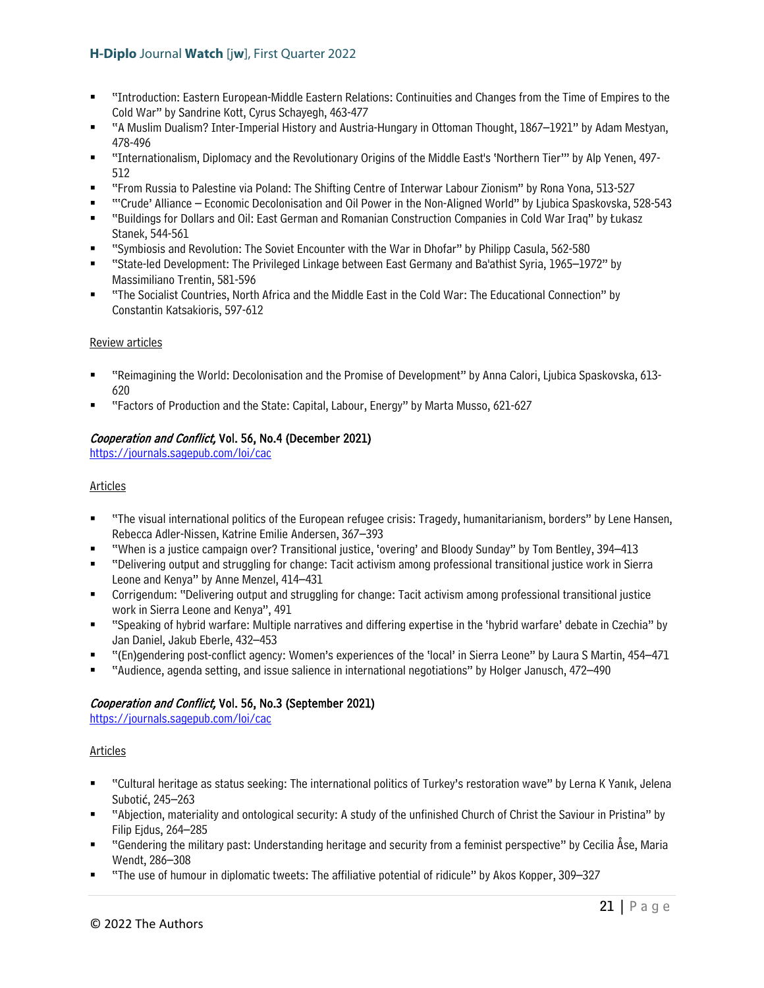- "Introduction: Eastern European-Middle Eastern Relations: Continuities and Changes from the Time of Empires to the Cold War" by Sandrine Kott, Cyrus Schayegh, 463-477
- "A Muslim Dualism? Inter-Imperial History and Austria-Hungary in Ottoman Thought, 1867–1921" by Adam Mestyan, 478-496
- "Internationalism, Diplomacy and the Revolutionary Origins of the Middle East's 'Northern Tier'" by Alp Yenen, 497- 512
- "From Russia to Palestine via Poland: The Shifting Centre of Interwar Labour Zionism" by Rona Yona, 513-527
- "'Crude' Alliance Economic Decolonisation and Oil Power in the Non-Aligned World" by Ljubica Spaskovska, 528-543
- "Buildings for Dollars and Oil: East German and Romanian Construction Companies in Cold War Iraq" by Łukasz Stanek, 544-561
- "Symbiosis and Revolution: The Soviet Encounter with the War in Dhofar" by Philipp Casula, 562-580
- "State-led Development: The Privileged Linkage between East Germany and Ba'athist Syria, 1965–1972" by Massimiliano Trentin, 581-596
- "The Socialist Countries, North Africa and the Middle East in the Cold War: The Educational Connection" by Constantin Katsakioris, 597-612

## Review articles

- "Reimagining the World: Decolonisation and the Promise of Development" by Anna Calori, Ljubica Spaskovska, 613- 620
- "Factors of Production and the State: Capital, Labour, Energy" by Marta Musso, 621-627

## Cooperation and Conflict, Vol. 56, No.4 (December 2021)

<https://journals.sagepub.com/loi/cac>

## Articles

- "The visual international politics of the European refugee crisis: Tragedy, humanitarianism, borders" by Lene Hansen, Rebecca Adler-Nissen, Katrine Emilie Andersen, 367–393
- "When is a justice campaign over? Transitional justice, 'overing' and Bloody Sunday" by Tom Bentley, 394–413
- "Delivering output and struggling for change: Tacit activism among professional transitional justice work in Sierra Leone and Kenya" by Anne Menzel, 414–431
- Corrigendum: "Delivering output and struggling for change: Tacit activism among professional transitional justice work in Sierra Leone and Kenya", 491
- "Speaking of hybrid warfare: Multiple narratives and differing expertise in the 'hybrid warfare' debate in Czechia" by Jan Daniel, Jakub Eberle, 432–453
- "(En)gendering post-conflict agency: Women's experiences of the 'local' in Sierra Leone" by Laura S Martin, 454–471
- "Audience, agenda setting, and issue salience in international negotiations" by Holger Janusch, 472–490

## Cooperation and Conflict, Vol. 56, No.3 (September 2021)

<https://journals.sagepub.com/loi/cac>

#### Articles

- "Cultural heritage as status seeking: The international politics of Turkey's restoration wave" by Lerna K Yanık, Jelena Subotić, 245–263
- "Abjection, materiality and ontological security: A study of the unfinished Church of Christ the Saviour in Pristina" by Filip Ejdus, 264–285
- "Gendering the military past: Understanding heritage and security from a feminist perspective" by Cecilia Åse, Maria Wendt, 286–308
- "The use of humour in diplomatic tweets: The affiliative potential of ridicule" by Akos Kopper, 309–327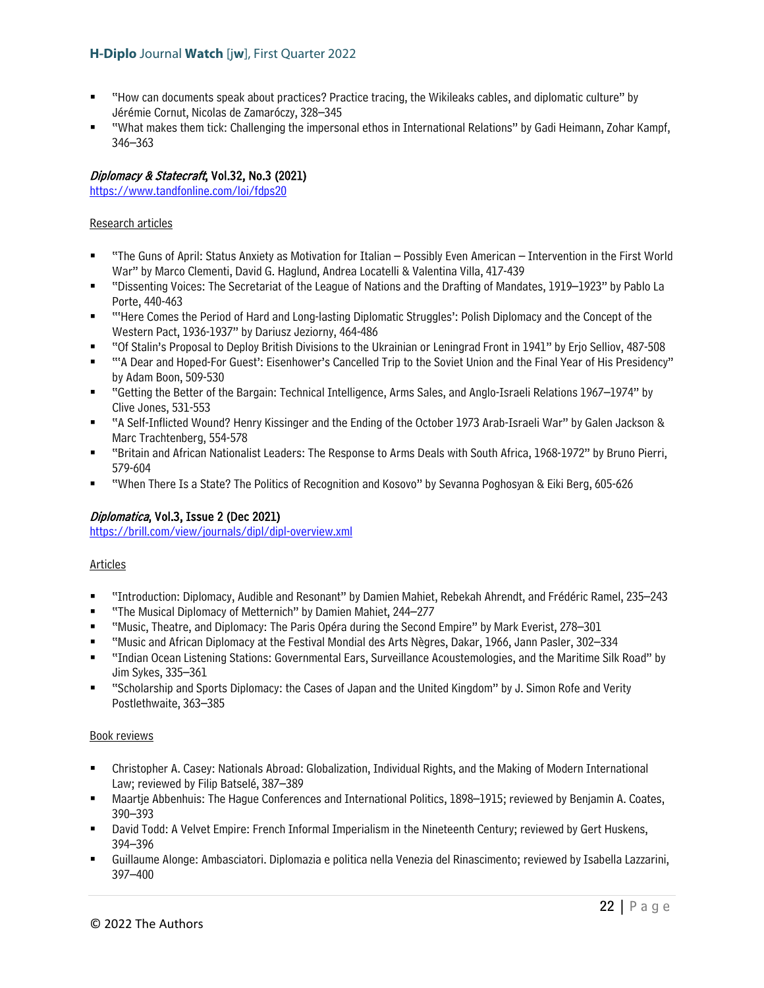- "How can documents speak about practices? Practice tracing, the Wikileaks cables, and diplomatic culture" by Jérémie Cornut, Nicolas de Zamaróczy, 328–345
- "What makes them tick: Challenging the impersonal ethos in International Relations" by Gadi Heimann, Zohar Kampf, 346–363

## Diplomacy & Statecraft, Vol.32, No.3 (2021)

<https://www.tandfonline.com/loi/fdps20>

#### Research articles

- "The Guns of April: Status Anxiety as Motivation for Italian Possibly Even American Intervention in the First World War" by Marco Clementi, David G. Haglund, Andrea Locatelli & Valentina Villa, 417-439
- "Dissenting Voices: The Secretariat of the League of Nations and the Drafting of Mandates, 1919–1923" by Pablo La Porte, 440-463
- "'Here Comes the Period of Hard and Long-lasting Diplomatic Struggles': Polish Diplomacy and the Concept of the Western Pact, 1936-1937" by Dariusz Jeziorny, 464-486
- "Of Stalin's Proposal to Deploy British Divisions to the Ukrainian or Leningrad Front in 1941" by Erjo Selliov, 487-508
- "'A Dear and Hoped-For Guest': Eisenhower's Cancelled Trip to the Soviet Union and the Final Year of His Presidency" by Adam Boon, 509-530
- "Getting the Better of the Bargain: Technical Intelligence, Arms Sales, and Anglo-Israeli Relations 1967–1974" by Clive Jones, 531-553
- "A Self-Inflicted Wound? Henry Kissinger and the Ending of the October 1973 Arab-Israeli War" by Galen Jackson & Marc Trachtenberg, 554-578
- "Britain and African Nationalist Leaders: The Response to Arms Deals with South Africa, 1968-1972" by Bruno Pierri, 579-604
- "When There Is a State? The Politics of Recognition and Kosovo" by Sevanna Poghosyan & Eiki Berg, 605-626

#### Diplomatica, Vol.3, Issue 2 (Dec 2021)

<https://brill.com/view/journals/dipl/dipl-overview.xml>

#### Articles

- "Introduction: Diplomacy, Audible and Resonant" by Damien Mahiet, Rebekah Ahrendt, and Frédéric Ramel, 235–243
- "The Musical Diplomacy of Metternich" by Damien Mahiet, 244–277
- "Music, Theatre, and Diplomacy: The Paris Opéra during the Second Empire" by Mark Everist, 278–301
- "Music and African Diplomacy at the Festival Mondial des Arts Nègres, Dakar, 1966, Jann Pasler, 302–334
- "Indian Ocean Listening Stations: Governmental Ears, Surveillance Acoustemologies, and the Maritime Silk Road" by Jim Sykes, 335–361
- "Scholarship and Sports Diplomacy: the Cases of Japan and the United Kingdom" by J. Simon Rofe and Verity Postlethwaite, 363–385

#### Book reviews

- Christopher A. Casey: Nationals Abroad: Globalization, Individual Rights, and the Making of Modern International Law; reviewed by Filip Batselé, 387–389
- Maartje Abbenhuis: The Hague Conferences and International Politics, 1898–1915; reviewed by Benjamin A. Coates, 390–393
- David Todd: A Velvet Empire: French Informal Imperialism in the Nineteenth Century; reviewed by Gert Huskens, 394–396
- Guillaume Alonge: Ambasciatori. Diplomazia e politica nella Venezia del Rinascimento; reviewed by Isabella Lazzarini, 397–400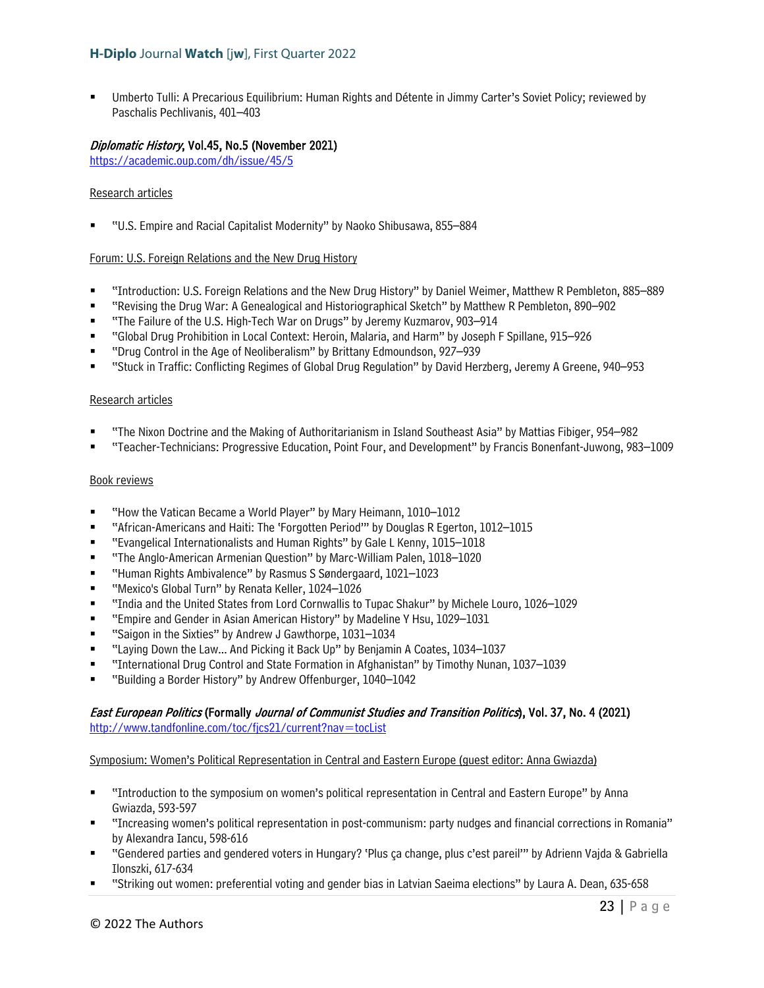Umberto Tulli: A Precarious Equilibrium: Human Rights and Détente in Jimmy Carter's Soviet Policy; reviewed by Paschalis Pechlivanis, 401–403

## Diplomatic History, Vol.45, No.5 (November 2021)

<https://academic.oup.com/dh/issue/45/5>

#### Research articles

"U.S. Empire and Racial Capitalist Modernity" by Naoko Shibusawa, 855–884

#### Forum: U.S. Foreign Relations and the New Drug History

- "Introduction: U.S. Foreign Relations and the New Drug History" by Daniel Weimer, Matthew R Pembleton, 885–889
- "Revising the Drug War: A Genealogical and Historiographical Sketch" by Matthew R Pembleton, 890–902
- "The Failure of the U.S. High-Tech War on Drugs" by Jeremy Kuzmarov, 903–914
- "Global Drug Prohibition in Local Context: Heroin, Malaria, and Harm" by Joseph F Spillane, 915–926
- "Drug Control in the Age of Neoliberalism" by Brittany Edmoundson, 927–939
- "Stuck in Traffic: Conflicting Regimes of Global Drug Regulation" by David Herzberg, Jeremy A Greene, 940–953

#### Research articles

- "The Nixon Doctrine and the Making of Authoritarianism in Island Southeast Asia" by Mattias Fibiger, 954–982
- "Teacher-Technicians: Progressive Education, Point Four, and Development" by Francis Bonenfant-Juwong, 983–1009

#### Book reviews

- "How the Vatican Became a World Player" by Mary Heimann, 1010–1012
- "African-Americans and Haiti: The 'Forgotten Period'" by Douglas R Egerton, 1012–1015
- "Evangelical Internationalists and Human Rights" by Gale L Kenny, 1015–1018
- "The Anglo-American Armenian Question" by Marc-William Palen, 1018–1020
- "Human Rights Ambivalence" by Rasmus S Søndergaard, 1021–1023
- "Mexico's Global Turn" by Renata Keller, 1024–1026
- "India and the United States from Lord Cornwallis to Tupac Shakur" by Michele Louro, 1026–1029
- "Empire and Gender in Asian American History" by Madeline Y Hsu, 1029–1031
- "Saigon in the Sixties" by Andrew J Gawthorpe, 1031-1034
- "Laying Down the Law... And Picking it Back Up" by Benjamin A Coates, 1034–1037
- "International Drug Control and State Formation in Afghanistan" by Timothy Nunan, 1037–1039
- "Building a Border History" by Andrew Offenburger, 1040–1042

#### East European Politics (Formally Journal of Communist Studies and Transition Politics), Vol. 37, No. 4 (2021) <http://www.tandfonline.com/toc/fjcs21/current?nav=tocList>

#### Symposium: Women's Political Representation in Central and Eastern Europe (guest editor: Anna Gwiazda)

- "Introduction to the symposium on women's political representation in Central and Eastern Europe" by Anna Gwiazda, 593-597
- "Increasing women's political representation in post-communism: party nudges and financial corrections in Romania" by Alexandra Iancu, 598-616
- "Gendered parties and gendered voters in Hungary? 'Plus ça change, plus c'est pareil'" by Adrienn Vajda & Gabriella Ilonszki, 617-634
- "Striking out women: preferential voting and gender bias in Latvian Saeima elections" by Laura A. Dean, 635-658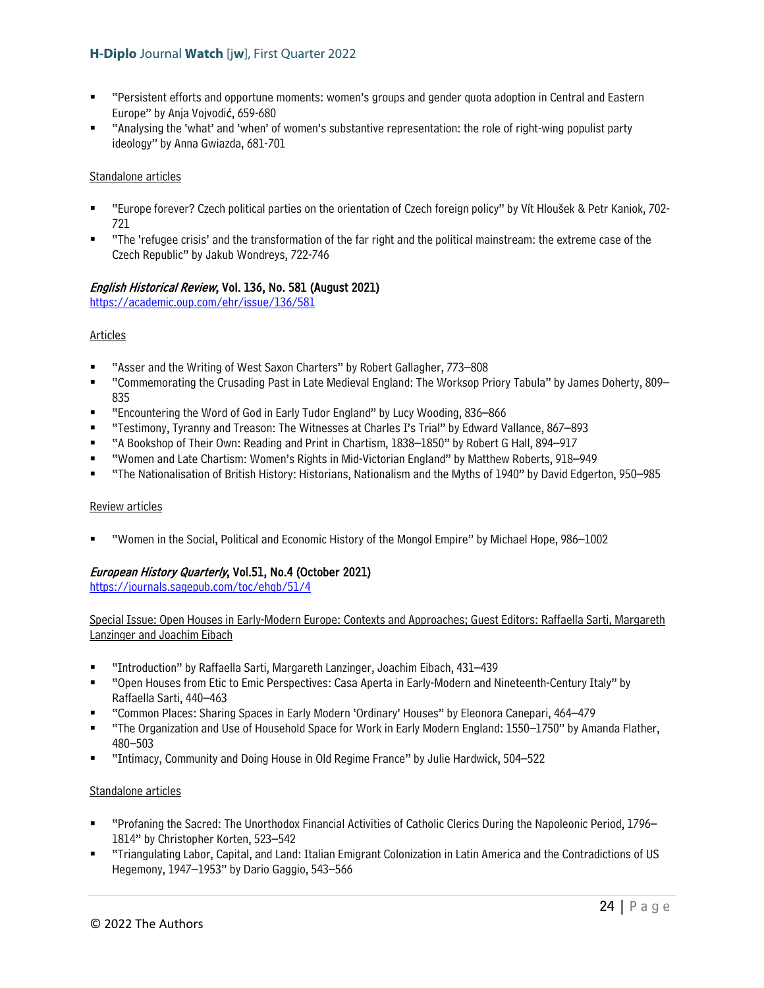- "Persistent efforts and opportune moments: women's groups and gender quota adoption in Central and Eastern Europe" by Anja Vojvodić, 659-680
- "Analysing the 'what' and 'when' of women's substantive representation: the role of right-wing populist party ideology" by Anna Gwiazda, 681-701

#### Standalone articles

- "Europe forever? Czech political parties on the orientation of Czech foreign policy" by Vít Hloušek & Petr Kaniok, 702- 721
- "The 'refugee crisis' and the transformation of the far right and the political mainstream: the extreme case of the Czech Republic" by Jakub Wondreys, 722-746

## English Historical Review, Vol. 136, No. 581 (August 2021)

<https://academic.oup.com/ehr/issue/136/581>

#### **Articles**

- "Asser and the Writing of West Saxon Charters" by Robert Gallagher, 773–808
- "Commemorating the Crusading Past in Late Medieval England: The Worksop Priory Tabula" by James Doherty, 809– 835
- "Encountering the Word of God in Early Tudor England" by Lucy Wooding, 836–866
- "Testimony, Tyranny and Treason: The Witnesses at Charles I's Trial" by Edward Vallance, 867–893
- "A Bookshop of Their Own: Reading and Print in Chartism, 1838–1850" by Robert G Hall, 894–917
- "Women and Late Chartism: Women's Rights in Mid-Victorian England" by Matthew Roberts, 918–949
- "The Nationalisation of British History: Historians, Nationalism and the Myths of 1940" by David Edgerton, 950–985

#### Review articles

"Women in the Social, Political and Economic History of the Mongol Empire" by Michael Hope, 986–1002

## European History Quarterly, Vol.51, No.4 (October 2021)

<https://journals.sagepub.com/toc/ehqb/51/4>

#### Special Issue: Open Houses in Early-Modern Europe: Contexts and Approaches; Guest Editors: Raffaella Sarti, Margareth Lanzinger and Joachim Eibach

- "Introduction" by Raffaella Sarti, Margareth Lanzinger, Joachim Eibach, 431–439
- "Open Houses from Etic to Emic Perspectives: Casa Aperta in Early-Modern and Nineteenth-Century Italy" by Raffaella Sarti, 440–463
- "Common Places: Sharing Spaces in Early Modern 'Ordinary' Houses" by Eleonora Canepari, 464–479
- "The Organization and Use of Household Space for Work in Early Modern England: 1550–1750" by Amanda Flather, 480–503
- "Intimacy, Community and Doing House in Old Regime France" by Julie Hardwick, 504–522

#### Standalone articles

- "Profaning the Sacred: The Unorthodox Financial Activities of Catholic Clerics During the Napoleonic Period, 1796– 1814" by Christopher Korten, 523–542
- "Triangulating Labor, Capital, and Land: Italian Emigrant Colonization in Latin America and the Contradictions of US Hegemony, 1947–1953" by Dario Gaggio, 543–566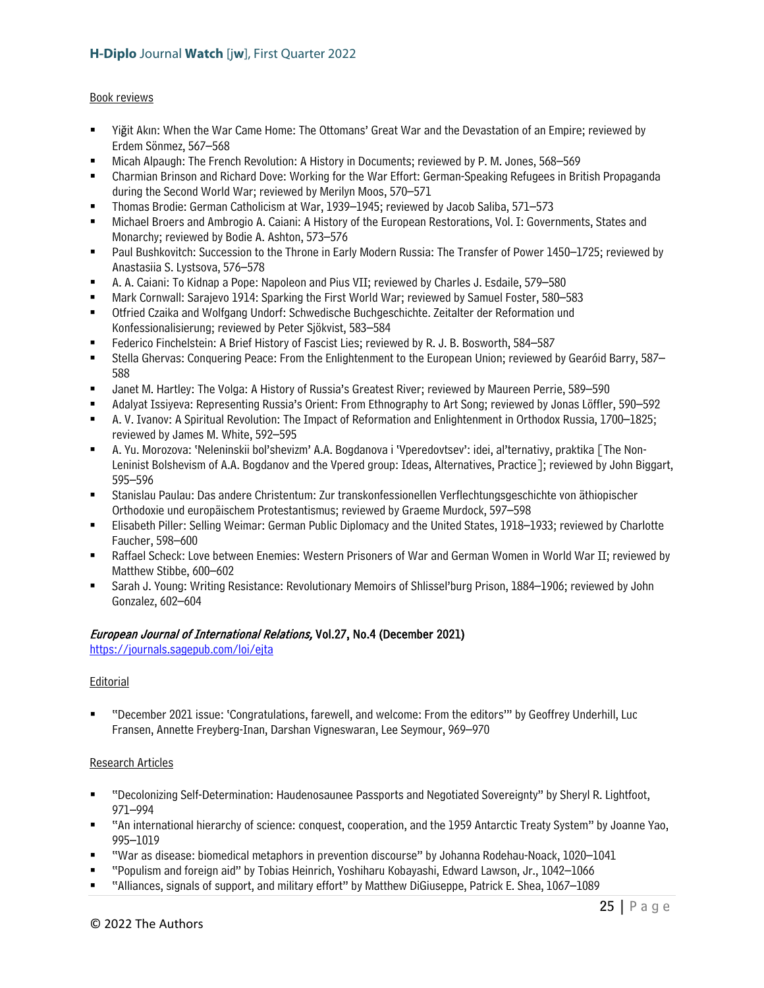#### Book reviews

- Yiğit Akın: When the War Came Home: The Ottomans' Great War and the Devastation of an Empire; reviewed by Erdem Sönmez, 567–568
- Micah Alpaugh: The French Revolution: A History in Documents; reviewed by P. M. Jones, 568–569
- Charmian Brinson and Richard Dove: Working for the War Effort: German-Speaking Refugees in British Propaganda during the Second World War; reviewed by Merilyn Moos, 570–571
- Thomas Brodie: German Catholicism at War, 1939–1945; reviewed by Jacob Saliba, 571–573
- Michael Broers and Ambrogio A. Caiani: A History of the European Restorations, Vol. I: Governments, States and Monarchy; reviewed by Bodie A. Ashton, 573–576
- **Paul Bushkovitch: Succession to the Throne in Early Modern Russia: The Transfer of Power 1450–1725; reviewed by** Anastasiia S. Lystsova, 576–578
- A. A. Caiani: To Kidnap a Pope: Napoleon and Pius VII; reviewed by Charles J. Esdaile, 579–580
- Mark Cornwall: Sarajevo 1914: Sparking the First World War; reviewed by Samuel Foster, 580–583
- Otfried Czaika and Wolfgang Undorf: Schwedische Buchgeschichte. Zeitalter der Reformation und Konfessionalisierung; reviewed by Peter Sjökvist, 583–584
- Federico Finchelstein: A Brief History of Fascist Lies; reviewed by R. J. B. Bosworth, 584–587
- Stella Ghervas: Conquering Peace: From the Enlightenment to the European Union; reviewed by Gearóid Barry, 587– 588
- Janet M. Hartley: The Volga: A History of Russia's Greatest River; reviewed by Maureen Perrie, 589–590
- Adalyat Issiyeva: Representing Russia's Orient: From Ethnography to Art Song; reviewed by Jonas Löffler, 590–592
- A. V. Ivanov: A Spiritual Revolution: The Impact of Reformation and Enlightenment in Orthodox Russia, 1700–1825; reviewed by James M. White, 592–595
- A. Yu. Morozova: 'Neleninskii bol'shevizm' A.A. Bogdanova i 'Vperedovtsev': idei, al'ternativy, praktika [The Non-Leninist Bolshevism of A.A. Bogdanov and the Vpered group: Ideas, Alternatives, Practice]; reviewed by John Biggart, 595–596
- Stanislau Paulau: Das andere Christentum: Zur transkonfessionellen Verflechtungsgeschichte von äthiopischer Orthodoxie und europäischem Protestantismus; reviewed by Graeme Murdock, 597–598
- Elisabeth Piller: Selling Weimar: German Public Diplomacy and the United States, 1918–1933; reviewed by Charlotte Faucher, 598–600
- Raffael Scheck: Love between Enemies: Western Prisoners of War and German Women in World War II; reviewed by Matthew Stibbe, 600–602
- Sarah J. Young: Writing Resistance: Revolutionary Memoirs of Shlissel'burg Prison, 1884–1906; reviewed by John Gonzalez, 602–604

## European Journal of International Relations, Vol.27, No.4 (December 2021)

<https://journals.sagepub.com/loi/ejta>

#### Editorial

 "December 2021 issue: 'Congratulations, farewell, and welcome: From the editors'" by Geoffrey Underhill, Luc Fransen, Annette Freyberg-Inan, Darshan Vigneswaran, Lee Seymour, 969–970

#### Research Articles

- "Decolonizing Self-Determination: Haudenosaunee Passports and Negotiated Sovereignty" by Sheryl R. Lightfoot, 971–994
- "An international hierarchy of science: conquest, cooperation, and the 1959 Antarctic Treaty System" by Joanne Yao, 995–1019
- "War as disease: biomedical metaphors in prevention discourse" by Johanna Rodehau-Noack, 1020–1041
- "Populism and foreign aid" by Tobias Heinrich, Yoshiharu Kobayashi, Edward Lawson, Jr., 1042–1066
- "Alliances, signals of support, and military effort" by Matthew DiGiuseppe, Patrick E. Shea, 1067–1089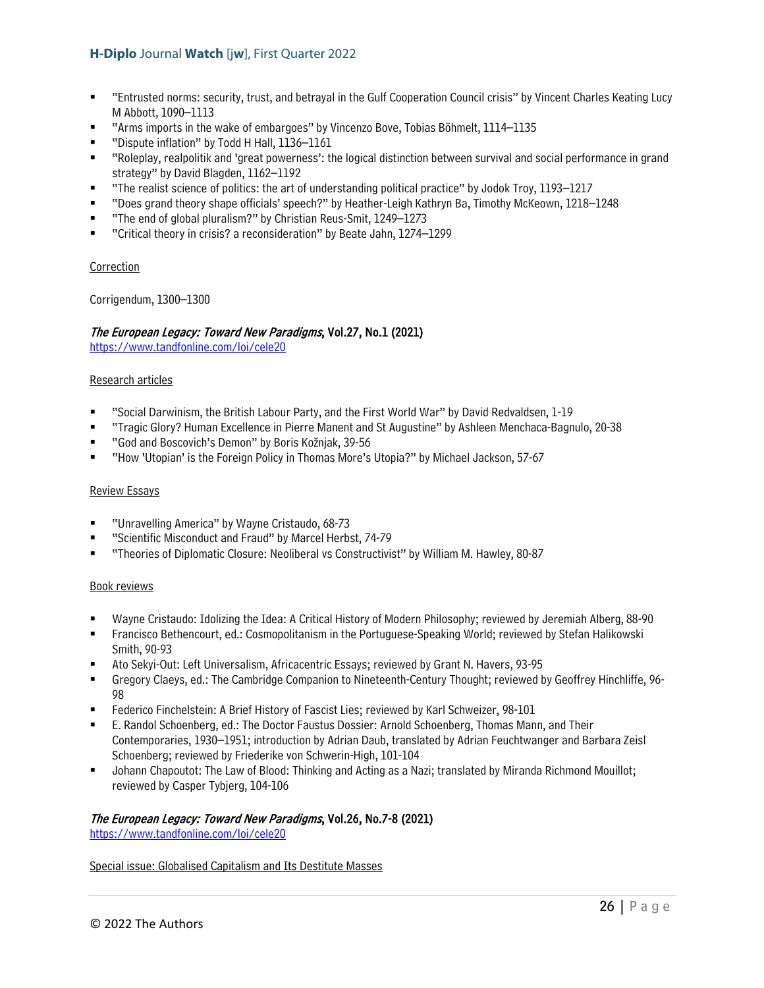- "Entrusted norms: security, trust, and betrayal in the Gulf Cooperation Council crisis" by Vincent Charles Keating Lucy M Abbott, 1090–1113
- "Arms imports in the wake of embargoes" by Vincenzo Bove, Tobias Böhmelt, 1114–1135
- "Dispute inflation" by Todd H Hall, 1136–1161
- "Roleplay, realpolitik and 'great powerness': the logical distinction between survival and social performance in grand strategy" by David Blagden, 1162–1192
- "The realist science of politics: the art of understanding political practice" by Jodok Troy, 1193–1217
- "Does grand theory shape officials' speech?" by Heather-Leigh Kathryn Ba, Timothy McKeown, 1218–1248
- "The end of global pluralism?" by Christian Reus-Smit, 1249–1273
- "Critical theory in crisis? a reconsideration" by Beate Jahn, 1274–1299

#### **Correction**

Corrigendum, 1300–1300

## The European Legacy: Toward New Paradigms, Vol.27, No.1 (2021)

<https://www.tandfonline.com/loi/cele20>

#### Research articles

- "Social Darwinism, the British Labour Party, and the First World War" by David Redvaldsen, 1-19
- "Tragic Glory? Human Excellence in Pierre Manent and St Augustine" by Ashleen Menchaca-Bagnulo, 20-38
- "God and Boscovich's Demon" by Boris Kožnjak, 39-56
- "How 'Utopian' is the Foreign Policy in Thomas More's Utopia?" by Michael Jackson, 57-67

#### Review Essays

- "Unravelling America" by Wayne Cristaudo, 68-73
- "Scientific Misconduct and Fraud" by Marcel Herbst, 74-79
- "Theories of Diplomatic Closure: Neoliberal vs Constructivist" by William M. Hawley, 80-87

#### Book reviews

- Wayne Cristaudo: Idolizing the Idea: A Critical History of Modern Philosophy; reviewed by Jeremiah Alberg, 88-90
- Francisco Bethencourt, ed.: Cosmopolitanism in the Portuguese-Speaking World; reviewed by Stefan Halikowski Smith, 90-93
- Ato Sekyi-Out: Left Universalism, Africacentric Essays; reviewed by Grant N. Havers, 93-95
- Gregory Claeys, ed.: The Cambridge Companion to Nineteenth-Century Thought; reviewed by Geoffrey Hinchliffe, 96- 98
- Federico Finchelstein: A Brief History of Fascist Lies; reviewed by Karl Schweizer, 98-101
- E. Randol Schoenberg, ed.: The Doctor Faustus Dossier: Arnold Schoenberg, Thomas Mann, and Their Contemporaries, 1930–1951; introduction by Adrian Daub, translated by Adrian Feuchtwanger and Barbara Zeisl Schoenberg; reviewed by Friederike von Schwerin-High, 101-104
- Johann Chapoutot: The Law of Blood: Thinking and Acting as a Nazi; translated by Miranda Richmond Mouillot; reviewed by Casper Tybjerg, 104-106

#### The European Legacy: Toward New Paradigms, Vol.26, No.7-8 (2021)

<https://www.tandfonline.com/loi/cele20>

#### Special issue: Globalised Capitalism and Its Destitute Masses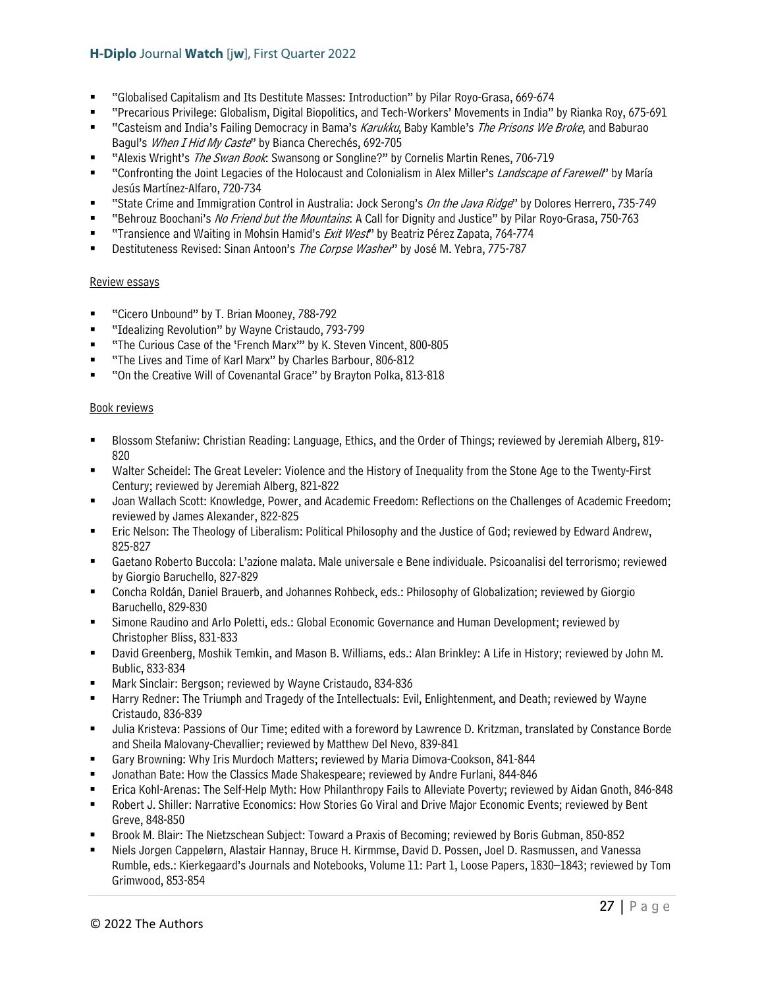- "Globalised Capitalism and Its Destitute Masses: Introduction" by Pilar Royo-Grasa, 669-674
- "Precarious Privilege: Globalism, Digital Biopolitics, and Tech-Workers' Movements in India" by Rianka Roy, 675-691
- "Casteism and India's Failing Democracy in Bama's Karukku, Baby Kamble's The Prisons We Broke, and Baburao Bagul's When I Hid My Caste" by Bianca Cherechés, 692-705
- "Alexis Wright's The Swan Book: Swansong or Songline?" by Cornelis Martin Renes, 706-719
- "Confronting the Joint Legacies of the Holocaust and Colonialism in Alex Miller's Landscape of Farewell" by María Jesús Martínez-Alfaro, 720-734
- "State Crime and Immigration Control in Australia: Jock Serong's On the Java Ridge" by Dolores Herrero, 735-749
- "Behrouz Boochani's No Friend but the Mountains: A Call for Dignity and Justice" by Pilar Royo-Grasa, 750-763
- "Transience and Waiting in Mohsin Hamid's Exit West" by Beatriz Pérez Zapata, 764-774
- Destituteness Revised: Sinan Antoon's The Corpse Washer" by José M. Yebra, 775-787

#### Review essays

- "Cicero Unbound" by T. Brian Mooney, 788-792
- "Idealizing Revolution" by Wayne Cristaudo, 793-799
- "The Curious Case of the 'French Marx'" by K. Steven Vincent, 800-805
- "The Lives and Time of Karl Marx" by Charles Barbour, 806-812
- "On the Creative Will of Covenantal Grace" by Brayton Polka, 813-818

#### Book reviews

- Blossom Stefaniw: Christian Reading: Language, Ethics, and the Order of Things; reviewed by Jeremiah Alberg, 819- 820
- Walter Scheidel: The Great Leveler: Violence and the History of Inequality from the Stone Age to the Twenty-First Century; reviewed by Jeremiah Alberg, 821-822
- Joan Wallach Scott: Knowledge, Power, and Academic Freedom: Reflections on the Challenges of Academic Freedom; reviewed by James Alexander, 822-825
- Eric Nelson: The Theology of Liberalism: Political Philosophy and the Justice of God; reviewed by Edward Andrew, 825-827
- Gaetano Roberto Buccola: L'azione malata. Male universale e Bene individuale. Psicoanalisi del terrorismo; reviewed by Giorgio Baruchello, 827-829
- Concha Roldán, Daniel Brauerb, and Johannes Rohbeck, eds.: Philosophy of Globalization; reviewed by Giorgio Baruchello, 829-830
- Simone Raudino and Arlo Poletti, eds.: Global Economic Governance and Human Development; reviewed by Christopher Bliss, 831-833
- David Greenberg, Moshik Temkin, and Mason B. Williams, eds.: Alan Brinkley: A Life in History; reviewed by John M. Bublic, 833-834
- Mark Sinclair: Bergson; reviewed by Wayne Cristaudo, 834-836
- Harry Redner: The Triumph and Tragedy of the Intellectuals: Evil, Enlightenment, and Death; reviewed by Wayne Cristaudo, 836-839
- Julia Kristeva: Passions of Our Time; edited with a foreword by Lawrence D. Kritzman, translated by Constance Borde and Sheila Malovany-Chevallier; reviewed by Matthew Del Nevo, 839-841
- Gary Browning: Why Iris Murdoch Matters; reviewed by Maria Dimova-Cookson, 841-844
- Jonathan Bate: How the Classics Made Shakespeare; reviewed by Andre Furlani, 844-846
- Erica Kohl-Arenas: The Self-Help Myth: How Philanthropy Fails to Alleviate Poverty; reviewed by Aidan Gnoth, 846-848
- Robert J. Shiller: Narrative Economics: How Stories Go Viral and Drive Major Economic Events; reviewed by Bent Greve, 848-850
- Brook M. Blair: The Nietzschean Subject: Toward a Praxis of Becoming; reviewed by Boris Gubman, 850-852
- Niels Jorgen Cappelørn, Alastair Hannay, Bruce H. Kirmmse, David D. Possen, Joel D. Rasmussen, and Vanessa Rumble, eds.: Kierkegaard's Journals and Notebooks, Volume 11: Part 1, Loose Papers, 1830–1843; reviewed by Tom Grimwood, 853-854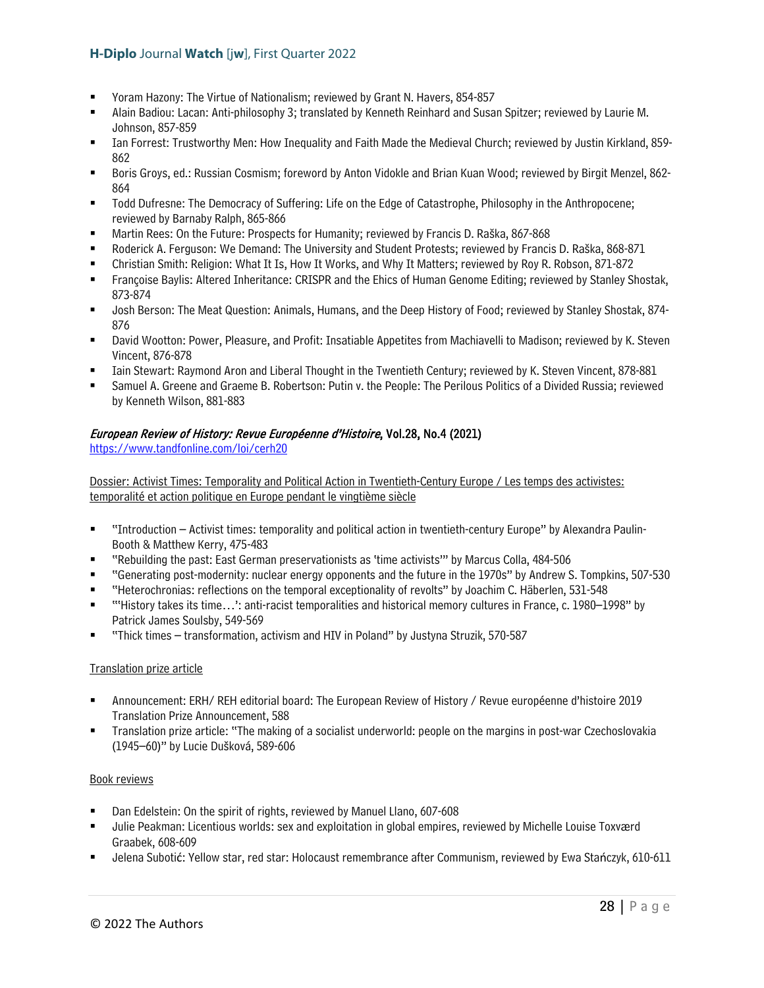- Yoram Hazony: The Virtue of Nationalism; reviewed by Grant N. Havers, 854-857
- Alain Badiou: Lacan: Anti-philosophy 3; translated by Kenneth Reinhard and Susan Spitzer; reviewed by Laurie M. Johnson, 857-859
- Ian Forrest: Trustworthy Men: How Inequality and Faith Made the Medieval Church; reviewed by Justin Kirkland, 859- 862
- Boris Groys, ed.: Russian Cosmism; foreword by Anton Vidokle and Brian Kuan Wood; reviewed by Birgit Menzel, 862- 864
- Todd Dufresne: The Democracy of Suffering: Life on the Edge of Catastrophe, Philosophy in the Anthropocene; reviewed by Barnaby Ralph, 865-866
- Martin Rees: On the Future: Prospects for Humanity; reviewed by Francis D. Raška, 867-868
- Roderick A. Ferguson: We Demand: The University and Student Protests; reviewed by Francis D. Raška, 868-871
- Christian Smith: Religion: What It Is, How It Works, and Why It Matters; reviewed by Roy R. Robson, 871-872
- Françoise Baylis: Altered Inheritance: CRISPR and the Ehics of Human Genome Editing; reviewed by Stanley Shostak, 873-874
- Josh Berson: The Meat Question: Animals, Humans, and the Deep History of Food; reviewed by Stanley Shostak, 874- 876
- David Wootton: Power, Pleasure, and Profit: Insatiable Appetites from Machiavelli to Madison; reviewed by K. Steven Vincent, 876-878
- Iain Stewart: Raymond Aron and Liberal Thought in the Twentieth Century; reviewed by K. Steven Vincent, 878-881
- Samuel A. Greene and Graeme B. Robertson: Putin v. the People: The Perilous Politics of a Divided Russia; reviewed by Kenneth Wilson, 881-883

## European Review of History: Revue Européenne d'Histoire, Vol.28, No.4 (2021)

<https://www.tandfonline.com/loi/cerh20>

Dossier: Activist Times: Temporality and Political Action in Twentieth-Century Europe / Les temps des activistes: temporalité et action politique en Europe pendant le vingtième siècle

- "Introduction Activist times: temporality and political action in twentieth-century Europe" by Alexandra Paulin-Booth & Matthew Kerry, 475-483
- "Rebuilding the past: East German preservationists as 'time activists'" by Marcus Colla, 484-506
- "Generating post-modernity: nuclear energy opponents and the future in the 1970s" by Andrew S. Tompkins, 507-530
- "Heterochronias: reflections on the temporal exceptionality of revolts" by Joachim C. Häberlen, 531-548
- "'History takes its time…': anti-racist temporalities and historical memory cultures in France, c. 1980–1998" by Patrick James Soulsby, 549-569
- "Thick times transformation, activism and HIV in Poland" by Justyna Struzik, 570-587

#### Translation prize article

- Announcement: ERH/ REH editorial board: The European Review of History / Revue européenne d'histoire 2019 Translation Prize Announcement, 588
- Translation prize article: "The making of a socialist underworld: people on the margins in post-war Czechoslovakia (1945–60)" by Lucie Dušková, 589-606

#### Book reviews

- Dan Edelstein: On the spirit of rights, reviewed by Manuel Llano, 607-608
- Julie Peakman: Licentious worlds: sex and exploitation in global empires, reviewed by Michelle Louise Toxværd Graabek, 608-609
- Jelena Subotić: Yellow star, red star: Holocaust remembrance after Communism, reviewed by Ewa Stańczyk, 610-611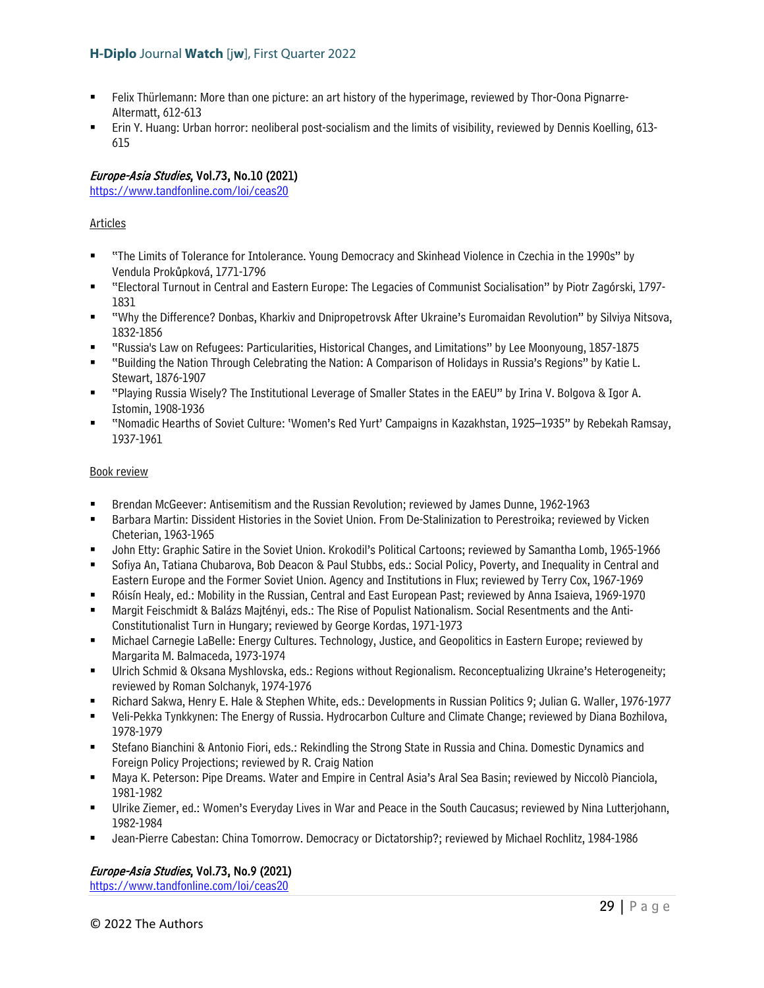- Felix Thürlemann: More than one picture: an art history of the hyperimage, reviewed by Thor-Oona Pignarre-Altermatt, 612-613
- Erin Y. Huang: Urban horror: neoliberal post-socialism and the limits of visibility, reviewed by Dennis Koelling, 613- 615

## Europe-Asia Studies, Vol.73, No.10 (2021)

<https://www.tandfonline.com/loi/ceas20>

## Articles

- "The Limits of Tolerance for Intolerance. Young Democracy and Skinhead Violence in Czechia in the 1990s" by Vendula Prokůpková, 1771-1796
- "Electoral Turnout in Central and Eastern Europe: The Legacies of Communist Socialisation" by Piotr Zagórski, 1797- 1831
- "Why the Difference? Donbas, Kharkiv and Dnipropetrovsk After Ukraine's Euromaidan Revolution" by Silviya Nitsova, 1832-1856
- "Russia's Law on Refugees: Particularities, Historical Changes, and Limitations" by Lee Moonyoung, 1857-1875
- "Building the Nation Through Celebrating the Nation: A Comparison of Holidays in Russia's Regions" by Katie L. Stewart, 1876-1907
- "Playing Russia Wisely? The Institutional Leverage of Smaller States in the EAEU" by Irina V. Bolgova & Igor A. Istomin, 1908-1936
- "Nomadic Hearths of Soviet Culture: 'Women's Red Yurt' Campaigns in Kazakhstan, 1925–1935" by Rebekah Ramsay, 1937-1961

## Book review

- Brendan McGeever: Antisemitism and the Russian Revolution; reviewed by James Dunne, 1962-1963
- **Barbara Martin: Dissident Histories in the Soviet Union. From De-Stalinization to Perestroika; reviewed by Vicken** Cheterian, 1963-1965
- John Etty: Graphic Satire in the Soviet Union. Krokodil's Political Cartoons; reviewed by Samantha Lomb, 1965-1966
- Sofiya An, Tatiana Chubarova, Bob Deacon & Paul Stubbs, eds.: Social Policy, Poverty, and Inequality in Central and Eastern Europe and the Former Soviet Union. Agency and Institutions in Flux; reviewed by Terry Cox, 1967-1969
- Róisín Healy, ed.: Mobility in the Russian, Central and East European Past; reviewed by Anna Isaieva, 1969-1970
- Margit Feischmidt & Balázs Majtényi, eds.: The Rise of Populist Nationalism. Social Resentments and the Anti-Constitutionalist Turn in Hungary; reviewed by George Kordas, 1971-1973
- Michael Carnegie LaBelle: Energy Cultures. Technology, Justice, and Geopolitics in Eastern Europe; reviewed by Margarita M. Balmaceda, 1973-1974
- Ulrich Schmid & Oksana Myshlovska, eds.: Regions without Regionalism. Reconceptualizing Ukraine's Heterogeneity; reviewed by Roman Solchanyk, 1974-1976
- Richard Sakwa, Henry E. Hale & Stephen White, eds.: Developments in Russian Politics 9; Julian G. Waller, 1976-1977
- Veli-Pekka Tynkkynen: The Energy of Russia. Hydrocarbon Culture and Climate Change; reviewed by Diana Bozhilova, 1978-1979
- Stefano Bianchini & Antonio Fiori, eds.: Rekindling the Strong State in Russia and China. Domestic Dynamics and Foreign Policy Projections; reviewed by R. Craig Nation
- Maya K. Peterson: Pipe Dreams. Water and Empire in Central Asia's Aral Sea Basin; reviewed by Niccolò Pianciola, 1981-1982
- Ulrike Ziemer, ed.: Women's Everyday Lives in War and Peace in the South Caucasus; reviewed by Nina Lutterjohann, 1982-1984
- Jean-Pierre Cabestan: China Tomorrow. Democracy or Dictatorship?; reviewed by Michael Rochlitz, 1984-1986

## Europe-Asia Studies, Vol.73, No.9 (2021)

<https://www.tandfonline.com/loi/ceas20>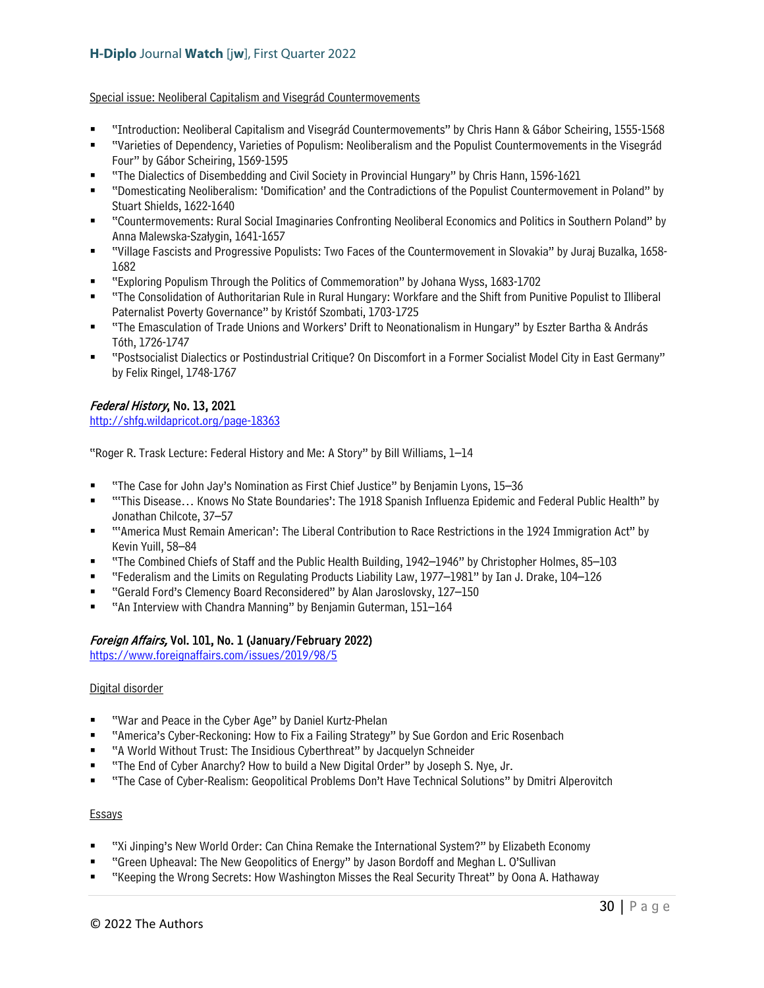#### Special issue: Neoliberal Capitalism and Visegrád Countermovements

- "Introduction: Neoliberal Capitalism and Visegrád Countermovements" by Chris Hann & Gábor Scheiring, 1555-1568
- "Varieties of Dependency, Varieties of Populism: Neoliberalism and the Populist Countermovements in the Visegrád Four" by Gábor Scheiring, 1569-1595
- "The Dialectics of Disembedding and Civil Society in Provincial Hungary" by Chris Hann, 1596-1621
- "Domesticating Neoliberalism: 'Domification' and the Contradictions of the Populist Countermovement in Poland" by Stuart Shields, 1622-1640
- "Countermovements: Rural Social Imaginaries Confronting Neoliberal Economics and Politics in Southern Poland" by Anna Malewska-Szałygin, 1641-1657
- "Village Fascists and Progressive Populists: Two Faces of the Countermovement in Slovakia" by Juraj Buzalka, 1658- 1682
- "Exploring Populism Through the Politics of Commemoration" by Johana Wyss, 1683-1702
- "The Consolidation of Authoritarian Rule in Rural Hungary: Workfare and the Shift from Punitive Populist to Illiberal Paternalist Poverty Governance" by Kristóf Szombati, 1703-1725
- "The Emasculation of Trade Unions and Workers' Drift to Neonationalism in Hungary" by Eszter Bartha & András Tóth, 1726-1747
- "Postsocialist Dialectics or Postindustrial Critique? On Discomfort in a Former Socialist Model City in East Germany" by Felix Ringel, 1748-1767

## Federal History, No. 13, 2021

<http://shfg.wildapricot.org/page-18363>

"Roger R. Trask Lecture: Federal History and Me: A Story" by Bill Williams, 1–14

- "The Case for John Jay's Nomination as First Chief Justice" by Benjamin Lyons, 15–36
- "'This Disease… Knows No State Boundaries': The 1918 Spanish Influenza Epidemic and Federal Public Health" by Jonathan Chilcote, 37–57
- "'America Must Remain American': The Liberal Contribution to Race Restrictions in the 1924 Immigration Act" by Kevin Yuill, 58–84
- "The Combined Chiefs of Staff and the Public Health Building, 1942–1946" by Christopher Holmes, 85–103
- "Federalism and the Limits on Regulating Products Liability Law, 1977–1981" by Ian J. Drake, 104–126
- "Gerald Ford's Clemency Board Reconsidered" by Alan Jaroslovsky, 127–150
- "An Interview with Chandra Manning" by Benjamin Guterman, 151–164

#### Foreign Affairs, Vol. 101, No. 1 (January/February 2022)

<https://www.foreignaffairs.com/issues/2019/98/5>

#### Digital disorder

- "War and Peace in the Cyber Age" by Daniel Kurtz-Phelan
- "America's Cyber-Reckoning: How to Fix a Failing Strategy" by Sue Gordon and Eric Rosenbach
- "A World Without Trust: The Insidious Cyberthreat" by Jacquelyn Schneider
- "The End of Cyber Anarchy? How to build a New Digital Order" by Joseph S. Nye, Jr.
- "The Case of Cyber-Realism: Geopolitical Problems Don't Have Technical Solutions" by Dmitri Alperovitch

#### **Essays**

- "Xi Jinping's New World Order: Can China Remake the International System?" by Elizabeth Economy
- "Green Upheaval: The New Geopolitics of Energy" by Jason Bordoff and Meghan L. O'Sullivan
- "Keeping the Wrong Secrets: How Washington Misses the Real Security Threat" by Oona A. Hathaway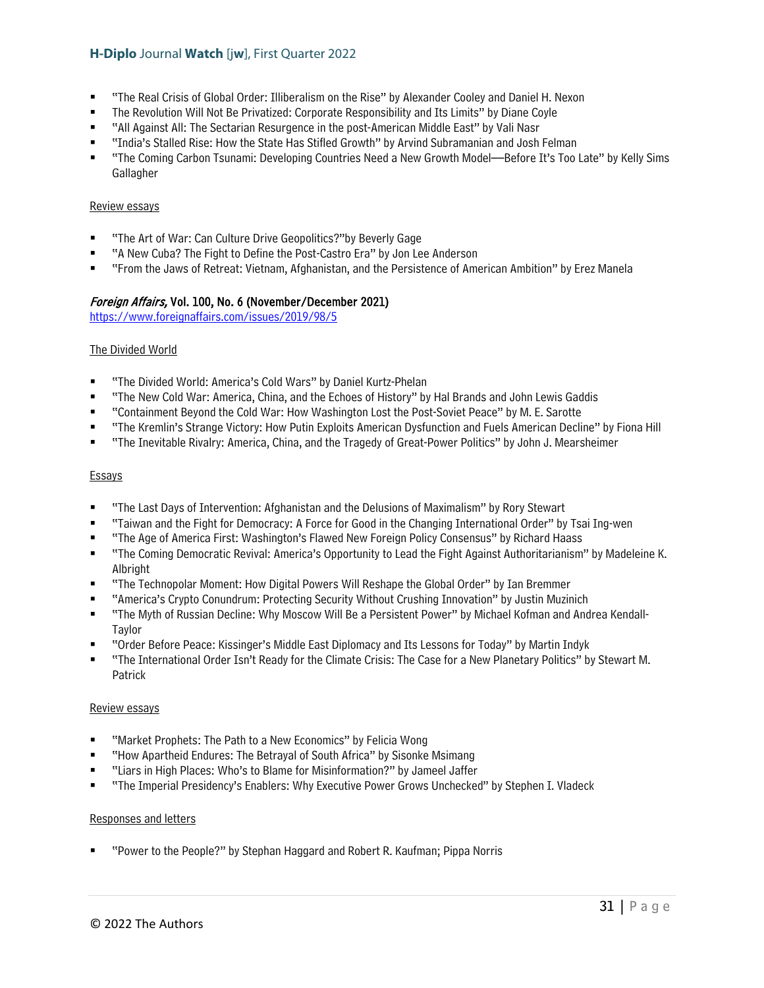- "The Real Crisis of Global Order: Illiberalism on the Rise" by Alexander Cooley and Daniel H. Nexon
- The Revolution Will Not Be Privatized: Corporate Responsibility and Its Limits" by Diane Coyle
- "All Against All: The Sectarian Resurgence in the post-American Middle East" by Vali Nasr
- "India's Stalled Rise: How the State Has Stifled Growth" by Arvind Subramanian and Josh Felman
- "The Coming Carbon Tsunami: Developing Countries Need a New Growth Model––Before It's Too Late" by Kelly Sims **Gallagher**

#### Review essays

- "The Art of War: Can Culture Drive Geopolitics?"by Beverly Gage
- "A New Cuba? The Fight to Define the Post-Castro Era" by Jon Lee Anderson
- "From the Jaws of Retreat: Vietnam, Afghanistan, and the Persistence of American Ambition" by Erez Manela

## Foreign Affairs, Vol. 100, No. 6 (November/December 2021)

<https://www.foreignaffairs.com/issues/2019/98/5>

#### The Divided World

- "The Divided World: America's Cold Wars" by Daniel Kurtz-Phelan
- "The New Cold War: America, China, and the Echoes of History" by Hal Brands and John Lewis Gaddis
- "Containment Beyond the Cold War: How Washington Lost the Post-Soviet Peace" by M. E. Sarotte
- "The Kremlin's Strange Victory: How Putin Exploits American Dysfunction and Fuels American Decline" by Fiona Hill
- "The Inevitable Rivalry: America, China, and the Tragedy of Great-Power Politics" by John J. Mearsheimer

#### **Essays**

- "The Last Days of Intervention: Afghanistan and the Delusions of Maximalism" by Rory Stewart
- "Taiwan and the Fight for Democracy: A Force for Good in the Changing International Order" by Tsai Ing-wen
- "The Age of America First: Washington's Flawed New Foreign Policy Consensus" by Richard Haass
- "The Coming Democratic Revival: America's Opportunity to Lead the Fight Against Authoritarianism" by Madeleine K. Albright
- "The Technopolar Moment: How Digital Powers Will Reshape the Global Order" by Ian Bremmer
- "America's Crypto Conundrum: Protecting Security Without Crushing Innovation" by Justin Muzinich
- "The Myth of Russian Decline: Why Moscow Will Be a Persistent Power" by Michael Kofman and Andrea Kendall-Taylor
- "Order Before Peace: Kissinger's Middle East Diplomacy and Its Lessons for Today" by Martin Indyk
- "The International Order Isn't Ready for the Climate Crisis: The Case for a New Planetary Politics" by Stewart M. Patrick

#### Review essays

- "Market Prophets: The Path to a New Economics" by Felicia Wong
- "How Apartheid Endures: The Betrayal of South Africa" by Sisonke Msimang
- "Liars in High Places: Who's to Blame for Misinformation?" by Jameel Jaffer
- "The Imperial Presidency's Enablers: Why Executive Power Grows Unchecked" by Stephen I. Vladeck

#### Responses and letters

"Power to the People?" by Stephan Haggard and Robert R. Kaufman; Pippa Norris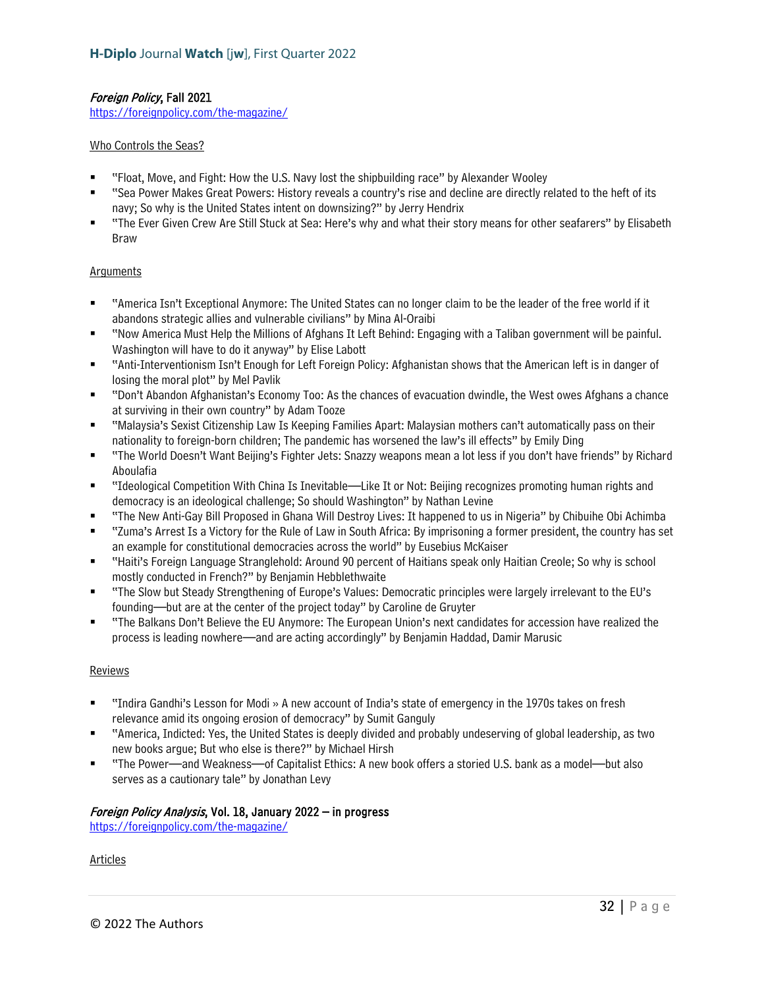## Foreign Policy, Fall 2021

<https://foreignpolicy.com/the-magazine/>

#### Who Controls the Seas?

- "Float, Move, and Fight: How the U.S. Navy lost the shipbuilding race" by Alexander Wooley
- "Sea Power Makes Great Powers: History reveals a country's rise and decline are directly related to the heft of its navy; So why is the United States intent on downsizing?" by Jerry Hendrix
- "The Ever Given Crew Are Still Stuck at Sea: Here's why and what their story means for other seafarers" by Elisabeth Braw

#### **Arguments**

- "America Isn't Exceptional Anymore: The United States can no longer claim to be the leader of the free world if it abandons strategic allies and vulnerable civilians" by Mina Al-Oraibi
- "Now America Must Help the Millions of Afghans It Left Behind: Engaging with a Taliban government will be painful. Washington will have to do it anyway" by Elise Labott
- "Anti-Interventionism Isn't Enough for Left Foreign Policy: Afghanistan shows that the American left is in danger of losing the moral plot" by Mel Pavlik
- "Don't Abandon Afghanistan's Economy Too: As the chances of evacuation dwindle, the West owes Afghans a chance at surviving in their own country" by Adam Tooze
- "Malaysia's Sexist Citizenship Law Is Keeping Families Apart: Malaysian mothers can't automatically pass on their nationality to foreign-born children; The pandemic has worsened the law's ill effects" by Emily Ding
- "The World Doesn't Want Beijing's Fighter Jets: Snazzy weapons mean a lot less if you don't have friends" by Richard Aboulafia
- "Ideological Competition With China Is Inevitable—Like It or Not: Beijing recognizes promoting human rights and democracy is an ideological challenge; So should Washington" by Nathan Levine
- "The New Anti-Gay Bill Proposed in Ghana Will Destroy Lives: It happened to us in Nigeria" by Chibuihe Obi Achimba
- "Zuma's Arrest Is a Victory for the Rule of Law in South Africa: By imprisoning a former president, the country has set an example for constitutional democracies across the world" by Eusebius McKaiser
- "Haiti's Foreign Language Stranglehold: Around 90 percent of Haitians speak only Haitian Creole; So why is school mostly conducted in French?" by Benjamin Hebblethwaite
- "The Slow but Steady Strengthening of Europe's Values: Democratic principles were largely irrelevant to the EU's founding—but are at the center of the project today" by Caroline de Gruyter
- "The Balkans Don't Believe the EU Anymore: The European Union's next candidates for accession have realized the process is leading nowhere—and are acting accordingly" by Benjamin Haddad, Damir Marusic

#### Reviews

- "Indira Gandhi's Lesson for Modi » A new account of India's state of emergency in the 1970s takes on fresh relevance amid its ongoing erosion of democracy" by Sumit Ganguly
- "America, Indicted: Yes, the United States is deeply divided and probably undeserving of global leadership, as two new books argue; But who else is there?" by Michael Hirsh
- "The Power—and Weakness—of Capitalist Ethics: A new book offers a storied U.S. bank as a model—but also serves as a cautionary tale" by Jonathan Levy

#### Foreign Policy Analysis, Vol. 18, January 2022 – in progress

<https://foreignpolicy.com/the-magazine/>

Articles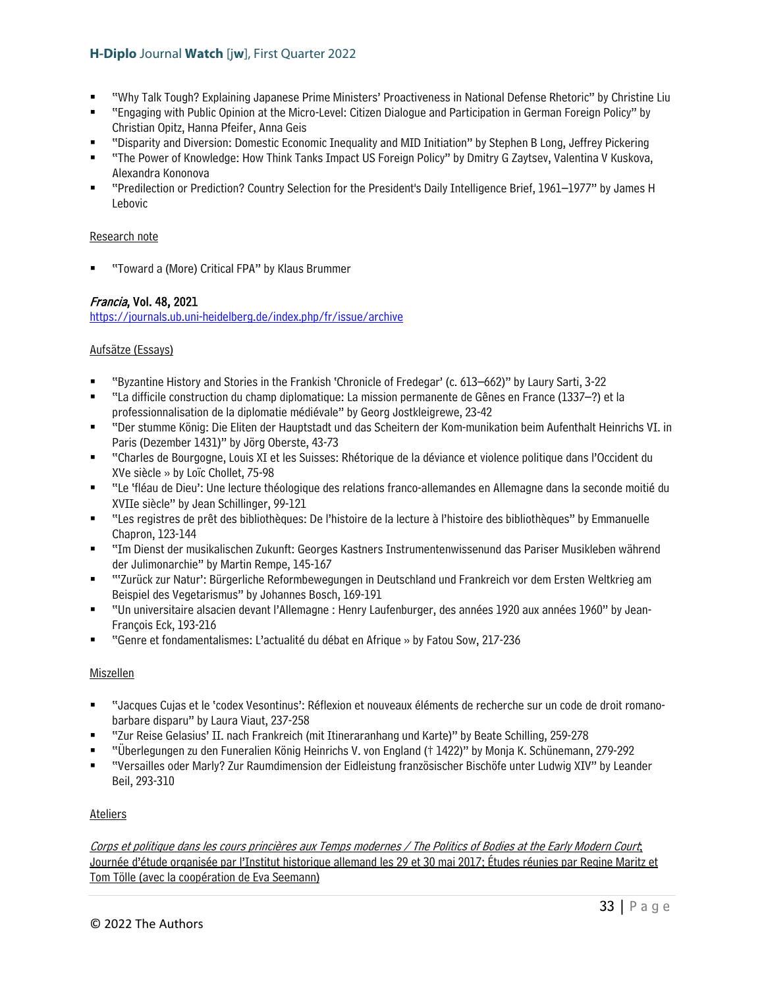- "Why Talk Tough? Explaining Japanese Prime Ministers' Proactiveness in National Defense Rhetoric" by Christine Liu
- "Engaging with Public Opinion at the Micro-Level: Citizen Dialogue and Participation in German Foreign Policy" by Christian Opitz, Hanna Pfeifer, Anna Geis
- "Disparity and Diversion: Domestic Economic Inequality and MID Initiation" by Stephen B Long, Jeffrey Pickering
- "The Power of Knowledge: How Think Tanks Impact US Foreign Policy" by Dmitry G Zaytsev, Valentina V Kuskova, Alexandra Kononova
- "Predilection or Prediction? Country Selection for the President's Daily Intelligence Brief, 1961–1977" by James H Lebovic

## Research note

"Toward a (More) Critical FPA" by Klaus Brummer

## Francia, Vol. 48, 2021

<https://journals.ub.uni-heidelberg.de/index.php/fr/issue/archive>

## Aufsätze (Essays)

- "Byzantine History and Stories in the Frankish 'Chronicle of Fredegar' (c. 613–662)" by Laury Sarti, 3-22
- "La difficile construction du champ diplomatique: La mission permanente de Gênes en France (1337–?) et la professionnalisation de la diplomatie médiévale" by Georg Jostkleigrewe, 23-42
- "Der stumme König: Die Eliten der Hauptstadt und das Scheitern der Kom-munikation beim Aufenthalt Heinrichs VI. in Paris (Dezember 1431)" by Jörg Oberste, 43-73
- "Charles de Bourgogne, Louis XI et les Suisses: Rhétorique de la déviance et violence politique dans l'Occident du XVe siècle » by Loïc Chollet, 75-98
- "Le 'fléau de Dieu': Une lecture théologique des relations franco-allemandes en Allemagne dans la seconde moitié du XVIIe siècle" by Jean Schillinger, 99-121
- "Les registres de prêt des bibliothèques: De l'histoire de la lecture à l'histoire des bibliothèques" by Emmanuelle Chapron, 123-144
- "Im Dienst der musikalischen Zukunft: Georges Kastners Instrumentenwissenund das Pariser Musikleben während der Julimonarchie" by Martin Rempe, 145-167
- "'Zurück zur Natur': Bürgerliche Reformbewegungen in Deutschland und Frankreich vor dem Ersten Weltkrieg am Beispiel des Vegetarismus" by Johannes Bosch, 169-191
- "Un universitaire alsacien devant l'Allemagne : Henry Laufenburger, des années 1920 aux années 1960" by Jean-François Eck, 193-216
- "Genre et fondamentalismes: L'actualité du débat en Afrique » by Fatou Sow, 217-236

#### **Miszellen**

- "Jacques Cujas et le 'codex Vesontinus': Réflexion et nouveaux éléments de recherche sur un code de droit romanobarbare disparu" by Laura Viaut, 237-258
- "Zur Reise Gelasius' II. nach Frankreich (mit Itineraranhang und Karte)" by Beate Schilling, 259-278
- "Überlegungen zu den Funeralien König Heinrichs V. von England († 1422)" by Monja K. Schünemann, 279-292
- "Versailles oder Marly? Zur Raumdimension der Eidleistung französischer Bischöfe unter Ludwig XIV" by Leander Beil, 293-310

#### **Ateliers**

Corps et politique dans les cours princières aux Temps modernes / The Politics of Bodies at the Early Modern Court; Journée d'étude organisée par l'Institut historique allemand les 29 et 30 mai 2017; Études réunies par Regine Maritz et Tom Tölle (avec la coopération de Eva Seemann)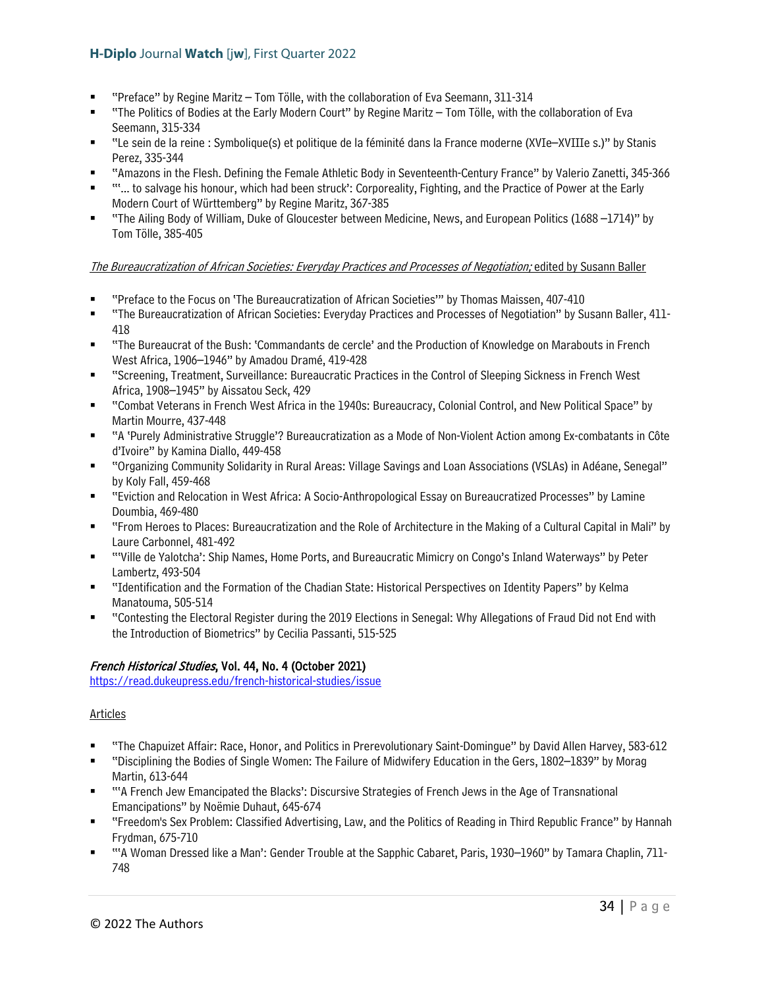- "Preface" by Regine Maritz Tom Tölle, with the collaboration of Eva Seemann, 311-314
- "The Politics of Bodies at the Early Modern Court" by Regine Maritz Tom Tölle, with the collaboration of Eva Seemann, 315-334
- "Le sein de la reine : Symbolique(s) et politique de la féminité dans la France moderne (XVIe–XVIIIe s.)" by Stanis Perez, 335-344
- "Amazons in the Flesh. Defining the Female Athletic Body in Seventeenth-Century France" by Valerio Zanetti, 345-366
- "'... to salvage his honour, which had been struck': Corporeality, Fighting, and the Practice of Power at the Early Modern Court of Württemberg" by Regine Maritz, 367-385
- "The Ailing Body of William, Duke of Gloucester between Medicine, News, and European Politics (1688 –1714)" by Tom Tölle, 385-405

## The Bureaucratization of African Societies: Everyday Practices and Processes of Negotiation; edited by Susann Baller

- "Preface to the Focus on 'The Bureaucratization of African Societies'" by Thomas Maissen, 407-410
- "The Bureaucratization of African Societies: Everyday Practices and Processes of Negotiation" by Susann Baller, 411-418
- "The Bureaucrat of the Bush: 'Commandants de cercle' and the Production of Knowledge on Marabouts in French West Africa, 1906–1946" by Amadou Dramé, 419-428
- "Screening, Treatment, Surveillance: Bureaucratic Practices in the Control of Sleeping Sickness in French West Africa, 1908–1945" by Aissatou Seck, 429
- "Combat Veterans in French West Africa in the 1940s: Bureaucracy, Colonial Control, and New Political Space" by Martin Mourre, 437-448
- "A 'Purely Administrative Struggle'? Bureaucratization as a Mode of Non-Violent Action among Ex-combatants in Côte d'Ivoire" by Kamina Diallo, 449-458
- "Organizing Community Solidarity in Rural Areas: Village Savings and Loan Associations (VSLAs) in Adéane, Senegal" by Koly Fall, 459-468
- "Eviction and Relocation in West Africa: A Socio-Anthropological Essay on Bureaucratized Processes" by Lamine Doumbia, 469-480
- "From Heroes to Places: Bureaucratization and the Role of Architecture in the Making of a Cultural Capital in Mali" by Laure Carbonnel, 481-492
- "'Ville de Yalotcha': Ship Names, Home Ports, and Bureaucratic Mimicry on Congo's Inland Waterways" by Peter Lambertz, 493-504
- "Identification and the Formation of the Chadian State: Historical Perspectives on Identity Papers" by Kelma Manatouma, 505-514
- "Contesting the Electoral Register during the 2019 Elections in Senegal: Why Allegations of Fraud Did not End with the Introduction of Biometrics" by Cecilia Passanti, 515-525

## French Historical Studies, Vol. 44, No. 4 (October 2021)

<https://read.dukeupress.edu/french-historical-studies/issue>

## Articles

- "The Chapuizet Affair: Race, Honor, and Politics in Prerevolutionary Saint-Domingue" by David Allen Harvey, 583-612
- "Disciplining the Bodies of Single Women: The Failure of Midwifery Education in the Gers, 1802–1839" by Morag Martin, 613-644
- "'A French Jew Emancipated the Blacks': Discursive Strategies of French Jews in the Age of Transnational Emancipations" by Noëmie Duhaut, 645-674
- "Freedom's Sex Problem: Classified Advertising, Law, and the Politics of Reading in Third Republic France" by Hannah Frydman, 675-710
- "'A Woman Dressed like a Man': Gender Trouble at the Sapphic Cabaret, Paris, 1930–1960" by Tamara Chaplin, 711- 748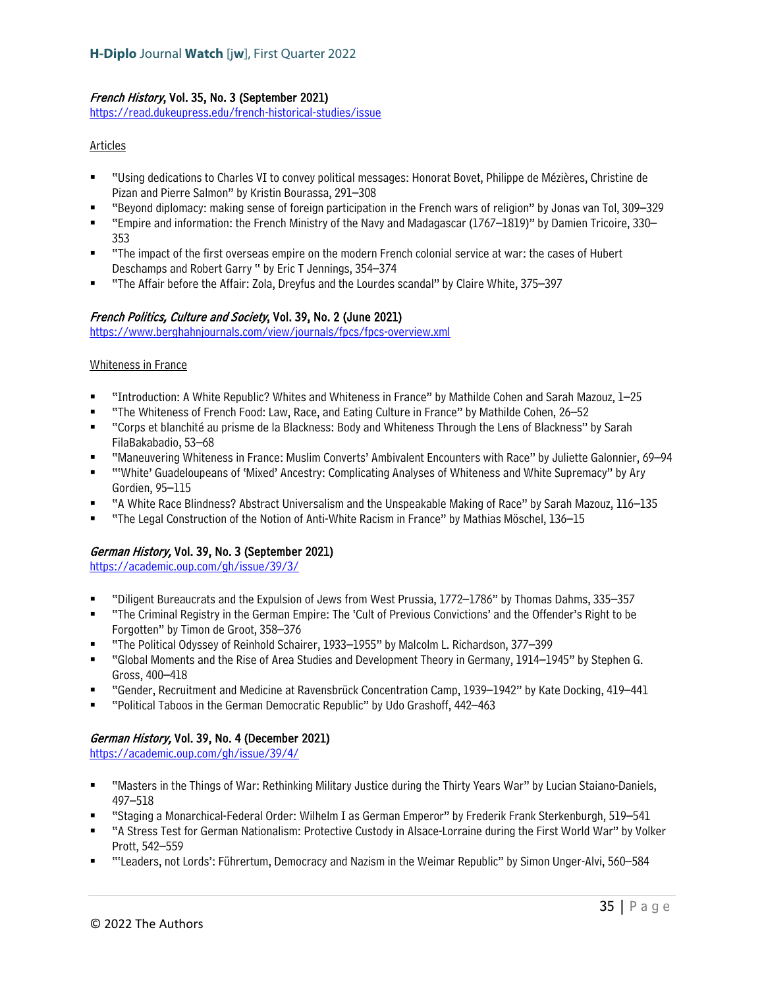## French History, Vol. 35, No. 3 (September 2021)

<https://read.dukeupress.edu/french-historical-studies/issue>

#### Articles

- "Using dedications to Charles VI to convey political messages: Honorat Bovet, Philippe de Mézières, Christine de Pizan and Pierre Salmon" by Kristin Bourassa, 291–308
- "Beyond diplomacy: making sense of foreign participation in the French wars of religion" by Jonas van Tol, 309–329
- "Empire and information: the French Ministry of the Navy and Madagascar (1767–1819)" by Damien Tricoire, 330– 353
- "The impact of the first overseas empire on the modern French colonial service at war: the cases of Hubert Deschamps and Robert Garry " by Eric T Jennings, 354–374
- "The Affair before the Affair: Zola, Dreyfus and the Lourdes scandal" by Claire White, 375–397

## French Politics, Culture and Society, Vol. 39, No. 2 (June 2021)

<https://www.berghahnjournals.com/view/journals/fpcs/fpcs-overview.xml>

#### Whiteness in France

- "Introduction: A White Republic? Whites and Whiteness in France" by Mathilde Cohen and Sarah Mazouz, 1–25
- "The Whiteness of French Food: Law, Race, and Eating Culture in France" by Mathilde Cohen, 26–52
- "Corps et blanchité au prisme de la Blackness: Body and Whiteness Through the Lens of Blackness" by Sarah FilaBakabadio, 53–68
- "Maneuvering Whiteness in France: Muslim Converts' Ambivalent Encounters with Race" by Juliette Galonnier, 69–94
- "White' Guadeloupeans of 'Mixed' Ancestry: Complicating Analyses of Whiteness and White Supremacy" by Ary Gordien, 95–115
- "A White Race Blindness? Abstract Universalism and the Unspeakable Making of Race" by Sarah Mazouz, 116–135
- "The Legal Construction of the Notion of Anti-White Racism in France" by Mathias Möschel, 136–15

## German History, Vol. 39, No. 3 (September 2021)

<https://academic.oup.com/gh/issue/39/3/>

- "Diligent Bureaucrats and the Expulsion of Jews from West Prussia, 1772–1786" by Thomas Dahms, 335–357
- "The Criminal Registry in the German Empire: The 'Cult of Previous Convictions' and the Offender's Right to be Forgotten" by Timon de Groot, 358–376
- "The Political Odyssey of Reinhold Schairer, 1933–1955" by Malcolm L. Richardson, 377–399
- "Global Moments and the Rise of Area Studies and Development Theory in Germany, 1914–1945" by Stephen G. Gross, 400–418
- "Gender, Recruitment and Medicine at Ravensbrück Concentration Camp, 1939–1942" by Kate Docking, 419–441
- "Political Taboos in the German Democratic Republic" by Udo Grashoff, 442–463

## German History, Vol. 39, No. 4 (December 2021)

<https://academic.oup.com/gh/issue/39/4/>

- "Masters in the Things of War: Rethinking Military Justice during the Thirty Years War" by Lucian Staiano-Daniels, 497–518
- "Staging a Monarchical-Federal Order: Wilhelm I as German Emperor" by Frederik Frank Sterkenburgh, 519–541
- "A Stress Test for German Nationalism: Protective Custody in Alsace-Lorraine during the First World War" by Volker Prott, 542–559
- "'Leaders, not Lords': Führertum, Democracy and Nazism in the Weimar Republic" by Simon Unger-Alvi, 560–584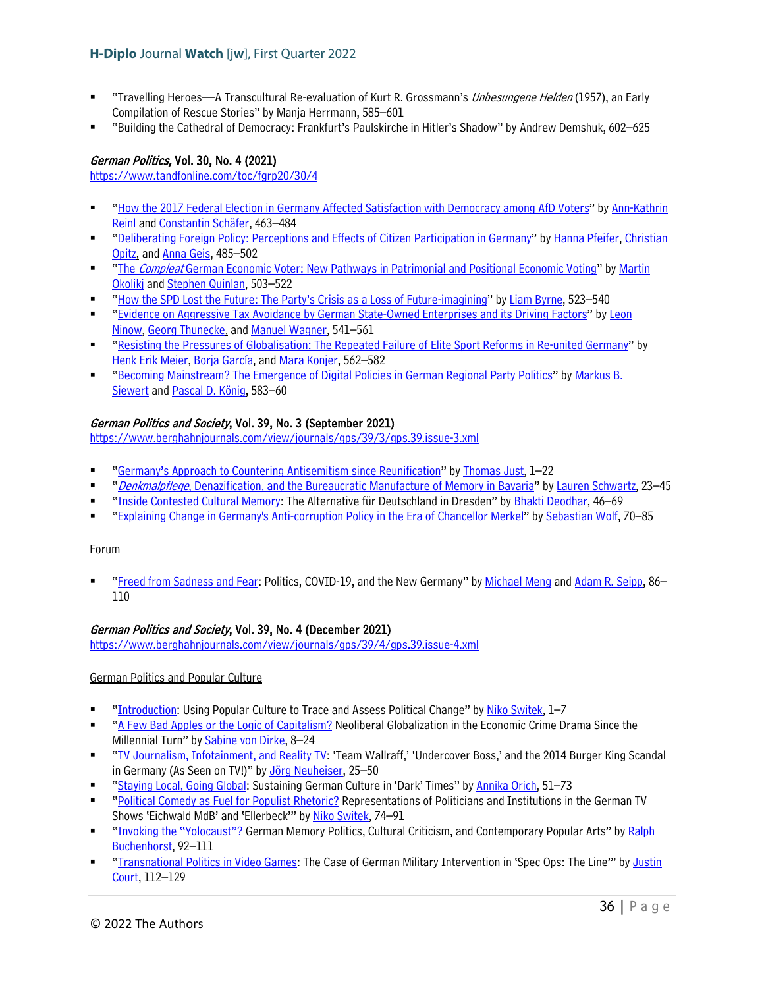- "Travelling Heroes—A Transcultural Re-evaluation of Kurt R. Grossmann's Unbesungene Helden (1957), an Early Compilation of Rescue Stories" by Manja Herrmann, 585–601
- "Building the Cathedral of Democracy: Frankfurt's Paulskirche in Hitler's Shadow" by Andrew Demshuk, 602–625

## German Politics, Vol. 30, No. 4 (2021)

<https://www.tandfonline.com/toc/fgrp20/30/4>

- ["How the 2017 Federal Election in Germany Affected Satisfaction with Democracy among AfD Voters"](https://www.tandfonline.com/doi/full/10.1080/09644008.2020.1741550) b[y Ann-Kathrin](https://www.tandfonline.com/author/Reinl%2C+Ann-Kathrin)  [Reinl](https://www.tandfonline.com/author/Reinl%2C+Ann-Kathrin) and [Constantin Schäfer,](https://www.tandfonline.com/author/Sch%C3%A4fer%2C+Constantin) 463–484
- ["Deliberating Foreign Policy: Perceptions and Effects of Citizen Participation in Germany"](https://www.tandfonline.com/doi/full/10.1080/09644008.2020.1786058) by [Hanna Pfeifer,](https://www.tandfonline.com/author/Pfeifer%2C+Hanna) Christian [Opitz,](https://www.tandfonline.com/author/Opitz%2C+Christian) and [Anna Geis,](https://www.tandfonline.com/author/Geis%2C+Anna) 485–502
- "The *Compleat* [German Economic Voter: New Pathways in Patrimonial and Positional Economic Voting"](https://www.tandfonline.com/doi/full/10.1080/09644008.2020.1750006) by Martin [Okolikj](https://www.tandfonline.com/author/Okolikj%2C+Martin) and [Stephen Quinlan,](https://www.tandfonline.com/author/Quinlan%2C+Stephen) 503–522
- ["How the SPD Lost the Future: The Party's Crisis as a Loss of Future-imagining"](https://www.tandfonline.com/doi/full/10.1080/09644008.2020.1770229) b[y Liam Byrne,](https://www.tandfonline.com/author/Byrne%2C+Liam) 523–540
- ["Evidence on Aggressive Tax Avoidance by German State-Owned Enterprises and its Driving Factors"](https://www.tandfonline.com/doi/full/10.1080/09644008.2020.1814258) b[y Leon](https://www.tandfonline.com/author/Ninow%2C+Leon)  [Ninow,](https://www.tandfonline.com/author/Ninow%2C+Leon) [Georg Thunecke,](https://www.tandfonline.com/author/Thunecke%2C+Georg) and [Manuel Wagner,](https://www.tandfonline.com/author/Wagner%2C+Manuel) 541–561
- ["Resisting the Pressures of Globalisation: The Repeated Failure of Elite Sport Reforms in Re-united Germany"](https://www.tandfonline.com/doi/full/10.1080/09644008.2020.1817899) by [Henk Erik Meier,](https://www.tandfonline.com/author/Meier%2C+Henk+Erik) [Borja García,](https://www.tandfonline.com/author/Garc%C3%ADa%2C+Borja) and [Mara Konjer,](https://www.tandfonline.com/author/Konjer%2C+Mara) 562–582
- ["Becoming Mainstream? The Emergence of Digital Policies in German Regional Party Politics"](https://www.tandfonline.com/doi/full/10.1080/09644008.2021.1890040) by [Markus B.](https://www.tandfonline.com/author/Siewert%2C+Markus+B)  [Siewert](https://www.tandfonline.com/author/Siewert%2C+Markus+B) and [Pascal D. König,](https://www.tandfonline.com/author/K%C3%B6nig%2C+Pascal+D) 583–60

## German Politics and Society, Vol. 39, No. 3 (September 2021)

<https://www.berghahnjournals.com/view/journals/gps/39/3/gps.39.issue-3.xml>

- ["Germany's Approach to Countering Antisemitism since Reunification"](https://www.berghahnjournals.com/view/journals/gps/39/3/gps390301.xml) b[y Thomas Just,](https://www.berghahnjournals.com/search?f_0=author&q_0=Thomas+Just) 1–22
- "Denkmalpflege[, Denazification, and the Bureaucratic Manufacture of Memory in Bavaria"](https://www.berghahnjournals.com/view/journals/gps/39/3/gps390302.xml) by [Lauren Schwartz,](https://www.berghahnjournals.com/search?f_0=author&q_0=Lauren+Schwartz) 23–45
- ["Inside Contested Cultural Memory:](https://www.berghahnjournals.com/view/journals/gps/39/3/gps390303.xml) The Alternative für Deutschland in Dresden" by [Bhakti Deodhar,](https://www.berghahnjournals.com/search?f_0=author&q_0=Bhakti+Deodhar) 46–69
- ["Explaining Change in Germany's Anti-corruption Policy in the Era of Chancellor Merkel"](https://www.berghahnjournals.com/view/journals/gps/39/3/gps390304.xml) b[y Sebastian Wolf,](https://www.berghahnjournals.com/search?f_0=author&q_0=Sebastian+Wolf) 70–85

#### Forum

 ["Freed from Sadness and Fear:](https://www.berghahnjournals.com/view/journals/gps/39/3/gps390305.xml) Politics, COVID-19, and the New Germany" by [Michael Meng](https://www.berghahnjournals.com/search?f_0=author&q_0=Michael+Meng) and [Adam R. Seipp,](https://www.berghahnjournals.com/search?f_0=author&q_0=Adam+R.+Seipp) 86– 110

#### German Politics and Society, Vol. 39, No. 4 (December 2021)

<https://www.berghahnjournals.com/view/journals/gps/39/4/gps.39.issue-4.xml>

German Politics and Popular Culture

- ["Introduction:](https://www.berghahnjournals.com/view/journals/gps/39/4/gps390401.xml) Using Popular Culture to Trace and Assess Political Change" b[y Niko Switek,](https://www.berghahnjournals.com/search?f_0=author&q_0=Niko+Switek) 1–7
- ["A Few Bad Apples or the Logic of Capitalism?](https://www.berghahnjournals.com/view/journals/gps/39/4/gps390402.xml) Neoliberal Globalization in the Economic Crime Drama Since the Millennial Turn" b[y Sabine von Dirke,](https://www.berghahnjournals.com/search?f_0=author&q_0=Sabine+von+Dirke) 8–24
- ["TV Journalism, Infotainment, and Reality TV:](https://www.berghahnjournals.com/view/journals/gps/39/4/gps390403.xml) 'Team Wallraff,' 'Undercover Boss,' and the 2014 Burger King Scandal in Germany (As Seen on TV!)" by [Jörg Neuheiser,](https://www.berghahnjournals.com/search?f_0=author&q_0=J%C3%B6rg+Neuheiser) 25–50
- ["Staying Local, Going Global:](https://www.berghahnjournals.com/view/journals/gps/39/4/gps390404.xml) Sustaining German Culture in 'Dark' Times" by [Annika Orich,](https://www.berghahnjournals.com/search?f_0=author&q_0=Annika+Orich) 51–73
- ["Political Comedy as Fuel for Populist Rhetoric?](https://www.berghahnjournals.com/view/journals/gps/39/4/gps390405.xml) Representations of Politicians and Institutions in the German TV Shows 'Eichwald MdB' and 'Ellerbeck'" by [Niko Switek,](https://www.berghahnjournals.com/search?f_0=author&q_0=Niko+Switek) 74–91
- ["Invoking the "Yolocaust"?](https://www.berghahnjournals.com/view/journals/gps/39/4/gps390406.xml) German Memory Politics, Cultural Criticism, and Contemporary Popular Arts" by Ralph [Buchenhorst,](https://www.berghahnjournals.com/search?f_0=author&q_0=Ralph+Buchenhorst) 92–111
- ["Transnational Politics in Video Games:](https://www.berghahnjournals.com/view/journals/gps/39/4/gps390407.xml) The Case of German Military Intervention in 'Spec Ops: The Line'" b[y Justin](https://www.berghahnjournals.com/search?f_0=author&q_0=Justin+Court)  [Court,](https://www.berghahnjournals.com/search?f_0=author&q_0=Justin+Court) 112–129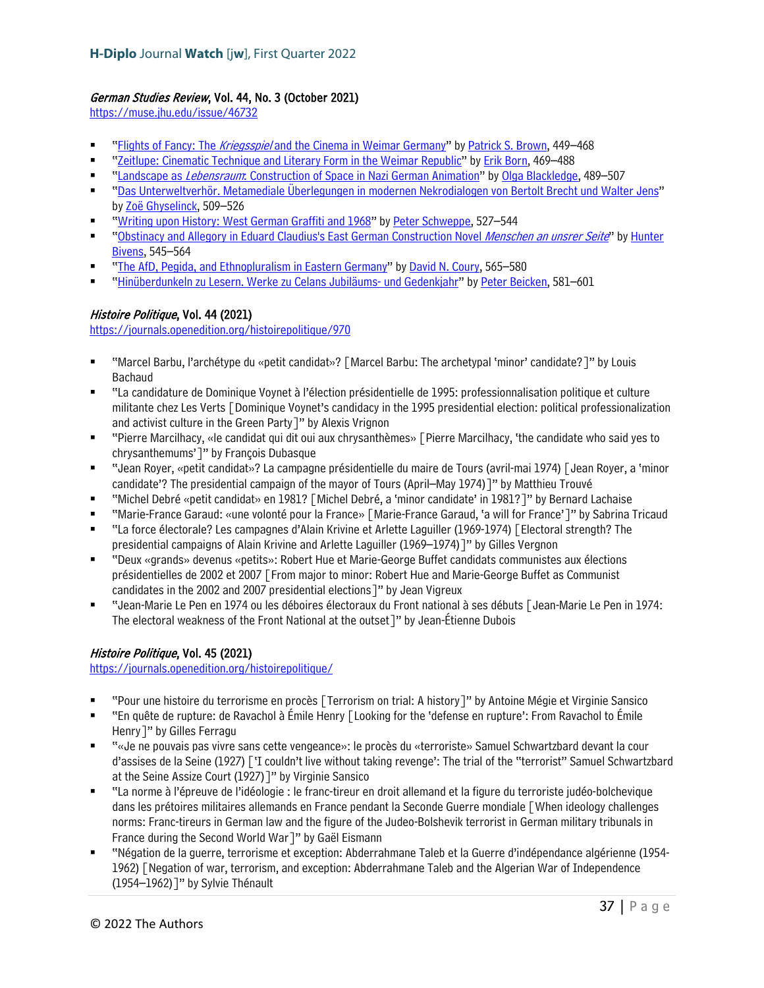## German Studies Review, Vol. 44, No. 3 (October 2021)

<https://muse.jhu.edu/issue/46732>

- "Flights of Fancy: The Kriegsspie/ [and the Cinema in Weimar Germany"](https://muse.jhu.edu/article/836274) b[y Patrick S. Brown,](https://muse.jhu.edu/search?action=search&&query=author:%22Patrick%20S.%20Brown%22) 449–468
- ["Zeitlupe: Cinematic Technique and Literary Form in the Weimar Republic"](https://muse.jhu.edu/article/836275) by [Erik Born,](https://muse.jhu.edu/search?action=search&&query=author:%22Erik%20Born%22) 469–488
- "Landscape as Lebensraum[: Construction of Space in Nazi German Animation"](https://muse.jhu.edu/article/836276) b[y Olga Blackledge,](https://muse.jhu.edu/search?action=search&&query=author:%22Olga%20Blackledge%22) 489–507
- ["Das Unterweltverhör. Metamediale Überlegungen in modernen Nekrodialogen von Bertolt Brecht und Walter Jens"](https://muse.jhu.edu/article/836277) by [Zoë Ghyselinck,](https://muse.jhu.edu/search?action=search&&query=author:%22Zo%C3%AB%20Ghyselinck%22) 509-526
- ["Writing upon History: West German Graffiti and 1968"](https://muse.jhu.edu/article/836278) b[y Peter Schweppe,](https://muse.jhu.edu/search?action=search&&query=author:%22Peter%20Schweppe%22) 527–544
- ["Obstinacy and Allegory in Eduard Claudius's East German Construction Novel](https://muse.jhu.edu/article/836279) Menschen an unsrer Seite" by [Hunter](https://muse.jhu.edu/search?action=search&&query=author:%22Hunter%20Bivens%22) [Bivens,](https://muse.jhu.edu/search?action=search&&query=author:%22Hunter%20Bivens%22) 545–564
- ["The AfD, Pegida, and Ethnopluralism in Eastern Germany"](https://muse.jhu.edu/article/836280) by [David N. Coury,](https://muse.jhu.edu/search?action=search&&query=author:%22David%20N.%20Coury%22) 565–580
- ["Hinüberdunkeln zu Lesern. Werke zu Celans Jubiläums-](https://muse.jhu.edu/article/836281) und Gedenkjahr" b[y Peter Beicken,](https://muse.jhu.edu/search?action=search&&query=author:%22Peter%20Beicken%22) 581–601

# Histoire Politique, Vol. 44 (2021)

<https://journals.openedition.org/histoirepolitique/970>

- "Marcel Barbu, l'archétype du «petit candidat»? [Marcel Barbu: The archetypal 'minor' candidate?]" by Louis Bachaud
- "La candidature de Dominique Voynet à l'élection présidentielle de 1995: professionnalisation politique et culture militante chez Les Verts [Dominique Voynet's candidacy in the 1995 presidential election: political professionalization and activist culture in the Green Party]" by Alexis Vrignon
- "Pierre Marcilhacy, «le candidat qui dit oui aux chrysanthèmes» [Pierre Marcilhacy, 'the candidate who said yes to chrysanthemums']" by François Dubasque
- "Jean Royer, «petit candidat»? La campagne présidentielle du maire de Tours (avril-mai 1974) [Jean Royer, a 'minor candidate'? The presidential campaign of the mayor of Tours (April–May 1974)]" by Matthieu Trouvé
- "Michel Debré «petit candidat» en 1981? [Michel Debré, a 'minor candidate' in 1981?]" by Bernard Lachaise
- "Marie-France Garaud: «une volonté pour la France» [Marie-France Garaud, 'a will for France']" by Sabrina Tricaud
- "La force électorale? Les campagnes d'Alain Krivine et Arlette Laguiller (1969-1974) [Electoral strength? The presidential campaigns of Alain Krivine and Arlette Laguiller (1969–1974)]" by Gilles Vergnon
- "Deux «grands» devenus «petits»: Robert Hue et Marie-George Buffet candidats communistes aux élections présidentielles de 2002 et 2007 [From major to minor: Robert Hue and Marie-George Buffet as Communist candidates in the 2002 and 2007 presidential elections]" by Jean Vigreux
- "Jean-Marie Le Pen en 1974 ou les déboires électoraux du Front national à ses débuts [Jean-Marie Le Pen in 1974: The electoral weakness of the Front National at the outset]" by Jean-Étienne Dubois

# Histoire Politique, Vol. 45 (2021)

<https://journals.openedition.org/histoirepolitique/>

- "Pour une histoire du terrorisme en procès [Terrorism on trial: A history]" by Antoine Mégie et Virginie Sansico
- "En quête de rupture: de Ravachol à Émile Henry [Looking for the 'defense en rupture': From Ravachol to Émile Henry]" by Gilles Ferragu
- "«Je ne pouvais pas vivre sans cette vengeance»: le procès du «terroriste» Samuel Schwartzbard devant la cour d'assises de la Seine (1927) ['I couldn't live without taking revenge': The trial of the "terrorist" Samuel Schwartzbard at the Seine Assize Court (1927)]" by Virginie Sansico
- "La norme à l'épreuve de l'idéologie : le franc-tireur en droit allemand et la figure du terroriste judéo-bolchevique dans les prétoires militaires allemands en France pendant la Seconde Guerre mondiale [When ideology challenges norms: Franc-tireurs in German law and the figure of the Judeo-Bolshevik terrorist in German military tribunals in France during the Second World War]" by Gaël Eismann
- "Négation de la guerre, terrorisme et exception: Abderrahmane Taleb et la Guerre d'indépendance algérienne (1954- 1962) [Negation of war, terrorism, and exception: Abderrahmane Taleb and the Algerian War of Independence (1954–1962)]" by Sylvie Thénault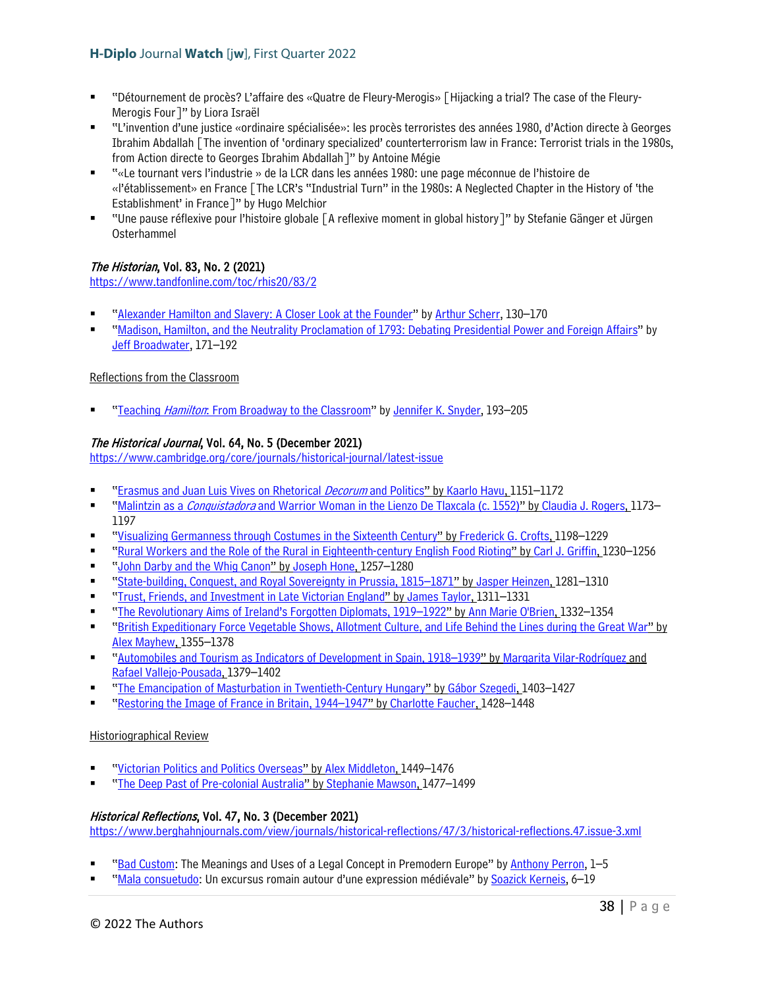- "Détournement de procès? L'affaire des «Quatre de Fleury-Merogis» [Hijacking a trial? The case of the Fleury-Merogis Four]" by Liora Israël
- "L'invention d'une justice «ordinaire spécialisée»: les procès terroristes des années 1980, d'Action directe à Georges Ibrahim Abdallah [The invention of 'ordinary specialized' counterterrorism law in France: Terrorist trials in the 1980s, from Action directe to Georges Ibrahim Abdallah]" by Antoine Mégie
- "«Le tournant vers l'industrie » de la LCR dans les années 1980: une page méconnue de l'histoire de «l'établissement» en France [The LCR's "Industrial Turn" in the 1980s: A Neglected Chapter in the History of 'the Establishment' in France]" by Hugo Melchior
- "Une pause réflexive pour l'histoire globale [A reflexive moment in global history]" by Stefanie Gänger et Jürgen Osterhammel

# The Historian, Vol. 83, No. 2 (2021)

<https://www.tandfonline.com/toc/rhis20/83/2>

- ["Alexander Hamilton and Slavery: A Closer Look at the Founder"](https://www.tandfonline.com/doi/full/10.1080/00182370.2021.1933693) by [Arthur Scherr,](https://www.tandfonline.com/author/Scherr%2C+Arthur) 130-170
- ["Madison, Hamilton, and the Neutrality Proclamation of 1793: Debating Presidential Power and Foreign Affairs"](https://www.tandfonline.com/doi/full/10.1080/00182370.2021.1933703) by [Jeff Broadwater,](https://www.tandfonline.com/author/Broadwater%2C+Jeff) 171–192

### Reflections from the Classroom

"Teaching Hamilton[: From Broadway to the Classroom"](https://www.tandfonline.com/doi/full/10.1080/00182370.2021.1970460) b[y Jennifer K. Snyder,](https://www.tandfonline.com/author/Snyder%2C+Jennifer+K) 193-205

## The Historical Journal, Vol. 64, No. 5 (December 2021)

<https://www.cambridge.org/core/journals/historical-journal/latest-issue>

- ["Erasmus and Juan Luis Vives on Rhetorical](https://www.cambridge.org/core/journals/historical-journal/article/erasmus-and-juan-luis-vives-on-rhetorical-decorum-and-politics/A051537503C7AE97273E676ADA1FADC4) *Decorum* and Politics" by [Kaarlo Havu,](https://www.cambridge.org/core/search?filters%5BauthorTerms%5D=KAARLO%20HAVU&eventCode=SE-AU) 1151–1172
- "Malintzin as a *Conquistadora* and [Warrior Woman in the](https://www.cambridge.org/core/journals/historical-journal/article/malintzin-as-a-conquistadora-and-warrior-woman-in-the-lienzo-de-tlaxcala-c-1552/D6CC2F3CABAE5F97CB1B620D6D9630AA) Lienzo De Tlaxcala (c. 1552)" b[y Claudia J. Rogers,](https://www.cambridge.org/core/search?filters%5BauthorTerms%5D=CLAUDIA%20J.%20ROGERS&eventCode=SE-AU) 1173– 1197
- ["Visualizing Germanness through Costumes in the Sixteenth Century"](https://www.cambridge.org/core/journals/historical-journal/article/visualizing-germanness-through-costumes-in-the-sixteenth-century/37389F9110A8B13180F1E04C3EB4BA02) b[y Frederick G. Crofts,](https://www.cambridge.org/core/search?filters%5BauthorTerms%5D=FREDERICK%20G.%20CROFTS&eventCode=SE-AU) 1198–1229
- ["Rural Workers and the Role of the Rural in Eighteenth-century English Food Rioting"](https://www.cambridge.org/core/journals/historical-journal/article/rural-workers-and-the-role-of-the-rural-in-eighteenthcentury-english-food-rioting/59BAAD776E6130924B6D37D87E81ADFA) by [Carl J. Griffin,](https://www.cambridge.org/core/search?filters%5BauthorTerms%5D=CARL%20J.%20GRIFFIN&eventCode=SE-AU) 1230–1256
- ["John Darby and the Whig Canon"](https://www.cambridge.org/core/journals/historical-journal/article/john-darby-and-the-whig-canon/2F23B9FE73EDE3BE3DA2596B4F82AE58) by [Joseph Hone,](https://www.cambridge.org/core/search?filters%5BauthorTerms%5D=JOSEPH%20HONE&eventCode=SE-AU) 1257-1280
- ["State-building, Conquest, and Royal Sovereignty in Prussia, 1815–1871"](https://www.cambridge.org/core/journals/historical-journal/article/statebuilding-conquest-and-royal-sovereignty-in-prussia-18151871/10AA89DA2C1081384B0418BDB93CF607) b[y Jasper Heinzen,](https://www.cambridge.org/core/search?filters%5BauthorTerms%5D=JASPER%20HEINZEN&eventCode=SE-AU) 1281–1310
- ["Trust, Friends, and Investment in Late Victorian England"](https://www.cambridge.org/core/journals/historical-journal/article/trust-friends-and-investment-in-late-victorian-england/8D60BC9A76FBE6B15562146E5B0B8E30) b[y James Taylor,](https://www.cambridge.org/core/search?filters%5BauthorTerms%5D=JAMES%20TAYLOR&eventCode=SE-AU) 1311–1331
- ["The Revolutionary Aims of Ireland's Forgotten Diplomats, 1919–1922"](https://www.cambridge.org/core/journals/historical-journal/article/revolutionary-aims-of-irelands-forgotten-diplomats-19191922/DC92FBCB69EB2CF98D86DF3F9AE594B2) b[y Ann Marie O'Brien,](https://www.cambridge.org/core/search?filters%5BauthorTerms%5D=ANN%20MARIE%20O%27BRIEN&eventCode=SE-AU) 1332–1354
- ["British Expeditionary Force Vegetable Shows, Allotment Culture, and Life Behind the Lines during the Great War"](https://www.cambridge.org/core/journals/historical-journal/article/british-expeditionary-force-vegetable-shows-allotment-culture-and-life-behind-the-lines-during-the-great-war/58DDBD92C7A2823838A04754A214ADB4) by [Alex Mayhew,](https://www.cambridge.org/core/search?filters%5BauthorTerms%5D=ALEX%20MAYHEW&eventCode=SE-AU) 1355–1378
- " ["Automobiles and Tourism as Indicators of Development in Spain, 1918–1939"](https://www.cambridge.org/core/journals/historical-journal/article/automobiles-and-tourism-as-indicators-of-development-in-spain-19181939/8FF7CF89E0612B152A201D2A70096897) by [Margarita Vilar-Rodríguez](https://www.cambridge.org/core/search?filters%5BauthorTerms%5D=MARGARITA%20VILAR-RODR%C3%8DGUEZ&eventCode=SE-AU) and [Rafael Vallejo-Pousada,](https://www.cambridge.org/core/search?filters%5BauthorTerms%5D=RAFAEL%20VALLEJO-POUSADA&eventCode=SE-AU) 1379–1402
- ["The Emancipation of Masturbation in Twentieth-Century Hungary"](https://www.cambridge.org/core/journals/historical-journal/article/emancipation-of-masturbation-in-twentiethcentury-hungary/11DFF436B988D6AACCE5B09BC7E54C52) by [Gábor Szegedi,](https://www.cambridge.org/core/search?filters%5BauthorTerms%5D=G%C3%81BOR%20SZEGEDI&eventCode=SE-AU) 1403–1427
- ["Restoring the Image of France in Britain, 1944–1947"](https://www.cambridge.org/core/journals/historical-journal/article/restoring-the-image-of-france-in-britain-19441947/6A874437412E05BCF2BE0135E02F60D6) by [Charlotte Faucher,](https://www.cambridge.org/core/search?filters%5BauthorTerms%5D=CHARLOTTE%20FAUCHER&eventCode=SE-AU) 1428–1448

### Historiographical Review

- ["Victorian Politics and Politics Overseas"](https://www.cambridge.org/core/journals/historical-journal/article/victorian-politics-and-politics-overseas/4413E9CC627E3C1AC7DCF541ABA89F5F) b[y Alex Middleton,](https://www.cambridge.org/core/search?filters%5BauthorTerms%5D=ALEX%20MIDDLETON&eventCode=SE-AU) 1449–1476
- ["The Deep Past of Pre-colonial Australia"](https://www.cambridge.org/core/journals/historical-journal/article/deep-past-of-precolonial-australia/F128C60AE14F4F07045FA65AEC152CB2) by [Stephanie Mawson,](https://www.cambridge.org/core/search?filters%5BauthorTerms%5D=STEPHANIE%20MAWSON&eventCode=SE-AU) 1477–1499

## Historical Reflections, Vol. 47, No. 3 (December 2021)

<https://www.berghahnjournals.com/view/journals/historical-reflections/47/3/historical-reflections.47.issue-3.xml>

- ["Bad Custom:](https://www.berghahnjournals.com/view/journals/historical-reflections/47/3/hrrh470301.xml) The Meanings and Uses of a Legal Concept in Premodern Europe" by [Anthony Perron,](https://www.berghahnjournals.com/search?f_0=author&q_0=Anthony+Perron) 1–5
- ["Mala consuetudo:](https://www.berghahnjournals.com/view/journals/historical-reflections/47/3/hrrh470302.xml) Un excursus romain autour d'une expression médiévale" by [Soazick Kerneis,](https://www.berghahnjournals.com/search?f_0=author&q_0=Soazick+Kerneis) 6–19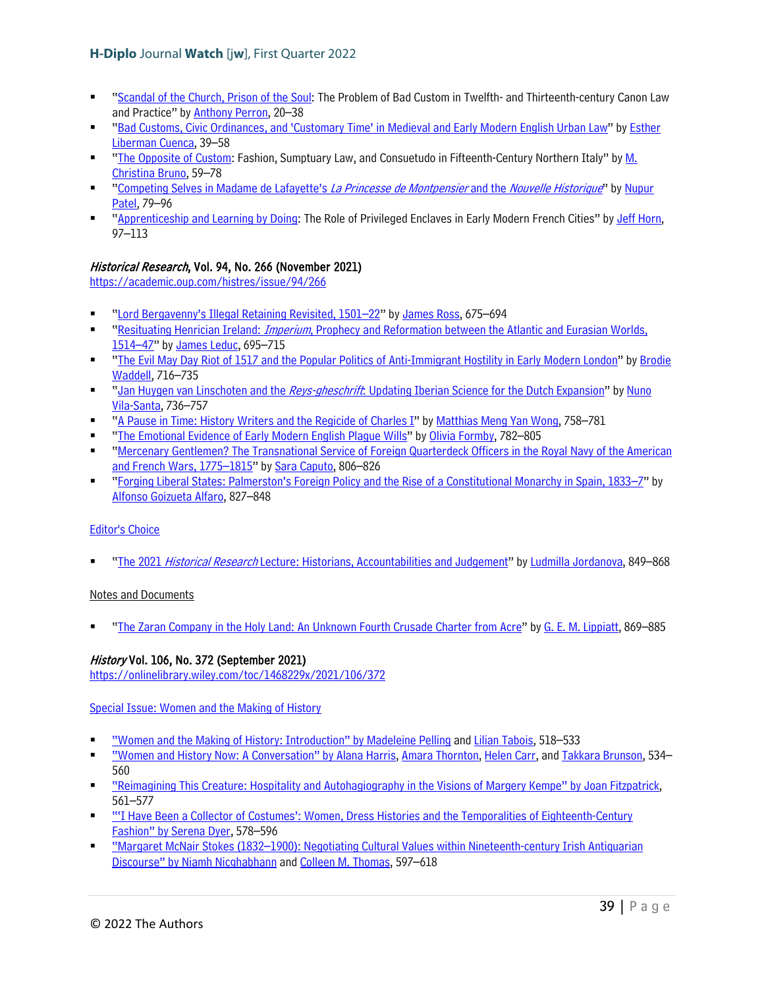- ["Scandal of the Church, Prison of the Soul:](https://www.berghahnjournals.com/view/journals/historical-reflections/47/3/hrrh470303.xml) The Problem of Bad Custom in Twelfth- and Thirteenth-century Canon Law and Practice" b[y Anthony Perron,](https://www.berghahnjournals.com/search?f_0=author&q_0=Anthony+Perron) 20–38
- ["Bad Customs, Civic Ordinances, and 'Customary Time' in Medieval and Early Modern English Urban Law"](https://www.berghahnjournals.com/view/journals/historical-reflections/47/3/hrrh470304.xml) by [Esther](https://www.berghahnjournals.com/search?f_0=author&q_0=Esther+Liberman+Cuenca)  [Liberman Cuenca,](https://www.berghahnjournals.com/search?f_0=author&q_0=Esther+Liberman+Cuenca) 39–58
- ["The Opposite of Custom:](https://www.berghahnjournals.com/view/journals/historical-reflections/47/3/hrrh470305.xml) Fashion, Sumptuary Law, and Consuetudo in Fifteenth-Century Northern Italy" by M. [Christina Bruno,](https://www.berghahnjournals.com/search?f_0=author&q_0=M.+Christina+Bruno) 59–78
- ["Competing Selves in Madame de Lafayette's](https://www.berghahnjournals.com/view/journals/historical-reflections/47/3/hrrh470306.xml) La Princesse de Montpensier and the Nouvelle Historique" by Nupur [Patel,](https://www.berghahnjournals.com/search?f_0=author&q_0=Nupur+Patel) 79–96
- ["Apprenticeship and Learning by Doing:](https://www.berghahnjournals.com/view/journals/historical-reflections/47/3/hrrh470307.xml) The Role of Privileged Enclaves in Early Modern French Cities" b[y Jeff Horn,](https://www.berghahnjournals.com/search?f_0=author&q_0=Jeff+Horn) 97–113

## Historical Research, Vol. 94, No. 266 (November 2021)

<https://academic.oup.com/histres/issue/94/266>

- ["Lord Bergavenny's Illegal Retaining Revisited, 1501–22"](https://academic.oup.com/histres/article/94/266/675/6377832) b[y James Ross,](https://academic.oup.com/histres/search-results?f_Authors=James+Ross) 675–694
- "Resituating Henrician Ireland: Imperium[, Prophecy and Reformation between the Atlantic and Eurasian Worlds,](https://academic.oup.com/histres/article/94/266/695/6347500)  [1514–47"](https://academic.oup.com/histres/article/94/266/695/6347500) by [James Leduc,](https://academic.oup.com/histres/search-results?f_Authors=James+Leduc) 695–715
- "The Evil May Day Riot of 1517 and the Popular [Politics of Anti-Immigrant Hostility in Early Modern London"](https://academic.oup.com/histres/article/94/266/716/6348882) by [Brodie](https://academic.oup.com/histres/search-results?f_Authors=Brodie+Waddell)  [Waddell,](https://academic.oup.com/histres/search-results?f_Authors=Brodie+Waddell) 716–735
- " Jan Huygen van Linschoten and the Reys-gheschrift[: Updating Iberian Science for the Dutch Expansion"](https://academic.oup.com/histres/article/94/266/736/6381993) by Nuno [Vila-Santa,](https://academic.oup.com/histres/search-results?f_Authors=Nuno+Vila-Santa) 736–757
- ["A Pause in Time: History Writers and the Regicide of Charles I"](https://academic.oup.com/histres/article/94/266/758/6368094) by [Matthias Meng Yan Wong,](https://academic.oup.com/histres/search-results?f_Authors=Matthias+Meng+Yan+Wong) 758–781
- ["The Emotional Evidence of Early Modern English Plague Wills"](https://academic.oup.com/histres/article/94/266/782/6369784) by [Olivia Formby,](https://academic.oup.com/histres/search-results?f_Authors=Olivia+Formby) 782–805
- ["Mercenary Gentlemen? The Transnational Service of Foreign Quarterdeck Officers in the Royal Navy of the American](https://academic.oup.com/histres/article/94/266/806/6375003)  [and French Wars, 1775–1815"](https://academic.oup.com/histres/article/94/266/806/6375003) b[y Sara Caputo,](https://academic.oup.com/histres/search-results?f_Authors=Sara+Caputo) 806–826
- ["Forging Liberal States: Palmerston's Foreign Policy and the Rise of a Constitutional Monarchy in Spain, 1833–7"](https://academic.oup.com/histres/article/94/266/827/6348881) by [Alfonso Goizueta Alfaro,](https://academic.oup.com/histres/search-results?f_Authors=Alfonso+Goizueta+Alfaro) 827–848

### [Editor's Choice](https://academic.oup.com/histres/search-results?f_OUPSeries=Editor%27s+Choice)

"The 2021 Historical Research [Lecture: Historians, Accountabilities and Judgement"](https://academic.oup.com/histres/article/94/266/849/6398946) b[y Ludmilla Jordanova,](https://academic.oup.com/histres/search-results?f_Authors=Ludmilla+Jordanova) 849–868

### Notes and Documents

["The Zaran Company in the Holy Land: An Unknown Fourth Crusade Charter from Acre"](https://academic.oup.com/histres/article/94/266/869/6386429) by [G. E. M. Lippiatt,](https://academic.oup.com/histres/search-results?f_Authors=G+E+M+Lippiatt) 869–885

## History Vol. 106, No. 372 (September 2021)

<https://onlinelibrary.wiley.com/toc/1468229x/2021/106/372>

[Special Issue: Women and the Making of History](https://onlinelibrary.wiley.com/toc/1468229x/2021/106/372)

- ["Women and the Making of History: Introduction" by](https://onlinelibrary.wiley.com/doi/10.1111/1468-229X.13198) [Madeleine Pelling](https://onlinelibrary.wiley.com/action/doSearch?ContribAuthorRaw=PELLING%2C+MADELEINE) and [Lilian Tabois,](https://onlinelibrary.wiley.com/action/doSearch?ContribAuthorRaw=TABOIS%2C+LILIAN) 518–533
- ["Women and History Now: A Conversation" by](https://onlinelibrary.wiley.com/doi/10.1111/1468-229X.13205) [Alana Harris,](https://onlinelibrary.wiley.com/action/doSearch?ContribAuthorRaw=HARRIS%2C+ALANA) [Amara Thornton,](https://onlinelibrary.wiley.com/action/doSearch?ContribAuthorRaw=THORNTON%2C+AMARA) [Helen Carr,](https://onlinelibrary.wiley.com/action/doSearch?ContribAuthorRaw=CARR%2C+HELEN) and [Takkara Brunson,](https://onlinelibrary.wiley.com/action/doSearch?ContribAuthorRaw=BRUNSON%2C+TAKKARA) 534– 560
- ["Reimagining This Creature: Hospitality and Autohagiography in the Visions of Margery Kempe" by](https://onlinelibrary.wiley.com/doi/10.1111/1468-229X.13204) [Joan Fitzpatrick,](https://onlinelibrary.wiley.com/action/doSearch?ContribAuthorRaw=Fitzpatrick%2C+Joan)  561–577
- ["'I Have Been a Collector of Costumes': Women, Dress Histories and the Temporalities of Eighteenth-Century](https://onlinelibrary.wiley.com/doi/10.1111/1468-229X.13201)  [Fashion" by](https://onlinelibrary.wiley.com/doi/10.1111/1468-229X.13201) [Serena Dyer,](https://onlinelibrary.wiley.com/action/doSearch?ContribAuthorRaw=DYER%2C+SERENA) 578–596
- ["Margaret McNair Stokes \(1832–1900\): Negotiating Cultural Values within Nineteenth-century Irish Antiquarian](https://onlinelibrary.wiley.com/doi/10.1111/1468-229X.13200)  [Discourse" by](https://onlinelibrary.wiley.com/doi/10.1111/1468-229X.13200) [Niamh Nicghabhann](https://onlinelibrary.wiley.com/action/doSearch?ContribAuthorRaw=NICGHABHANN%2C+NIAMH) and [Colleen M. Thomas,](https://onlinelibrary.wiley.com/action/doSearch?ContribAuthorRaw=THOMAS%2C+COLLEEN+M) 597–618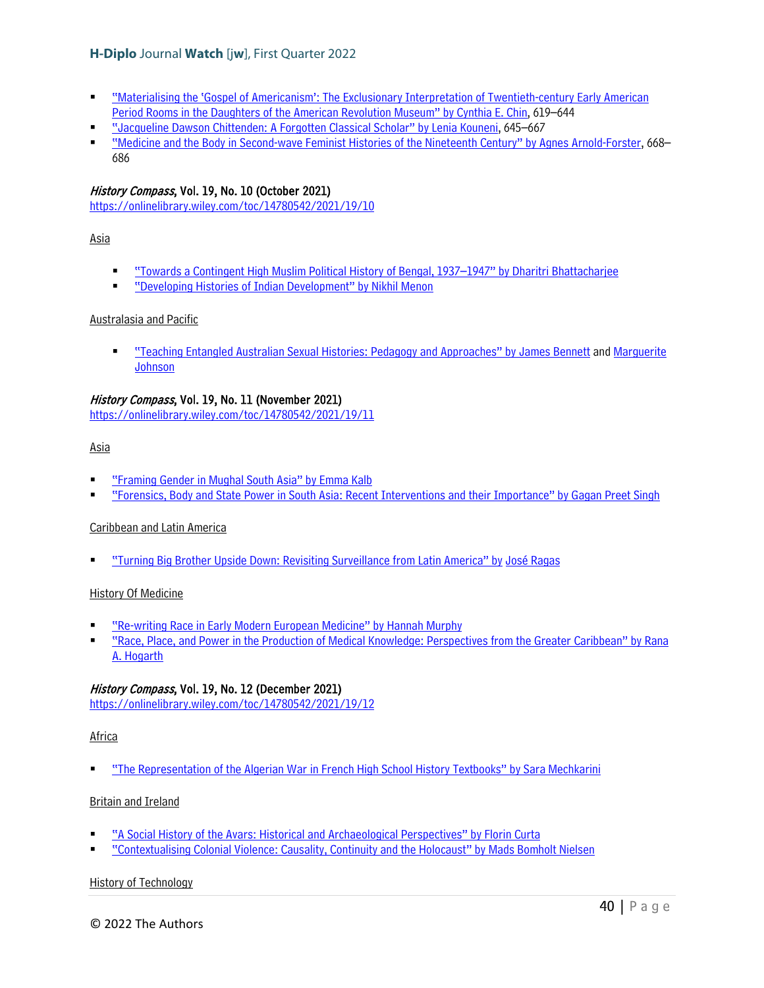- ["Materialising the 'Gospel of Americanism': The Exclusionary Interpretation of Twentieth-century Early American](https://onlinelibrary.wiley.com/doi/10.1111/1468-229X.13199)  [Period Rooms in the Daughters of the American Revolution Museum" by](https://onlinelibrary.wiley.com/doi/10.1111/1468-229X.13199) [Cynthia E. Chin,](https://onlinelibrary.wiley.com/action/doSearch?ContribAuthorRaw=CHIN%2C+CYNTHIA+E) 619–644
- ["Jacqueline Dawson Chittenden: A Forgotten Classical Scholar" by](https://onlinelibrary.wiley.com/doi/10.1111/1468-229X.13202) [Lenia Kouneni,](https://onlinelibrary.wiley.com/action/doSearch?ContribAuthorRaw=KOUNENI%2C+LENIA) 645–667
- ["Medicine and the Body in Second-wave Feminist Histories of the Nineteenth Century" by](https://onlinelibrary.wiley.com/doi/10.1111/1468-229X.13203) [Agnes Arnold-Forster,](https://onlinelibrary.wiley.com/action/doSearch?ContribAuthorRaw=ARNOLD-FORSTER%2C+AGNES) 668– 686

### History Compass, Vol. 19, No. 10 (October 2021)

<https://onlinelibrary.wiley.com/toc/14780542/2021/19/10>

### Asia

- ["Towards a Contingent High Muslim Political History of Bengal, 1937–1947" by](https://onlinelibrary.wiley.com/doi/10.1111/hic3.12658) [Dharitri Bhattacharjee](https://onlinelibrary.wiley.com/action/doSearch?ContribAuthorRaw=Bhattacharjee%2C+Dharitri)
- ["Developing Histories of Indian Development" by](https://onlinelibrary.wiley.com/doi/10.1111/hic3.12689) [Nikhil Menon](https://onlinelibrary.wiley.com/action/doSearch?ContribAuthorRaw=Menon%2C+Nikhil)

### Australasia and Pacific

 ["Teaching Entangled Australian Sexual Histories: Pedagogy and Approaches" by](https://onlinelibrary.wiley.com/doi/10.1111/hic3.12690) [James Bennett](https://onlinelibrary.wiley.com/action/doSearch?ContribAuthorRaw=Bennett%2C+James) and [Marguerite](https://onlinelibrary.wiley.com/action/doSearch?ContribAuthorRaw=Johnson%2C+Marguerite)  **[Johnson](https://onlinelibrary.wiley.com/action/doSearch?ContribAuthorRaw=Johnson%2C+Marguerite)** 

### History Compass, Vol. 19, No. 11 (November 2021)

<https://onlinelibrary.wiley.com/toc/14780542/2021/19/11>

#### Asia

- ["Framing Gender in Mughal South Asia" by](https://onlinelibrary.wiley.com/doi/10.1111/hic3.12691) [Emma Kalb](https://onlinelibrary.wiley.com/action/doSearch?ContribAuthorRaw=Kalb%2C+Emma)
- ["Forensics, Body and State Power in South Asia: Recent Interventions and their Importance" by](https://onlinelibrary.wiley.com/doi/10.1111/hic3.12693) [Gagan Preet Singh](https://onlinelibrary.wiley.com/action/doSearch?ContribAuthorRaw=Singh%2C+Gagan+Preet)

### Caribbean and Latin America

["Turning Big Brother Upside Down: Revisiting Surveillance from Latin America" by](https://onlinelibrary.wiley.com/doi/10.1111/hic3.12695) [José Ragas](https://onlinelibrary.wiley.com/action/doSearch?ContribAuthorRaw=Ragas%2C+Jos%C3%A9)

### History Of Medicine

- ["Re-writing Race in Early Modern European Medicine" by](https://onlinelibrary.wiley.com/doi/10.1111/hic3.12692) [Hannah Murphy](https://onlinelibrary.wiley.com/action/doSearch?ContribAuthorRaw=Murphy%2C+Hannah)
- ["Race, Place, and Power in the Production of Medical Knowledge: Perspectives from the Greater Caribbean" by](https://onlinelibrary.wiley.com/doi/10.1111/hic3.12694) [Rana](https://onlinelibrary.wiley.com/action/doSearch?ContribAuthorRaw=Hogarth%2C+Rana+A)  [A. Hogarth](https://onlinelibrary.wiley.com/action/doSearch?ContribAuthorRaw=Hogarth%2C+Rana+A)

### History Compass, Vol. 19, No. 12 (December 2021)

<https://onlinelibrary.wiley.com/toc/14780542/2021/19/12>

### Africa

["The Representation of the Algerian War in French High School History Textbooks" by](https://onlinelibrary.wiley.com/doi/10.1111/hic3.12696) [Sara Mechkarini](https://onlinelibrary.wiley.com/action/doSearch?ContribAuthorRaw=Mechkarini%2C+Sara)

### Britain and Ireland

- ["A Social History of the Avars: Historical and Archaeological Perspectives" by](https://onlinelibrary.wiley.com/doi/10.1111/hic3.12697) [Florin Curta](https://onlinelibrary.wiley.com/action/doSearch?ContribAuthorRaw=Curta%2C+Florin)
- ["Contextualising Colonial Violence: Causality, Continuity and the Holocaust" by](https://onlinelibrary.wiley.com/doi/10.1111/hic3.12701) [Mads Bomholt Nielsen](https://onlinelibrary.wiley.com/action/doSearch?ContribAuthorRaw=Bomholt+Nielsen%2C+Mads)

### History of Technology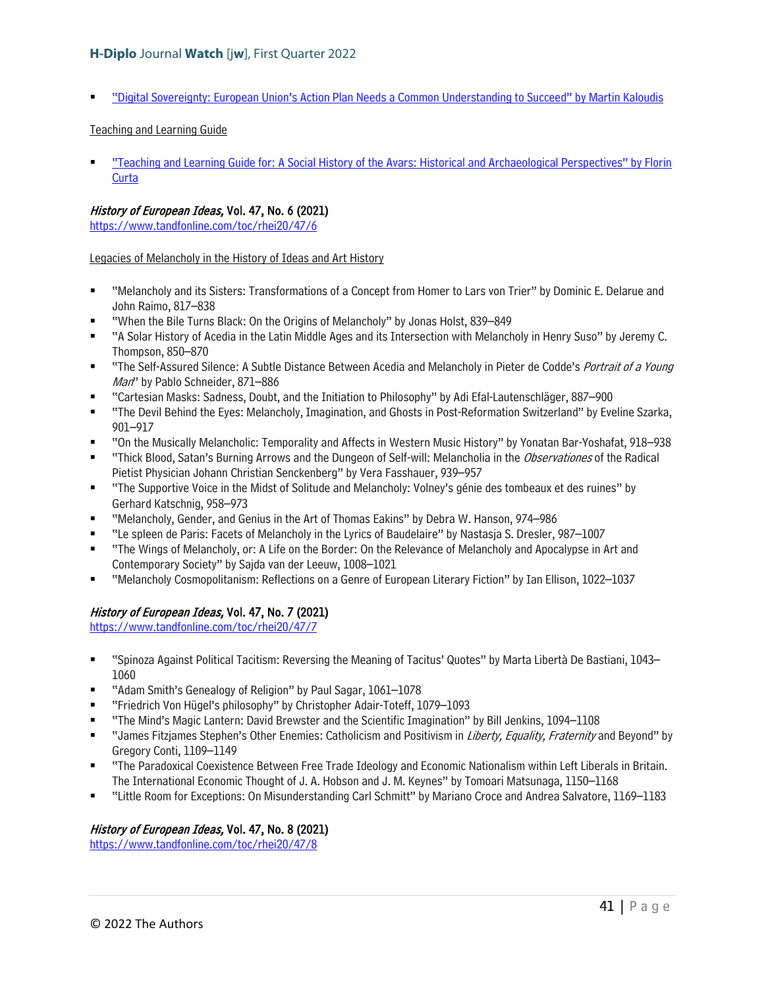["Digital Sovereignty: European Union's Action Plan Needs a Common Understanding to Succeed" by](https://onlinelibrary.wiley.com/doi/10.1111/hic3.12698) [Martin Kaloudis](https://onlinelibrary.wiley.com/action/doSearch?ContribAuthorRaw=Kaloudis%2C+Martin)

### Teaching and Learning Guide

 ["Teaching and Learning Guide for: A Social History of the Avars: Historical and Archaeological Perspectives" by](https://onlinelibrary.wiley.com/doi/10.1111/hic3.12699) [Florin](https://onlinelibrary.wiley.com/action/doSearch?ContribAuthorRaw=Curta%2C+Florin)  **[Curta](https://onlinelibrary.wiley.com/action/doSearch?ContribAuthorRaw=Curta%2C+Florin)** 

### History of European Ideas, Vol. 47, No. 6 (2021)

<https://www.tandfonline.com/toc/rhei20/47/6>

Legacies of Melancholy in the History of Ideas and Art History

- "Melancholy and its Sisters: Transformations of a Concept from Homer to Lars von Trier" by Dominic E. Delarue and John Raimo, 817–838
- "When the Bile Turns Black: On the Origins of Melancholy" by Jonas Holst, 839–849
- "A Solar History of Acedia in the Latin Middle Ages and its Intersection with Melancholy in Henry Suso" by Jeremy C. Thompson, 850–870
- "The Self-Assured Silence: A Subtle Distance Between Acedia and Melancholy in Pieter de Codde's Portrait of a Young Man" by Pablo Schneider, 871–886
- "Cartesian Masks: Sadness, Doubt, and the Initiation to Philosophy" by Adi Efal-Lautenschläger, 887–900
- "The Devil Behind the Eyes: Melancholy, Imagination, and Ghosts in Post-Reformation Switzerland" by Eveline Szarka, 901–917
- "On the Musically Melancholic: Temporality and Affects in Western Music History" by Yonatan Bar-Yoshafat, 918–938
- "Thick Blood, Satan's Burning Arrows and the Dungeon of Self-will: Melancholia in the *Observationes* of the Radical Pietist Physician Johann Christian Senckenberg" by Vera Fasshauer, 939–957
- "The Supportive Voice in the Midst of Solitude and Melancholy: Volney's génie des tombeaux et des ruines" by Gerhard Katschnig, 958–973
- "Melancholy, Gender, and Genius in the Art of Thomas Eakins" by Debra W. Hanson, 974–986
- "Le spleen de Paris: Facets of Melancholy in the Lyrics of Baudelaire" by Nastasja S. Dresler, 987–1007
- "The Wings of Melancholy, or: A Life on the Border: On the Relevance of Melancholy and Apocalypse in Art and Contemporary Society" by Sajda van der Leeuw, 1008–1021
- "Melancholy Cosmopolitanism: Reflections on a Genre of European Literary Fiction" by Ian Ellison, 1022–1037

# History of European Ideas, Vol. 47, No. 7 (2021)

<https://www.tandfonline.com/toc/rhei20/47/7>

- "Spinoza Against Political Tacitism: Reversing the Meaning of Tacitus' Quotes" by Marta Libertà De Bastiani, 1043– 1060
- "Adam Smith's Genealogy of Religion" by Paul Sagar, 1061–1078
- "Friedrich Von Hügel's philosophy" by Christopher Adair-Toteff, 1079–1093
- "The Mind's Magic Lantern: David Brewster and the Scientific Imagination" by Bill Jenkins, 1094–1108
- " "James Fitzjames Stephen's Other Enemies: Catholicism and Positivism in *Liberty, Equality, Fraternity* and Beyond" by Gregory Conti, 1109–1149
- "The Paradoxical Coexistence Between Free Trade Ideology and Economic Nationalism within Left Liberals in Britain. The International Economic Thought of J. A. Hobson and J. M. Keynes" by Tomoari Matsunaga, 1150–1168
- "Little Room for Exceptions: On Misunderstanding Carl Schmitt" by Mariano Croce and Andrea Salvatore, 1169–1183

## History of European Ideas, Vol. 47, No. 8 (2021)

<https://www.tandfonline.com/toc/rhei20/47/8>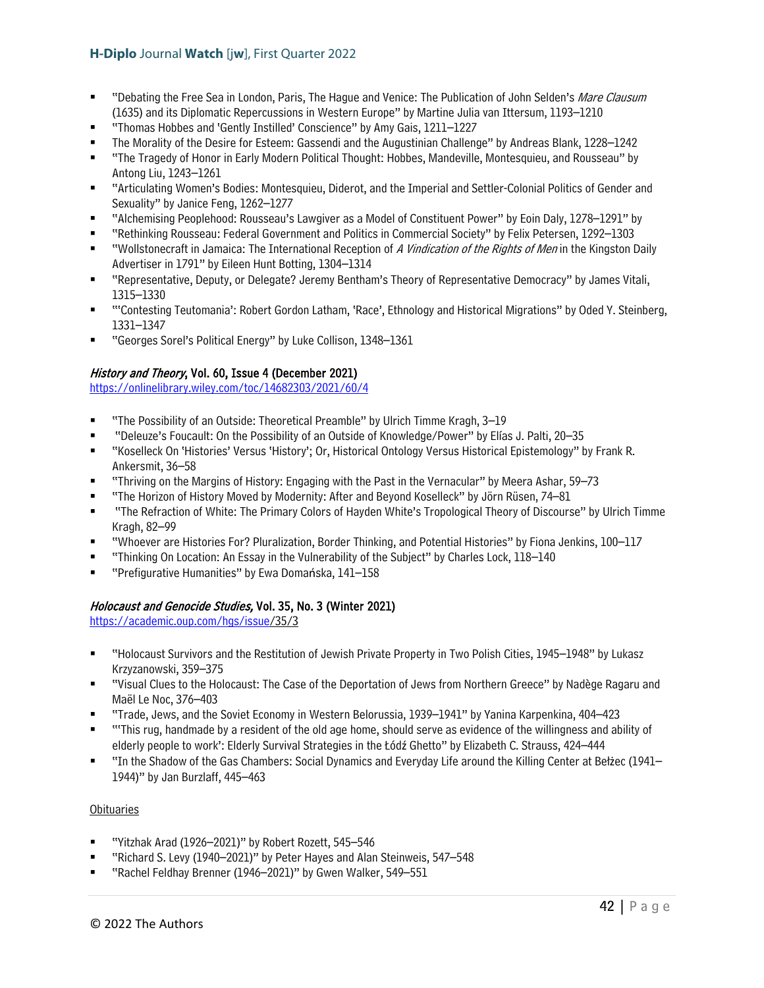- "Debating the Free Sea in London, Paris, The Hague and Venice: The Publication of John Selden's Mare Clausum (1635) and its Diplomatic Repercussions in Western Europe" by Martine Julia van Ittersum, 1193–1210
- "Thomas Hobbes and 'Gently Instilled' Conscience" by Amy Gais, 1211–1227
- The Morality of the Desire for Esteem: Gassendi and the Augustinian Challenge" by Andreas Blank, 1228–1242
- "The Tragedy of Honor in Early Modern Political Thought: Hobbes, Mandeville, Montesquieu, and Rousseau" by Antong Liu, 1243–1261
- "Articulating Women's Bodies: Montesquieu, Diderot, and the Imperial and Settler-Colonial Politics of Gender and Sexuality" by Janice Feng, 1262–1277
- "Alchemising Peoplehood: Rousseau's Lawgiver as a Model of Constituent Power" by Eoin Daly, 1278–1291" by
- "Rethinking Rousseau: Federal Government and Politics in Commercial Society" by Felix Petersen, 1292–1303
- "Wollstonecraft in Jamaica: The International Reception of A Vindication of the Rights of Men in the Kingston Daily Advertiser in 1791" by Eileen Hunt Botting, 1304–1314
- "Representative, Deputy, or Delegate? Jeremy Bentham's Theory of Representative Democracy" by James Vitali, 1315–1330
- "'Contesting Teutomania': Robert Gordon Latham, 'Race', Ethnology and Historical Migrations" by Oded Y. Steinberg, 1331–1347
- "Georges Sorel's Political Energy" by Luke Collison, 1348–1361

### History and Theory, Vol. 60, Issue 4 (December 2021)

<https://onlinelibrary.wiley.com/toc/14682303/2021/60/4>

- "The Possibility of an Outside: Theoretical Preamble" by Ulrich Timme Kragh, 3–19
- "Deleuze's Foucault: On the Possibility of an Outside of Knowledge/Power" by Elías J. Palti, 20–35
- "Koselleck On 'Histories' Versus 'History'; Or, Historical Ontology Versus Historical Epistemology" by Frank R. Ankersmit, 36–58
- "Thriving on the Margins of History: Engaging with the Past in the Vernacular" by Meera Ashar, 59–73
- "The Horizon of History Moved by Modernity: After and Beyond Koselleck" by Jörn Rüsen, 74–81
- "The Refraction of White: The Primary Colors of Hayden White's Tropological Theory of Discourse" by Ulrich Timme Kragh, 82–99
- "Whoever are Histories For? Pluralization, Border Thinking, and Potential Histories" by Fiona Jenkins, 100–117
- "Thinking On Location: An Essay in the Vulnerability of the Subject" by Charles Lock, 118–140
- "Prefigurative Humanities" by Ewa Domańska, 141–158

## Holocaust and Genocide Studies, Vol. 35, No. 3 (Winter 2021)

[https://academic.oup.com/hgs/issue/](https://academic.oup.com/hgs/issue)35/3

- "Holocaust Survivors and the Restitution of Jewish Private Property in Two Polish Cities, 1945–1948" by Lukasz Krzyzanowski, 359–375
- "Visual Clues to the Holocaust: The Case of the Deportation of Jews from Northern Greece" by Nadège Ragaru and Maël Le Noc, 376–403
- "Trade, Jews, and the Soviet Economy in Western Belorussia, 1939–1941" by Yanina Karpenkina, 404–423
- "'This rug, handmade by a resident of the old age home, should serve as evidence of the willingness and ability of elderly people to work': Elderly Survival Strategies in the Łódź Ghetto" by Elizabeth C. Strauss, 424–444
- "In the Shadow of the Gas Chambers: Social Dynamics and Everyday Life around the Killing Center at Bełżec (1941– 1944)" by Jan Burzlaff, 445–463

### **Obituaries**

- "Yitzhak Arad (1926–2021)" by Robert Rozett, 545–546
- "Richard S. Levy (1940–2021)" by Peter Hayes and Alan Steinweis, 547–548
- "Rachel Feldhay Brenner (1946–2021)" by Gwen Walker, 549–551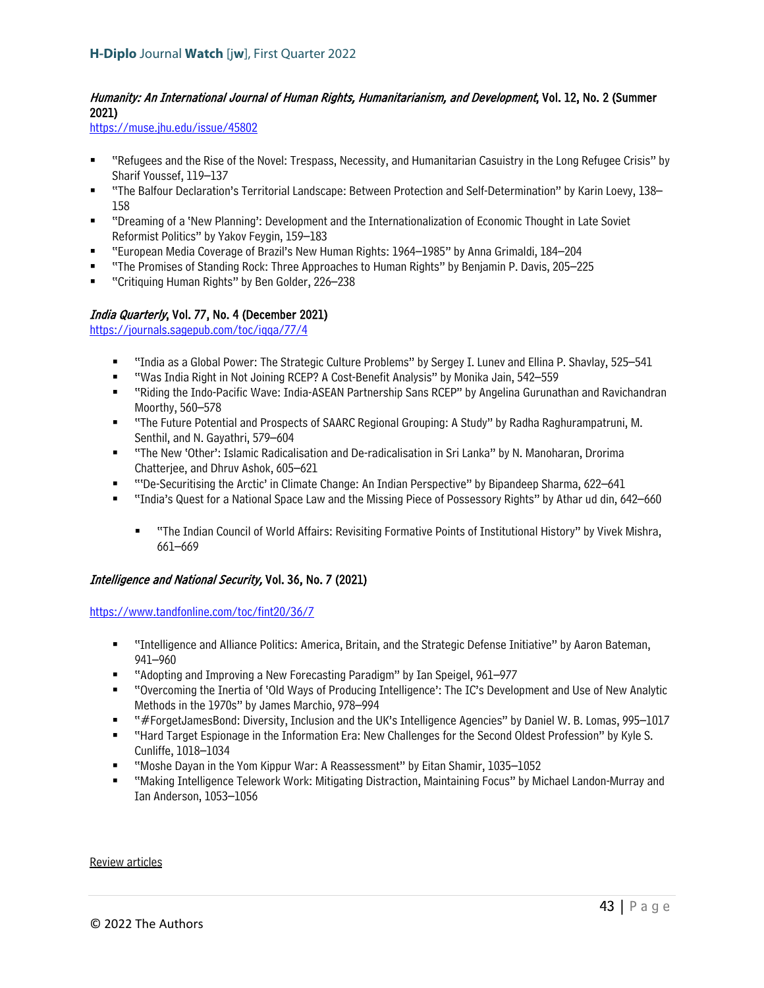# Humanity: An International Journal of Human Rights, Humanitarianism, and Development, Vol. 12, No. 2 (Summer 2021)

<https://muse.jhu.edu/issue/45802>

- "Refugees and the Rise of the Novel: Trespass, Necessity, and Humanitarian Casuistry in the Long Refugee Crisis" by Sharif Youssef, 119–137
- "The Balfour Declaration's Territorial Landscape: Between Protection and Self-Determination" by Karin Loevy, 138– 158
- "Dreaming of a 'New Planning': Development and the Internationalization of Economic Thought in Late Soviet Reformist Politics" by Yakov Feygin, 159–183
- "European Media Coverage of Brazil's New Human Rights: 1964–1985" by Anna Grimaldi, 184–204
- "The Promises of Standing Rock: Three Approaches to Human Rights" by Benjamin P. Davis, 205–225
- "Critiquing Human Rights" by Ben Golder, 226–238

## India Quarterly, Vol. 77, No. 4 (December 2021)

<https://journals.sagepub.com/toc/iqqa/77/4>

- "India as a Global Power: The Strategic Culture Problems" by Sergey I. Lunev and Ellina P. Shavlay, 525–541
- "Was India Right in Not Joining RCEP? A Cost-Benefit Analysis" by Monika Jain, 542–559
- "Riding the Indo-Pacific Wave: India-ASEAN Partnership Sans RCEP" by Angelina Gurunathan and Ravichandran Moorthy, 560–578
- "The Future Potential and Prospects of SAARC Regional Grouping: A Study" by Radha Raghurampatruni, M. Senthil, and N. Gayathri, 579–604
- "The New 'Other': Islamic Radicalisation and De-radicalisation in Sri Lanka" by N. Manoharan, Drorima Chatterjee, and Dhruv Ashok, 605–621
- "'De-Securitising the Arctic' in Climate Change: An Indian Perspective" by Bipandeep Sharma, 622–641
- "India's Quest for a National Space Law and the Missing Piece of Possessory Rights" by Athar ud din, 642–660
	- "The Indian Council of World Affairs: Revisiting Formative Points of Institutional History" by Vivek Mishra, 661–669

### Intelligence and National Security, Vol. 36, No. 7 (2021)

<https://www.tandfonline.com/toc/fint20/36/7>

- "Intelligence and Alliance Politics: America, Britain, and the Strategic Defense Initiative" by Aaron Bateman, 941–960
- "Adopting and Improving a New Forecasting Paradigm" by Ian Speigel, 961–977
- "Overcoming the Inertia of 'Old Ways of Producing Intelligence': The IC's Development and Use of New Analytic Methods in the 1970s" by James Marchio, 978–994
- "#ForgetJamesBond: Diversity, Inclusion and the UK's Intelligence Agencies" by Daniel W. B. Lomas, 995–1017
- "Hard Target Espionage in the Information Era: New Challenges for the Second Oldest Profession" by Kyle S. Cunliffe, 1018–1034
- "Moshe Dayan in the Yom Kippur War: A Reassessment" by Eitan Shamir, 1035–1052
- "Making Intelligence Telework Work: Mitigating Distraction, Maintaining Focus" by Michael Landon-Murray and Ian Anderson, 1053–1056

#### Review articles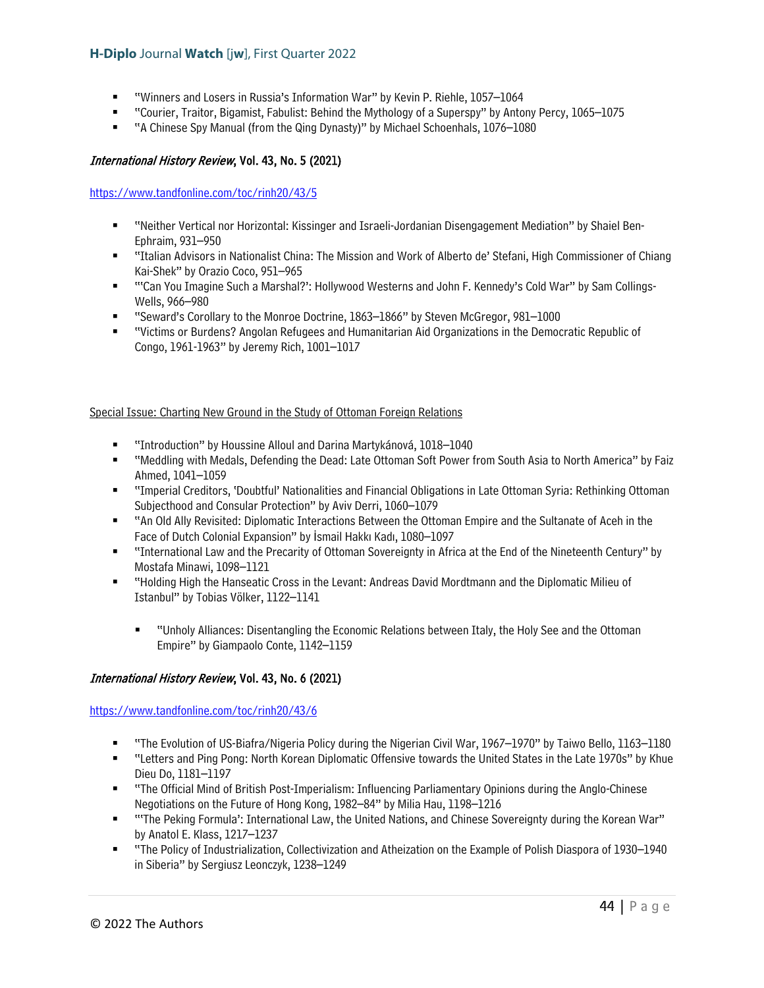- "Winners and Losers in Russia's Information War" by Kevin P. Riehle, 1057–1064
- "Courier, Traitor, Bigamist, Fabulist: Behind the Mythology of a Superspy" by Antony Percy, 1065–1075
- "A Chinese Spy Manual (from the Qing Dynasty)" by Michael Schoenhals, 1076–1080

### International History Review, Vol. 43, No. 5 (2021)

<https://www.tandfonline.com/toc/rinh20/43/5>

- "Neither Vertical nor Horizontal: Kissinger and Israeli-Jordanian Disengagement Mediation" by Shaiel Ben-Ephraim, 931–950
- "Italian Advisors in Nationalist China: The Mission and Work of Alberto de' Stefani, High Commissioner of Chiang Kai-Shek" by Orazio Coco, 951–965
- ""Can You Imagine Such a Marshal?': Hollywood Westerns and John F. Kennedy's Cold War" by Sam Collings-Wells, 966–980
- "Seward's Corollary to the Monroe Doctrine, 1863–1866" by Steven McGregor, 981–1000
- "Victims or Burdens? Angolan Refugees and Humanitarian Aid Organizations in the Democratic Republic of Congo, 1961-1963" by Jeremy Rich, 1001–1017

#### Special Issue: Charting New Ground in the Study of Ottoman Foreign Relations

- "Introduction" by Houssine Alloul and Darina Martykánová, 1018–1040
- "Meddling with Medals, Defending the Dead: Late Ottoman Soft Power from South Asia to North America" by Faiz Ahmed, 1041–1059
- "Imperial Creditors, 'Doubtful' Nationalities and Financial Obligations in Late Ottoman Syria: Rethinking Ottoman Subjecthood and Consular Protection" by Aviv Derri, 1060–1079
- "An Old Ally Revisited: Diplomatic Interactions Between the Ottoman Empire and the Sultanate of Aceh in the Face of Dutch Colonial Expansion" by İsmail Hakkı Kadı, 1080–1097
- "International Law and the Precarity of Ottoman Sovereignty in Africa at the End of the Nineteenth Century" by Mostafa Minawi, 1098–1121
- "Holding High the Hanseatic Cross in the Levant: Andreas David Mordtmann and the Diplomatic Milieu of Istanbul" by Tobias Völker, 1122–1141
	- "Unholy Alliances: Disentangling the Economic Relations between Italy, the Holy See and the Ottoman Empire" by Giampaolo Conte, 1142–1159

### International History Review, Vol. 43, No. 6 (2021)

### <https://www.tandfonline.com/toc/rinh20/43/6>

- "The Evolution of US-Biafra/Nigeria Policy during the Nigerian Civil War, 1967–1970" by Taiwo Bello, 1163–1180
- "Letters and Ping Pong: North Korean Diplomatic Offensive towards the United States in the Late 1970s" by Khue Dieu Do, 1181–1197
- "The Official Mind of British Post-Imperialism: Influencing Parliamentary Opinions during the Anglo-Chinese Negotiations on the Future of Hong Kong, 1982–84" by Milia Hau, 1198–1216
- "'The Peking Formula': International Law, the United Nations, and Chinese Sovereignty during the Korean War" by Anatol E. Klass, 1217–1237
- "The Policy of Industrialization, Collectivization and Atheization on the Example of Polish Diaspora of 1930–1940 in Siberia" by Sergiusz Leonczyk, 1238–1249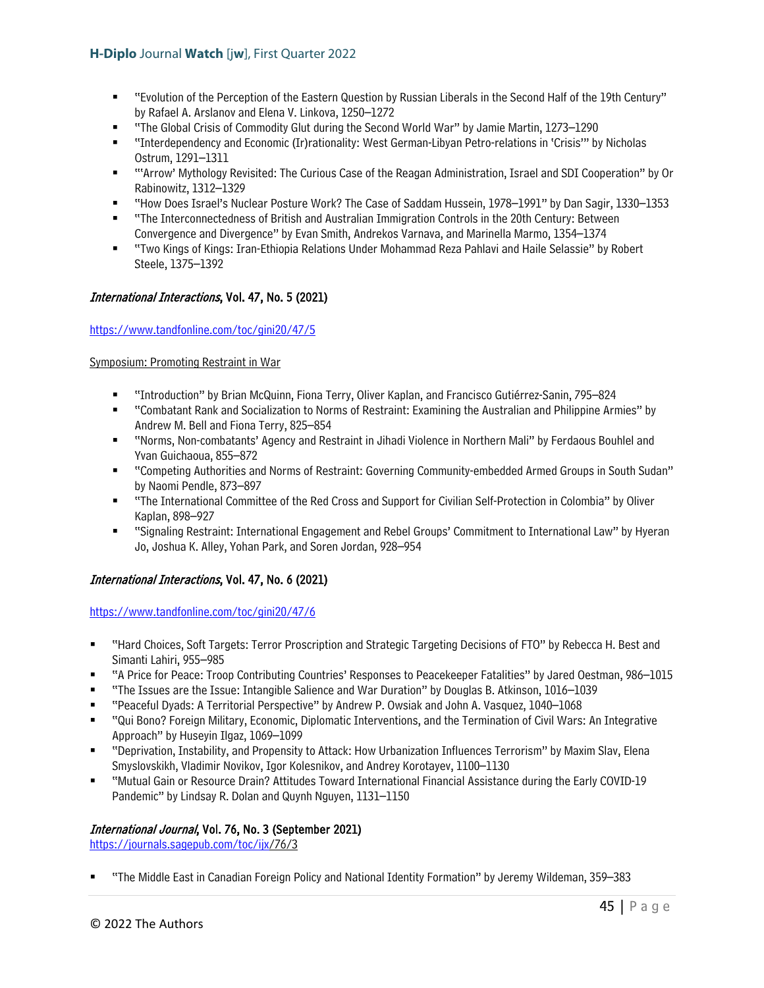- "Evolution of the Perception of the Eastern Question by Russian Liberals in the Second Half of the 19th Century" by Rafael A. Arslanov and Elena V. Linkova, 1250–1272
- "The Global Crisis of Commodity Glut during the Second World War" by Jamie Martin, 1273–1290
- "Interdependency and Economic (Ir)rationality: West German-Libyan Petro-relations in 'Crisis'" by Nicholas Ostrum, 1291–1311
- "'Arrow' Mythology Revisited: The Curious Case of the Reagan Administration, Israel and SDI Cooperation" by Or Rabinowitz, 1312–1329
- "How Does Israel's Nuclear Posture Work? The Case of Saddam Hussein, 1978–1991" by Dan Sagir, 1330–1353
- "The Interconnectedness of British and Australian Immigration Controls in the 20th Century: Between Convergence and Divergence" by Evan Smith, Andrekos Varnava, and Marinella Marmo, 1354–1374
- "Two Kings of Kings: Iran-Ethiopia Relations Under Mohammad Reza Pahlavi and Haile Selassie" by Robert Steele, 1375–1392

### International Interactions, Vol. 47, No. 5 (2021)

### <https://www.tandfonline.com/toc/gini20/47/5>

Symposium: Promoting Restraint in War

- "Introduction" by Brian McQuinn, Fiona Terry, Oliver Kaplan, and Francisco Gutiérrez-Sanin, 795–824
- "Combatant Rank and Socialization to Norms of Restraint: Examining the Australian and Philippine Armies" by Andrew M. Bell and Fiona Terry, 825–854
- "Norms, Non-combatants' Agency and Restraint in Jihadi Violence in Northern Mali" by Ferdaous Bouhlel and Yvan Guichaoua, 855–872
- "Competing Authorities and Norms of Restraint: Governing Community-embedded Armed Groups in South Sudan" by Naomi Pendle, 873–897
- "The International Committee of the Red Cross and Support for Civilian Self-Protection in Colombia" by Oliver Kaplan, 898–927
- "Signaling Restraint: International Engagement and Rebel Groups' Commitment to International Law" by Hyeran Jo, Joshua K. Alley, Yohan Park, and Soren Jordan, 928–954

## International Interactions, Vol. 47, No. 6 (2021)

<https://www.tandfonline.com/toc/gini20/47/6>

- "Hard Choices, Soft Targets: Terror Proscription and Strategic Targeting Decisions of FTO" by Rebecca H. Best and Simanti Lahiri, 955–985
- "A Price for Peace: Troop Contributing Countries' Responses to Peacekeeper Fatalities" by Jared Oestman, 986–1015
- "The Issues are the Issue: Intangible Salience and War Duration" by Douglas B. Atkinson, 1016–1039
- "Peaceful Dyads: A Territorial Perspective" by Andrew P. Owsiak and John A. Vasquez, 1040–1068
- "Qui Bono? Foreign Military, Economic, Diplomatic Interventions, and the Termination of Civil Wars: An Integrative Approach" by Huseyin Ilgaz, 1069–1099
- "Deprivation, Instability, and Propensity to Attack: How Urbanization Influences Terrorism" by Maxim Slav, Elena Smyslovskikh, Vladimir Novikov, Igor Kolesnikov, and Andrey Korotayev, 1100–1130
- "Mutual Gain or Resource Drain? Attitudes Toward International Financial Assistance during the Early COVID-19 Pandemic" by Lindsay R. Dolan and Quynh Nguyen, 1131–1150

### International Journal, Vol. 76, No. 3 (September 2021)

[https://journals.sagepub.com/toc/ijx/](https://journals.sagepub.com/toc/ijx)76/3

"The Middle East in Canadian Foreign Policy and National Identity Formation" by Jeremy Wildeman, 359–383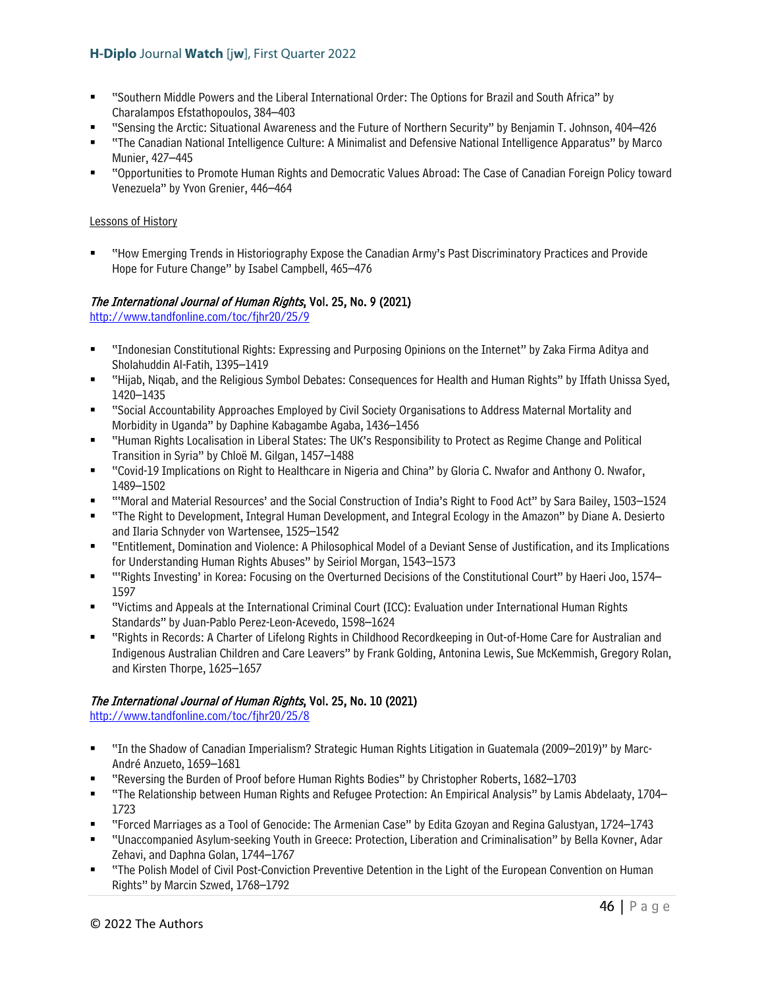- "Southern Middle Powers and the Liberal International Order: The Options for Brazil and South Africa" by Charalampos Efstathopoulos, 384–403
- "Sensing the Arctic: Situational Awareness and the Future of Northern Security" by Benjamin T. Johnson, 404–426
- "The Canadian National Intelligence Culture: A Minimalist and Defensive National Intelligence Apparatus" by Marco Munier, 427–445
- "Opportunities to Promote Human Rights and Democratic Values Abroad: The Case of Canadian Foreign Policy toward Venezuela" by Yvon Grenier, 446–464

### Lessons of History

 "How Emerging Trends in Historiography Expose the Canadian Army's Past Discriminatory Practices and Provide Hope for Future Change" by Isabel Campbell, 465–476

## The International Journal of Human Rights, Vol. 25, No. 9 (2021)

<http://www.tandfonline.com/toc/fjhr20/25/9>

- "Indonesian Constitutional Rights: Expressing and Purposing Opinions on the Internet" by Zaka Firma Aditya and Sholahuddin Al-Fatih, 1395–1419
- "Hijab, Niqab, and the Religious Symbol Debates: Consequences for Health and Human Rights" by Iffath Unissa Syed, 1420–1435
- "Social Accountability Approaches Employed by Civil Society Organisations to Address Maternal Mortality and Morbidity in Uganda" by Daphine Kabagambe Agaba, 1436–1456
- "Human Rights Localisation in Liberal States: The UK's Responsibility to Protect as Regime Change and Political Transition in Syria" by Chloë M. Gilgan, 1457–1488
- "Covid-19 Implications on Right to Healthcare in Nigeria and China" by Gloria C. Nwafor and Anthony O. Nwafor, 1489–1502
- "'Moral and Material Resources' and the Social Construction of India's Right to Food Act" by Sara Bailey, 1503–1524
- "The Right to Development, Integral Human Development, and Integral Ecology in the Amazon" by Diane A. Desierto and Ilaria Schnyder von Wartensee, 1525–1542
- "Entitlement, Domination and Violence: A Philosophical Model of a Deviant Sense of Justification, and its Implications for Understanding Human Rights Abuses" by Seiriol Morgan, 1543–1573
- "'Rights Investing' in Korea: Focusing on the Overturned Decisions of the Constitutional Court" by Haeri Joo, 1574– 1597
- "Victims and Appeals at the International Criminal Court (ICC): Evaluation under International Human Rights Standards" by Juan-Pablo Perez-Leon-Acevedo, 1598–1624
- "Rights in Records: A Charter of Lifelong Rights in Childhood Recordkeeping in Out-of-Home Care for Australian and Indigenous Australian Children and Care Leavers" by Frank Golding, Antonina Lewis, Sue McKemmish, Gregory Rolan, and Kirsten Thorpe, 1625–1657

# The International Journal of Human Rights, Vol. 25, No. 10 (2021)

<http://www.tandfonline.com/toc/fjhr20/25/8>

- "In the Shadow of Canadian Imperialism? Strategic Human Rights Litigation in Guatemala (2009–2019)" by Marc-André Anzueto, 1659–1681
- "Reversing the Burden of Proof before Human Rights Bodies" by Christopher Roberts, 1682–1703
- "The Relationship between Human Rights and Refugee Protection: An Empirical Analysis" by Lamis Abdelaaty, 1704– 1723
- "Forced Marriages as a Tool of Genocide: The Armenian Case" by Edita Gzoyan and Regina Galustyan, 1724–1743
- "Unaccompanied Asylum-seeking Youth in Greece: Protection, Liberation and Criminalisation" by Bella Kovner, Adar Zehavi, and Daphna Golan, 1744–1767
- "The Polish Model of Civil Post-Conviction Preventive Detention in the Light of the European Convention on Human Rights" by Marcin Szwed, 1768–1792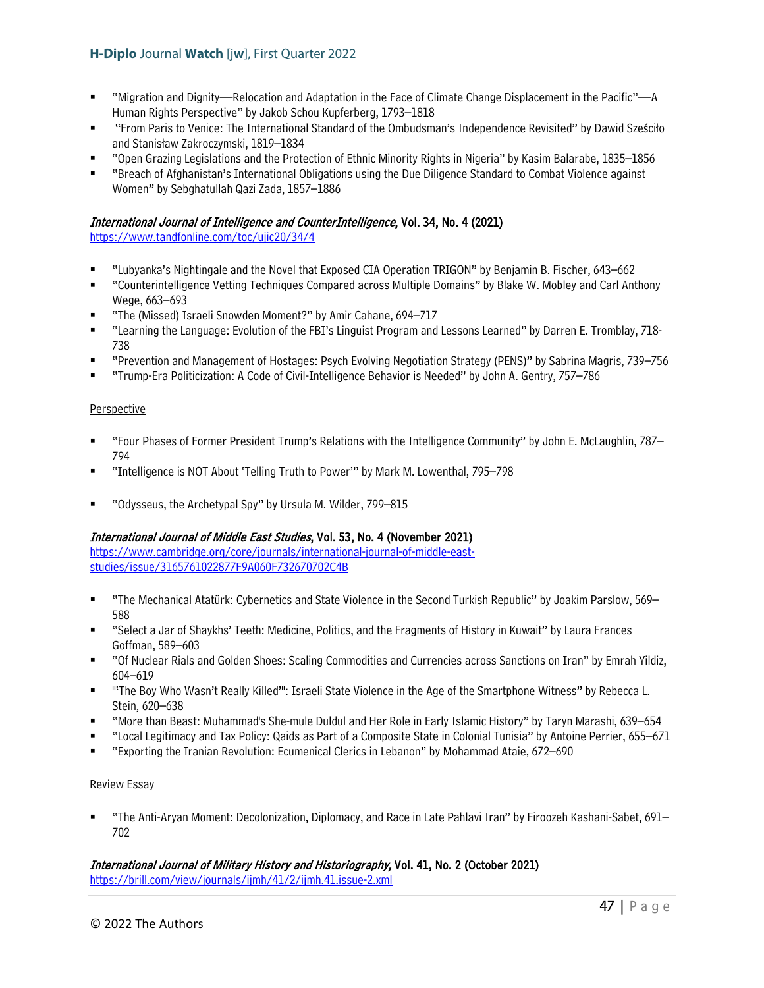- "Migration and Dignity—Relocation and Adaptation in the Face of Climate Change Displacement in the Pacific"—A Human Rights Perspective" by Jakob Schou Kupferberg, 1793–1818
- "From Paris to Venice: The International Standard of the Ombudsman's Independence Revisited" by Dawid Sześciło and Stanisław Zakroczymski, 1819–1834
- "Open Grazing Legislations and the Protection of Ethnic Minority Rights in Nigeria" by Kasim Balarabe, 1835–1856
- "Breach of Afghanistan's International Obligations using the Due Diligence Standard to Combat Violence against Women" by Sebghatullah Qazi Zada, 1857–1886

### International Journal of Intelligence and CounterIntelligence, Vol. 34, No. 4 (2021)

<https://www.tandfonline.com/toc/ujic20/34/4>

- "Lubyanka's Nightingale and the Novel that Exposed CIA Operation TRIGON" by Benjamin B. Fischer, 643–662
- "Counterintelligence Vetting Techniques Compared across Multiple Domains" by Blake W. Mobley and Carl Anthony Wege, 663–693
- "The (Missed) Israeli Snowden Moment?" by Amir Cahane, 694–717
- "Learning the Language: Evolution of the FBI's Linguist Program and Lessons Learned" by Darren E. Tromblay, 718- 738
- "Prevention and Management of Hostages: Psych Evolving Negotiation Strategy (PENS)" by Sabrina Magris, 739–756
- "Trump-Era Politicization: A Code of Civil-Intelligence Behavior is Needed" by John A. Gentry, 757–786

### Perspective

- "Four Phases of Former President Trump's Relations with the Intelligence Community" by John E. McLaughlin, 787– 794
- "Intelligence is NOT About 'Telling Truth to Power'" by Mark M. Lowenthal, 795–798
- "Odysseus, the Archetypal Spy" by Ursula M. Wilder, 799–815

## International Journal of Middle East Studies, Vol. 53, No. 4 (November 2021)

[https://www.cambridge.org/core/journals/international-journal-of-middle-east](https://www.cambridge.org/core/journals/international-journal-of-middle-east-studies/issue/3165761022877F9A060F732670702C4B)[studies/issue/3165761022877F9A060F732670702C4B](https://www.cambridge.org/core/journals/international-journal-of-middle-east-studies/issue/3165761022877F9A060F732670702C4B) 

- "The Mechanical Atatürk: Cybernetics and State Violence in the Second Turkish Republic" by Joakim Parslow, 569– 588
- "Select a Jar of Shaykhs' Teeth: Medicine, Politics, and the Fragments of History in Kuwait" by Laura Frances Goffman, 589–603
- "Of Nuclear Rials and Golden Shoes: Scaling Commodities and Currencies across Sanctions on Iran" by Emrah Yildiz, 604–619
- "'The Boy Who Wasn't Really Killed'": Israeli State Violence in the Age of the Smartphone Witness" by Rebecca L. Stein, 620–638
- "More than Beast: Muhammad's She-mule Duldul and Her Role in Early Islamic History" by Taryn Marashi, 639–654
- "Local Legitimacy and Tax Policy: Qaids as Part of a Composite State in Colonial Tunisia" by Antoine Perrier, 655–671
- "Exporting the Iranian Revolution: Ecumenical Clerics in Lebanon" by Mohammad Ataie, 672–690

### Review Essay

 "The Anti-Aryan Moment: Decolonization, Diplomacy, and Race in Late Pahlavi Iran" by Firoozeh Kashani-Sabet, 691– 702

International Journal of Military History and Historiography, Vol. 41, No. 2 (October 2021) <https://brill.com/view/journals/ijmh/41/2/ijmh.41.issue-2.xml>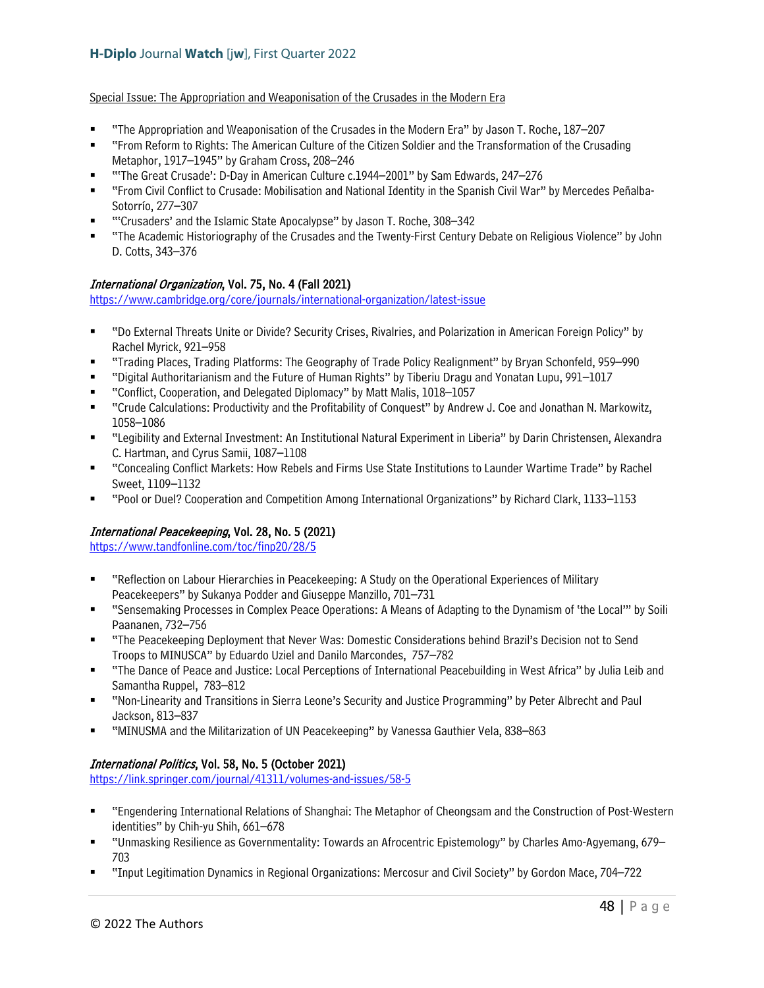Special Issue: The Appropriation and Weaponisation of the Crusades in the Modern Era

- "The Appropriation and Weaponisation of the Crusades in the Modern Era" by Jason T. Roche, 187–207
- "From Reform to Rights: The American Culture of the Citizen Soldier and the Transformation of the Crusading Metaphor, 1917–1945" by Graham Cross, 208–246
- "'The Great Crusade': D-Day in American Culture c.1944–2001" by Sam Edwards, 247–276
- "From Civil Conflict to Crusade: Mobilisation and National Identity in the Spanish Civil War" by Mercedes Peñalba-Sotorrío, 277–307
- "'Crusaders' and the Islamic State Apocalypse" by Jason T. Roche, 308–342
- "The Academic Historiography of the Crusades and the Twenty-First Century Debate on Religious Violence" by John D. Cotts, 343–376

### International Organization, Vol. 75, No. 4 (Fall 2021)

<https://www.cambridge.org/core/journals/international-organization/latest-issue>

- "Do External Threats Unite or Divide? Security Crises, Rivalries, and Polarization in American Foreign Policy" by Rachel Myrick, 921–958
- "Trading Places, Trading Platforms: The Geography of Trade Policy Realignment" by Bryan Schonfeld, 959–990
- "Digital Authoritarianism and the Future of Human Rights" by Tiberiu Dragu and Yonatan Lupu, 991–1017
- "Conflict, Cooperation, and Delegated Diplomacy" by Matt Malis, 1018–1057
- "Crude Calculations: Productivity and the Profitability of Conquest" by Andrew J. Coe and Jonathan N. Markowitz, 1058–1086
- "Legibility and External Investment: An Institutional Natural Experiment in Liberia" by Darin Christensen, Alexandra C. Hartman, and Cyrus Samii, 1087–1108
- "Concealing Conflict Markets: How Rebels and Firms Use State Institutions to Launder Wartime Trade" by Rachel Sweet, 1109–1132
- "Pool or Duel? Cooperation and Competition Among International Organizations" by Richard Clark, 1133–1153

## International Peacekeeping, Vol. 28, No. 5 (2021)

<https://www.tandfonline.com/toc/finp20/28/5>

- "Reflection on Labour Hierarchies in Peacekeeping: A Study on the Operational Experiences of Military Peacekeepers" by Sukanya Podder and Giuseppe Manzillo, 701–731
- "Sensemaking Processes in Complex Peace Operations: A Means of Adapting to the Dynamism of 'the Local'" by Soili Paananen, 732–756
- "The Peacekeeping Deployment that Never Was: Domestic Considerations behind Brazil's Decision not to Send Troops to MINUSCA" by Eduardo Uziel and Danilo Marcondes, 757–782
- "The Dance of Peace and Justice: Local Perceptions of International Peacebuilding in West Africa" by Julia Leib and Samantha Ruppel, 783–812
- "Non-Linearity and Transitions in Sierra Leone's Security and Justice Programming" by Peter Albrecht and Paul Jackson, 813–837
- "MINUSMA and the Militarization of UN Peacekeeping" by Vanessa Gauthier Vela, 838–863

## International Politics, Vol. 58, No. 5 (October 2021)

<https://link.springer.com/journal/41311/volumes-and-issues/58-5>

- "Engendering International Relations of Shanghai: The Metaphor of Cheongsam and the Construction of Post-Western identities" by Chih-yu Shih, 661–678
- "Unmasking Resilience as Governmentality: Towards an Afrocentric Epistemology" by Charles Amo-Agyemang, 679– 703
- "Input Legitimation Dynamics in Regional Organizations: Mercosur and Civil Society" by Gordon Mace, 704–722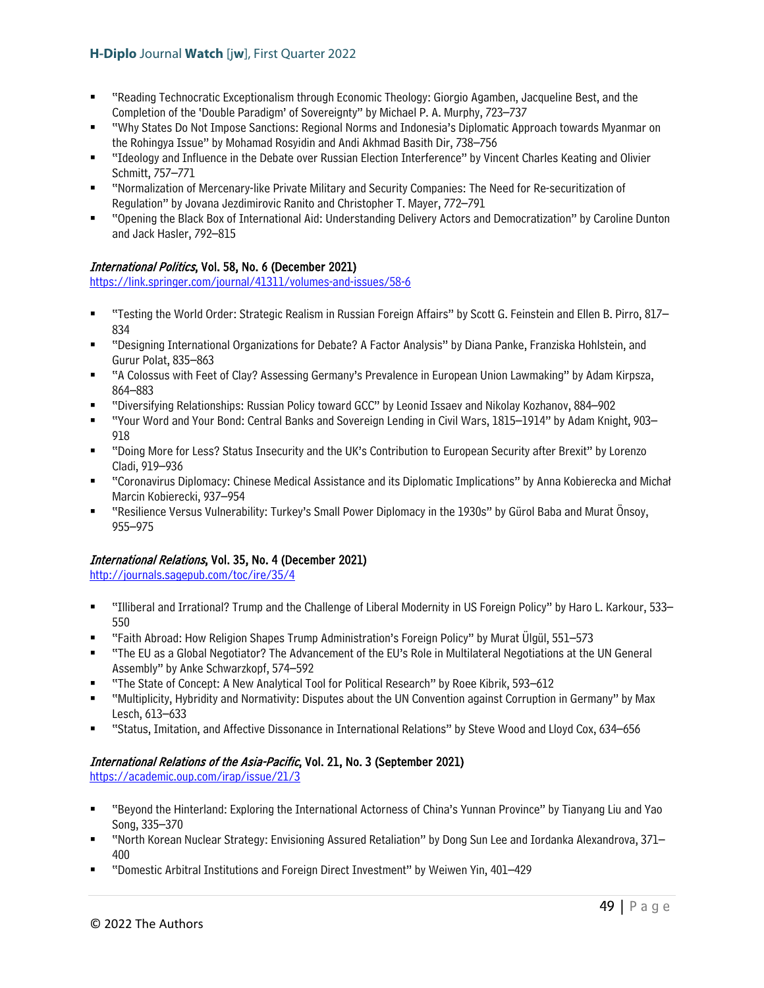- "Reading Technocratic Exceptionalism through Economic Theology: Giorgio Agamben, Jacqueline Best, and the Completion of the 'Double Paradigm' of Sovereignty" by Michael P. A. Murphy, 723–737
- "Why States Do Not Impose Sanctions: Regional Norms and Indonesia's Diplomatic Approach towards Myanmar on the Rohingya Issue" by Mohamad Rosyidin and Andi Akhmad Basith Dir, 738–756
- "Ideology and Influence in the Debate over Russian Election Interference" by Vincent Charles Keating and Olivier Schmitt, 757–771
- "Normalization of Mercenary-like Private Military and Security Companies: The Need for Re-securitization of Regulation" by Jovana Jezdimirovic Ranito and Christopher T. Mayer, 772–791
- "Opening the Black Box of International Aid: Understanding Delivery Actors and Democratization" by Caroline Dunton and Jack Hasler, 792–815

## International Politics, Vol. 58, No. 6 (December 2021)

<https://link.springer.com/journal/41311/volumes-and-issues/58-6>

- "Testing the World Order: Strategic Realism in Russian Foreign Affairs" by Scott G. Feinstein and Ellen B. Pirro, 817– 834
- "Designing International Organizations for Debate? A Factor Analysis" by Diana Panke, Franziska Hohlstein, and Gurur Polat, 835–863
- "A Colossus with Feet of Clay? Assessing Germany's Prevalence in European Union Lawmaking" by Adam Kirpsza, 864–883
- "Diversifying Relationships: Russian Policy toward GCC" by Leonid Issaev and Nikolay Kozhanov, 884–902
- "Your Word and Your Bond: Central Banks and Sovereign Lending in Civil Wars, 1815–1914" by Adam Knight, 903– 918
- "Doing More for Less? Status Insecurity and the UK's Contribution to European Security after Brexit" by Lorenzo Cladi, 919–936
- "Coronavirus Diplomacy: Chinese Medical Assistance and its Diplomatic Implications" by Anna Kobierecka and Michał Marcin Kobierecki, 937–954
- "Resilience Versus Vulnerability: Turkey's Small Power Diplomacy in the 1930s" by Gürol Baba and Murat Önsoy, 955–975

## International Relations, Vol. 35, No. 4 (December 2021)

<http://journals.sagepub.com/toc/ire/35/4>

- "Illiberal and Irrational? Trump and the Challenge of Liberal Modernity in US Foreign Policy" by Haro L. Karkour, 533– 550
- "Faith Abroad: How Religion Shapes Trump Administration's Foreign Policy" by Murat Ülgül, 551–573
- "The EU as a Global Negotiator? The Advancement of the EU's Role in Multilateral Negotiations at the UN General Assembly" by Anke Schwarzkopf, 574–592
- "The State of Concept: A New Analytical Tool for Political Research" by Roee Kibrik, 593–612
- "Multiplicity, Hybridity and Normativity: Disputes about the UN Convention against Corruption in Germany" by Max Lesch, 613–633
- "Status, Imitation, and Affective Dissonance in International Relations" by Steve Wood and Lloyd Cox, 634–656

# International Relations of the Asia-Pacific, Vol. 21, No. 3 (September 2021)

<https://academic.oup.com/irap/issue/21/3>

- "Beyond the Hinterland: Exploring the International Actorness of China's Yunnan Province" by Tianyang Liu and Yao Song, 335–370
- "North Korean Nuclear Strategy: Envisioning Assured Retaliation" by Dong Sun Lee and Iordanka Alexandrova, 371– 400
- "Domestic Arbitral Institutions and Foreign Direct Investment" by Weiwen Yin, 401–429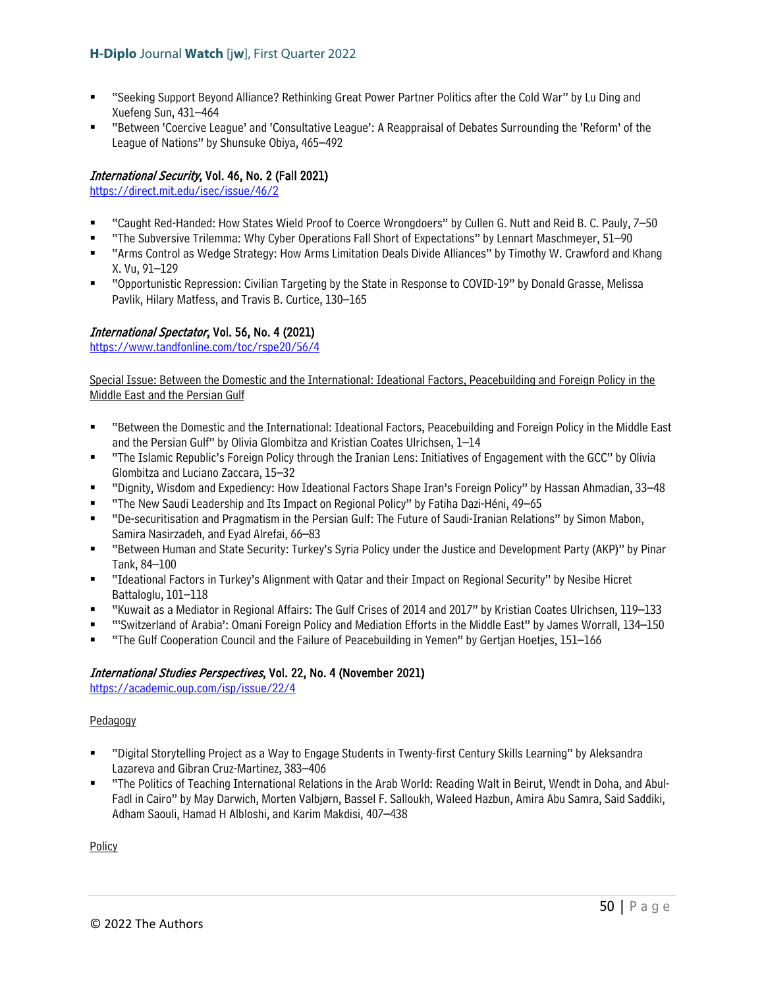- "Seeking Support Beyond Alliance? Rethinking Great Power Partner Politics after the Cold War" by Lu Ding and Xuefeng Sun, 431–464
- "Between 'Coercive League' and 'Consultative League': A Reappraisal of Debates Surrounding the 'Reform' of the League of Nations" by Shunsuke Obiya, 465–492

# International Security, Vol. 46, No. 2 (Fall 2021)

<https://direct.mit.edu/isec/issue/46/2>

- "Caught Red-Handed: How States Wield Proof to Coerce Wrongdoers" by Cullen G. Nutt and Reid B. C. Pauly, 7–50
- "The Subversive Trilemma: Why Cyber Operations Fall Short of Expectations" by Lennart Maschmeyer, 51–90
- "Arms Control as Wedge Strategy: How Arms Limitation Deals Divide Alliances" by Timothy W. Crawford and Khang X. Vu, 91–129
- "Opportunistic Repression: Civilian Targeting by the State in Response to COVID-19" by Donald Grasse, Melissa Pavlik, Hilary Matfess, and Travis B. Curtice, 130–165

### International Spectator, Vol. 56, No. 4 (2021)

<https://www.tandfonline.com/toc/rspe20/56/4>

Special Issue: Between the Domestic and the International: Ideational Factors, Peacebuilding and Foreign Policy in the Middle East and the Persian Gulf

- "Between the Domestic and the International: Ideational Factors, Peacebuilding and Foreign Policy in the Middle East and the Persian Gulf" by Olivia Glombitza and Kristian Coates Ulrichsen, 1–14
- "The Islamic Republic's Foreign Policy through the Iranian Lens: Initiatives of Engagement with the GCC" by Olivia Glombitza and Luciano Zaccara, 15–32
- "Dignity, Wisdom and Expediency: How Ideational Factors Shape Iran's Foreign Policy" by Hassan Ahmadian, 33–48
- "The New Saudi Leadership and Its Impact on Regional Policy" by Fatiha Dazi-Héni, 49–65
- "De-securitisation and Pragmatism in the Persian Gulf: The Future of Saudi-Iranian Relations" by Simon Mabon, Samira Nasirzadeh, and Eyad Alrefai, 66–83
- "Between Human and State Security: Turkey's Syria Policy under the Justice and Development Party (AKP)" by Pinar Tank, 84–100
- "Ideational Factors in Turkey's Alignment with Qatar and their Impact on Regional Security" by Nesibe Hicret Battaloglu, 101–118
- "Kuwait as a Mediator in Regional Affairs: The Gulf Crises of 2014 and 2017" by Kristian Coates Ulrichsen, 119–133
- "'Switzerland of Arabia': Omani Foreign Policy and Mediation Efforts in the Middle East" by James Worrall, 134–150
- "The Gulf Cooperation Council and the Failure of Peacebuilding in Yemen" by Gertjan Hoetjes, 151–166

## International Studies Perspectives, Vol. 22, No. 4 (November 2021)

<https://academic.oup.com/isp/issue/22/4>

### Pedagogy

- "Digital Storytelling Project as a Way to Engage Students in Twenty-first Century Skills Learning" by Aleksandra Lazareva and Gibran Cruz-Martinez, 383–406
- "The Politics of Teaching International Relations in the Arab World: Reading Walt in Beirut, Wendt in Doha, and Abul-Fadl in Cairo" by May Darwich, Morten Valbjørn, Bassel F. Salloukh, Waleed Hazbun, Amira Abu Samra, Said Saddiki, Adham Saouli, Hamad H Albloshi, and Karim Makdisi, 407–438

**Policy**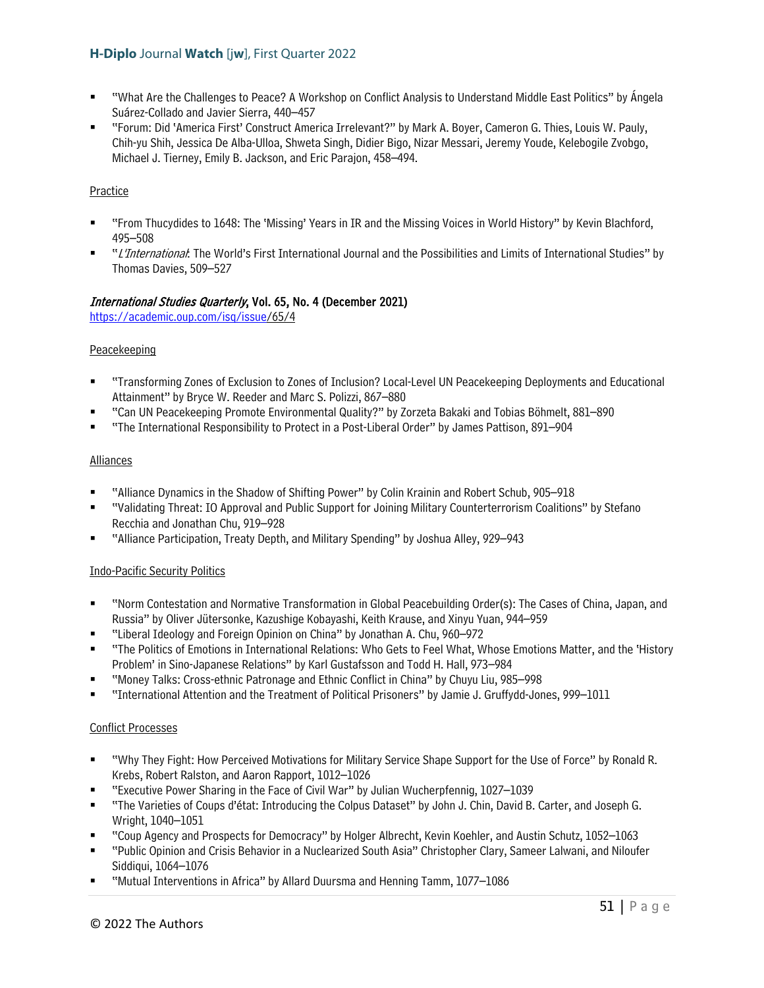- "What Are the Challenges to Peace? A Workshop on Conflict Analysis to Understand Middle East Politics" by Ángela Suárez-Collado and Javier Sierra, 440–457
- "Forum: Did 'America First' Construct America Irrelevant?" by Mark A. Boyer, Cameron G. Thies, Louis W. Pauly, Chih-yu Shih, Jessica De Alba-Ulloa, Shweta Singh, Didier Bigo, Nizar Messari, Jeremy Youde, Kelebogile Zvobgo, Michael J. Tierney, Emily B. Jackson, and Eric Parajon, 458–494.

### Practice

- "From Thucydides to 1648: The 'Missing' Years in IR and the Missing Voices in World History" by Kevin Blachford, 495–508
- "L'International: The World's First International Journal and the Possibilities and Limits of International Studies" by Thomas Davies, 509–527

### International Studies Quarterly, Vol. 65, No. 4 (December 2021)

[https://academic.oup.com/isq/issue/](https://academic.oup.com/isq/issue)65/4

### Peacekeeping

- "Transforming Zones of Exclusion to Zones of Inclusion? Local-Level UN Peacekeeping Deployments and Educational Attainment" by Bryce W. Reeder and Marc S. Polizzi, 867–880
- "Can UN Peacekeeping Promote Environmental Quality?" by Zorzeta Bakaki and Tobias Böhmelt, 881–890
- "The International Responsibility to Protect in a Post-Liberal Order" by James Pattison, 891–904

### **Alliances**

- "Alliance Dynamics in the Shadow of Shifting Power" by Colin Krainin and Robert Schub, 905–918
- "Validating Threat: IO Approval and Public Support for Joining Military Counterterrorism Coalitions" by Stefano Recchia and Jonathan Chu, 919–928
- "Alliance Participation, Treaty Depth, and Military Spending" by Joshua Alley, 929–943

### Indo-Pacific Security Politics

- "Norm Contestation and Normative Transformation in Global Peacebuilding Order(s): The Cases of China, Japan, and Russia" by Oliver Jütersonke, Kazushige Kobayashi, Keith Krause, and Xinyu Yuan, 944–959
- "Liberal Ideology and Foreign Opinion on China" by Jonathan A. Chu, 960–972
- "The Politics of Emotions in International Relations: Who Gets to Feel What, Whose Emotions Matter, and the 'History Problem' in Sino-Japanese Relations" by Karl Gustafsson and Todd H. Hall, 973–984
- "Money Talks: Cross-ethnic Patronage and Ethnic Conflict in China" by Chuyu Liu, 985–998
- "International Attention and the Treatment of Political Prisoners" by Jamie J. Gruffydd-Jones, 999–1011

### Conflict Processes

- "Why They Fight: How Perceived Motivations for Military Service Shape Support for the Use of Force" by Ronald R. Krebs, Robert Ralston, and Aaron Rapport, 1012–1026
- "Executive Power Sharing in the Face of Civil War" by Julian Wucherpfennig, 1027–1039
- "The Varieties of Coups d'état: Introducing the Colpus Dataset" by John J. Chin, David B. Carter, and Joseph G. Wright, 1040–1051
- "Coup Agency and Prospects for Democracy" by Holger Albrecht, Kevin Koehler, and Austin Schutz, 1052–1063
- "Public Opinion and Crisis Behavior in a Nuclearized South Asia" Christopher Clary, Sameer Lalwani, and Niloufer Siddiqui, 1064–1076
- "Mutual Interventions in Africa" by Allard Duursma and Henning Tamm, 1077–1086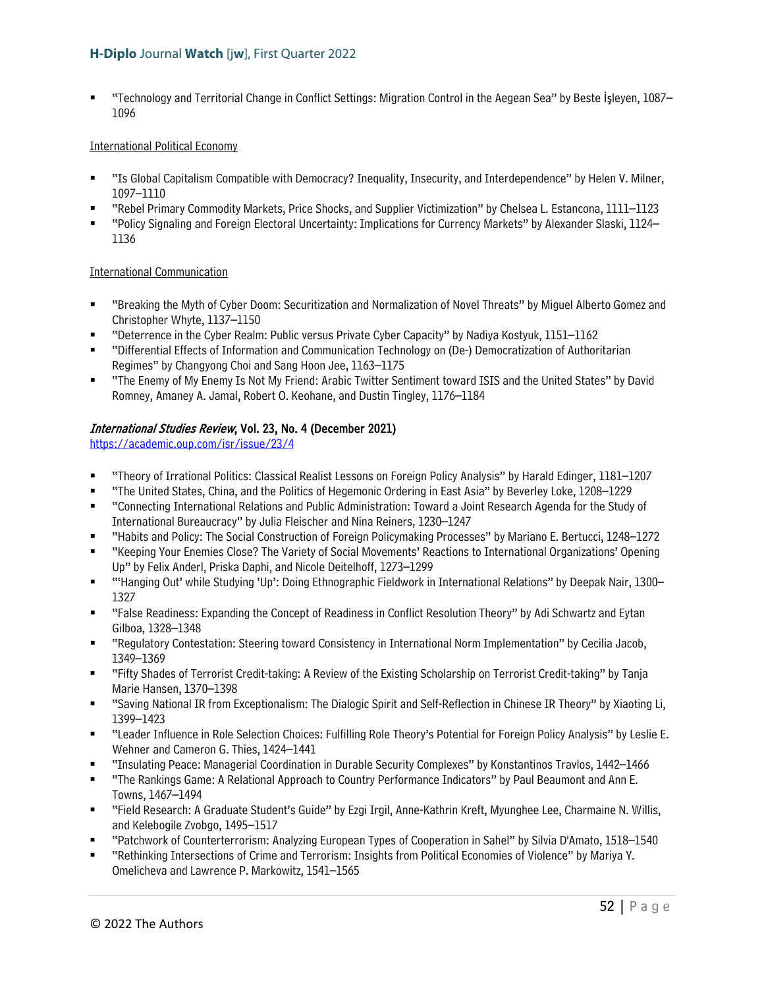"Technology and Territorial Change in Conflict Settings: Migration Control in the Aegean Sea" by Beste İşleyen, 1087– 1096

### International Political Economy

- "Is Global Capitalism Compatible with Democracy? Inequality, Insecurity, and Interdependence" by Helen V. Milner, 1097–1110
- "Rebel Primary Commodity Markets, Price Shocks, and Supplier Victimization" by Chelsea L. Estancona, 1111–1123
- "Policy Signaling and Foreign Electoral Uncertainty: Implications for Currency Markets" by Alexander Slaski, 1124– 1136

### International Communication

- "Breaking the Myth of Cyber Doom: Securitization and Normalization of Novel Threats" by Miguel Alberto Gomez and Christopher Whyte, 1137–1150
- "Deterrence in the Cyber Realm: Public versus Private Cyber Capacity" by Nadiya Kostyuk, 1151–1162
- "Differential Effects of Information and Communication Technology on (De-) Democratization of Authoritarian Regimes" by Changyong Choi and Sang Hoon Jee, 1163–1175
- "The Enemy of My Enemy Is Not My Friend: Arabic Twitter Sentiment toward ISIS and the United States" by David Romney, Amaney A. Jamal, Robert O. Keohane, and Dustin Tingley, 1176–1184

## International Studies Review, Vol. 23, No. 4 (December 2021)

<https://academic.oup.com/isr/issue/23/4>

- "Theory of Irrational Politics: Classical Realist Lessons on Foreign Policy Analysis" by Harald Edinger, 1181–1207
- "The United States, China, and the Politics of Hegemonic Ordering in East Asia" by Beverley Loke, 1208–1229
- "Connecting International Relations and Public Administration: Toward a Joint Research Agenda for the Study of International Bureaucracy" by Julia Fleischer and Nina Reiners, 1230–1247
- "Habits and Policy: The Social Construction of Foreign Policymaking Processes" by Mariano E. Bertucci, 1248–1272
- "Keeping Your Enemies Close? The Variety of Social Movements' Reactions to International Organizations' Opening Up" by Felix Anderl, Priska Daphi, and Nicole Deitelhoff, 1273–1299
- "'Hanging Out' while Studying 'Up': Doing Ethnographic Fieldwork in International Relations" by Deepak Nair, 1300– 1327
- "False Readiness: Expanding the Concept of Readiness in Conflict Resolution Theory" by Adi Schwartz and Eytan Gilboa, 1328–1348
- "Regulatory Contestation: Steering toward Consistency in International Norm Implementation" by Cecilia Jacob, 1349–1369
- "Fifty Shades of Terrorist Credit-taking: A Review of the Existing Scholarship on Terrorist Credit-taking" by Tanja Marie Hansen, 1370–1398
- "Saving National IR from Exceptionalism: The Dialogic Spirit and Self-Reflection in Chinese IR Theory" by Xiaoting Li, 1399–1423
- "Leader Influence in Role Selection Choices: Fulfilling Role Theory's Potential for Foreign Policy Analysis" by Leslie E. Wehner and Cameron G. Thies, 1424–1441
- "Insulating Peace: Managerial Coordination in Durable Security Complexes" by Konstantinos Travlos, 1442–1466
- "The Rankings Game: A Relational Approach to Country Performance Indicators" by Paul Beaumont and Ann E. Towns, 1467–1494
- "Field Research: A Graduate Student's Guide" by Ezgi Irgil, Anne-Kathrin Kreft, Myunghee Lee, Charmaine N. Willis, and Kelebogile Zvobgo, 1495–1517
- "Patchwork of Counterterrorism: Analyzing European Types of Cooperation in Sahel" by Silvia D'Amato, 1518–1540
- "Rethinking Intersections of Crime and Terrorism: Insights from Political Economies of Violence" by Mariya Y. Omelicheva and Lawrence P. Markowitz, 1541–1565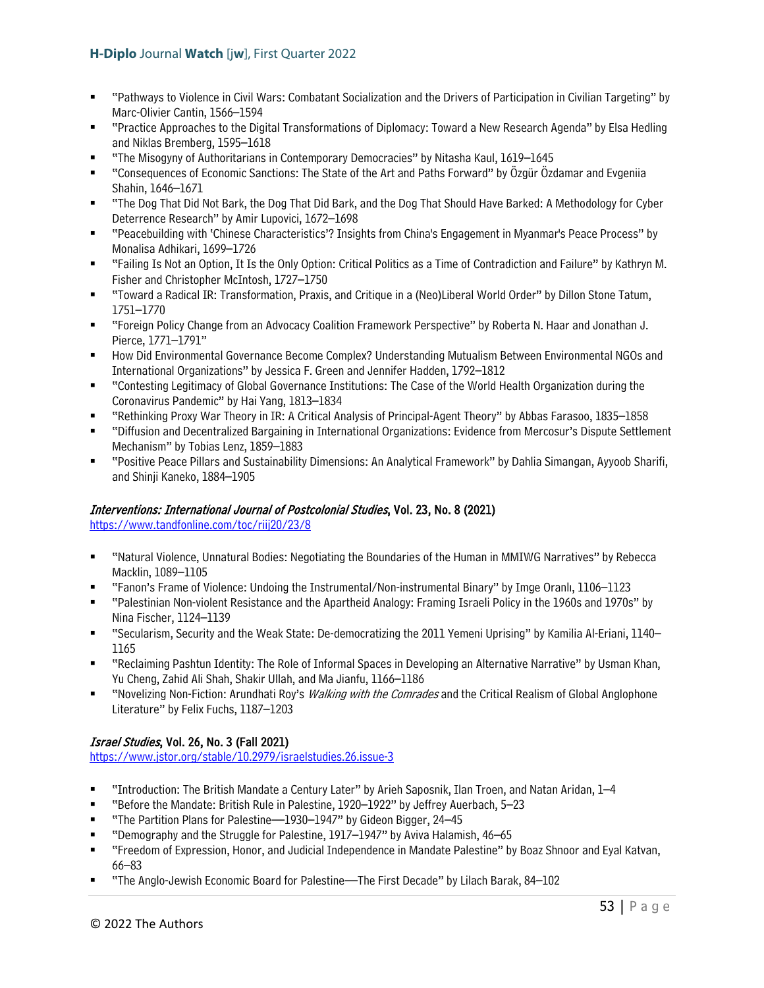- "Pathways to Violence in Civil Wars: Combatant Socialization and the Drivers of Participation in Civilian Targeting" by Marc-Olivier Cantin, 1566–1594
- "Practice Approaches to the Digital Transformations of Diplomacy: Toward a New Research Agenda" by Elsa Hedling and Niklas Bremberg, 1595–1618
- "The Misogyny of Authoritarians in Contemporary Democracies" by Nitasha Kaul, 1619–1645
- "Consequences of Economic Sanctions: The State of the Art and Paths Forward" by Özgür Özdamar and Evgeniia Shahin, 1646–1671
- "The Dog That Did Not Bark, the Dog That Did Bark, and the Dog That Should Have Barked: A Methodology for Cyber Deterrence Research" by Amir Lupovici, 1672–1698
- "Peacebuilding with 'Chinese Characteristics'? Insights from China's Engagement in Myanmar's Peace Process" by Monalisa Adhikari, 1699–1726
- "Failing Is Not an Option, It Is the Only Option: Critical Politics as a Time of Contradiction and Failure" by Kathryn M. Fisher and Christopher McIntosh, 1727–1750
- "Toward a Radical IR: Transformation, Praxis, and Critique in a (Neo)Liberal World Order" by Dillon Stone Tatum, 1751–1770
- "Foreign Policy Change from an Advocacy Coalition Framework Perspective" by Roberta N. Haar and Jonathan J. Pierce, 1771–1791"
- How Did Environmental Governance Become Complex? Understanding Mutualism Between Environmental NGOs and International Organizations" by Jessica F. Green and Jennifer Hadden, 1792–1812
- "Contesting Legitimacy of Global Governance Institutions: The Case of the World Health Organization during the Coronavirus Pandemic" by Hai Yang, 1813–1834
- "Rethinking Proxy War Theory in IR: A Critical Analysis of Principal-Agent Theory" by Abbas Farasoo, 1835–1858
- "Diffusion and Decentralized Bargaining in International Organizations: Evidence from Mercosur's Dispute Settlement Mechanism" by Tobias Lenz, 1859–1883
- "Positive Peace Pillars and Sustainability Dimensions: An Analytical Framework" by Dahlia Simangan, Ayyoob Sharifi, and Shinji Kaneko, 1884–1905

## Interventions: International Journal of Postcolonial Studies, Vol. 23, No. 8 (2021)

<https://www.tandfonline.com/toc/riij20/23/8>

- "Natural Violence, Unnatural Bodies: Negotiating the Boundaries of the Human in MMIWG Narratives" by Rebecca Macklin, 1089–1105
- "Fanon's Frame of Violence: Undoing the Instrumental/Non-instrumental Binary" by Imge Oranlı, 1106–1123
- "Palestinian Non-violent Resistance and the Apartheid Analogy: Framing Israeli Policy in the 1960s and 1970s" by Nina Fischer, 1124–1139
- "Secularism, Security and the Weak State: De-democratizing the 2011 Yemeni Uprising" by Kamilia Al-Eriani, 1140– 1165
- "Reclaiming Pashtun Identity: The Role of Informal Spaces in Developing an Alternative Narrative" by Usman Khan, Yu Cheng, Zahid Ali Shah, Shakir Ullah, and Ma Jianfu, 1166–1186
- "Novelizing Non-Fiction: Arundhati Roy's *Walking with the Comrades* and the Critical Realism of Global Anglophone Literature" by Felix Fuchs, 1187–1203

## Israel Studies, Vol. 26, No. 3 (Fall 2021)

<https://www.jstor.org/stable/10.2979/israelstudies.26.issue-3>

- "Introduction: The British Mandate a Century Later" by Arieh Saposnik, Ilan Troen, and Natan Aridan, 1–4
- "Before the Mandate: British Rule in Palestine, 1920–1922" by Jeffrey Auerbach, 5–23
- "The Partition Plans for Palestine—1930–1947" by Gideon Bigger, 24–45
- "Demography and the Struggle for Palestine, 1917–1947" by Aviva Halamish, 46–65
- "Freedom of Expression, Honor, and Judicial Independence in Mandate Palestine" by Boaz Shnoor and Eyal Katvan, 66–83
- "The Anglo-Jewish Economic Board for Palestine—The First Decade" by Lilach Barak, 84–102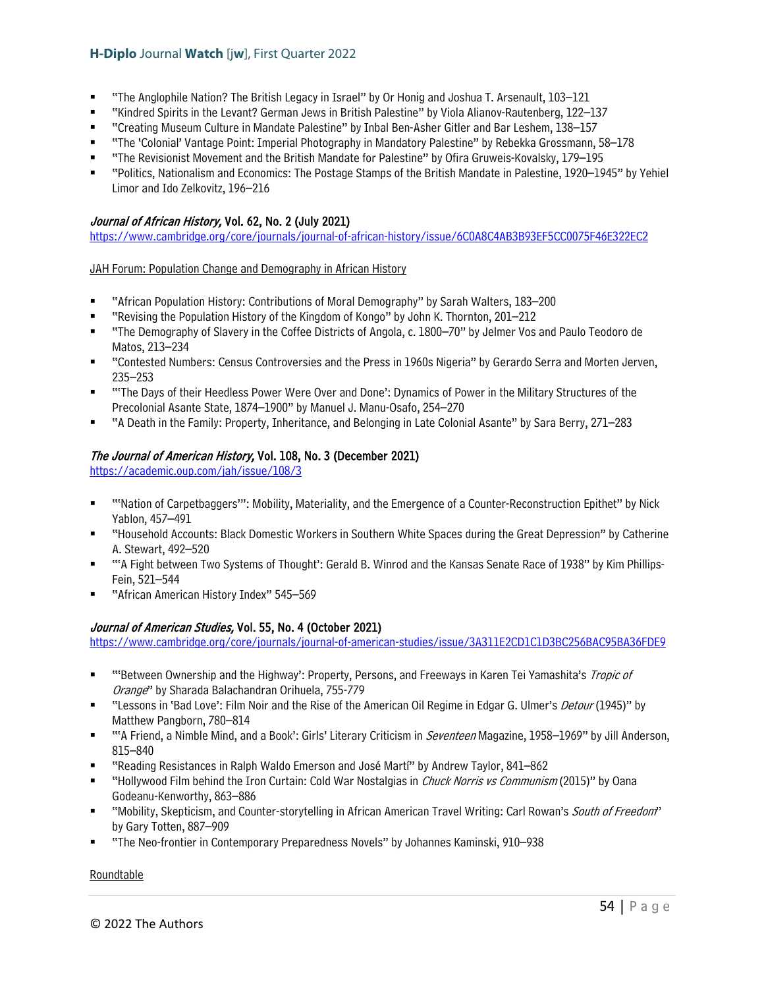- "The Anglophile Nation? The British Legacy in Israel" by Or Honig and Joshua T. Arsenault, 103–121
- "Kindred Spirits in the Levant? German Jews in British Palestine" by Viola Alianov-Rautenberg, 122–137
- "Creating Museum Culture in Mandate Palestine" by Inbal Ben-Asher Gitler and Bar Leshem, 138–157
- "The 'Colonial' Vantage Point: Imperial Photography in Mandatory Palestine" by Rebekka Grossmann, 58–178
- "The Revisionist Movement and the British Mandate for Palestine" by Ofira Gruweis-Kovalsky, 179–195
- "Politics, Nationalism and Economics: The Postage Stamps of the British Mandate in Palestine, 1920–1945" by Yehiel Limor and Ido Zelkovitz, 196–216

### Journal of African History, Vol. 62, No. 2 (July 2021)

<https://www.cambridge.org/core/journals/journal-of-african-history/issue/6C0A8C4AB3B93EF5CC0075F46E322EC2>

#### JAH Forum: Population Change and Demography in African History

- "African Population History: Contributions of Moral Demography" by Sarah Walters, 183–200
- "Revising the Population History of the Kingdom of Kongo" by John K. Thornton, 201–212
- "The Demography of Slavery in the Coffee Districts of Angola, c. 1800–70" by Jelmer Vos and Paulo Teodoro de Matos, 213–234
- "Contested Numbers: Census Controversies and the Press in 1960s Nigeria" by Gerardo Serra and Morten Jerven, 235–253
- "'The Days of their Heedless Power Were Over and Done': Dynamics of Power in the Military Structures of the Precolonial Asante State, 1874–1900" by Manuel J. Manu-Osafo, 254–270
- "A Death in the Family: Property, Inheritance, and Belonging in Late Colonial Asante" by Sara Berry, 271–283

### The Journal of American History, Vol. 108, No. 3 (December 2021)

<https://academic.oup.com/jah/issue/108/3>

- "'Nation of Carpetbaggers'": Mobility, Materiality, and the Emergence of a Counter-Reconstruction Epithet" by Nick Yablon, 457–491
- "Household Accounts: Black Domestic Workers in Southern White Spaces during the Great Depression" by Catherine A. Stewart, 492–520
- "'A Fight between Two Systems of Thought': Gerald B. Winrod and the Kansas Senate Race of 1938" by Kim Phillips-Fein, 521–544
- "African American History Index" 545–569

### Journal of American Studies, Vol. 55, No. 4 (October 2021)

<https://www.cambridge.org/core/journals/journal-of-american-studies/issue/3A311E2CD1C1D3BC256BAC95BA36FDE9>

- ""Between Ownership and the Highway': Property, Persons, and Freeways in Karen Tei Yamashita's Tropic of Orange" by Sharada Balachandran Orihuela, 755-779
- "Lessons in 'Bad Love': Film Noir and the Rise of the American Oil Regime in Edgar G. Ulmer's *Detour* (1945)" by Matthew Pangborn, 780–814
- ""A Friend, a Nimble Mind, and a Book': Girls' Literary Criticism in *Seventeen* Magazine, 1958–1969" by Jill Anderson, 815–840
- "Reading Resistances in Ralph Waldo Emerson and José Martí" by Andrew Taylor, 841–862
- "Hollywood Film behind the Iron Curtain: Cold War Nostalgias in *Chuck Norris vs Communism* (2015)" by Oana Godeanu-Kenworthy, 863–886
- "Mobility, Skepticism, and Counter-storytelling in African American Travel Writing: Carl Rowan's South of Freedom" by Gary Totten, 887–909
- "The Neo-frontier in Contemporary Preparedness Novels" by Johannes Kaminski, 910–938

#### Roundtable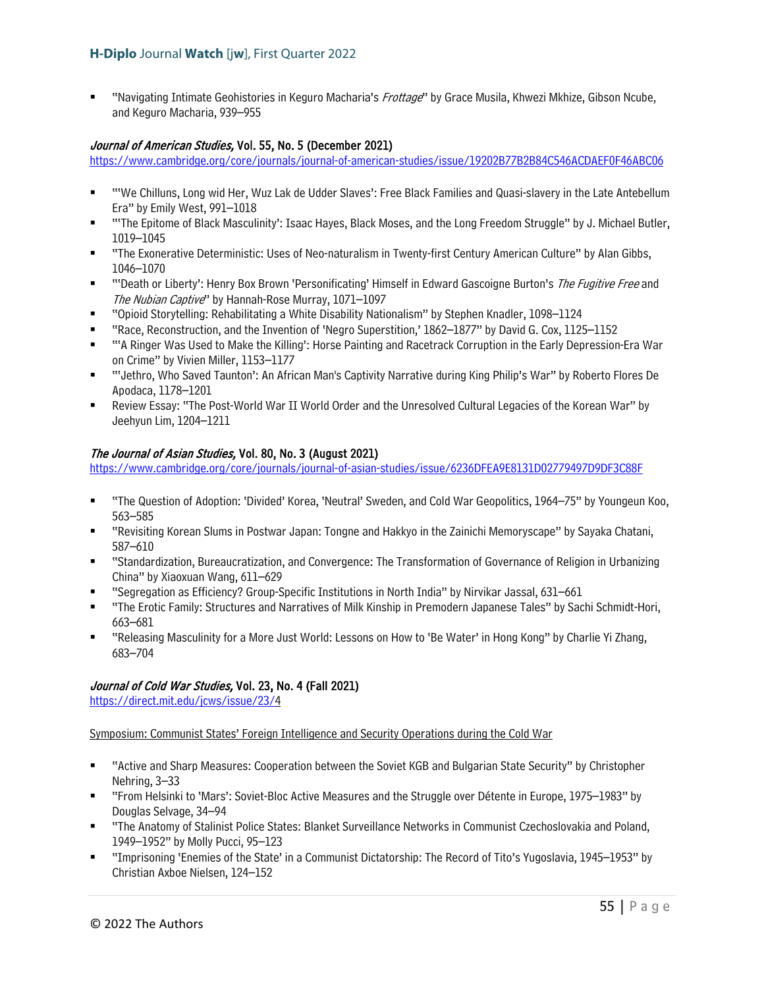"Navigating Intimate Geohistories in Keguro Macharia's Frottage" by Grace Musila, Khwezi Mkhize, Gibson Ncube, and Keguro Macharia, 939–955

### Journal of American Studies, Vol. 55, No. 5 (December 2021)

<https://www.cambridge.org/core/journals/journal-of-american-studies/issue/19202B77B2B84C546ACDAEF0F46ABC06>

- "We Chilluns, Long wid Her, Wuz Lak de Udder Slaves': Free Black Families and Quasi-slavery in the Late Antebellum Era" by Emily West, 991–1018
- "'The Epitome of Black Masculinity': Isaac Hayes, Black Moses, and the Long Freedom Struggle" by J. Michael Butler, 1019–1045
- "The Exonerative Deterministic: Uses of Neo-naturalism in Twenty-first Century American Culture" by Alan Gibbs, 1046–1070
- "Death or Liberty': Henry Box Brown 'Personificating' Himself in Edward Gascoigne Burton's The Fugitive Free and The Nubian Captive" by Hannah-Rose Murray, 1071–1097
- "Opioid Storytelling: Rehabilitating a White Disability Nationalism" by Stephen Knadler, 1098–1124
- "Race, Reconstruction, and the Invention of 'Negro Superstition,' 1862–1877" by David G. Cox, 1125–1152
- "'A Ringer Was Used to Make the Killing': Horse Painting and Racetrack Corruption in the Early Depression-Era War on Crime" by Vivien Miller, 1153–1177
- "'Jethro, Who Saved Taunton': An African Man's Captivity Narrative during King Philip's War" by Roberto Flores De Apodaca, 1178–1201
- Review Essay: "The Post-World War II World Order and the Unresolved Cultural Legacies of the Korean War" by Jeehyun Lim, 1204–1211

### The Journal of Asian Studies, Vol. 80, No. 3 (August 2021)

<https://www.cambridge.org/core/journals/journal-of-asian-studies/issue/6236DFEA9E8131D02779497D9DF3C88F>

- "The Question of Adoption: 'Divided' Korea, 'Neutral' Sweden, and Cold War Geopolitics, 1964–75" by Youngeun Koo, 563–585
- "Revisiting Korean Slums in Postwar Japan: Tongne and Hakkyo in the Zainichi Memoryscape" by Sayaka Chatani, 587–610
- "Standardization, Bureaucratization, and Convergence: The Transformation of Governance of Religion in Urbanizing China" by Xiaoxuan Wang, 611–629
- "Segregation as Efficiency? Group-Specific Institutions in North India" by Nirvikar Jassal, 631–661
- "The Erotic Family: Structures and Narratives of Milk Kinship in Premodern Japanese Tales" by Sachi Schmidt-Hori, 663–681
- "Releasing Masculinity for a More Just World: Lessons on How to 'Be Water' in Hong Kong" by Charlie Yi Zhang, 683–704

## Journal of Cold War Studies, Vol. 23, No. 4 (Fall 2021)

[https://direct.mit.edu/jcws/issue/23/4](https://direct.mit.edu/jcws/issue/23/)

Symposium: Communist States' Foreign Intelligence and Security Operations during the Cold War

- "Active and Sharp Measures: Cooperation between the Soviet KGB and Bulgarian State Security" by Christopher Nehring, 3–33
- "From Helsinki to 'Mars': Soviet-Bloc Active Measures and the Struggle over Détente in Europe, 1975–1983" by Douglas Selvage, 34–94
- "The Anatomy of Stalinist Police States: Blanket Surveillance Networks in Communist Czechoslovakia and Poland, 1949–1952" by Molly Pucci, 95–123
- "Imprisoning 'Enemies of the State' in a Communist Dictatorship: The Record of Tito's Yugoslavia, 1945–1953" by Christian Axboe Nielsen, 124–152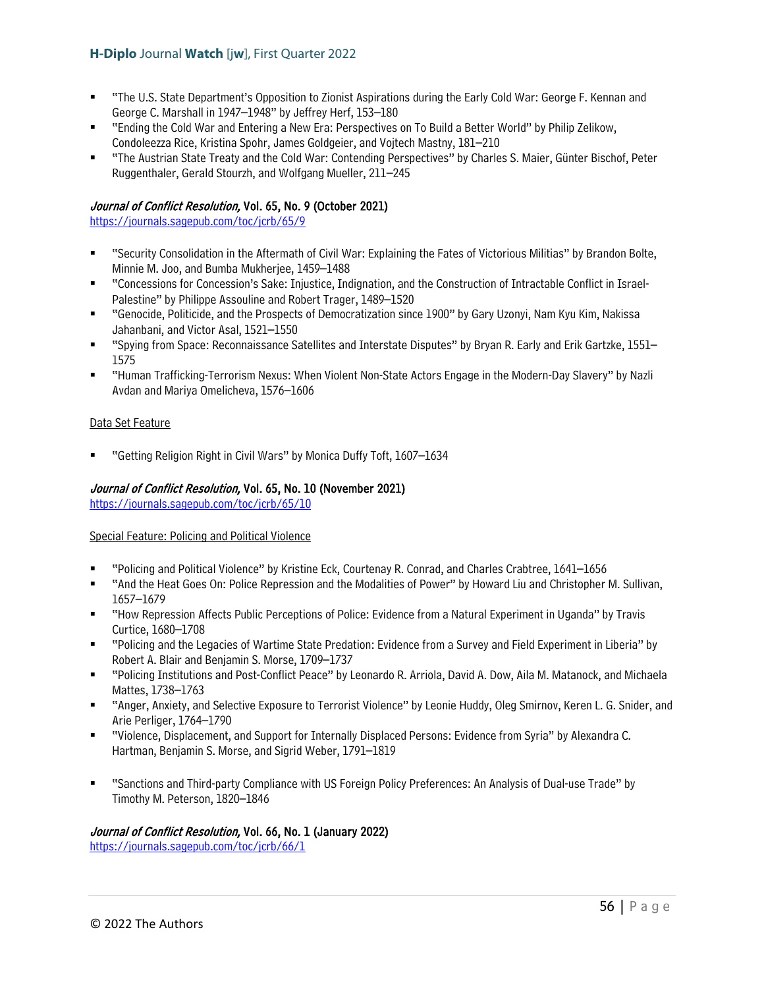- "The U.S. State Department's Opposition to Zionist Aspirations during the Early Cold War: George F. Kennan and George C. Marshall in 1947–1948" by Jeffrey Herf, 153–180
- "Ending the Cold War and Entering a New Era: Perspectives on To Build a Better World" by Philip Zelikow, Condoleezza Rice, Kristina Spohr, James Goldgeier, and Vojtech Mastny, 181–210
- "The Austrian State Treaty and the Cold War: Contending Perspectives" by Charles S. Maier, Günter Bischof, Peter Ruggenthaler, Gerald Stourzh, and Wolfgang Mueller, 211–245

## Journal of Conflict Resolution, Vol. 65, No. 9 (October 2021)

<https://journals.sagepub.com/toc/jcrb/65/9>

- "Security Consolidation in the Aftermath of Civil War: Explaining the Fates of Victorious Militias" by Brandon Bolte, Minnie M. Joo, and Bumba Mukherjee, 1459–1488
- "Concessions for Concession's Sake: Injustice, Indignation, and the Construction of Intractable Conflict in Israel-Palestine" by Philippe Assouline and Robert Trager, 1489–1520
- "Genocide, Politicide, and the Prospects of Democratization since 1900" by Gary Uzonyi, Nam Kyu Kim, Nakissa Jahanbani, and Victor Asal, 1521–1550
- "Spying from Space: Reconnaissance Satellites and Interstate Disputes" by Bryan R. Early and Erik Gartzke, 1551– 1575
- "Human Trafficking-Terrorism Nexus: When Violent Non-State Actors Engage in the Modern-Day Slavery" by Nazli Avdan and Mariya Omelicheva, 1576–1606

#### Data Set Feature

"Getting Religion Right in Civil Wars" by Monica Duffy Toft, 1607–1634

### Journal of Conflict Resolution, Vol. 65, No. 10 (November 2021)

<https://journals.sagepub.com/toc/jcrb/65/10>

### Special Feature: Policing and Political Violence

- "Policing and Political Violence" by Kristine Eck, Courtenay R. Conrad, and Charles Crabtree, 1641–1656
- "And the Heat Goes On: Police Repression and the Modalities of Power" by Howard Liu and Christopher M. Sullivan, 1657–1679
- "How Repression Affects Public Perceptions of Police: Evidence from a Natural Experiment in Uganda" by Travis Curtice, 1680–1708
- "Policing and the Legacies of Wartime State Predation: Evidence from a Survey and Field Experiment in Liberia" by Robert A. Blair and Benjamin S. Morse, 1709–1737
- "Policing Institutions and Post-Conflict Peace" by Leonardo R. Arriola, David A. Dow, Aila M. Matanock, and Michaela Mattes, 1738–1763
- "Anger, Anxiety, and Selective Exposure to Terrorist Violence" by Leonie Huddy, Oleg Smirnov, Keren L. G. Snider, and Arie Perliger, 1764–1790
- "Violence, Displacement, and Support for Internally Displaced Persons: Evidence from Syria" by Alexandra C. Hartman, Benjamin S. Morse, and Sigrid Weber, 1791–1819
- "Sanctions and Third-party Compliance with US Foreign Policy Preferences: An Analysis of Dual-use Trade" by Timothy M. Peterson, 1820–1846

### Journal of Conflict Resolution, Vol. 66, No. 1 (January 2022)

<https://journals.sagepub.com/toc/jcrb/66/1>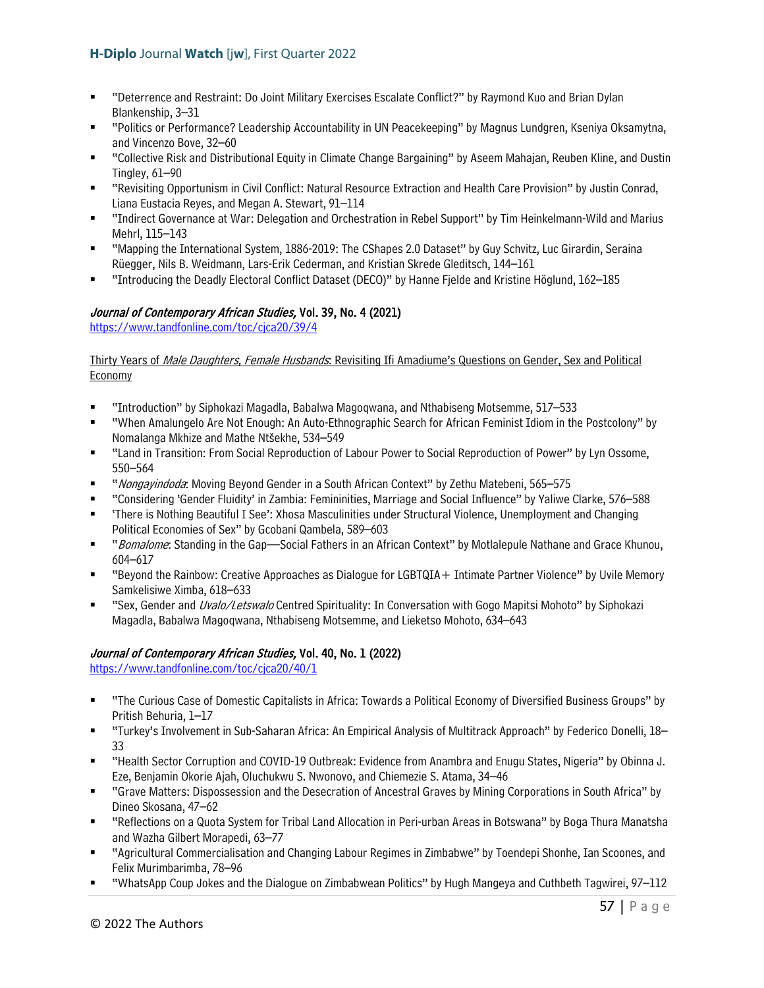- "Deterrence and Restraint: Do Joint Military Exercises Escalate Conflict?" by Raymond Kuo and Brian Dylan Blankenship, 3–31
- "Politics or Performance? Leadership Accountability in UN Peacekeeping" by Magnus Lundgren, Kseniya Oksamytna, and Vincenzo Bove, 32–60
- "Collective Risk and Distributional Equity in Climate Change Bargaining" by Aseem Mahajan, Reuben Kline, and Dustin Tingley, 61–90
- "Revisiting Opportunism in Civil Conflict: Natural Resource Extraction and Health Care Provision" by Justin Conrad, Liana Eustacia Reyes, and Megan A. Stewart, 91–114
- "Indirect Governance at War: Delegation and Orchestration in Rebel Support" by Tim Heinkelmann-Wild and Marius Mehrl, 115–143
- "Mapping the International System, 1886-2019: The CShapes 2.0 Dataset" by Guy Schvitz, Luc Girardin, Seraina Rüegger, Nils B. Weidmann, Lars-Erik Cederman, and Kristian Skrede Gleditsch, 144–161
- "Introducing the Deadly Electoral Conflict Dataset (DECO)" by Hanne Fjelde and Kristine Höglund, 162–185

# Journal of Contemporary African Studies, Vol. 39, No. 4 (2021)

<https://www.tandfonline.com/toc/cjca20/39/4>

Thirty Years of *Male Daughters, Female Husbands*: Revisiting Ifi Amadiume's Questions on Gender, Sex and Political **Economy** 

- "Introduction" by Siphokazi Magadla, Babalwa Magoqwana, and Nthabiseng Motsemme, 517–533
- "When Amalungelo Are Not Enough: An Auto-Ethnographic Search for African Feminist Idiom in the Postcolony" by Nomalanga Mkhize and Mathe Ntšekhe, 534–549
- "Land in Transition: From Social Reproduction of Labour Power to Social Reproduction of Power" by Lyn Ossome, 550–564
- "*Nongayindoda*: Moving Beyond Gender in a South African Context" by Zethu Matebeni, 565–575
- "Considering 'Gender Fluidity' in Zambia: Femininities, Marriage and Social Influence" by Yaliwe Clarke, 576–588
- 'There is Nothing Beautiful I See': Xhosa Masculinities under Structural Violence, Unemployment and Changing Political Economies of Sex" by Gcobani Qambela, 589–603
- " "Bomalome: Standing in the Gap—Social Fathers in an African Context" by Motlalepule Nathane and Grace Khunou, 604–617
- "Beyond the Rainbow: Creative Approaches as Dialogue for LGBTQIA+ Intimate Partner Violence" by Uvile Memory Samkelisiwe Ximba, 618–633
- "Sex, Gender and *Uvalo/Letswalo* Centred Spirituality: In Conversation with Gogo Mapitsi Mohoto" by Siphokazi Magadla, Babalwa Magoqwana, Nthabiseng Motsemme, and Lieketso Mohoto, 634–643

## Journal of Contemporary African Studies, Vol. 40, No. 1 (2022)

https://www.tandfonline.com/toc/cica20/40/1

- "The Curious Case of Domestic Capitalists in Africa: Towards a Political Economy of Diversified Business Groups" by Pritish Behuria, 1–17
- "Turkey's Involvement in Sub-Saharan Africa: An Empirical Analysis of Multitrack Approach" by Federico Donelli, 18– 33
- "Health Sector Corruption and COVID-19 Outbreak: Evidence from Anambra and Enugu States, Nigeria" by Obinna J. Eze, Benjamin Okorie Ajah, Oluchukwu S. Nwonovo, and Chiemezie S. Atama, 34–46
- "Grave Matters: Dispossession and the Desecration of Ancestral Graves by Mining Corporations in South Africa" by Dineo Skosana, 47–62
- "Reflections on a Quota System for Tribal Land Allocation in Peri-urban Areas in Botswana" by Boga Thura Manatsha and Wazha Gilbert Morapedi, 63–77
- "Agricultural Commercialisation and Changing Labour Regimes in Zimbabwe" by Toendepi Shonhe, Ian Scoones, and Felix Murimbarimba, 78–96
- "WhatsApp Coup Jokes and the Dialogue on Zimbabwean Politics" by Hugh Mangeya and Cuthbeth Tagwirei, 97–112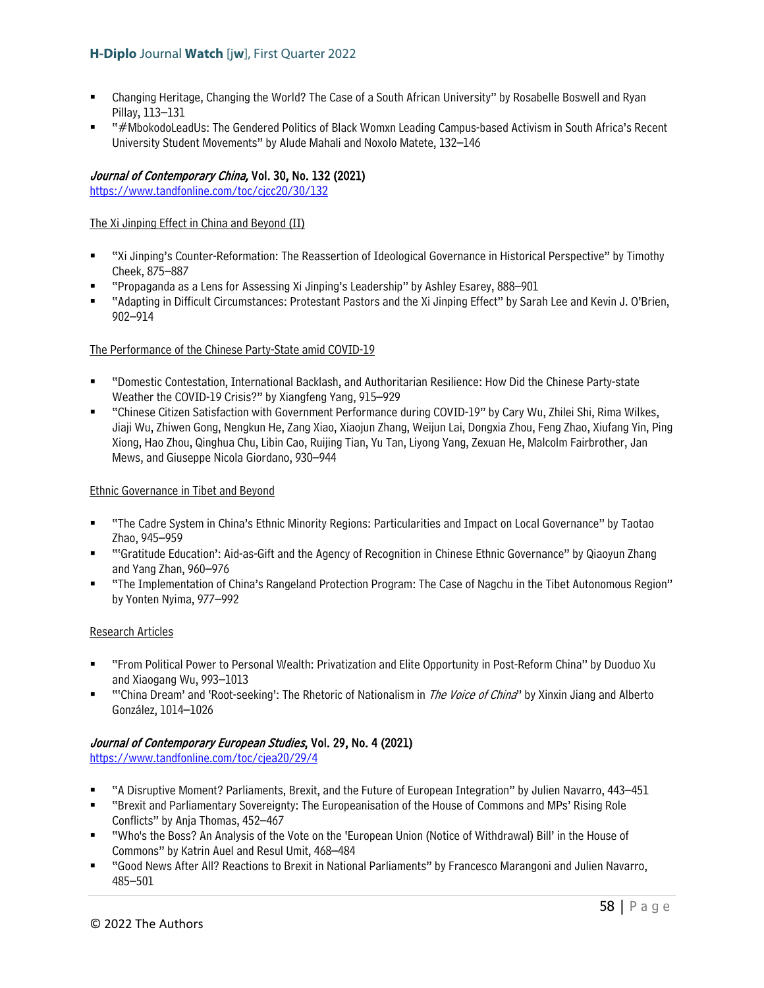- Changing Heritage, Changing the World? The Case of a South African University" by Rosabelle Boswell and Ryan Pillay, 113–131
- "#MbokodoLeadUs: The Gendered Politics of Black Womxn Leading Campus-based Activism in South Africa's Recent University Student Movements" by Alude Mahali and Noxolo Matete, 132–146

# Journal of Contemporary China, Vol. 30, No. 132 (2021)

<https://www.tandfonline.com/toc/cjcc20/30/132>

The Xi Jinping Effect in China and Beyond (II)

- "Xi Jinping's Counter-Reformation: The Reassertion of Ideological Governance in Historical Perspective" by Timothy Cheek, 875–887
- "Propaganda as a Lens for Assessing Xi Jinping's Leadership" by Ashley Esarey, 888–901
- "Adapting in Difficult Circumstances: Protestant Pastors and the Xi Jinping Effect" by Sarah Lee and Kevin J. O'Brien, 902–914

### The Performance of the Chinese Party-State amid COVID-19

- "Domestic Contestation, International Backlash, and Authoritarian Resilience: How Did the Chinese Party-state Weather the COVID-19 Crisis?" by Xiangfeng Yang, 915–929
- "Chinese Citizen Satisfaction with Government Performance during COVID-19" by Cary Wu, Zhilei Shi, Rima Wilkes, Jiaji Wu, Zhiwen Gong, Nengkun He, Zang Xiao, Xiaojun Zhang, Weijun Lai, Dongxia Zhou, Feng Zhao, Xiufang Yin, Ping Xiong, Hao Zhou, Qinghua Chu, Libin Cao, Ruijing Tian, Yu Tan, Liyong Yang, Zexuan He, Malcolm Fairbrother, Jan Mews, and Giuseppe Nicola Giordano, 930–944

### Ethnic Governance in Tibet and Beyond

- "The Cadre System in China's Ethnic Minority Regions: Particularities and Impact on Local Governance" by Taotao Zhao, 945–959
- "'Gratitude Education': Aid-as-Gift and the Agency of Recognition in Chinese Ethnic Governance" by Qiaoyun Zhang and Yang Zhan, 960–976
- "The Implementation of China's Rangeland Protection Program: The Case of Nagchu in the Tibet Autonomous Region" by Yonten Nyima, 977–992

### Research Articles

- "From Political Power to Personal Wealth: Privatization and Elite Opportunity in Post-Reform China" by Duoduo Xu and Xiaogang Wu, 993–1013
- "'China Dream' and 'Root-seeking': The Rhetoric of Nationalism in *The Voice of China*" by Xinxin Jiang and Alberto González, 1014–1026

## Journal of Contemporary European Studies, Vol. 29, No. 4 (2021)

<https://www.tandfonline.com/toc/cjea20/29/4>

- "A Disruptive Moment? Parliaments, Brexit, and the Future of European Integration" by Julien Navarro, 443–451
- "Brexit and Parliamentary Sovereignty: The Europeanisation of the House of Commons and MPs' Rising Role Conflicts" by Anja Thomas, 452–467
- "Who's the Boss? An Analysis of the Vote on the 'European Union (Notice of Withdrawal) Bill' in the House of Commons" by Katrin Auel and Resul Umit, 468–484
- "Good News After All? Reactions to Brexit in National Parliaments" by Francesco Marangoni and Julien Navarro, 485–501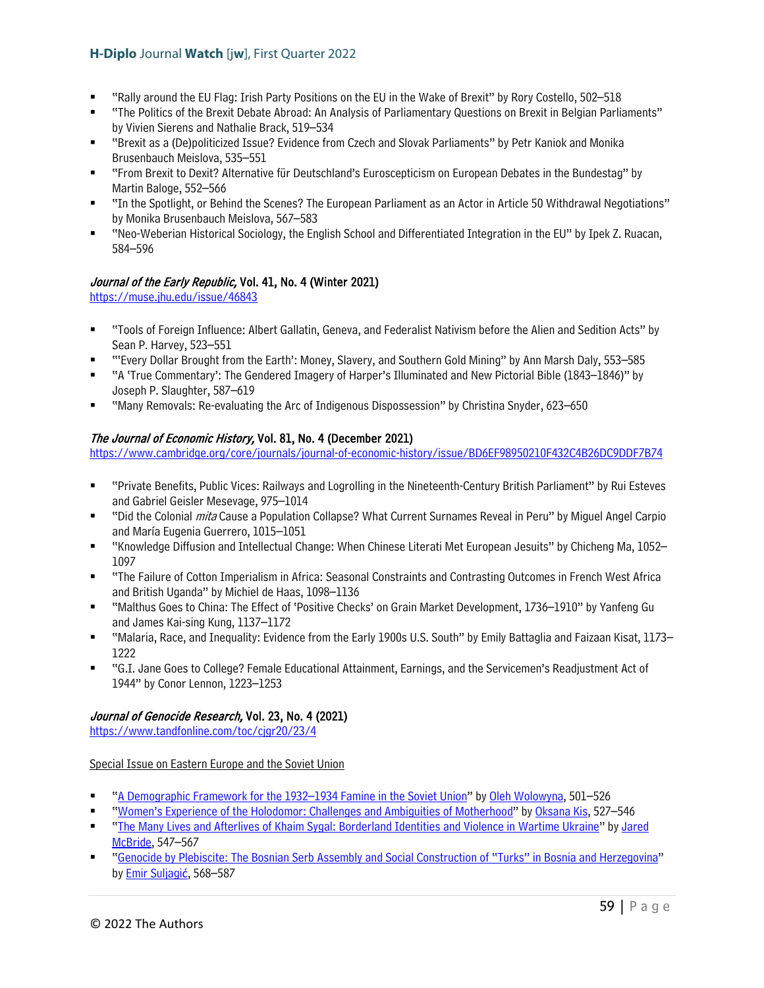- "Rally around the EU Flag: Irish Party Positions on the EU in the Wake of Brexit" by Rory Costello, 502–518
- "The Politics of the Brexit Debate Abroad: An Analysis of Parliamentary Questions on Brexit in Belgian Parliaments" by Vivien Sierens and Nathalie Brack, 519–534
- "Brexit as a (De)politicized Issue? Evidence from Czech and Slovak Parliaments" by Petr Kaniok and Monika Brusenbauch Meislova, 535–551
- "From Brexit to Dexit? Alternative für Deutschland's Euroscepticism on European Debates in the Bundestag" by Martin Baloge, 552–566
- "In the Spotlight, or Behind the Scenes? The European Parliament as an Actor in Article 50 Withdrawal Negotiations" by Monika Brusenbauch Meislova, 567–583
- "Neo-Weberian Historical Sociology, the English School and Differentiated Integration in the EU" by Ipek Z. Ruacan, 584–596

# Journal of the Early Republic, Vol. 41, No. 4 (Winter 2021)

<https://muse.jhu.edu/issue/46843>

- "Tools of Foreign Influence: Albert Gallatin, Geneva, and Federalist Nativism before the Alien and Sedition Acts" by Sean P. Harvey, 523–551
- "'Every Dollar Brought from the Earth': Money, Slavery, and Southern Gold Mining" by Ann Marsh Daly, 553–585
- "A 'True Commentary': The Gendered Imagery of Harper's Illuminated and New Pictorial Bible (1843–1846)" by Joseph P. Slaughter, 587–619
- "Many Removals: Re-evaluating the Arc of Indigenous Dispossession" by Christina Snyder, 623–650

## The Journal of Economic History, Vol. 81, No. 4 (December 2021)

<https://www.cambridge.org/core/journals/journal-of-economic-history/issue/BD6EF98950210F432C4B26DC9DDF7B74>

- "Private Benefits, Public Vices: Railways and Logrolling in the Nineteenth-Century British Parliament" by Rui Esteves and Gabriel Geisler Mesevage, 975–1014
- "Did the Colonial *mita* Cause a Population Collapse? What Current Surnames Reveal in Peru" by Miguel Angel Carpio and María Eugenia Guerrero, 1015–1051
- "Knowledge Diffusion and Intellectual Change: When Chinese Literati Met European Jesuits" by Chicheng Ma, 1052– 1097
- "The Failure of Cotton Imperialism in Africa: Seasonal Constraints and Contrasting Outcomes in French West Africa and British Uganda" by Michiel de Haas, 1098–1136
- "Malthus Goes to China: The Effect of 'Positive Checks' on Grain Market Development, 1736–1910" by Yanfeng Gu and James Kai-sing Kung, 1137–1172
- "Malaria, Race, and Inequality: Evidence from the Early 1900s U.S. South" by Emily Battaglia and Faizaan Kisat, 1173– 1222
- "G.I. Jane Goes to College? Female Educational Attainment, Earnings, and the Servicemen's Readjustment Act of 1944" by Conor Lennon, 1223–1253

# Journal of Genocide Research, Vol. 23, No. 4 (2021)

<https://www.tandfonline.com/toc/cjgr20/23/4>

## Special Issue on Eastern Europe and the Soviet Union

- ["A Demographic Framework for the 1932–1934 Famine in the Soviet Union"](https://www.tandfonline.com/doi/full/10.1080/14623528.2020.1834741) b[y Oleh Wolowyna,](https://www.tandfonline.com/author/Wolowyna%2C+Oleh) 501–526
- ["Women's Experience of the Holodomor: Challenges and Ambiguities of Motherhood"](https://www.tandfonline.com/doi/full/10.1080/14623528.2020.1834713) by [Oksana Kis,](https://www.tandfonline.com/author/Kis%2C+Oksana) 527–546
- ["The Many Lives and Afterlives of Khaim Sygal: Borderland Identities and Violence in Wartime Ukraine"](https://www.tandfonline.com/doi/full/10.1080/14623528.2021.1902653) b[y Jared](https://www.tandfonline.com/author/McBride%2C+Jared)  [McBride,](https://www.tandfonline.com/author/McBride%2C+Jared) 547–567
- ["Genocide by Plebiscite: The Bosnian Serb Assembly and Social Construction of "Turks" in Bosnia and Herzegovina"](https://www.tandfonline.com/doi/full/10.1080/14623528.2021.1885570) by [Emir Suljagi](https://www.tandfonline.com/author/Suljagi%C4%87%2C+Emir)[ć](https://www.tandfonline.com/author/Suljagi%C4%87%2C+Emir), 568–587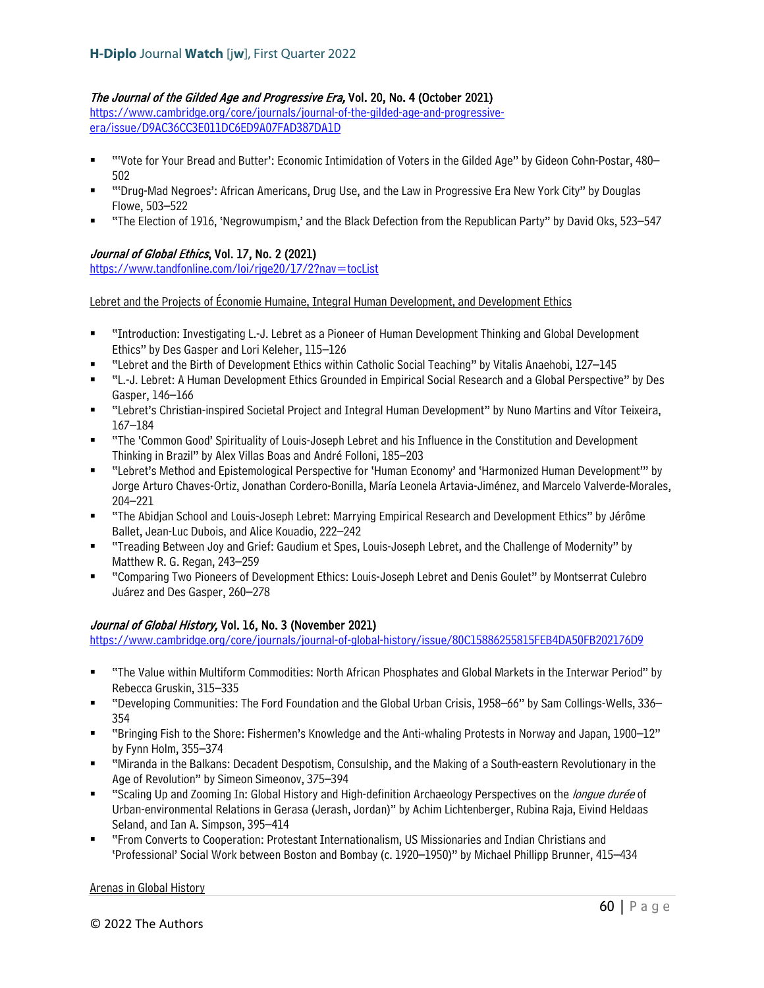## The Journal of the Gilded Age and Progressive Era, Vol. 20, No. 4 (October 2021)

[https://www.cambridge.org/core/journals/journal-of-the-gilded-age-and-progressive](https://www.cambridge.org/core/journals/journal-of-the-gilded-age-and-progressive-era/issue/D9AC36CC3E011DC6ED9A07FAD387DA1D)[era/issue/D9AC36CC3E011DC6ED9A07FAD387DA1D](https://www.cambridge.org/core/journals/journal-of-the-gilded-age-and-progressive-era/issue/D9AC36CC3E011DC6ED9A07FAD387DA1D)

- "'Vote for Your Bread and Butter': Economic Intimidation of Voters in the Gilded Age" by Gideon Cohn-Postar, 480– 502
- "'Drug-Mad Negroes': African Americans, Drug Use, and the Law in Progressive Era New York City" by Douglas Flowe, 503–522
- "The Election of 1916, 'Negrowumpism,' and the Black Defection from the Republican Party" by David Oks, 523–547

## Journal of Global Ethics, Vol. 17, No. 2 (2021)

<https://www.tandfonline.com/loi/rjge20/17/2?nav=tocList>

Lebret and the Projects of Économie Humaine, Integral Human Development, and Development Ethics

- "Introduction: Investigating L.-J. Lebret as a Pioneer of Human Development Thinking and Global Development Ethics" by Des Gasper and Lori Keleher, 115–126
- "Lebret and the Birth of Development Ethics within Catholic Social Teaching" by Vitalis Anaehobi, 127–145
- "L.-J. Lebret: A Human Development Ethics Grounded in Empirical Social Research and a Global Perspective" by Des Gasper, 146–166
- "Lebret's Christian-inspired Societal Project and Integral Human Development" by Nuno Martins and Vítor Teixeira, 167–184
- "The 'Common Good' Spirituality of Louis-Joseph Lebret and his Influence in the Constitution and Development Thinking in Brazil" by Alex Villas Boas and André Folloni, 185–203
- "Lebret's Method and Epistemological Perspective for 'Human Economy' and 'Harmonized Human Development'" by Jorge Arturo Chaves-Ortiz, Jonathan Cordero-Bonilla, María Leonela Artavia-Jiménez, and Marcelo Valverde-Morales, 204–221
- "The Abidjan School and Louis-Joseph Lebret: Marrying Empirical Research and Development Ethics" by Jérôme Ballet, Jean-Luc Dubois, and Alice Kouadio, 222–242
- "Treading Between Joy and Grief: Gaudium et Spes, Louis-Joseph Lebret, and the Challenge of Modernity" by Matthew R. G. Regan, 243–259
- "Comparing Two Pioneers of Development Ethics: Louis-Joseph Lebret and Denis Goulet" by Montserrat Culebro Juárez and Des Gasper, 260–278

## Journal of Global History, Vol. 16, No. 3 (November 2021)

<https://www.cambridge.org/core/journals/journal-of-global-history/issue/80C15886255815FEB4DA50FB202176D9>

- "The Value within Multiform Commodities: North African Phosphates and Global Markets in the Interwar Period" by Rebecca Gruskin, 315–335
- "Developing Communities: The Ford Foundation and the Global Urban Crisis, 1958–66" by Sam Collings-Wells, 336– 354
- "Bringing Fish to the Shore: Fishermen's Knowledge and the Anti-whaling Protests in Norway and Japan, 1900–12" by Fynn Holm, 355–374
- "Miranda in the Balkans: Decadent Despotism, Consulship, and the Making of a South-eastern Revolutionary in the Age of Revolution" by Simeon Simeonov, 375–394
- "Scaling Up and Zooming In: Global History and High-definition Archaeology Perspectives on the longue durée of Urban-environmental Relations in Gerasa (Jerash, Jordan)" by Achim Lichtenberger, Rubina Raja, Eivind Heldaas Seland, and Ian A. Simpson, 395–414
- "From Converts to Cooperation: Protestant Internationalism, US Missionaries and Indian Christians and 'Professional' Social Work between Boston and Bombay (c. 1920–1950)" by Michael Phillipp Brunner, 415–434

#### Arenas in Global History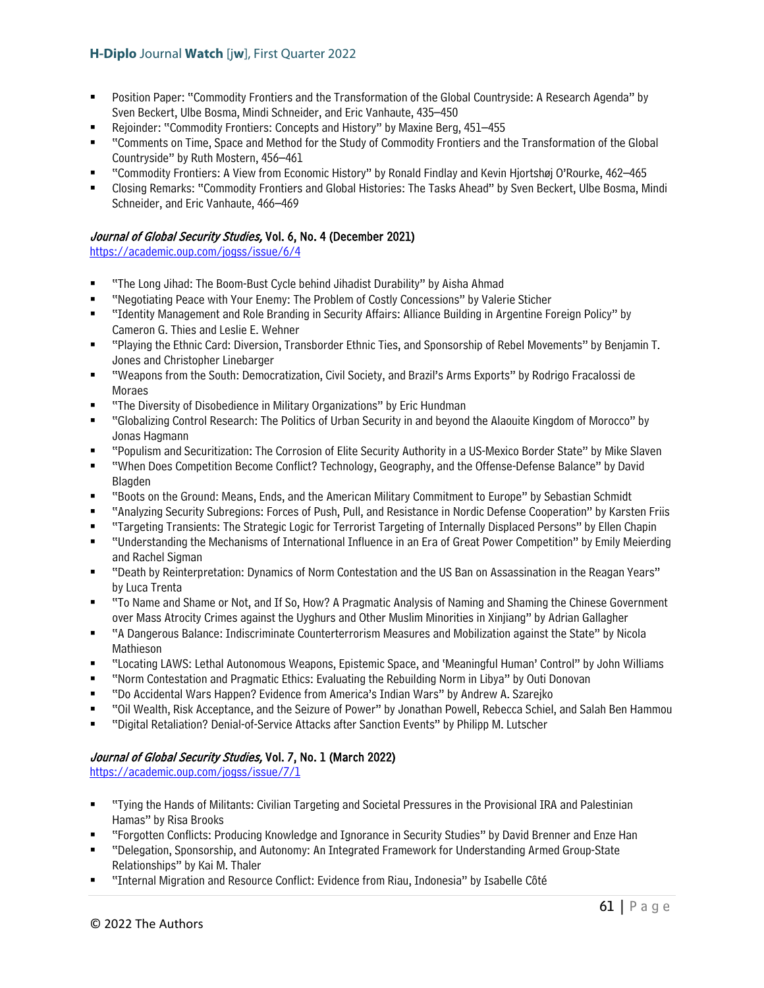- Position Paper: "Commodity Frontiers and the Transformation of the Global Countryside: A Research Agenda" by Sven Beckert, Ulbe Bosma, Mindi Schneider, and Eric Vanhaute, 435–450
- Rejoinder: "Commodity Frontiers: Concepts and History" by Maxine Berg, 451–455
- "Comments on Time, Space and Method for the Study of Commodity Frontiers and the Transformation of the Global Countryside" by Ruth Mostern, 456–461
- "Commodity Frontiers: A View from Economic History" by Ronald Findlay and Kevin Hjortshøj O'Rourke, 462–465
- Closing Remarks: "Commodity Frontiers and Global Histories: The Tasks Ahead" by Sven Beckert, Ulbe Bosma, Mindi Schneider, and Eric Vanhaute, 466–469

# Journal of Global Security Studies, Vol. 6, No. 4 (December 2021)

<https://academic.oup.com/jogss/issue/6/4>

- "The Long Jihad: The Boom-Bust Cycle behind Jihadist Durability" by Aisha Ahmad
- "Negotiating Peace with Your Enemy: The Problem of Costly Concessions" by Valerie Sticher
- "Identity Management and Role Branding in Security Affairs: Alliance Building in Argentine Foreign Policy" by Cameron G. Thies and Leslie E. Wehner
- "Playing the Ethnic Card: Diversion, Transborder Ethnic Ties, and Sponsorship of Rebel Movements" by Benjamin T. Jones and Christopher Linebarger
- "Weapons from the South: Democratization, Civil Society, and Brazil's Arms Exports" by Rodrigo Fracalossi de Moraes
- "The Diversity of Disobedience in Military Organizations" by Eric Hundman
- "Globalizing Control Research: The Politics of Urban Security in and beyond the Alaouite Kingdom of Morocco" by Jonas Hagmann
- "Populism and Securitization: The Corrosion of Elite Security Authority in a US-Mexico Border State" by Mike Slaven
- "When Does Competition Become Conflict? Technology, Geography, and the Offense-Defense Balance" by David Blagden
- "Boots on the Ground: Means, Ends, and the American Military Commitment to Europe" by Sebastian Schmidt
- "Analyzing Security Subregions: Forces of Push, Pull, and Resistance in Nordic Defense Cooperation" by Karsten Friis
- "Targeting Transients: The Strategic Logic for Terrorist Targeting of Internally Displaced Persons" by Ellen Chapin
- "Understanding the Mechanisms of International Influence in an Era of Great Power Competition" by Emily Meierding and Rachel Sigman
- "Death by Reinterpretation: Dynamics of Norm Contestation and the US Ban on Assassination in the Reagan Years" by Luca Trenta
- "To Name and Shame or Not, and If So, How? A Pragmatic Analysis of Naming and Shaming the Chinese Government over Mass Atrocity Crimes against the Uyghurs and Other Muslim Minorities in Xinjiang" by Adrian Gallagher
- "A Dangerous Balance: Indiscriminate Counterterrorism Measures and Mobilization against the State" by Nicola Mathieson
- "Locating LAWS: Lethal Autonomous Weapons, Epistemic Space, and 'Meaningful Human' Control" by John Williams
- "Norm Contestation and Pragmatic Ethics: Evaluating the Rebuilding Norm in Libya" by Outi Donovan
- "Do Accidental Wars Happen? Evidence from America's Indian Wars" by Andrew A. Szarejko
- "Oil Wealth, Risk Acceptance, and the Seizure of Power" by Jonathan Powell, Rebecca Schiel, and Salah Ben Hammou
- "Digital Retaliation? Denial-of-Service Attacks after Sanction Events" by Philipp M. Lutscher

## Journal of Global Security Studies, Vol. 7, No. 1 (March 2022)

<https://academic.oup.com/jogss/issue/7/1>

- "Tying the Hands of Militants: Civilian Targeting and Societal Pressures in the Provisional IRA and Palestinian Hamas" by Risa Brooks
- "Forgotten Conflicts: Producing Knowledge and Ignorance in Security Studies" by David Brenner and Enze Han
- "Delegation, Sponsorship, and Autonomy: An Integrated Framework for Understanding Armed Group-State Relationships" by Kai M. Thaler
- "Internal Migration and Resource Conflict: Evidence from Riau, Indonesia" by Isabelle Côté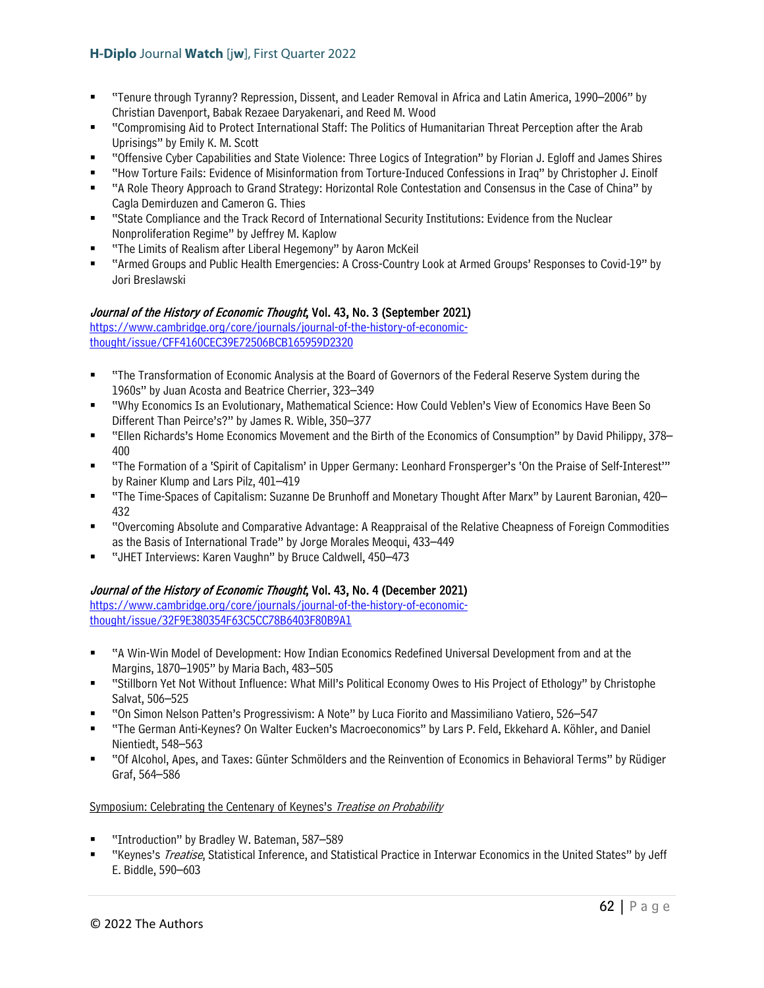- "Tenure through Tyranny? Repression, Dissent, and Leader Removal in Africa and Latin America, 1990–2006" by Christian Davenport, Babak Rezaee Daryakenari, and Reed M. Wood
- "Compromising Aid to Protect International Staff: The Politics of Humanitarian Threat Perception after the Arab Uprisings" by Emily K. M. Scott
- "Offensive Cyber Capabilities and State Violence: Three Logics of Integration" by Florian J. Egloff and James Shires
- "How Torture Fails: Evidence of Misinformation from Torture-Induced Confessions in Iraq" by Christopher J. Einolf
- "A Role Theory Approach to Grand Strategy: Horizontal Role Contestation and Consensus in the Case of China" by Cagla Demirduzen and Cameron G. Thies
- "State Compliance and the Track Record of International Security Institutions: Evidence from the Nuclear Nonproliferation Regime" by Jeffrey M. Kaplow
- "The Limits of Realism after Liberal Hegemony" by Aaron McKeil
- "Armed Groups and Public Health Emergencies: A Cross-Country Look at Armed Groups' Responses to Covid-19" by Jori Breslawski

### Journal of the History of Economic Thought, Vol. 43, No. 3 (September 2021)

[https://www.cambridge.org/core/journals/journal-of-the-history-of-economic](https://www.cambridge.org/core/journals/journal-of-the-history-of-economic-thought/issue/CFF4160CEC39E72506BCB165959D2320)[thought/issue/CFF4160CEC39E72506BCB165959D2320](https://www.cambridge.org/core/journals/journal-of-the-history-of-economic-thought/issue/CFF4160CEC39E72506BCB165959D2320) 

- "The Transformation of Economic Analysis at the Board of Governors of the Federal Reserve System during the 1960s" by Juan Acosta and Beatrice Cherrier, 323–349
- "Why Economics Is an Evolutionary, Mathematical Science: How Could Veblen's View of Economics Have Been So Different Than Peirce's?" by James R. Wible, 350–377
- "Ellen Richards's Home Economics Movement and the Birth of the Economics of Consumption" by David Philippy, 378– 400
- "The Formation of a 'Spirit of Capitalism' in Upper Germany: Leonhard Fronsperger's 'On the Praise of Self-Interest'" by Rainer Klump and Lars Pilz, 401–419
- "The Time-Spaces of Capitalism: Suzanne De Brunhoff and Monetary Thought After Marx" by Laurent Baronian, 420– 432
- "Overcoming Absolute and Comparative Advantage: A Reappraisal of the Relative Cheapness of Foreign Commodities as the Basis of International Trade" by Jorge Morales Meoqui, 433–449
- "JHET Interviews: Karen Vaughn" by Bruce Caldwell, 450–473

## Journal of the History of Economic Thought, Vol. 43, No. 4 (December 2021)

[https://www.cambridge.org/core/journals/journal-of-the-history-of-economic](https://www.cambridge.org/core/journals/journal-of-the-history-of-economic-thought/issue/32F9E380354F63C5CC78B6403F80B9A1)[thought/issue/32F9E380354F63C5CC78B6403F80B9A1](https://www.cambridge.org/core/journals/journal-of-the-history-of-economic-thought/issue/32F9E380354F63C5CC78B6403F80B9A1) 

- "A Win-Win Model of Development: How Indian Economics Redefined Universal Development from and at the Margins, 1870–1905" by Maria Bach, 483–505
- "Stillborn Yet Not Without Influence: What Mill's Political Economy Owes to His Project of Ethology" by Christophe Salvat, 506–525
- "On Simon Nelson Patten's Progressivism: A Note" by Luca Fiorito and Massimiliano Vatiero, 526–547
- "The German Anti-Keynes? On Walter Eucken's Macroeconomics" by Lars P. Feld, Ekkehard A. Köhler, and Daniel Nientiedt, 548–563
- "Of Alcohol, Apes, and Taxes: Günter Schmölders and the Reinvention of Economics in Behavioral Terms" by Rüdiger Graf, 564–586

### Symposium: Celebrating the Centenary of Keynes's Treatise on Probability

- "Introduction" by Bradley W. Bateman, 587–589
- "Keynes's Treatise, Statistical Inference, and Statistical Practice in Interwar Economics in the United States" by Jeff E. Biddle, 590–603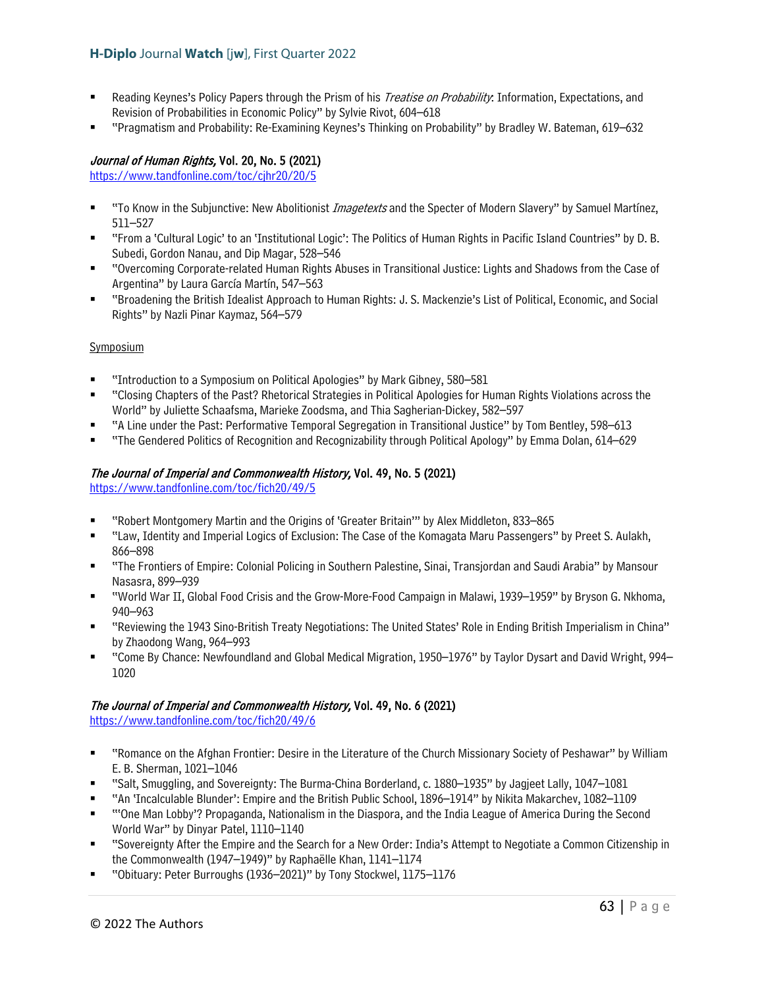- Reading Keynes's Policy Papers through the Prism of his *Treatise on Probability*: Information, Expectations, and Revision of Probabilities in Economic Policy" by Sylvie Rivot, 604–618
- "Pragmatism and Probability: Re-Examining Keynes's Thinking on Probability" by Bradley W. Bateman, 619–632

### Journal of Human Rights, Vol. 20, No. 5 (2021)

<https://www.tandfonline.com/toc/cjhr20/20/5>

- "To Know in the Subjunctive: New Abolitionist *Imagetexts* and the Specter of Modern Slavery" by Samuel Martínez, 511–527
- "From a 'Cultural Logic' to an 'Institutional Logic': The Politics of Human Rights in Pacific Island Countries" by D. B. Subedi, Gordon Nanau, and Dip Magar, 528–546
- "Overcoming Corporate-related Human Rights Abuses in Transitional Justice: Lights and Shadows from the Case of Argentina" by Laura García Martín, 547–563
- "Broadening the British Idealist Approach to Human Rights: J. S. Mackenzie's List of Political, Economic, and Social Rights" by Nazli Pinar Kaymaz, 564–579

### **Symposium**

- "Introduction to a Symposium on Political Apologies" by Mark Gibney, 580–581
- "Closing Chapters of the Past? Rhetorical Strategies in Political Apologies for Human Rights Violations across the World" by Juliette Schaafsma, Marieke Zoodsma, and Thia Sagherian-Dickey, 582–597
- "A Line under the Past: Performative Temporal Segregation in Transitional Justice" by Tom Bentley, 598–613
- "The Gendered Politics of Recognition and Recognizability through Political Apology" by Emma Dolan, 614–629

### The Journal of Imperial and Commonwealth History, Vol. 49, No. 5 (2021)

<https://www.tandfonline.com/toc/fich20/49/5>

- "Robert Montgomery Martin and the Origins of 'Greater Britain'" by Alex Middleton, 833–865
- "Law, Identity and Imperial Logics of Exclusion: The Case of the Komagata Maru Passengers" by Preet S. Aulakh, 866–898
- "The Frontiers of Empire: Colonial Policing in Southern Palestine, Sinai, Transjordan and Saudi Arabia" by Mansour Nasasra, 899–939
- "World War II, Global Food Crisis and the Grow-More-Food Campaign in Malawi, 1939–1959" by Bryson G. Nkhoma, 940–963
- "Reviewing the 1943 Sino-British Treaty Negotiations: The United States' Role in Ending British Imperialism in China" by Zhaodong Wang, 964–993
- "Come By Chance: Newfoundland and Global Medical Migration, 1950–1976" by Taylor Dysart and David Wright, 994– 1020

### The Journal of Imperial and Commonwealth History, Vol. 49, No. 6 (2021)

<https://www.tandfonline.com/toc/fich20/49/6>

- "Romance on the Afghan Frontier: Desire in the Literature of the Church Missionary Society of Peshawar" by William E. B. Sherman, 1021–1046
- "Salt, Smuggling, and Sovereignty: The Burma-China Borderland, c. 1880–1935" by Jagjeet Lally, 1047–1081
- "An 'Incalculable Blunder': Empire and the British Public School, 1896–1914" by Nikita Makarchev, 1082–1109
- "'One Man Lobby'? Propaganda, Nationalism in the Diaspora, and the India League of America During the Second World War" by Dinyar Patel, 1110–1140
- "Sovereignty After the Empire and the Search for a New Order: India's Attempt to Negotiate a Common Citizenship in the Commonwealth (1947–1949)" by Raphaëlle Khan, 1141–1174
- "Obituary: Peter Burroughs (1936–2021)" by Tony Stockwel, 1175–1176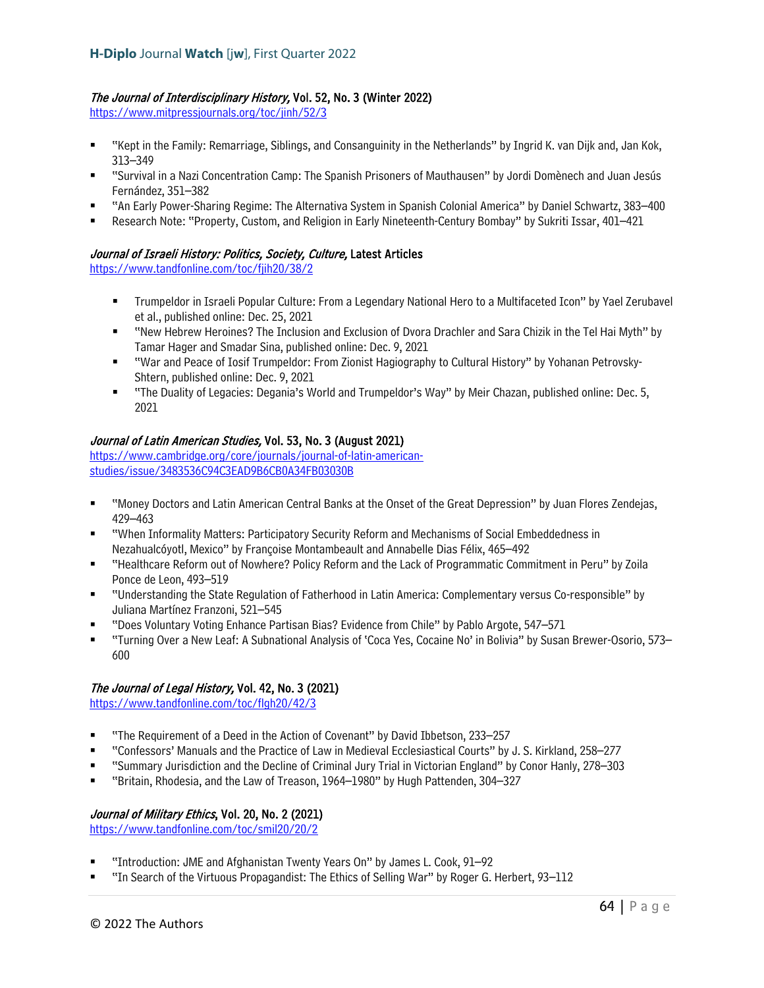# The Journal of Interdisciplinary History, Vol. 52, No. 3 (Winter 2022)

<https://www.mitpressjournals.org/toc/jinh/52/3>

- "Kept in the Family: Remarriage, Siblings, and Consanguinity in the Netherlands" by Ingrid K. van Dijk and, Jan Kok, 313–349
- "Survival in a Nazi Concentration Camp: The Spanish Prisoners of Mauthausen" by Jordi Domènech and Juan Jesús Fernández, 351–382
- "An Early Power-Sharing Regime: The Alternativa System in Spanish Colonial America" by Daniel Schwartz, 383–400
- Research Note: "Property, Custom, and Religion in Early Nineteenth-Century Bombay" by Sukriti Issar, 401–421

## Journal of Israeli History: Politics, Society, Culture, Latest Articles

<https://www.tandfonline.com/toc/fjih20/38/2>

- Trumpeldor in Israeli Popular Culture: From a Legendary National Hero to a Multifaceted Icon" by Yael Zerubavel et al., published online: Dec. 25, 2021
- "New Hebrew Heroines? The Inclusion and Exclusion of Dvora Drachler and Sara Chizik in the Tel Hai Myth" by Tamar Hager and Smadar Sina, published online: Dec. 9, 2021
- "War and Peace of Iosif Trumpeldor: From Zionist Hagiography to Cultural History" by Yohanan Petrovsky-Shtern, published online: Dec. 9, 2021
- "The Duality of Legacies: Degania's World and Trumpeldor's Way" by Meir Chazan, published online: Dec. 5, 2021

### Journal of Latin American Studies, Vol. 53, No. 3 (August 2021)

[https://www.cambridge.org/core/journals/journal-of-latin-american](https://www.cambridge.org/core/journals/journal-of-latin-american-studies/issue/3483536C94C3EAD9B6CB0A34FB03030B)[studies/issue/3483536C94C3EAD9B6CB0A34FB03030B](https://www.cambridge.org/core/journals/journal-of-latin-american-studies/issue/3483536C94C3EAD9B6CB0A34FB03030B)

- "Money Doctors and Latin American Central Banks at the Onset of the Great Depression" by Juan Flores Zendejas, 429–463
- "When Informality Matters: Participatory Security Reform and Mechanisms of Social Embeddedness in Nezahualcóyotl, Mexico" by Françoise Montambeault and Annabelle Dias Félix, 465–492
- "Healthcare Reform out of Nowhere? Policy Reform and the Lack of Programmatic Commitment in Peru" by Zoila Ponce de Leon, 493–519
- "Understanding the State Regulation of Fatherhood in Latin America: Complementary versus Co-responsible" by Juliana Martínez Franzoni, 521–545
- "Does Voluntary Voting Enhance Partisan Bias? Evidence from Chile" by Pablo Argote, 547–571
- "Turning Over a New Leaf: A Subnational Analysis of 'Coca Yes, Cocaine No' in Bolivia" by Susan Brewer-Osorio, 573– 600

## The Journal of Legal History, Vol. 42, No. 3 (2021)

<https://www.tandfonline.com/toc/flgh20/42/3>

- "The Requirement of a Deed in the Action of Covenant" by David Ibbetson, 233–257
- "Confessors' Manuals and the Practice of Law in Medieval Ecclesiastical Courts" by J. S. Kirkland, 258–277
- "Summary Jurisdiction and the Decline of Criminal Jury Trial in Victorian England" by Conor Hanly, 278–303
- "Britain, Rhodesia, and the Law of Treason, 1964–1980" by Hugh Pattenden, 304–327

## Journal of Military Ethics, Vol. 20, No. 2 (2021)

<https://www.tandfonline.com/toc/smil20/20/2>

- "Introduction: JME and Afghanistan Twenty Years On" by James L. Cook, 91–92
- "In Search of the Virtuous Propagandist: The Ethics of Selling War" by Roger G. Herbert, 93–112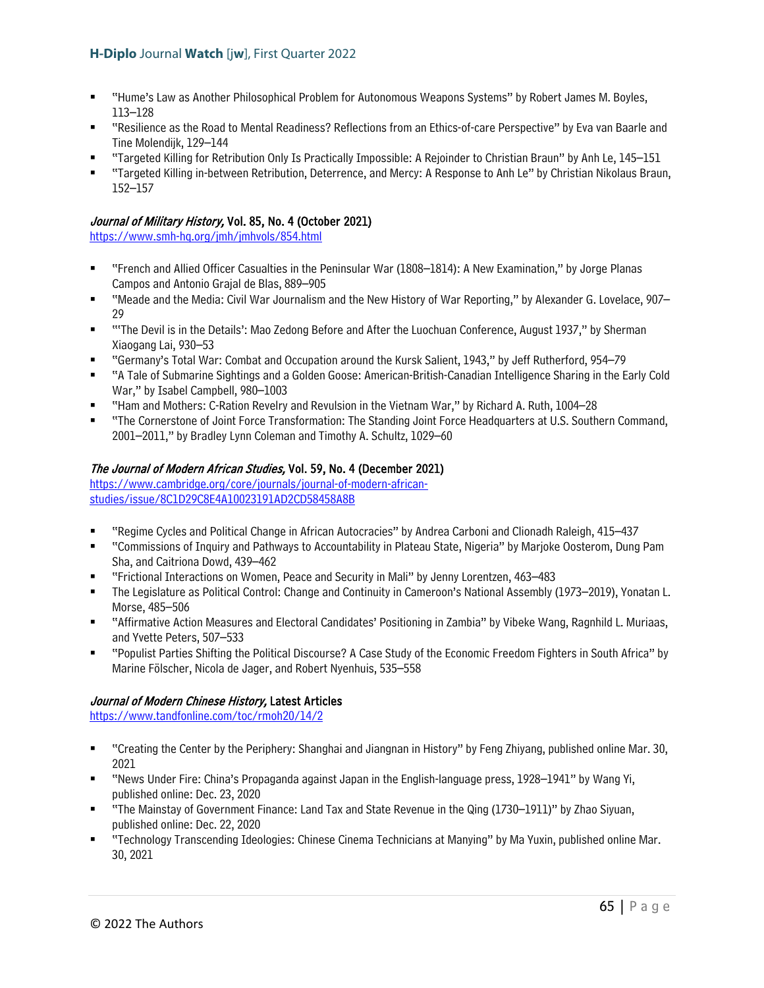- "Hume's Law as Another Philosophical Problem for Autonomous Weapons Systems" by Robert James M. Boyles, 113–128
- "Resilience as the Road to Mental Readiness? Reflections from an Ethics-of-care Perspective" by Eva van Baarle and Tine Molendijk, 129–144
- "Targeted Killing for Retribution Only Is Practically Impossible: A Rejoinder to Christian Braun" by Anh Le, 145–151
- "Targeted Killing in-between Retribution, Deterrence, and Mercy: A Response to Anh Le" by Christian Nikolaus Braun, 152–157

# Journal of Military History, Vol. 85, No. 4 (October 2021)

<https://www.smh-hq.org/jmh/jmhvols/854.html>

- "French and Allied Officer Casualties in the Peninsular War (1808–1814): A New Examination," by Jorge Planas Campos and Antonio Grajal de Blas, 889–905
- "Meade and the Media: Civil War Journalism and the New History of War Reporting," by Alexander G. Lovelace, 907– 29
- " "The Devil is in the Details': Mao Zedong Before and After the Luochuan Conference, August 1937," by Sherman Xiaogang Lai, 930–53
- "Germany's Total War: Combat and Occupation around the Kursk Salient, 1943," by Jeff Rutherford, 954–79
- "A Tale of Submarine Sightings and a Golden Goose: American-British-Canadian Intelligence Sharing in the Early Cold War," by Isabel Campbell, 980–1003
- "Ham and Mothers: C-Ration Revelry and Revulsion in the Vietnam War," by Richard A. Ruth, 1004–28
- "The Cornerstone of Joint Force Transformation: The Standing Joint Force Headquarters at U.S. Southern Command, 2001–2011," by Bradley Lynn Coleman and Timothy A. Schultz, 1029–60

# The Journal of Modern African Studies, Vol. 59, No. 4 (December 2021)

[https://www.cambridge.org/core/journals/journal-of-modern-african](https://www.cambridge.org/core/journals/journal-of-modern-african-studies/issue/8C1D29C8E4A10023191AD2CD58458A8B)[studies/issue/8C1D29C8E4A10023191AD2CD58458A8B](https://www.cambridge.org/core/journals/journal-of-modern-african-studies/issue/8C1D29C8E4A10023191AD2CD58458A8B)

- "Regime Cycles and Political Change in African Autocracies" by Andrea Carboni and Clionadh Raleigh, 415–437
- "Commissions of Inquiry and Pathways to Accountability in Plateau State, Nigeria" by Marjoke Oosterom, Dung Pam Sha, and Caitriona Dowd, 439–462
- "Frictional Interactions on Women, Peace and Security in Mali" by Jenny Lorentzen, 463–483
- The Legislature as Political Control: Change and Continuity in Cameroon's National Assembly (1973–2019), Yonatan L. Morse, 485–506
- "Affirmative Action Measures and Electoral Candidates' Positioning in Zambia" by Vibeke Wang, Ragnhild L. Muriaas, and Yvette Peters, 507–533
- "Populist Parties Shifting the Political Discourse? A Case Study of the Economic Freedom Fighters in South Africa" by Marine Fölscher, Nicola de Jager, and Robert Nyenhuis, 535–558

## Journal of Modern Chinese History, Latest Articles

<https://www.tandfonline.com/toc/rmoh20/14/2>

- "Creating the Center by the Periphery: Shanghai and Jiangnan in History" by Feng Zhiyang, published online Mar. 30, 2021
- "News Under Fire: China's Propaganda against Japan in the English-language press, 1928–1941" by Wang Yi, published online: Dec. 23, 2020
- "The Mainstay of Government Finance: Land Tax and State Revenue in the Qing (1730–1911)" by Zhao Siyuan, published online: Dec. 22, 2020
- "Technology Transcending Ideologies: Chinese Cinema Technicians at Manying" by Ma Yuxin, published online Mar. 30, 2021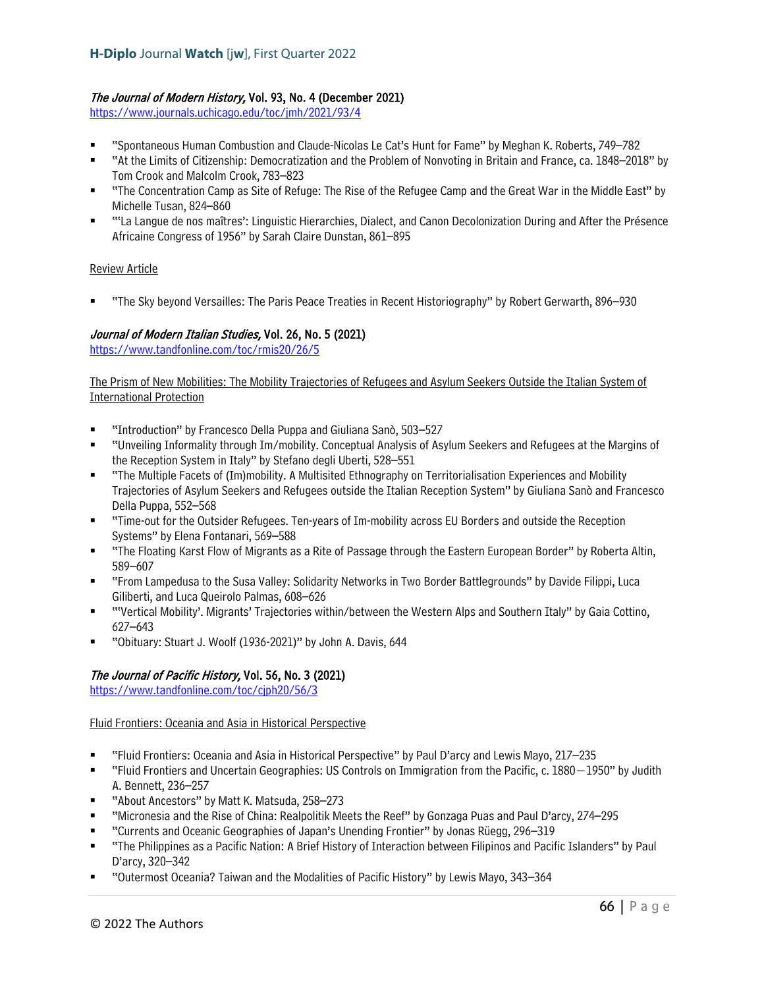## The Journal of Modern History, Vol. 93, No. 4 (December 2021)

<https://www.journals.uchicago.edu/toc/jmh/2021/93/4>

- "Spontaneous Human Combustion and Claude-Nicolas Le Cat's Hunt for Fame" by Meghan K. Roberts, 749–782
- "At the Limits of Citizenship: Democratization and the Problem of Nonvoting in Britain and France, ca. 1848–2018" by Tom Crook and Malcolm Crook, 783–823
- "The Concentration Camp as Site of Refuge: The Rise of the Refugee Camp and the Great War in the Middle East" by Michelle Tusan, 824–860
- "'La Langue de nos maîtres': Linguistic Hierarchies, Dialect, and Canon Decolonization During and After the Présence Africaine Congress of 1956" by Sarah Claire Dunstan, 861–895

### Review Article

"The Sky beyond Versailles: The Paris Peace Treaties in Recent Historiography" by Robert Gerwarth, 896–930

## Journal of Modern Italian Studies, Vol. 26, No. 5 (2021)

<https://www.tandfonline.com/toc/rmis20/26/5>

The Prism of New Mobilities: The Mobility Trajectories of Refugees and Asylum Seekers Outside the Italian System of International Protection

- "Introduction" by Francesco Della Puppa and Giuliana Sanò, 503–527
- "Unveiling Informality through Im/mobility. Conceptual Analysis of Asylum Seekers and Refugees at the Margins of the Reception System in Italy" by Stefano degli Uberti, 528–551
- "The Multiple Facets of (Im)mobility. A Multisited Ethnography on Territorialisation Experiences and Mobility Trajectories of Asylum Seekers and Refugees outside the Italian Reception System" by Giuliana Sanò and Francesco Della Puppa, 552–568
- "Time-out for the Outsider Refugees. Ten-years of Im-mobility across EU Borders and outside the Reception Systems" by Elena Fontanari, 569–588
- "The Floating Karst Flow of Migrants as a Rite of Passage through the Eastern European Border" by Roberta Altin, 589–607
- "From Lampedusa to the Susa Valley: Solidarity Networks in Two Border Battlegrounds" by Davide Filippi, Luca Giliberti, and Luca Queirolo Palmas, 608–626
- "'Vertical Mobility'. Migrants' Trajectories within/between the Western Alps and Southern Italy" by Gaia Cottino, 627–643
- "Obituary: Stuart J. Woolf (1936-2021)" by John A. Davis, 644

# The Journal of Pacific History, Vol. 56, No. 3 (2021)

<https://www.tandfonline.com/toc/cjph20/56/3>

## Fluid Frontiers: Oceania and Asia in Historical Perspective

- "Fluid Frontiers: Oceania and Asia in Historical Perspective" by Paul D'arcy and Lewis Mayo, 217–235
- "Fluid Frontiers and Uncertain Geographies: US Controls on Immigration from the Pacific, c. 1880−1950" by Judith A. Bennett, 236–257
- "About Ancestors" by Matt K. Matsuda, 258–273
- "Micronesia and the Rise of China: Realpolitik Meets the Reef" by Gonzaga Puas and Paul D'arcy, 274–295
- "Currents and Oceanic Geographies of Japan's Unending Frontier" by Jonas Rüegg, 296–319
- "The Philippines as a Pacific Nation: A Brief History of Interaction between Filipinos and Pacific Islanders" by Paul D'arcy, 320–342
- "Outermost Oceania? Taiwan and the Modalities of Pacific History" by Lewis Mayo, 343–364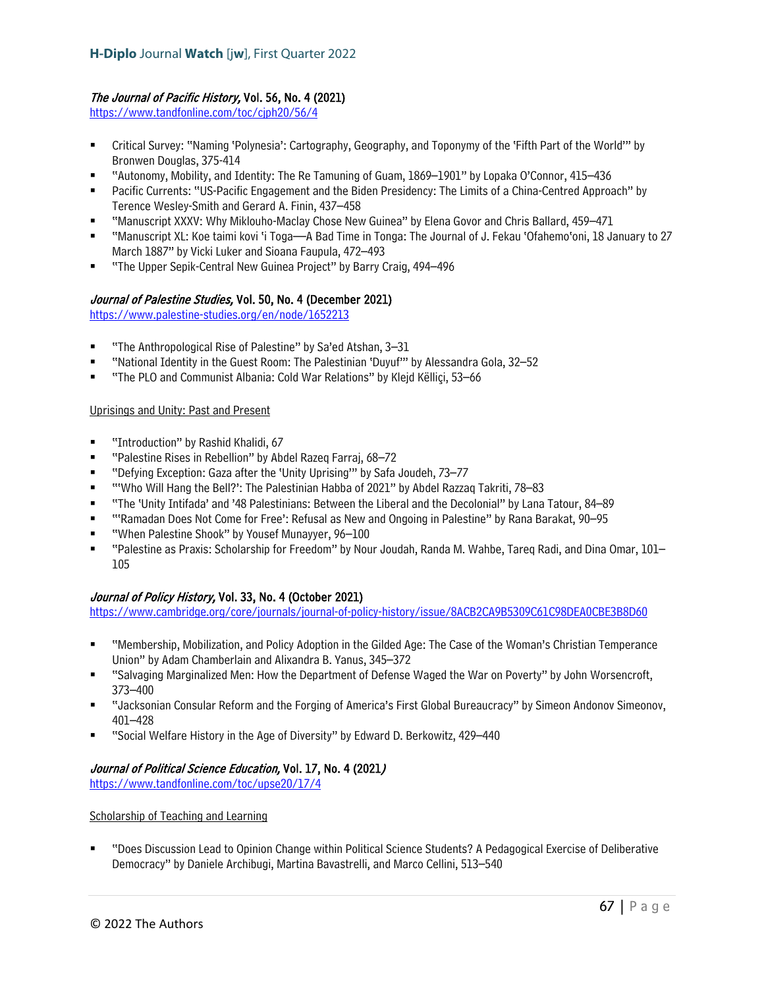## The Journal of Pacific History, Vol. 56, No. 4 (2021)

https://www.tandfonline.com/toc/ciph20/56/4

- Critical Survey: "Naming 'Polynesia': Cartography, Geography, and Toponymy of the 'Fifth Part of the World'" by Bronwen Douglas, 375-414
- "Autonomy, Mobility, and Identity: The Re Tamuning of Guam, 1869–1901" by Lopaka O'Connor, 415–436
- Pacific Currents: "US-Pacific Engagement and the Biden Presidency: The Limits of a China-Centred Approach" by Terence Wesley-Smith and Gerard A. Finin, 437–458
- "Manuscript XXXV: Why Miklouho-Maclay Chose New Guinea" by Elena Govor and Chris Ballard, 459–471
- "Manuscript XL: Koe taimi kovi 'i Toga—A Bad Time in Tonga: The Journal of J. Fekau 'Ofahemo'oni, 18 January to 27 March 1887" by Vicki Luker and Sioana Faupula, 472–493
- "The Upper Sepik-Central New Guinea Project" by Barry Craig, 494–496

## Journal of Palestine Studies, Vol. 50, No. 4 (December 2021)

<https://www.palestine-studies.org/en/node/1652213>

- "The Anthropological Rise of Palestine" by Sa'ed Atshan, 3–31
- "National Identity in the Guest Room: The Palestinian 'Duyuf'" by Alessandra Gola, 32–52
- "The PLO and Communist Albania: Cold War Relations" by Klejd Këlliçi, 53–66

### Uprisings and Unity: Past and Present

- "Introduction" by Rashid Khalidi, 67
- "Palestine Rises in Rebellion" by Abdel Razeq Farraj, 68–72
- "Defying Exception: Gaza after the 'Unity Uprising'" by Safa Joudeh, 73–77
- "'Who Will Hang the Bell?': The Palestinian Habba of 2021" by Abdel Razzaq Takriti, 78–83
- "The 'Unity Intifada' and '48 Palestinians: Between the Liberal and the Decolonial" by Lana Tatour, 84–89
- "'Ramadan Does Not Come for Free': Refusal as New and Ongoing in Palestine" by Rana Barakat, 90–95
- "When Palestine Shook" by Yousef Munayyer, 96–100
- "Palestine as Praxis: Scholarship for Freedom" by Nour Joudah, Randa M. Wahbe, Tareq Radi, and Dina Omar, 101– 105

## Journal of Policy History, Vol. 33, No. 4 (October 2021)

<https://www.cambridge.org/core/journals/journal-of-policy-history/issue/8ACB2CA9B5309C61C98DEA0CBE3B8D60>

- "Membership, Mobilization, and Policy Adoption in the Gilded Age: The Case of the Woman's Christian Temperance Union" by Adam Chamberlain and Alixandra B. Yanus, 345–372
- "Salvaging Marginalized Men: How the Department of Defense Waged the War on Poverty" by John Worsencroft, 373–400
- "Jacksonian Consular Reform and the Forging of America's First Global Bureaucracy" by Simeon Andonov Simeonov, 401–428
- "Social Welfare History in the Age of Diversity" by Edward D. Berkowitz, 429–440

## Journal of Political Science Education, Vol. 17, No. 4 (2021)

<https://www.tandfonline.com/toc/upse20/17/4>

### Scholarship of Teaching and Learning

 "Does Discussion Lead to Opinion Change within Political Science Students? A Pedagogical Exercise of Deliberative Democracy" by Daniele Archibugi, Martina Bavastrelli, and Marco Cellini, 513–540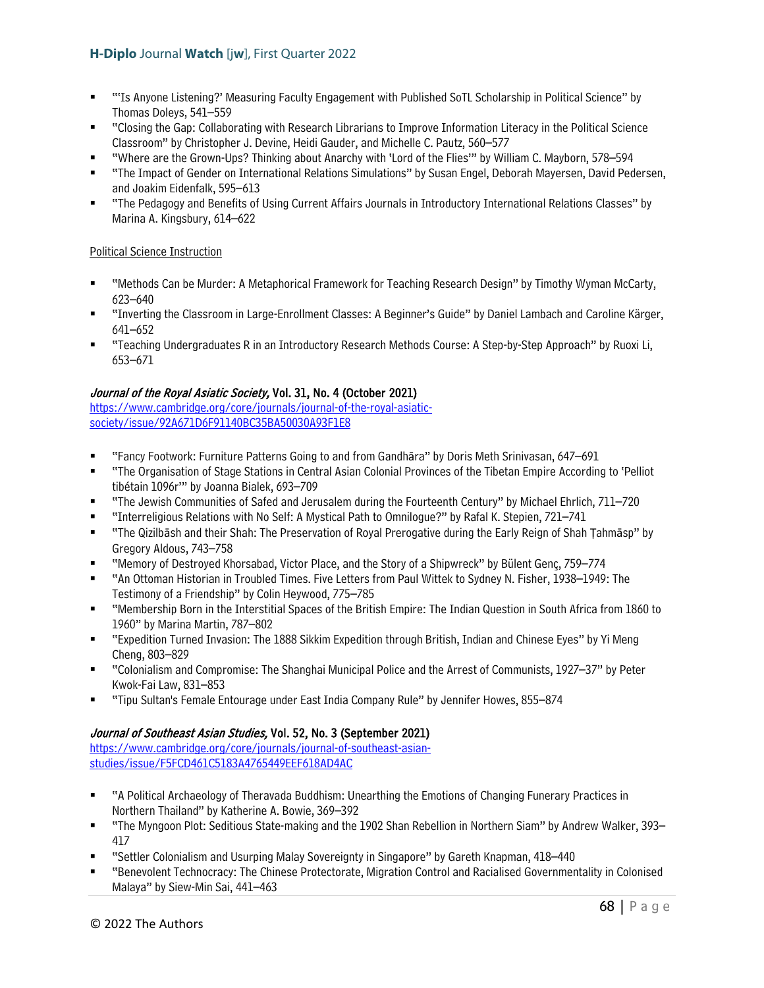- "'Is Anyone Listening?' Measuring Faculty Engagement with Published SoTL Scholarship in Political Science" by Thomas Doleys, 541–559
- "Closing the Gap: Collaborating with Research Librarians to Improve Information Literacy in the Political Science Classroom" by Christopher J. Devine, Heidi Gauder, and Michelle C. Pautz, 560–577
- "Where are the Grown-Ups? Thinking about Anarchy with 'Lord of the Flies'" by William C. Mayborn, 578–594
- "The Impact of Gender on International Relations Simulations" by Susan Engel, Deborah Mayersen, David Pedersen, and Joakim Eidenfalk, 595–613
- "The Pedagogy and Benefits of Using Current Affairs Journals in Introductory International Relations Classes" by Marina A. Kingsbury, 614–622

## Political Science Instruction

- "Methods Can be Murder: A Metaphorical Framework for Teaching Research Design" by Timothy Wyman McCarty, 623–640
- "Inverting the Classroom in Large-Enrollment Classes: A Beginner's Guide" by Daniel Lambach and Caroline Kärger, 641–652
- "Teaching Undergraduates R in an Introductory Research Methods Course: A Step-by-Step Approach" by Ruoxi Li, 653–671

### Journal of the Royal Asiatic Society, Vol. 31, No. 4 (October 2021)

[https://www.cambridge.org/core/journals/journal-of-the-royal-asiatic](https://www.cambridge.org/core/journals/journal-of-the-royal-asiatic-society/issue/92A671D6F91140BC35BA50030A93F1E8)[society/issue/92A671D6F91140BC35BA50030A93F1E8](https://www.cambridge.org/core/journals/journal-of-the-royal-asiatic-society/issue/92A671D6F91140BC35BA50030A93F1E8)

- "Fancy Footwork: Furniture Patterns Going to and from Gandhāra" by Doris Meth Srinivasan, 647–691
- "The Organisation of Stage Stations in Central Asian Colonial Provinces of the Tibetan Empire According to 'Pelliot tibétain 1096r'" by Joanna Bialek, 693–709
- "The Jewish Communities of Safed and Jerusalem during the Fourteenth Century" by Michael Ehrlich, 711–720
- "Interreligious Relations with No Self: A Mystical Path to Omnilogue?" by Rafal K. Stepien, 721–741
- "The Qizilbāsh and their Shah: The Preservation of Royal Prerogative during the Early Reign of Shah Ṭahmāsp" by Gregory Aldous, 743–758
- "Memory of Destroyed Khorsabad, Victor Place, and the Story of a Shipwreck" by Bülent Genç, 759–774
- "An Ottoman Historian in Troubled Times. Five Letters from Paul Wittek to Sydney N. Fisher, 1938–1949: The Testimony of a Friendship" by Colin Heywood, 775–785
- "Membership Born in the Interstitial Spaces of the British Empire: The Indian Question in South Africa from 1860 to 1960" by Marina Martin, 787–802
- "Expedition Turned Invasion: The 1888 Sikkim Expedition through British, Indian and Chinese Eyes" by Yi Meng Cheng, 803–829
- "Colonialism and Compromise: The Shanghai Municipal Police and the Arrest of Communists, 1927–37" by Peter Kwok-Fai Law, 831–853
- "Tipu Sultan's Female Entourage under East India Company Rule" by Jennifer Howes, 855–874

## Journal of Southeast Asian Studies, Vol. 52, No. 3 (September 2021)

[https://www.cambridge.org/core/journals/journal-of-southeast-asian](https://www.cambridge.org/core/journals/journal-of-southeast-asian-studies/issue/F5FCD461C5183A4765449EEF618AD4AC)[studies/issue/F5FCD461C5183A4765449EEF618AD4AC](https://www.cambridge.org/core/journals/journal-of-southeast-asian-studies/issue/F5FCD461C5183A4765449EEF618AD4AC)

- "A Political Archaeology of Theravada Buddhism: Unearthing the Emotions of Changing Funerary Practices in Northern Thailand" by Katherine A. Bowie, 369–392
- "The Myngoon Plot: Seditious State-making and the 1902 Shan Rebellion in Northern Siam" by Andrew Walker, 393– 417
- "Settler Colonialism and Usurping Malay Sovereignty in Singapore" by Gareth Knapman, 418–440
- "Benevolent Technocracy: The Chinese Protectorate, Migration Control and Racialised Governmentality in Colonised Malaya" by Siew-Min Sai, 441–463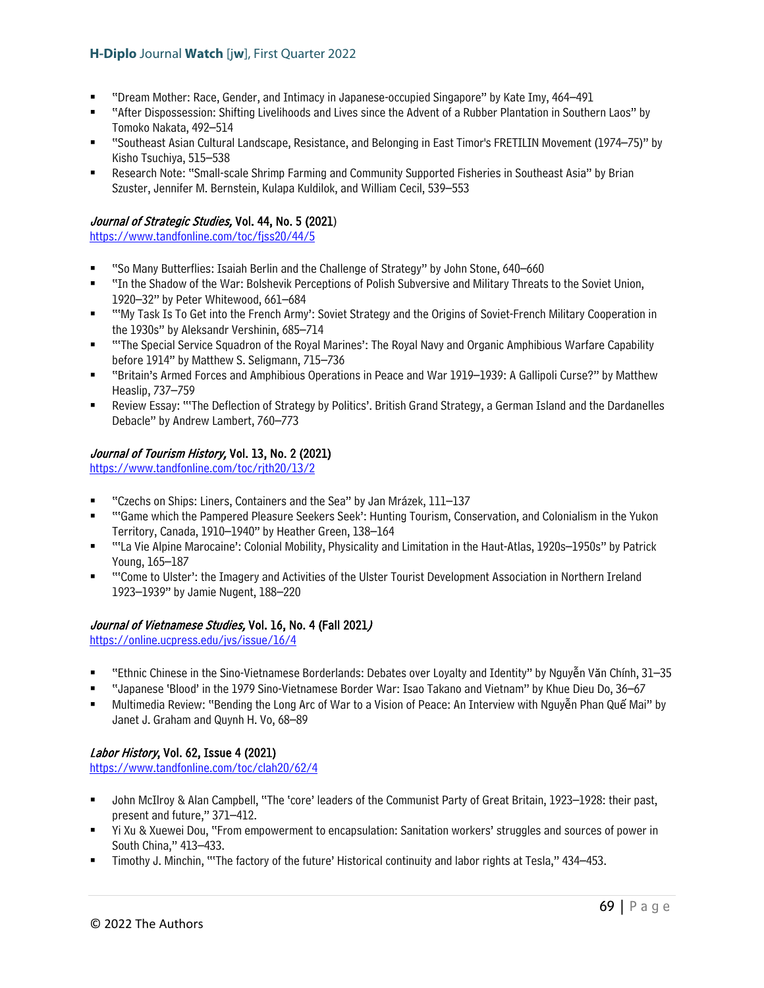- "Dream Mother: Race, Gender, and Intimacy in Japanese-occupied Singapore" by Kate Imy, 464–491
- "After Dispossession: Shifting Livelihoods and Lives since the Advent of a Rubber Plantation in Southern Laos" by Tomoko Nakata, 492–514
- "Southeast Asian Cultural Landscape, Resistance, and Belonging in East Timor's FRETILIN Movement (1974–75)" by Kisho Tsuchiya, 515–538
- Research Note: "Small-scale Shrimp Farming and Community Supported Fisheries in Southeast Asia" by Brian Szuster, Jennifer M. Bernstein, Kulapa Kuldilok, and William Cecil, 539–553

# Journal of Strategic Studies, Vol. 44, No. 5 (2021)

<https://www.tandfonline.com/toc/fjss20/44/5>

- "So Many Butterflies: Isaiah Berlin and the Challenge of Strategy" by John Stone, 640–660
- "In the Shadow of the War: Bolshevik Perceptions of Polish Subversive and Military Threats to the Soviet Union, 1920–32" by Peter Whitewood, 661–684
- "'My Task Is To Get into the French Army': Soviet Strategy and the Origins of Soviet-French Military Cooperation in the 1930s" by Aleksandr Vershinin, 685–714
- "'The Special Service Squadron of the Royal Marines': The Royal Navy and Organic Amphibious Warfare Capability before 1914" by Matthew S. Seligmann, 715–736
- "Britain's Armed Forces and Amphibious Operations in Peace and War 1919–1939: A Gallipoli Curse?" by Matthew Heaslip, 737–759
- Review Essay: "'The Deflection of Strategy by Politics'. British Grand Strategy, a German Island and the Dardanelles Debacle" by Andrew Lambert, 760–773

## Journal of Tourism History, Vol. 13, No. 2 (2021)

<https://www.tandfonline.com/toc/rjth20/13/2>

- "Czechs on Ships: Liners, Containers and the Sea" by Jan Mrázek, 111–137
- "'Game which the Pampered Pleasure Seekers Seek': Hunting Tourism, Conservation, and Colonialism in the Yukon Territory, Canada, 1910–1940" by Heather Green, 138–164
- "'La Vie Alpine Marocaine': Colonial Mobility, Physicality and Limitation in the Haut-Atlas, 1920s–1950s" by Patrick Young, 165–187
- "'Come to Ulster': the Imagery and Activities of the Ulster Tourist Development Association in Northern Ireland 1923–1939" by Jamie Nugent, 188–220

## Journal of Vietnamese Studies, Vol. 16, No. 4 (Fall 2021)

<https://online.ucpress.edu/jvs/issue/16/4>

- "Ethnic Chinese in the Sino-Vietnamese Borderlands: Debates over Loyalty and Identity" by Nguyễn Văn Chính, 31–35
- "Japanese 'Blood' in the 1979 Sino-Vietnamese Border War: Isao Takano and Vietnam" by Khue Dieu Do, 36–67
- Multimedia Review: "Bending the Long Arc of War to a Vision of Peace: An Interview with Nguyễn Phan Quế Mai" by Janet J. Graham and Quynh H. Vo, 68–89

## Labor History, Vol. 62, Issue 4 (2021)

<https://www.tandfonline.com/toc/clah20/62/4>

- John McIlroy & Alan Campbell, "The 'core' leaders of the Communist Party of Great Britain, 1923–1928: their past, present and future," 371–412.
- Yi Xu & Xuewei Dou, "From empowerment to encapsulation: Sanitation workers' struggles and sources of power in South China," 413–433.
- Timothy J. Minchin, "'The factory of the future' Historical continuity and labor rights at Tesla," 434–453.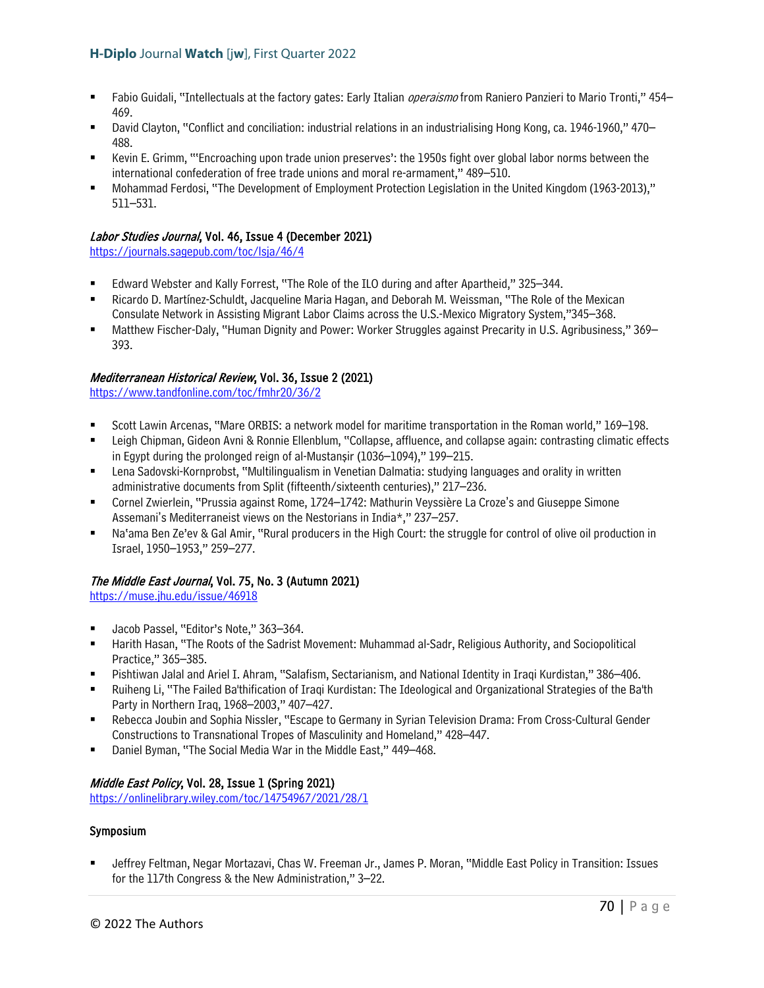- Fabio Guidali, "Intellectuals at the factory gates: Early Italian *operaismo* from Raniero Panzieri to Mario Tronti," 454– 469.
- David Clayton, "Conflict and conciliation: industrial relations in an industrialising Hong Kong, ca. 1946-1960," 470– 488.
- Kevin E. Grimm, "'Encroaching upon trade union preserves': the 1950s fight over global labor norms between the international confederation of free trade unions and moral re-armament," 489–510.
- Mohammad Ferdosi, "The Development of Employment Protection Legislation in the United Kingdom (1963-2013)," 511–531.

### Labor Studies Journal, Vol. 46, Issue 4 (December 2021)

<https://journals.sagepub.com/toc/lsja/46/4>

- Edward Webster and Kally Forrest, "The Role of the ILO during and after Apartheid," 325–344.
- Ricardo D. Martínez-Schuldt, Jacqueline Maria Hagan, and Deborah M. Weissman, "The Role of the Mexican Consulate Network in Assisting Migrant Labor Claims across the U.S.-Mexico Migratory System,"345–368.
- Matthew Fischer-Daly, "Human Dignity and Power: Worker Struggles against Precarity in U.S. Agribusiness," 369– 393.

# Mediterranean Historical Review, Vol. 36, Issue 2 (2021)

<https://www.tandfonline.com/toc/fmhr20/36/2>

- Scott Lawin Arcenas, "Mare ORBIS: a network model for maritime transportation in the Roman world," 169–198.
- Leigh Chipman, Gideon Avni & Ronnie Ellenblum, "Collapse, affluence, and collapse again: contrasting climatic effects in Egypt during the prolonged reign of al-Mustansir (1036–1094)," 199–215.
- Lena Sadovski-Kornprobst, "Multilingualism in Venetian Dalmatia: studying languages and orality in written administrative documents from Split (fifteenth/sixteenth centuries)," 217–236.
- Cornel Zwierlein, "Prussia against Rome, 1724–1742: Mathurin Veyssière La Croze's and Giuseppe Simone Assemani's Mediterraneist views on the Nestorians in India\*," 237–257.
- Na'ama Ben Ze'ev & Gal Amir, "Rural producers in the High Court: the struggle for control of olive oil production in Israel, 1950–1953," 259–277.

## The Middle East Journal, Vol. 75, No. 3 (Autumn 2021)

<https://muse.jhu.edu/issue/46918>

- Jacob Passel, "Editor's Note," 363–364.
- Harith Hasan, "The Roots of the Sadrist Movement: Muhammad al-Sadr, Religious Authority, and Sociopolitical Practice," 365–385.
- Pishtiwan Jalal and Ariel I. Ahram, "Salafism, Sectarianism, and National Identity in Iraqi Kurdistan," 386–406.
- Ruiheng Li, "The Failed Ba'thification of Iraqi Kurdistan: The Ideological and Organizational Strategies of the Ba'th Party in Northern Iraq, 1968–2003," 407–427.
- Rebecca Joubin and Sophia Nissler, "Escape to Germany in Syrian Television Drama: From Cross-Cultural Gender Constructions to Transnational Tropes of Masculinity and Homeland," 428–447.
- Daniel Byman, "The Social Media War in the Middle East," 449–468.

## Middle East Policy, Vol. 28, Issue 1 (Spring 2021)

<https://onlinelibrary.wiley.com/toc/14754967/2021/28/1>

## Symposium

 Jeffrey Feltman, Negar Mortazavi, Chas W. Freeman Jr., James P. Moran, "Middle East Policy in Transition: Issues for the 117th Congress & the New Administration," 3–22.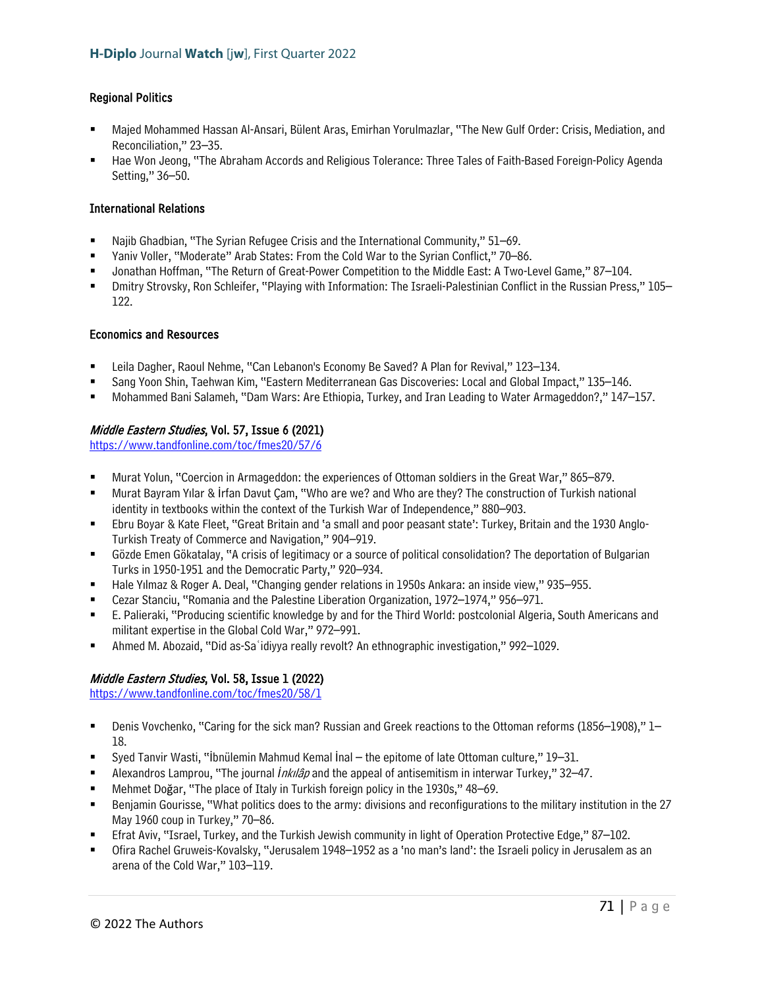### Regional Politics

- Majed Mohammed Hassan Al-Ansari, Bülent Aras, Emirhan Yorulmazlar, "The New Gulf Order: Crisis, Mediation, and Reconciliation," 23–35.
- Hae Won Jeong, "The Abraham Accords and Religious Tolerance: Three Tales of Faith-Based Foreign-Policy Agenda Setting," 36–50.

### International Relations

- Najib Ghadbian, "The Syrian Refugee Crisis and the International Community," 51–69.
- Yaniv Voller, "Moderate" Arab States: From the Cold War to the Syrian Conflict," 70–86.
- Jonathan Hoffman, "The Return of Great-Power Competition to the Middle East: A Two-Level Game," 87–104.
- Dmitry Strovsky, Ron Schleifer, "Playing with Information: The Israeli-Palestinian Conflict in the Russian Press," 105– 122.

#### Economics and Resources

- Leila Dagher, Raoul Nehme, "Can Lebanon's Economy Be Saved? A Plan for Revival," 123–134.
- Sang Yoon Shin, Taehwan Kim, "Eastern Mediterranean Gas Discoveries: Local and Global Impact," 135–146.
- Mohammed Bani Salameh, "Dam Wars: Are Ethiopia, Turkey, and Iran Leading to Water Armageddon?," 147–157.

### Middle Eastern Studies, Vol. 57, Issue 6 (2021)

<https://www.tandfonline.com/toc/fmes20/57/6>

- Murat Yolun, "Coercion in Armageddon: the experiences of Ottoman soldiers in the Great War," 865–879.
- Murat Bayram Yılar & İrfan Davut Çam, "Who are we? and Who are they? The construction of Turkish national identity in textbooks within the context of the Turkish War of Independence," 880–903.
- Ebru Boyar & Kate Fleet, "Great Britain and 'a small and poor peasant state': Turkey, Britain and the 1930 Anglo-Turkish Treaty of Commerce and Navigation," 904–919.
- Gözde Emen Gökatalay, "A crisis of legitimacy or a source of political consolidation? The deportation of Bulgarian Turks in 1950-1951 and the Democratic Party," 920–934.
- Hale Yılmaz & Roger A. Deal, "Changing gender relations in 1950s Ankara: an inside view," 935–955.
- Cezar Stanciu, "Romania and the Palestine Liberation Organization, 1972–1974," 956–971.
- E. Palieraki, "Producing scientific knowledge by and for the Third World: postcolonial Algeria, South Americans and militant expertise in the Global Cold War," 972–991.
- Ahmed M. Abozaid, "Did as-Saʿidiyya really revolt? An ethnographic investigation," 992–1029.

### Middle Eastern Studies, Vol. 58, Issue 1 (2022)

<https://www.tandfonline.com/toc/fmes20/58/1>

- Denis Vovchenko, "Caring for the sick man? Russian and Greek reactions to the Ottoman reforms (1856–1908)," 1– 18.
- Syed Tanvir Wasti, "İbnülemin Mahmud Kemal İnal the epitome of late Ottoman culture," 19–31.
- Alexandros Lamprou, "The journal *İ*nkılâp and the appeal of antisemitism in interwar Turkey," 32–47.
- Mehmet Doğar, "The place of Italy in Turkish foreign policy in the 1930s," 48–69.
- **Benjamin Gourisse, "What politics does to the army: divisions and reconfigurations to the military institution in the 27** May 1960 coup in Turkey," 70–86.
- Efrat Aviv, "Israel, Turkey, and the Turkish Jewish community in light of Operation Protective Edge," 87–102.
- Ofira Rachel Gruweis-Kovalsky, "Jerusalem 1948–1952 as a 'no man's land': the Israeli policy in Jerusalem as an arena of the Cold War," 103–119.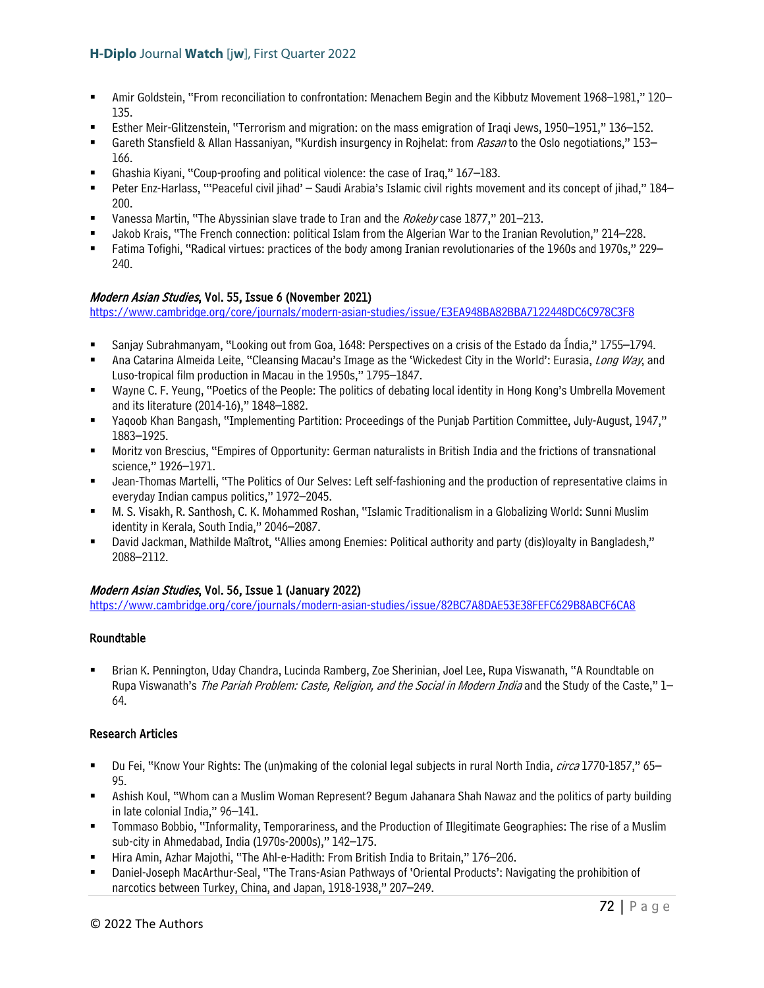- Amir Goldstein, "From reconciliation to confrontation: Menachem Begin and the Kibbutz Movement 1968–1981," 120– 135.
- Esther Meir-Glitzenstein, "Terrorism and migration: on the mass emigration of Iraqi Jews, 1950–1951," 136–152.
- Gareth Stansfield & Allan Hassaniyan, "Kurdish insurgency in Rojhelat: from Rasan to the Oslo negotiations," 153– 166.
- Ghashia Kiyani, "Coup-proofing and political violence: the case of Iraq," 167–183.
- Peter Enz-Harlass, "'Peaceful civil jihad' Saudi Arabia's Islamic civil rights movement and its concept of jihad," 184– 200.
- Vanessa Martin, "The Abyssinian slave trade to Iran and the Rokeby case 1877," 201-213.
- Jakob Krais, "The French connection: political Islam from the Algerian War to the Iranian Revolution," 214–228.
- Fatima Tofighi, "Radical virtues: practices of the body among Iranian revolutionaries of the 1960s and 1970s," 229– 240.

# Modern Asian Studies, Vol. 55, Issue 6 (November 2021)

<https://www.cambridge.org/core/journals/modern-asian-studies/issue/E3EA948BA82BBA7122448DC6C978C3F8>

- Sanjay Subrahmanyam, "Looking out from Goa, 1648: Perspectives on a crisis of the Estado da Índia," 1755–1794.
- Ana Catarina Almeida Leite, "Cleansing Macau's Image as the 'Wickedest City in the World': Eurasia, Long Way, and Luso-tropical film production in Macau in the 1950s," 1795–1847.
- Wayne C. F. Yeung, "Poetics of the People: The politics of debating local identity in Hong Kong's Umbrella Movement and its literature (2014-16)," 1848–1882.
- Yaqoob Khan Bangash, "Implementing Partition: Proceedings of the Punjab Partition Committee, July-August, 1947," 1883–1925.
- Moritz von Brescius, "Empires of Opportunity: German naturalists in British India and the frictions of transnational science," 1926–1971.
- Jean-Thomas Martelli, "The Politics of Our Selves: Left self-fashioning and the production of representative claims in everyday Indian campus politics," 1972–2045.
- M. S. Visakh, R. Santhosh, C. K. Mohammed Roshan, "Islamic Traditionalism in a Globalizing World: Sunni Muslim identity in Kerala, South India," 2046–2087.
- David Jackman, Mathilde Maîtrot, "Allies among Enemies: Political authority and party (dis)loyalty in Bangladesh," 2088–2112.

## Modern Asian Studies, Vol. 56, Issue 1 (January 2022)

<https://www.cambridge.org/core/journals/modern-asian-studies/issue/82BC7A8DAE53E38FEFC629B8ABCF6CA8>

## Roundtable

 Brian K. Pennington, Uday Chandra, Lucinda Ramberg, Zoe Sherinian, Joel Lee, Rupa Viswanath, "A Roundtable on Rupa Viswanath's The Pariah Problem: Caste, Religion, and the Social in Modern India and the Study of the Caste," 1-64.

## Research Articles

- Du Fei, "Know Your Rights: The (un)making of the colonial legal subjects in rural North India, *circa* 1770-1857," 65– 95.
- Ashish Koul, "Whom can a Muslim Woman Represent? Begum Jahanara Shah Nawaz and the politics of party building in late colonial India," 96–141.
- Tommaso Bobbio, "Informality, Temporariness, and the Production of Illegitimate Geographies: The rise of a Muslim sub-city in Ahmedabad, India (1970s-2000s)," 142–175.
- Hira Amin, Azhar Majothi, "The Ahl-e-Hadith: From British India to Britain," 176–206.
- Daniel-Joseph MacArthur-Seal, "The Trans-Asian Pathways of 'Oriental Products': Navigating the prohibition of narcotics between Turkey, China, and Japan, 1918-1938," 207–249.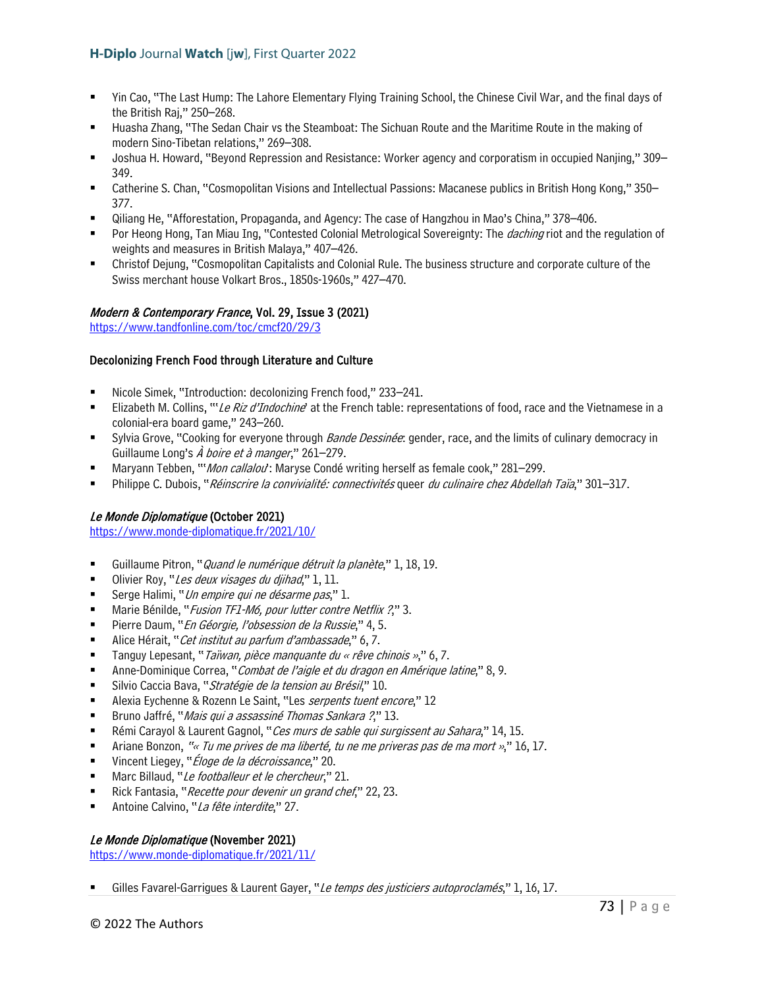- Yin Cao, "The Last Hump: The Lahore Elementary Flying Training School, the Chinese Civil War, and the final days of the British Raj," 250–268.
- Huasha Zhang, "The Sedan Chair vs the Steamboat: The Sichuan Route and the Maritime Route in the making of modern Sino-Tibetan relations," 269–308.
- Joshua H. Howard, "Beyond Repression and Resistance: Worker agency and corporatism in occupied Nanjing," 309– 349.
- Catherine S. Chan, "Cosmopolitan Visions and Intellectual Passions: Macanese publics in British Hong Kong," 350– 377.
- Qiliang He, "Afforestation, Propaganda, and Agency: The case of Hangzhou in Mao's China," 378–406.
- Por Heong Hong, Tan Miau Ing, "Contested Colonial Metrological Sovereignty: The *daching* riot and the regulation of weights and measures in British Malaya," 407–426.
- Christof Dejung, "Cosmopolitan Capitalists and Colonial Rule. The business structure and corporate culture of the Swiss merchant house Volkart Bros., 1850s-1960s," 427–470.

### Modern & Contemporary France, Vol. 29, Issue 3 (2021)

<https://www.tandfonline.com/toc/cmcf20/29/3>

### Decolonizing French Food through Literature and Culture

- Nicole Simek, "Introduction: decolonizing French food," 233–241.
- **ELIZADETH M. Collins, "'Le Riz d'Indochine'** at the French table: representations of food, race and the Vietnamese in a colonial-era board game," 243–260.
- Sylvia Grove, "Cooking for everyone through *Bande Dessinée*: gender, race, and the limits of culinary democracy in Guillaume Long's *À boire et à manger*," 261–279.
- Maryann Tebben, "'*Mon callalou*': Maryse Condé writing herself as female cook," 281–299.
- Philippe C. Dubois, "Réinscrire la convivialité: connectivités queer du culinaire chez Abdellah Taïa," 301–317.

### Le Monde Diplomatique (October 2021)

<https://www.monde-diplomatique.fr/2021/10/>

- Guillaume Pitron, "*Quand le numérique détruit la planète*," 1, 18, 19.
- Olivier Roy, "Les deux visages du djihad," 1, 11.
- Serge Halimi, "*Un empire qui ne désarme pas*," 1.
- Marie Bénilde, "*Fusion TF1-M6, pour lutter contre Netflix ?*," 3.
- Pierre Daum, "En Géorgie, l'obsession de la Russie," 4, 5.
- Alice Hérait, "Cet institut au parfum d'ambassade," 6, 7.
- **Tanguy Lepesant, "** *Taïwan, pièce manquante du « rêve chinois »*," 6, 7.
- Anne-Dominique Correa, "Combat de l'aigle et du dragon en Amérique latine," 8, 9.
- Silvio Caccia Bava, "Stratégie de la tension au Brésil," 10.
- Alexia Eychenne & Rozenn Le Saint, "Les serpents tuent encore," 12
- Bruno Jaffré, "*Mais qui a assassiné Thomas Sankara ?*," 13.
- Rémi Carayol & Laurent Gagnol, "Ces murs de sable qui surgissent au Sahara," 14, 15.
- **F** Ariane Bonzon, "« Tu me prives de ma liberté, tu ne me priveras pas de ma mort »," 16, 17.
- Vincent Liegey, "*Éloge de la décroissance*," 20.
- Marc Billaud, "Le footballeur et le chercheur," 21.
- Rick Fantasia, "Recette pour devenir un grand chef," 22, 23.
- Antoine Calvino, "La fête interdite," 27.

### Le Monde Diplomatique (November 2021)

<https://www.monde-diplomatique.fr/2021/11/>

Gilles Favarel-Garrigues & Laurent Gayer, "Le temps des justiciers autoproclamés," 1, 16, 17.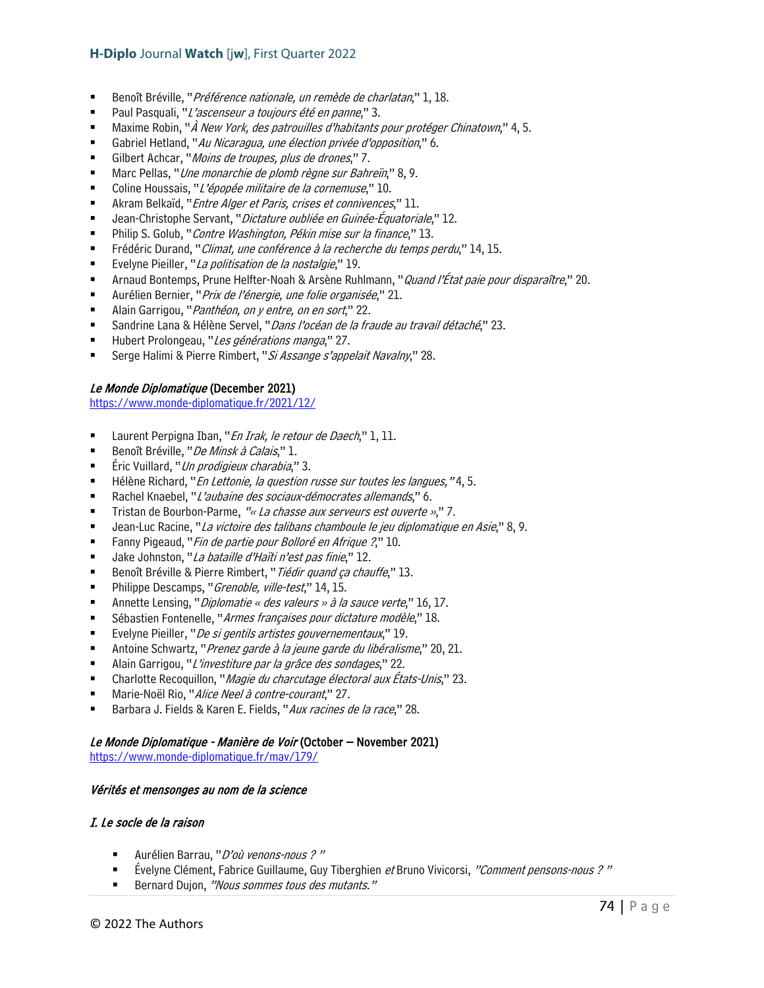- Benoît Bréville, "Préférence nationale, un remède de charlatan," 1, 18.
- Paul Pasquali, "L'ascenseur a toujours été en panne," 3.
- Maxime Robin, "À New York, des patrouilles d'habitants pour protéger Chinatown," 4, 5.
- Gabriel Hetland, "Au Nicaragua, une élection privée d'opposition," 6.
- Gilbert Achcar, "Moins de troupes, plus de drones," 7.
- Marc Pellas, "Une monarchie de plomb règne sur Bahreïn," 8, 9.
- Coline Houssais, "L'épopée militaire de la cornemuse," 10.
- Akram Belkaïd, "*Entre Alger et Paris, crises et connivences*," 11.
- Jean-Christophe Servant, "Dictature oubliée en Guinée-Équatoriale," 12.
- Philip S. Golub, "Contre Washington, Pékin mise sur la finance," 13.
- Frédéric Durand, "Climat, une conférence à la recherche du temps perdu," 14, 15.
- Evelyne Pieiller, "La politisation de la nostalgie," 19.
- **Arnaud Bontemps, Prune Helfter-Noah & Arsène Ruhlmann, "***Quand l'État paie pour disparaître***," 20.**
- Aurélien Bernier, "Prix de l'énergie, une folie organisée," 21.
- Alain Garrigou, "Panthéon, on y entre, on en sort," 22.
- Sandrine Lana & Hélène Servel, "Dans l'océan de la fraude au travail détaché," 23.
- Hubert Prolongeau, "Les générations manga," 27.
- Serge Halimi & Pierre Rimbert, "Si Assange s'appelait Navalny," 28.

### Le Monde Diplomatique (December 2021)

<https://www.monde-diplomatique.fr/2021/12/>

- Laurent Perpigna Iban, "En Irak, le retour de Daech," 1, 11.
- Benoît Bréville, "De Minsk à Calais," 1.
- Éric Vuillard, "Un prodigieux charabia," 3.
- Hélène Richard, "En Lettonie, la question russe sur toutes les langues," 4, 5.
- Rachel Knaebel, "L'aubaine des sociaux-démocrates allemands," 6.
- Tristan de Bourbon-Parme, "« La chasse aux serveurs est ouverte »," 7.
- Jean-Luc Racine, "La victoire des talibans chamboule le jeu diplomatique en Asie," 8, 9.
- Fanny Pigeaud, "*Fin de partie pour Bolloré en Afrique ?*," 10.
- Jake Johnston, "La bataille d'Haïti n'est pas finie," 12.
- Benoît Bréville & Pierre Rimbert, "Tiédir quand ça chauffe," 13.
- Philippe Descamps, "*Grenoble, ville-test*," 14, 15.
- **Annette Lensing, "**Diplomatie « des valeurs » à la sauce verte," 16, 17.
- Sébastien Fontenelle, "Armes françaises pour dictature modèle," 18.
- Evelyne Pieiller, "De si gentils artistes gouvernementaux," 19.
- Antoine Schwartz, "*Prenez garde à la jeune garde du libéralisme*," 20, 21.
- Alain Garrigou, "L'investiture par la grâce des sondages," 22.
- Charlotte Recoquillon, "Magie du charcutage électoral aux États-Unis," 23.
- Marie-Noël Rio, "Alice Neel à contre-courant," 27.
- Barbara J. Fields & Karen E. Fields, "Aux racines de la race," 28.

### Le Monde Diplomatique - Manière de Voir (October – November 2021)

<https://www.monde-diplomatique.fr/mav/179/>

### Vérités et mensonges au nom de la science

### I. Le socle de la raison

- Aurélien Barrau, "D'où venons-nous ?"
- Évelyne Clément, Fabrice Guillaume, Guy Tiberghien et Bruno Vivicorsi, "Comment pensons-nous ? "
- Bernard Dujon, "Nous sommes tous des mutants."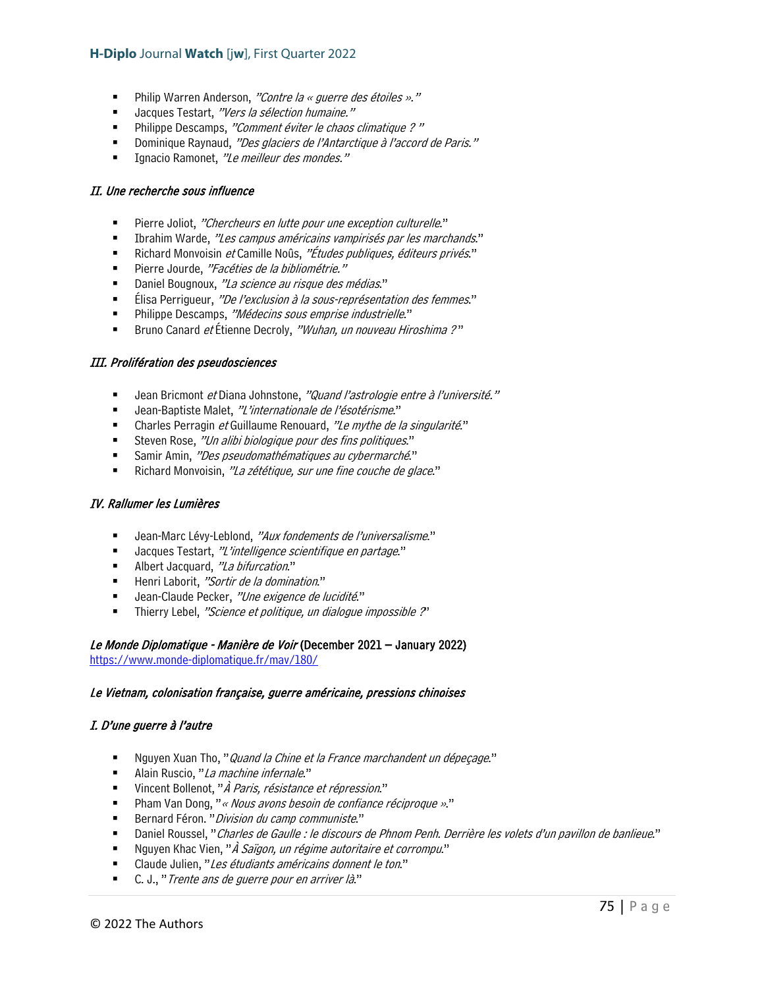- **Philip Warren Anderson, "Contre la « guerre des étoiles »."**
- Jacques Testart, "Vers la sélection humaine."
- Philippe Descamps, "Comment éviter le chaos climatique ?"
- Dominique Raynaud, "Des glaciers de l'Antarctique à l'accord de Paris."
- Ignacio Ramonet, "Le meilleur des mondes."

#### II. Une recherche sous influence

- **Pierre Joliot, "Chercheurs en lutte pour une exception culturelle."**
- **Ibrahim Warde, "Les campus américains vampirisés par les marchands."**
- Richard Monvoisin et Camille Noûs, "Études publiques, éditeurs privés."
- Pierre Jourde, "Facéties de la bibliométrie."
- Daniel Bougnoux, "La science au risque des médias."
- Elisa Perrigueur, "De l'exclusion à la sous-représentation des femmes."
- Philippe Descamps, "Médecins sous emprise industrielle."
- Bruno Canard et Étienne Decroly, "Wuhan, un nouveau Hiroshima ?"

#### III. Prolifération des pseudosciences

- Jean Bricmont et Diana Johnstone, "Quand l'astrologie entre à l'université."
- Jean-Baptiste Malet, "L'internationale de l'ésotérisme."
- Charles Perragin et Guillaume Renouard, "Le mythe de la singularité."
- Steven Rose, "Un alibi biologique pour des fins politiques."
- Samir Amin, "Des pseudomathématiques au cybermarché."
- Richard Monvoisin, "La zététique, sur une fine couche de glace."

### IV. Rallumer les Lumières

- Jean-Marc Lévy-Leblond, "Aux fondements de l'universalisme."
- Jacques Testart, "L'intelligence scientifique en partage."
- Albert Jacquard, "La bifurcation."
- Henri Laborit, "Sortir de la domination."
- Jean-Claude Pecker, "Une exigence de lucidité."
- Thierry Lebel, "Science et politique, un dialogue impossible ?'

#### Le Monde Diplomatique - Manière de Voir (December 2021 – January 2022) <https://www.monde-diplomatique.fr/mav/180/>

#### Le Vietnam, colonisation française, guerre américaine, pressions chinoises

### I. D'une guerre à l'autre

- Nguyen Xuan Tho, "Quand la Chine et la France marchandent un dépeçage."
- Alain Ruscio, "La machine infernale."
- Vincent Bollenot, "*À Paris, résistance et répression*."
- Pham Van Dong, "« Nous avons besoin de confiance réciproque »."
- Bernard Féron. "Division du camp communiste."
- Daniel Roussel, "Charles de Gaulle : le discours de Phnom Penh. Derrière les volets d'un pavillon de banlieue."
- Nguyen Khac Vien, "*À Saïgon, un régime autoritaire et corrompu*."
- Claude Julien, "Les étudiants américains donnent le ton."
- C. J., "Trente ans de guerre pour en arriver là."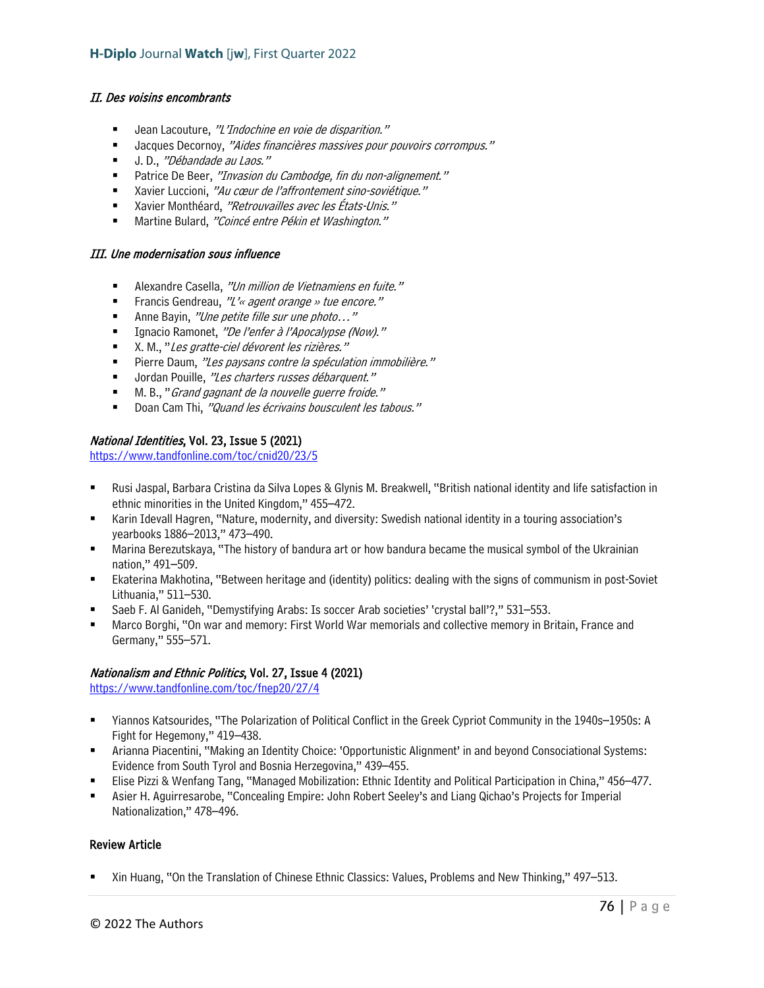### II. Des voisins encombrants

- Jean Lacouture, "L'Indochine en voie de disparition."
- Jacques Decornoy, "Aides financières massives pour pouvoirs corrompus."
- U.D., "Débandade au Laos."
- Patrice De Beer, "Invasion du Cambodge, fin du non-alignement."
- Xavier Luccioni, "Au cœur de l'affrontement sino-soviétique."
- Xavier Monthéard, "Retrouvailles avec les États-Unis."
- Martine Bulard, "Coincé entre Pékin et Washington."

#### III. Une modernisation sous influence

- Alexandre Casella, "Un million de Vietnamiens en fuite."
- Francis Gendreau,  $"L' \text{~}$  agent orange » tue encore."
- Anne Bayin, "Une petite fille sur une photo..."
- Ignacio Ramonet, "De l'enfer à l'Apocalypse (Now)."
- X. M., "Les gratte-ciel dévorent les rizières."
- Pierre Daum, "Les paysans contre la spéculation immobilière."
- Jordan Pouille, "Les charters russes débarquent."
- M. B., "Grand gagnant de la nouvelle guerre froide."
- Doan Cam Thi, "Quand les écrivains bousculent les tabous."

### National Identities, Vol. 23, Issue 5 (2021)

<https://www.tandfonline.com/toc/cnid20/23/5>

- Rusi Jaspal, Barbara Cristina da Silva Lopes & Glynis M. Breakwell, "British national identity and life satisfaction in ethnic minorities in the United Kingdom," 455–472.
- Karin Idevall Hagren, "Nature, modernity, and diversity: Swedish national identity in a touring association's yearbooks 1886–2013," 473–490.
- Marina Berezutskaya, "The history of bandura art or how bandura became the musical symbol of the Ukrainian nation," 491–509.
- Ekaterina Makhotina, "Between heritage and (identity) politics: dealing with the signs of communism in post-Soviet Lithuania," 511–530.
- Saeb F. Al Ganideh, "Demystifying Arabs: Is soccer Arab societies' 'crystal ball'?," 531–553.
- Marco Borghi, "On war and memory: First World War memorials and collective memory in Britain, France and Germany," 555–571.

### Nationalism and Ethnic Politics, Vol. 27, Issue 4 (2021)

<https://www.tandfonline.com/toc/fnep20/27/4>

- Yiannos Katsourides, "The Polarization of Political Conflict in the Greek Cypriot Community in the 1940s–1950s: A Fight for Hegemony," 419–438.
- Arianna Piacentini, "Making an Identity Choice: 'Opportunistic Alignment' in and beyond Consociational Systems: Evidence from South Tyrol and Bosnia Herzegovina," 439–455.
- Elise Pizzi & Wenfang Tang, "Managed Mobilization: Ethnic Identity and Political Participation in China," 456–477.
- Asier H. Aguirresarobe, "Concealing Empire: John Robert Seeley's and Liang Qichao's Projects for Imperial Nationalization," 478–496.

### Review Article

Xin Huang, "On the Translation of Chinese Ethnic Classics: Values, Problems and New Thinking," 497–513.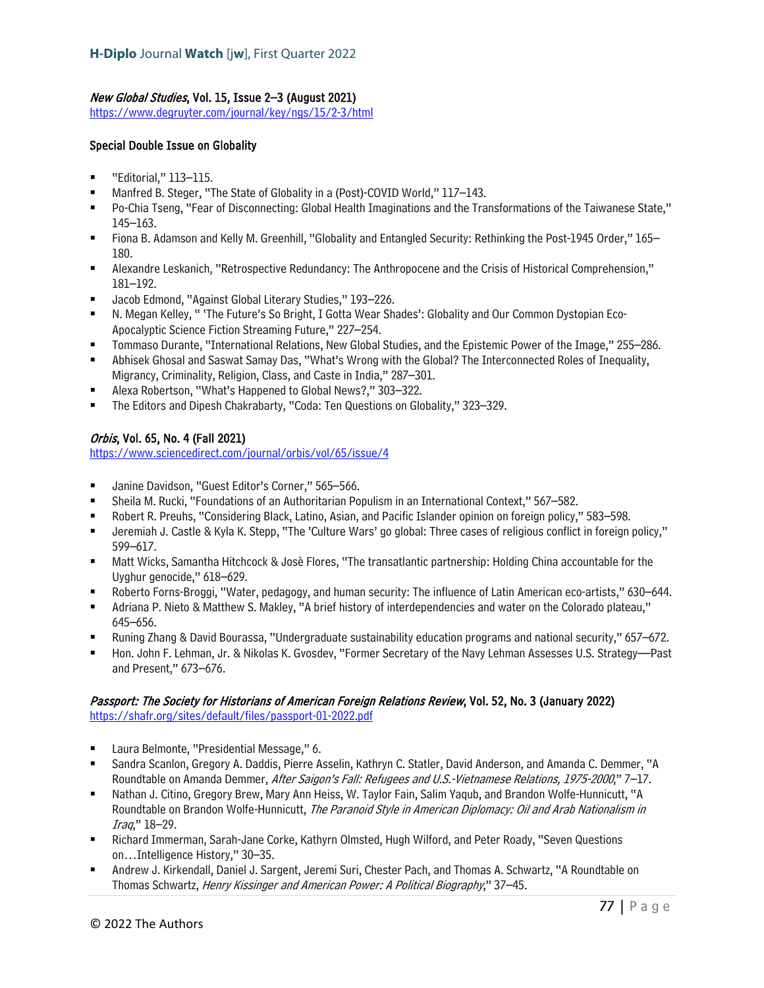# New Global Studies, Vol. 15, Issue 2–3 (August 2021)

<https://www.degruyter.com/journal/key/ngs/15/2-3/html>

### Special Double Issue on Globality

- "Editorial," 113–115.
- Manfred B. Steger, "The State of Globality in a (Post)-COVID World," 117–143.
- Po-Chia Tseng, "Fear of Disconnecting: Global Health Imaginations and the Transformations of the Taiwanese State," 145–163.
- Fiona B. Adamson and Kelly M. Greenhill, "Globality and Entangled Security: Rethinking the Post-1945 Order," 165– 180.
- Alexandre Leskanich, "Retrospective Redundancy: The Anthropocene and the Crisis of Historical Comprehension," 181–192.
- Jacob Edmond, "Against Global Literary Studies," 193–226.
- N. Megan Kelley, " 'The Future's So Bright, I Gotta Wear Shades': Globality and Our Common Dystopian Eco-Apocalyptic Science Fiction Streaming Future," 227–254.
- Tommaso Durante, "International Relations, New Global Studies, and the Epistemic Power of the Image," 255–286.
- Abhisek Ghosal and Saswat Samay Das, "What's Wrong with the Global? The Interconnected Roles of Inequality, Migrancy, Criminality, Religion, Class, and Caste in India," 287–301.
- Alexa Robertson, "What's Happened to Global News?," 303–322.
- The Editors and Dipesh Chakrabarty, "Coda: Ten Questions on Globality," 323–329.

# Orbis, Vol. 65, No. 4 (Fall 2021)

<https://www.sciencedirect.com/journal/orbis/vol/65/issue/4>

- Janine Davidson, "Guest Editor's Corner," 565-566.
- Sheila M. Rucki, "Foundations of an Authoritarian Populism in an International Context," 567–582.
- Robert R. Preuhs, "Considering Black, Latino, Asian, and Pacific Islander opinion on foreign policy," 583–598.
- Jeremiah J. Castle & Kyla K. Stepp, "The 'Culture Wars' go global: Three cases of religious conflict in foreign policy," 599–617.
- Matt Wicks, Samantha Hitchcock & Josè Flores, "The transatlantic partnership: Holding China accountable for the Uyghur genocide," 618–629.
- Roberto Forns-Broggi, "Water, pedagogy, and human security: The influence of Latin American eco-artists," 630–644.
- Adriana P. Nieto & Matthew S. Makley, "A brief history of interdependencies and water on the Colorado plateau," 645–656.
- Runing Zhang & David Bourassa, "Undergraduate sustainability education programs and national security," 657–672.
- Hon. John F. Lehman, Jr. & Nikolas K. Gvosdev, "Former Secretary of the Navy Lehman Assesses U.S. Strategy—Past and Present," 673–676.

# Passport: The Society for Historians of American Foreign Relations Review, Vol. 52, No. 3 (January 2022)

<https://shafr.org/sites/default/files/passport-01-2022.pdf>

- Laura Belmonte, "Presidential Message," 6.
- Sandra Scanlon, Gregory A. Daddis, Pierre Asselin, Kathryn C. Statler, David Anderson, and Amanda C. Demmer, "A Roundtable on Amanda Demmer, After Saigon's Fall: Refugees and U.S.-Vietnamese Relations, 1975-2000," 7–17.
- Nathan J. Citino, Gregory Brew, Mary Ann Heiss, W. Taylor Fain, Salim Yaqub, and Brandon Wolfe-Hunnicutt, "A Roundtable on Brandon Wolfe-Hunnicutt, The Paranoid Style in American Diplomacy: Oil and Arab Nationalism in Iraq," 18–29.
- Richard Immerman, Sarah-Jane Corke, Kathyrn Olmsted, Hugh Wilford, and Peter Roady, "Seven Questions on…Intelligence History," 30–35.
- Andrew J. Kirkendall, Daniel J. Sargent, Jeremi Suri, Chester Pach, and Thomas A. Schwartz, "A Roundtable on Thomas Schwartz, Henry Kissinger and American Power: A Political Biography," 37-45.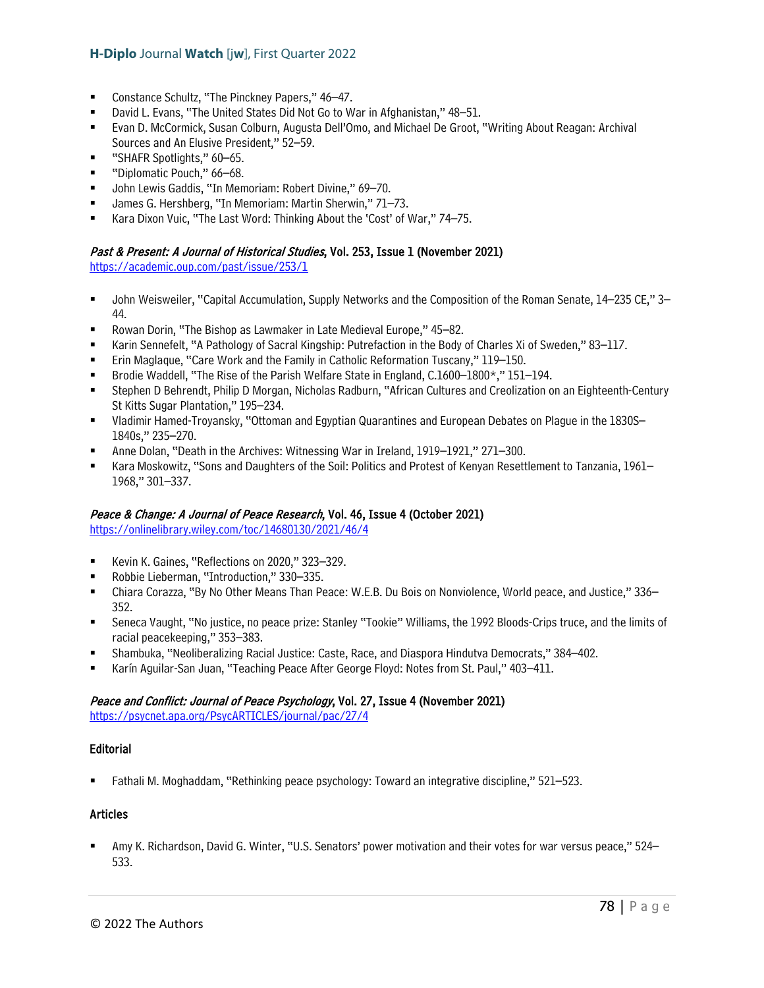- Constance Schultz, "The Pinckney Papers," 46–47.
- David L. Evans, "The United States Did Not Go to War in Afghanistan," 48–51.
- Evan D. McCormick, Susan Colburn, Augusta Dell'Omo, and Michael De Groot, "Writing About Reagan: Archival Sources and An Elusive President," 52–59.
- "SHAFR Spotlights," 60–65.
- "Diplomatic Pouch," 66–68.
- John Lewis Gaddis, "In Memoriam: Robert Divine," 69–70.
- James G. Hershberg, "In Memoriam: Martin Sherwin," 71–73.
- Kara Dixon Vuic, "The Last Word: Thinking About the 'Cost' of War," 74–75.

### Past & Present: A Journal of Historical Studies, Vol. 253, Issue 1 (November 2021)

<https://academic.oup.com/past/issue/253/1>

- John Weisweiler, "Capital Accumulation, Supply Networks and the Composition of the Roman Senate, 14–235 CE," 3– 44.
- Rowan Dorin, "The Bishop as Lawmaker in Late Medieval Europe," 45–82.
- Karin Sennefelt, "A Pathology of Sacral Kingship: Putrefaction in the Body of Charles Xi of Sweden," 83–117.
- Erin Maglaque, "Care Work and the Family in Catholic Reformation Tuscany," 119–150.
- Brodie Waddell, "The Rise of the Parish Welfare State in England, C.1600–1800\*," 151–194.
- Stephen D Behrendt, Philip D Morgan, Nicholas Radburn, "African Cultures and Creolization on an Eighteenth-Century St Kitts Sugar Plantation," 195–234.
- Vladimir Hamed-Troyansky, "Ottoman and Egyptian Quarantines and European Debates on Plague in the 1830S– 1840s," 235–270.
- Anne Dolan, "Death in the Archives: Witnessing War in Ireland, 1919–1921," 271–300.
- Kara Moskowitz, "Sons and Daughters of the Soil: Politics and Protest of Kenyan Resettlement to Tanzania, 1961– 1968," 301–337.

### Peace & Change: A Journal of Peace Research, Vol. 46, Issue 4 (October 2021)

<https://onlinelibrary.wiley.com/toc/14680130/2021/46/4>

- Kevin K. Gaines, "Reflections on 2020," 323-329.
- Robbie Lieberman, "Introduction," 330–335.
- Chiara Corazza, "By No Other Means Than Peace: W.E.B. Du Bois on Nonviolence, World peace, and Justice," 336– 352.
- Seneca Vaught, "No justice, no peace prize: Stanley "Tookie" Williams, the 1992 Bloods-Crips truce, and the limits of racial peacekeeping," 353–383.
- Shambuka, "Neoliberalizing Racial Justice: Caste, Race, and Diaspora Hindutva Democrats," 384–402.
- Karín Aguilar-San Juan, "Teaching Peace After George Floyd: Notes from St. Paul," 403–411.

# Peace and Conflict: Journal of Peace Psychology, Vol. 27, Issue 4 (November 2021)

<https://psycnet.apa.org/PsycARTICLES/journal/pac/27/4>

# **Editorial**

Fathali M. Moghaddam, "Rethinking peace psychology: Toward an integrative discipline," 521–523.

### Articles

 Amy K. Richardson, David G. Winter, "U.S. Senators' power motivation and their votes for war versus peace," 524– 533.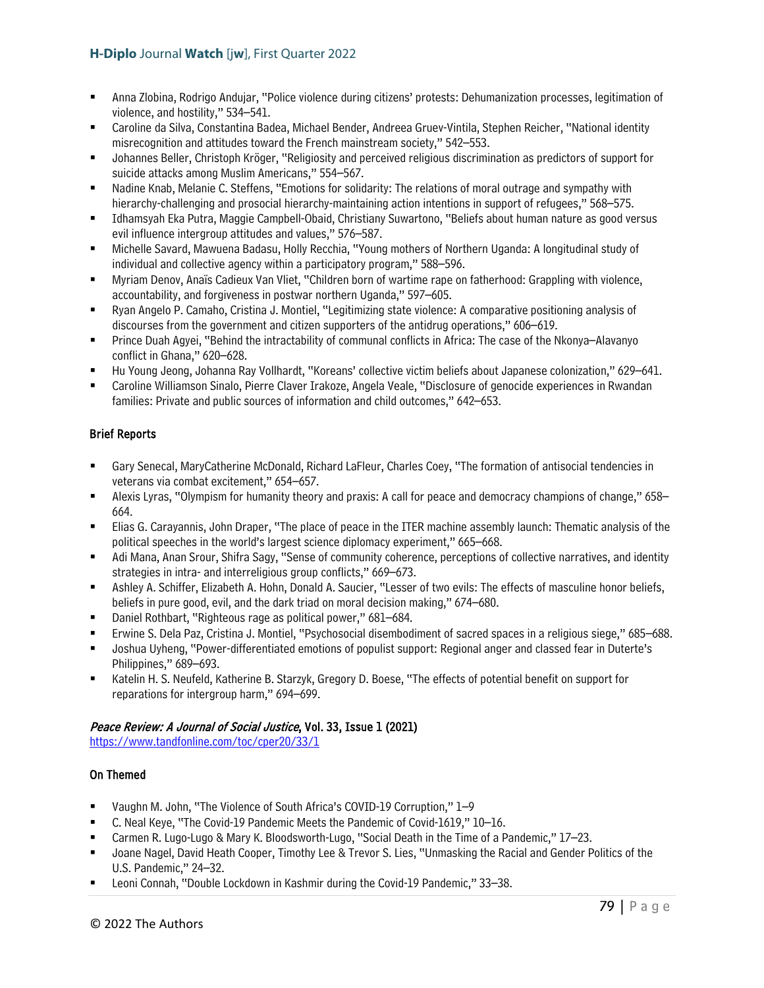- Anna Zlobina, Rodrigo Andujar, "Police violence during citizens' protests: Dehumanization processes, legitimation of violence, and hostility," 534–541.
- Caroline da Silva, Constantina Badea, Michael Bender, Andreea Gruev-Vintila, Stephen Reicher, "National identity misrecognition and attitudes toward the French mainstream society," 542–553.
- Johannes Beller, Christoph Kröger, "Religiosity and perceived religious discrimination as predictors of support for suicide attacks among Muslim Americans," 554–567.
- Nadine Knab, Melanie C. Steffens, "Emotions for solidarity: The relations of moral outrage and sympathy with hierarchy-challenging and prosocial hierarchy-maintaining action intentions in support of refugees," 568–575.
- Idhamsyah Eka Putra, Maggie Campbell-Obaid, Christiany Suwartono, "Beliefs about human nature as good versus evil influence intergroup attitudes and values," 576–587.
- Michelle Savard, Mawuena Badasu, Holly Recchia, "Young mothers of Northern Uganda: A longitudinal study of individual and collective agency within a participatory program," 588–596.
- Myriam Denov, Anaïs Cadieux Van Vliet, "Children born of wartime rape on fatherhood: Grappling with violence, accountability, and forgiveness in postwar northern Uganda," 597–605.
- Ryan Angelo P. Camaho, Cristina J. Montiel, "Legitimizing state violence: A comparative positioning analysis of discourses from the government and citizen supporters of the antidrug operations," 606–619.
- Prince Duah Agyei, "Behind the intractability of communal conflicts in Africa: The case of the Nkonya–Alavanyo conflict in Ghana," 620–628.
- Hu Young Jeong, Johanna Ray Vollhardt, "Koreans' collective victim beliefs about Japanese colonization," 629–641.
- Caroline Williamson Sinalo, Pierre Claver Irakoze, Angela Veale, "Disclosure of genocide experiences in Rwandan families: Private and public sources of information and child outcomes," 642–653.

# Brief Reports

- Gary Senecal, MaryCatherine McDonald, Richard LaFleur, Charles Coey, "The formation of antisocial tendencies in veterans via combat excitement," 654–657.
- Alexis Lyras, "Olympism for humanity theory and praxis: A call for peace and democracy champions of change," 658– 664.
- Elias G. Carayannis, John Draper, "The place of peace in the ITER machine assembly launch: Thematic analysis of the political speeches in the world's largest science diplomacy experiment," 665–668.
- Adi Mana, Anan Srour, Shifra Sagy, "Sense of community coherence, perceptions of collective narratives, and identity strategies in intra- and interreligious group conflicts," 669–673.
- Ashley A. Schiffer, Elizabeth A. Hohn, Donald A. Saucier, "Lesser of two evils: The effects of masculine honor beliefs, beliefs in pure good, evil, and the dark triad on moral decision making," 674–680.
- Daniel Rothbart, "Righteous rage as political power," 681–684.
- Erwine S. Dela Paz, Cristina J. Montiel, "Psychosocial disembodiment of sacred spaces in a religious siege," 685–688.
- Joshua Uyheng, "Power-differentiated emotions of populist support: Regional anger and classed fear in Duterte's Philippines," 689–693.
- Katelin H. S. Neufeld, Katherine B. Starzyk, Gregory D. Boese, "The effects of potential benefit on support for reparations for intergroup harm," 694–699.

# Peace Review: A Journal of Social Justice, Vol. 33, Issue 1 (2021)

<https://www.tandfonline.com/toc/cper20/33/1>

# On Themed

- Vaughn M. John, "The Violence of South Africa's COVID-19 Corruption," 1–9
- C. Neal Keye, "The Covid-19 Pandemic Meets the Pandemic of Covid-1619," 10–16.
- Carmen R. Lugo-Lugo & Mary K. Bloodsworth-Lugo, "Social Death in the Time of a Pandemic," 17–23.
- Joane Nagel, David Heath Cooper, Timothy Lee & Trevor S. Lies, "Unmasking the Racial and Gender Politics of the U.S. Pandemic," 24–32.
- Leoni Connah, "Double Lockdown in Kashmir during the Covid-19 Pandemic," 33–38.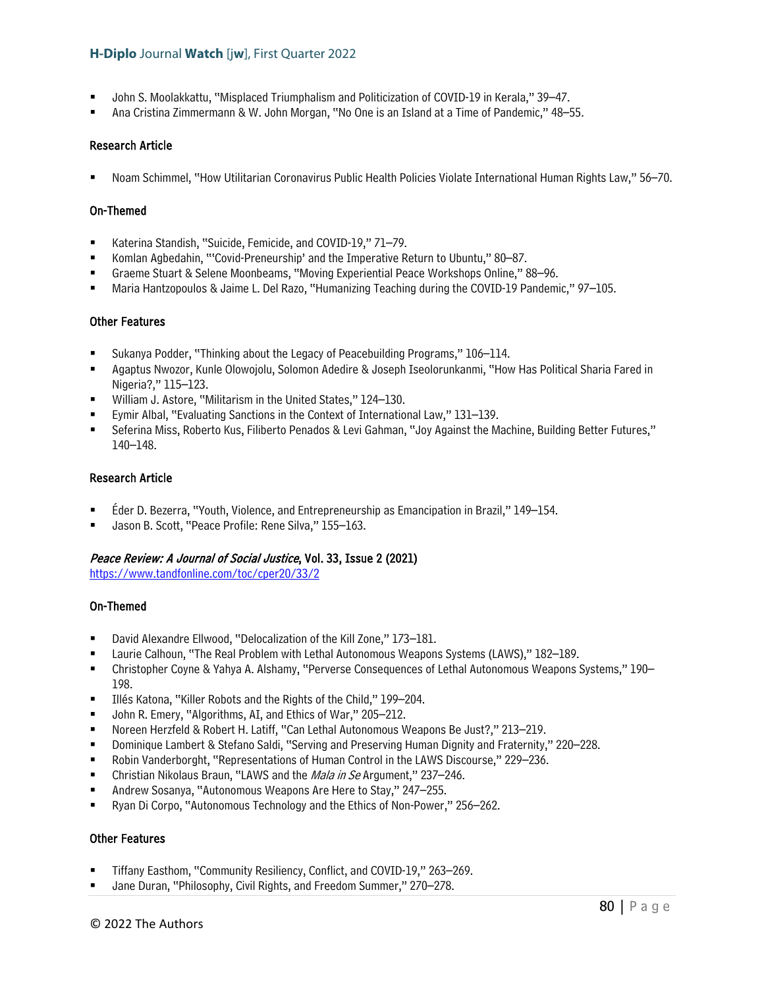- John S. Moolakkattu, "Misplaced Triumphalism and Politicization of COVID-19 in Kerala," 39–47.
- Ana Cristina Zimmermann & W. John Morgan, "No One is an Island at a Time of Pandemic," 48–55.

### Research Article

Noam Schimmel, "How Utilitarian Coronavirus Public Health Policies Violate International Human Rights Law," 56–70.

### On-Themed

- Katerina Standish, "Suicide, Femicide, and COVID-19," 71–79.
- Komlan Agbedahin, "'Covid-Preneurship' and the Imperative Return to Ubuntu," 80–87.
- Graeme Stuart & Selene Moonbeams, "Moving Experiential Peace Workshops Online," 88–96.
- Maria Hantzopoulos & Jaime L. Del Razo, "Humanizing Teaching during the COVID-19 Pandemic," 97–105.

### Other Features

- Sukanya Podder, "Thinking about the Legacy of Peacebuilding Programs," 106–114.
- Agaptus Nwozor, Kunle Olowojolu, Solomon Adedire & Joseph Iseolorunkanmi, "How Has Political Sharia Fared in Nigeria?," 115–123.
- William J. Astore, "Militarism in the United States," 124–130.
- Eymir Albal, "Evaluating Sanctions in the Context of International Law," 131–139.
- Seferina Miss, Roberto Kus, Filiberto Penados & Levi Gahman, "Joy Against the Machine, Building Better Futures," 140–148.

### Research Article

- Éder D. Bezerra, "Youth, Violence, and Entrepreneurship as Emancipation in Brazil," 149–154.
- Jason B. Scott, "Peace Profile: Rene Silva," 155–163.

# Peace Review: A Journal of Social Justice, Vol. 33, Issue 2 (2021)

<https://www.tandfonline.com/toc/cper20/33/2>

# On-Themed

- David Alexandre Ellwood, "Delocalization of the Kill Zone," 173–181.
- Laurie Calhoun, "The Real Problem with Lethal Autonomous Weapons Systems (LAWS)," 182–189.
- Christopher Coyne & Yahya A. Alshamy, "Perverse Consequences of Lethal Autonomous Weapons Systems," 190– 198.
- Illés Katona, "Killer Robots and the Rights of the Child," 199–204.
- John R. Emery, "Algorithms, AI, and Ethics of War," 205–212.
- Noreen Herzfeld & Robert H. Latiff, "Can Lethal Autonomous Weapons Be Just?," 213–219.
- Dominique Lambert & Stefano Saldi, "Serving and Preserving Human Dignity and Fraternity," 220–228.
- Robin Vanderborght, "Representations of Human Control in the LAWS Discourse," 229–236.
- Christian Nikolaus Braun, "LAWS and the *Mala in Se* Argument," 237–246.
- Andrew Sosanya, "Autonomous Weapons Are Here to Stay," 247–255.
- Ryan Di Corpo, "Autonomous Technology and the Ethics of Non-Power," 256–262.

### Other Features

- Tiffany Easthom, "Community Resiliency, Conflict, and COVID-19," 263–269.
- Jane Duran, "Philosophy, Civil Rights, and Freedom Summer," 270–278.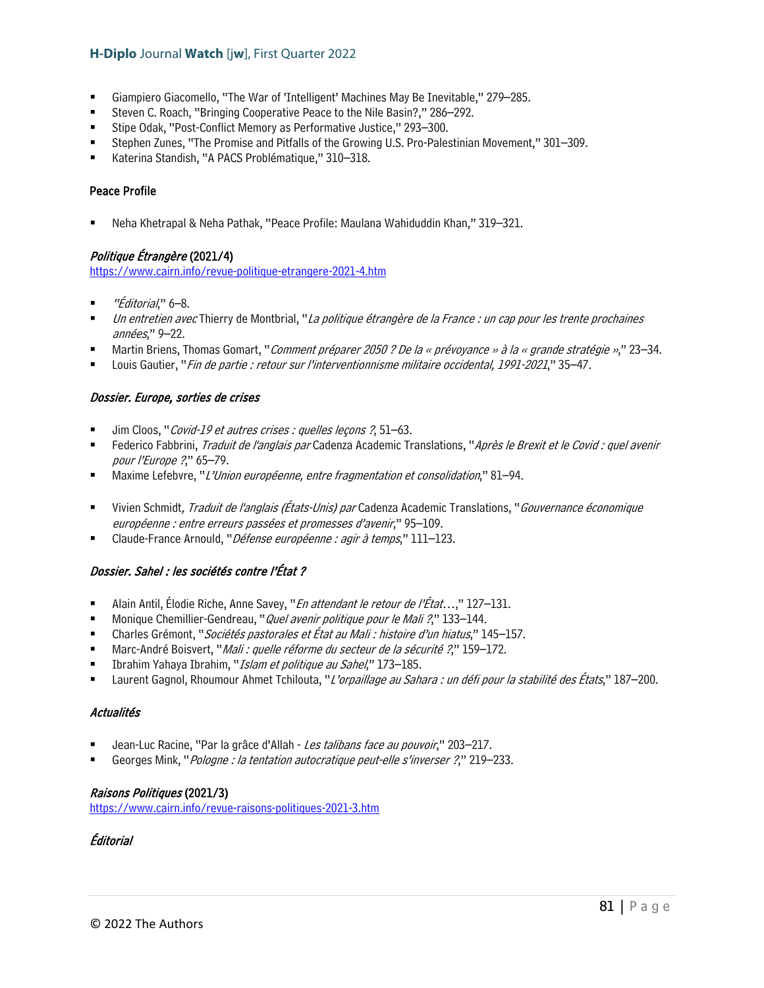- Giampiero Giacomello, "The War of 'Intelligent' Machines May Be Inevitable," 279–285.
- Steven C. Roach, "Bringing Cooperative Peace to the Nile Basin?," 286–292.
- Stipe Odak, "Post-Conflict Memory as Performative Justice," 293–300.
- Stephen Zunes, "The Promise and Pitfalls of the Growing U.S. Pro-Palestinian Movement," 301–309.
- Katerina Standish, "A PACS Problématique," 310–318.

### Peace Profile

Neha Khetrapal & Neha Pathak, "Peace Profile: Maulana Wahiduddin Khan," 319–321.

# Politique Étrangère (2021/4)

<https://www.cairn.info/revue-politique-etrangere-2021-4.htm>

- "Éditorial," 6–8.
- Un entretien avec Thierry de Montbrial, "La politique étrangère de la France : un cap pour les trente prochaines années," 9–22.
- Martin Briens, Thomas Gomart, "Comment préparer 2050 ? De la « prévoyance » à la « grande stratégie »," 23–34.
- Louis Gautier, "Fin de partie : retour sur l'interventionnisme militaire occidental, 1991-2021," 35–47.

# Dossier. Europe, sorties de crises

- Jim Cloos, "Covid-19 et autres crises : quelles leçons ?, 51–63.
- Federico Fabbrini, *Traduit de l'anglais par* Cadenza Academic Translations, "Après le Brexit et le Covid : quel avenir pour l'Europe ?," 65–79.
- Maxime Lefebvre, "L'Union européenne, entre fragmentation et consolidation," 81–94.
- Vivien Schmidt, Traduit de l'anglais (États-Unis) par Cadenza Academic Translations, "Gouvernance économique européenne : entre erreurs passées et promesses d'avenir," 95–109.
- Claude-France Arnould, "Défense européenne : agir à temps," 111–123.

# Dossier. Sahel : les sociétés contre l'État ?

- Alain Antil, Élodie Riche, Anne Savey, "En attendant le retour de l'État...," 127-131.
- Monique Chemillier-Gendreau, "*Quel avenir politique pour le Mali ?*," 133–144.
- Charles Grémont, "Sociétés pastorales et État au Mali : histoire d'un hiatus," 145–157.
- Marc-André Boisvert, "*Mali : quelle réforme du secteur de la sécurité ?*," 159–172.
- Ibrahim Yahaya Ibrahim, "Islam et politique au Sahel," 173–185.
- Laurent Gagnol, Rhoumour Ahmet Tchilouta, "L'orpaillage au Sahara : un défi pour la stabilité des États," 187–200.

# Actualités

- Jean-Luc Racine, "Par la grâce d'Allah Les talibans face au pouvoir," 203–217.
- Georges Mink, "Pologne : la tentation autocratique peut-elle s'inverser ?," 219–233.

# Raisons Politiques (2021/3)

<https://www.cairn.info/revue-raisons-politiques-2021-3.htm>

# Éditorial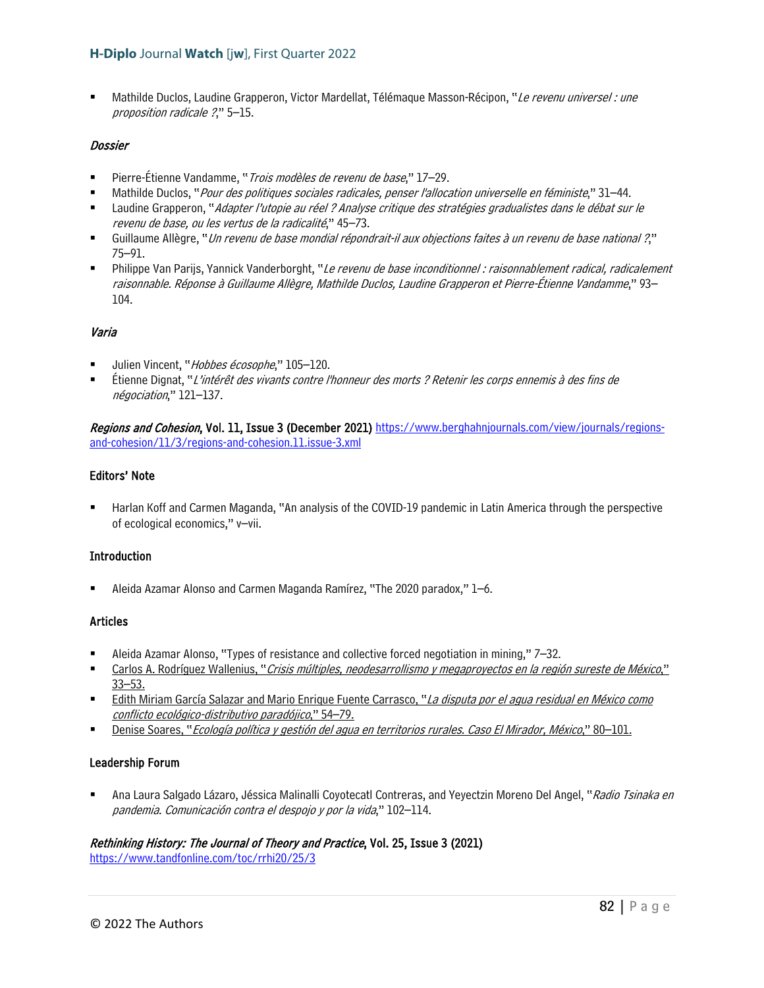Mathilde Duclos, Laudine Grapperon, Victor Mardellat, Télémaque Masson-Récipon, "Le revenu universel : une proposition radicale ?," 5–15.

### Dossier

- Pierre-Étienne Vandamme, "*Trois modèles de revenu de base*," 17–29.
- Mathilde Duclos, "Pour des politiques sociales radicales, penser l'allocation universelle en féministe," 31–44.
- Laudine Grapperon, "Adapter l'utopie au réel ? Analyse critique des stratégies gradualistes dans le débat sur le revenu de base, ou les vertus de la radicalité," 45–73.
- Guillaume Allègre, "Un revenu de base mondial répondrait-il aux objections faites à un revenu de base national ?," 75–91.
- Philippe Van Parijs, Yannick Vanderborght, "Le revenu de base inconditionnel : raisonnablement radical, radicalement raisonnable. Réponse à Guillaume Allègre, Mathilde Duclos, Laudine Grapperon et Pierre-Étienne Vandamme," 93– 104.

# Varia

- Julien Vincent, "Hobbes écosophe," 105-120.
- Étienne Dignat, "L'intérêt des vivants contre l'honneur des morts ? Retenir les corps ennemis à des fins de négociation," 121–137.

Regions and Cohesion, Vol. 11, Issue 3 (December 2021) [https://www.berghahnjournals.com/view/journals/regions](https://www.berghahnjournals.com/view/journals/regions-and-cohesion/11/3/regions-and-cohesion.11.issue-3.xml)[and-cohesion/11/3/regions-and-cohesion.11.issue-3.xml](https://www.berghahnjournals.com/view/journals/regions-and-cohesion/11/3/regions-and-cohesion.11.issue-3.xml)

### Editors' Note

 Harlan Koff and Carmen Maganda, "An analysis of the COVID-19 pandemic in Latin America through the perspective of ecological economics," v–vii.

# Introduction

Aleida Azamar Alonso and Carmen Maganda Ramírez, "The 2020 paradox," 1–6.

### Articles

- Aleida Azamar Alonso, "Types of resistance and collective forced negotiation in mining," 7–32.
- Carlos A. Rodríguez Wallenius, "Crisis múltiples, neodesarrollismo y megaproyectos en la región sureste de México," 33–53.
- Edith Miriam García Salazar and Mario Enrique Fuente Carrasco, "La disputa por el agua residual en México como conflicto ecológico-distributivo paradójico," 54–79.
- Denise Soares, "Ecología política y gestión del agua en territorios rurales. Caso El Mirador, México," 80-101.

### Leadership Forum

Ana Laura Salgado Lázaro, Jéssica Malinalli Coyotecatl Contreras, and Yeyectzin Moreno Del Angel, "Radio Tsinaka en pandemia. Comunicación contra el despojo y por la vida," 102–114.

# Rethinking History: The Journal of Theory and Practice, Vol. 25, Issue 3 (2021)

<https://www.tandfonline.com/toc/rrhi20/25/3>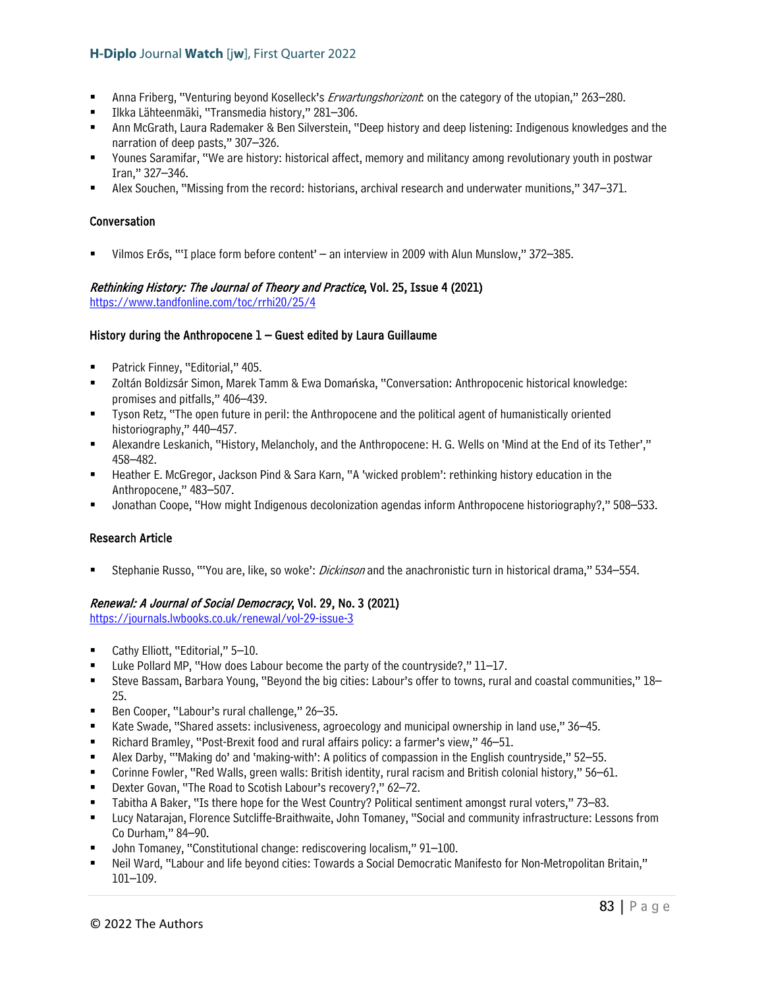- Anna Friberg, "Venturing beyond Koselleck's *Erwartungshorizont*: on the category of the utopian," 263–280.
- Ilkka Lähteenmäki, "Transmedia history," 281–306.
- Ann McGrath, Laura Rademaker & Ben Silverstein, "Deep history and deep listening: Indigenous knowledges and the narration of deep pasts," 307–326.
- Younes Saramifar, "We are history: historical affect, memory and militancy among revolutionary youth in postwar Iran," 327–346.
- Alex Souchen, "Missing from the record: historians, archival research and underwater munitions," 347–371.

### Conversation

Vilmos Erős, "'I place form before content' – an interview in 2009 with Alun Munslow," 372–385.

#### Rethinking History: The Journal of Theory and Practice, Vol. 25, Issue 4 (2021) <https://www.tandfonline.com/toc/rrhi20/25/4>

### History during the Anthropocene  $1 -$  Guest edited by Laura Guillaume

- Patrick Finney, "Editorial," 405.
- Zoltán Boldizsár Simon, Marek Tamm & Ewa Domańska, "Conversation: Anthropocenic historical knowledge: promises and pitfalls," 406–439.
- Tyson Retz, "The open future in peril: the Anthropocene and the political agent of humanistically oriented historiography," 440-457.
- Alexandre Leskanich, "History, Melancholy, and the Anthropocene: H. G. Wells on 'Mind at the End of its Tether'," 458–482.
- Heather E. McGregor, Jackson Pind & Sara Karn, "A 'wicked problem': rethinking history education in the Anthropocene," 483–507.
- Jonathan Coope, "How might Indigenous decolonization agendas inform Anthropocene historiography?," 508–533.

# Research Article

Stephanie Russo, "'You are, like, so woke': *Dickinson* and the anachronistic turn in historical drama," 534–554.

# Renewal: A Journal of Social Democracy, Vol. 29, No. 3 (2021)

<https://journals.lwbooks.co.uk/renewal/vol-29-issue-3>

- Cathy Elliott, "Editorial," 5–10.
- Luke Pollard MP, "How does Labour become the party of the countryside?," 11–17.
- Steve Bassam, Barbara Young, "Beyond the big cities: Labour's offer to towns, rural and coastal communities," 18– 25.
- Ben Cooper, "Labour's rural challenge," 26–35.
- Kate Swade, "Shared assets: inclusiveness, agroecology and municipal ownership in land use," 36–45.
- Richard Bramley, "Post-Brexit food and rural affairs policy: a farmer's view," 46–51.
- Alex Darby, "'Making do' and 'making-with': A politics of compassion in the English countryside," 52–55.
- Corinne Fowler, "Red Walls, green walls: British identity, rural racism and British colonial history," 56–61.
- Dexter Govan, "The Road to Scotish Labour's recovery?," 62–72.
- Tabitha A Baker, "Is there hope for the West Country? Political sentiment amongst rural voters," 73–83.
- Lucy Natarajan, Florence Sutcliffe-Braithwaite, John Tomaney, "Social and community infrastructure: Lessons from Co Durham," 84–90.
- John Tomaney, "Constitutional change: rediscovering localism," 91–100.
- Neil Ward, "Labour and life beyond cities: Towards a Social Democratic Manifesto for Non-Metropolitan Britain," 101–109.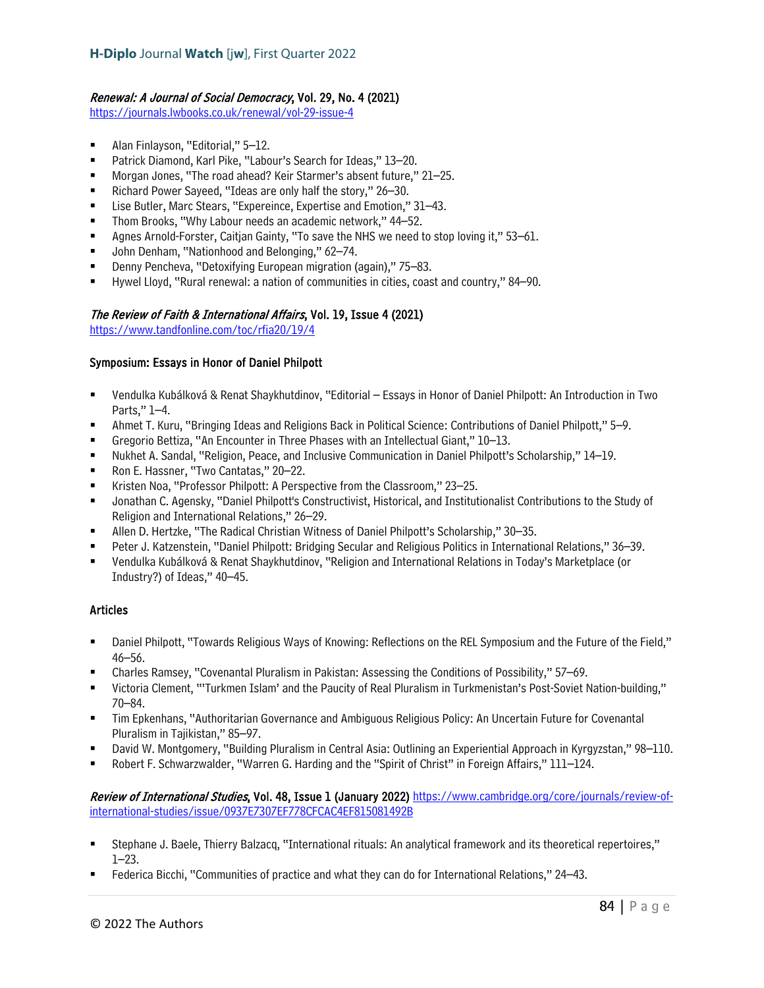# Renewal: A Journal of Social Democracy, Vol. 29, No. 4 (2021)

<https://journals.lwbooks.co.uk/renewal/vol-29-issue-4>

- Alan Finlayson, "Editorial," 5–12.
- Patrick Diamond, Karl Pike, "Labour's Search for Ideas," 13-20.
- Morgan Jones, "The road ahead? Keir Starmer's absent future," 21–25.
- Richard Power Sayeed, "Ideas are only half the story," 26–30.
- Lise Butler, Marc Stears, "Expereince, Expertise and Emotion," 31–43.
- Thom Brooks, "Why Labour needs an academic network," 44–52.
- Agnes Arnold-Forster, Caitjan Gainty, "To save the NHS we need to stop loving it," 53–61.
- John Denham, "Nationhood and Belonging," 62–74.
- Denny Pencheva, "Detoxifying European migration (again)," 75–83.
- Hywel Lloyd, "Rural renewal: a nation of communities in cities, coast and country," 84–90.

### The Review of Faith & International Affairs, Vol. 19, Issue 4 (2021)

<https://www.tandfonline.com/toc/rfia20/19/4>

### Symposium: Essays in Honor of Daniel Philpott

- Vendulka Kubálková & Renat Shaykhutdinov, "Editorial Essays in Honor of Daniel Philpott: An Introduction in Two Parts," 1–4.
- Ahmet T. Kuru, "Bringing Ideas and Religions Back in Political Science: Contributions of Daniel Philpott," 5–9.
- Gregorio Bettiza, "An Encounter in Three Phases with an Intellectual Giant," 10–13.
- Nukhet A. Sandal, "Religion, Peace, and Inclusive Communication in Daniel Philpott's Scholarship," 14–19.
- Ron E. Hassner, "Two Cantatas," 20–22.
- Kristen Noa, "Professor Philpott: A Perspective from the Classroom," 23–25.
- Jonathan C. Agensky, "Daniel Philpott's Constructivist, Historical, and Institutionalist Contributions to the Study of Religion and International Relations," 26–29.
- Allen D. Hertzke, "The Radical Christian Witness of Daniel Philpott's Scholarship," 30–35.
- Peter J. Katzenstein, "Daniel Philpott: Bridging Secular and Religious Politics in International Relations," 36–39.
- Vendulka Kubálková & Renat Shaykhutdinov, "Religion and International Relations in Today's Marketplace (or Industry?) of Ideas," 40–45.

# Articles

- Daniel Philpott, "Towards Religious Ways of Knowing: Reflections on the REL Symposium and the Future of the Field," 46–56.
- Charles Ramsey, "Covenantal Pluralism in Pakistan: Assessing the Conditions of Possibility," 57–69.
- Victoria Clement, "'Turkmen Islam' and the Paucity of Real Pluralism in Turkmenistan's Post-Soviet Nation-building," 70–84.
- Tim Epkenhans, "Authoritarian Governance and Ambiguous Religious Policy: An Uncertain Future for Covenantal Pluralism in Tajikistan," 85–97.
- David W. Montgomery, "Building Pluralism in Central Asia: Outlining an Experiential Approach in Kyrgyzstan," 98–110.
- Robert F. Schwarzwalder, "Warren G. Harding and the "Spirit of Christ" in Foreign Affairs," 111–124.

Review of International Studies, Vol. 48, Issue 1 (January 2022) [https://www.cambridge.org/core/journals/review-of](https://www.cambridge.org/core/journals/review-of-international-studies/issue/0937E7307EF778CFCAC4EF815081492B)[international-studies/issue/0937E7307EF778CFCAC4EF815081492B](https://www.cambridge.org/core/journals/review-of-international-studies/issue/0937E7307EF778CFCAC4EF815081492B)

- Stephane J. Baele, Thierry Balzacq, "International rituals: An analytical framework and its theoretical repertoires," 1–23.
- Federica Bicchi, "Communities of practice and what they can do for International Relations," 24–43.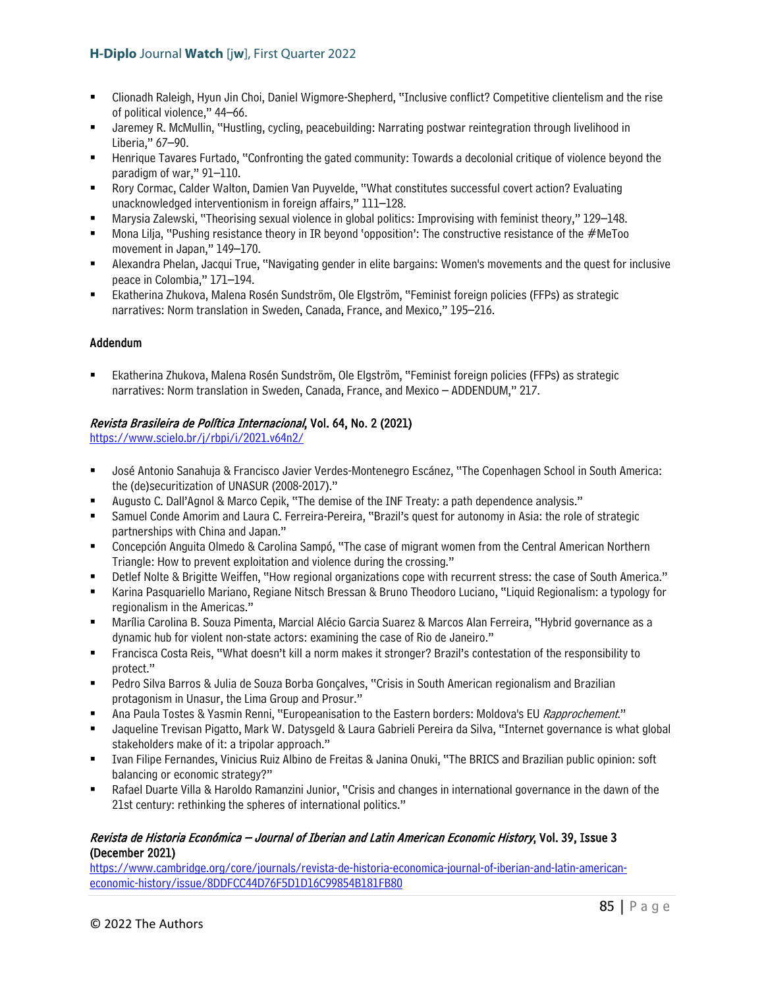- Clionadh Raleigh, Hyun Jin Choi, Daniel Wigmore-Shepherd, "Inclusive conflict? Competitive clientelism and the rise of political violence," 44–66.
- Jaremey R. McMullin, "Hustling, cycling, peacebuilding: Narrating postwar reintegration through livelihood in Liberia," 67–90.
- Henrique Tavares Furtado, "Confronting the gated community: Towards a decolonial critique of violence beyond the paradigm of war," 91–110.
- Rory Cormac, Calder Walton, Damien Van Puyvelde, "What constitutes successful covert action? Evaluating unacknowledged interventionism in foreign affairs," 111–128.
- Marysia Zalewski, "Theorising sexual violence in global politics: Improvising with feminist theory," 129–148.
- Mona Lilja, "Pushing resistance theory in IR beyond 'opposition': The constructive resistance of the #MeToo movement in Japan," 149–170.
- Alexandra Phelan, Jacqui True, "Navigating gender in elite bargains: Women's movements and the quest for inclusive peace in Colombia," 171–194.
- Ekatherina Zhukova, Malena Rosén Sundström, Ole Elgström, "Feminist foreign policies (FFPs) as strategic narratives: Norm translation in Sweden, Canada, France, and Mexico," 195–216.

# Addendum

 Ekatherina Zhukova, Malena Rosén Sundström, Ole Elgström, "Feminist foreign policies (FFPs) as strategic narratives: Norm translation in Sweden, Canada, France, and Mexico – ADDENDUM," 217.

# Revista Brasileira de Política Internacional, Vol. 64, No. 2 (2021)

<https://www.scielo.br/j/rbpi/i/2021.v64n2/>

- José Antonio Sanahuja & Francisco Javier Verdes-Montenegro Escánez, "The Copenhagen School in South America: the (de)securitization of UNASUR (2008-2017)."
- Augusto C. Dall'Agnol & Marco Cepik, "The demise of the INF Treaty: a path dependence analysis."
- Samuel Conde Amorim and Laura C. Ferreira-Pereira, "Brazil's quest for autonomy in Asia: the role of strategic partnerships with China and Japan."
- Concepción Anguita Olmedo & Carolina Sampó, "The case of migrant women from the Central American Northern Triangle: How to prevent exploitation and violence during the crossing."
- Detlef Nolte & Brigitte Weiffen, "How regional organizations cope with recurrent stress: the case of South America."
- Karina Pasquariello Mariano, Regiane Nitsch Bressan & Bruno Theodoro Luciano, "Liquid Regionalism: a typology for regionalism in the Americas."
- Marília Carolina B. Souza Pimenta, Marcial Alécio Garcia Suarez & Marcos Alan Ferreira, "Hybrid governance as a dynamic hub for violent non-state actors: examining the case of Rio de Janeiro."
- Francisca Costa Reis, "What doesn't kill a norm makes it stronger? Brazil's contestation of the responsibility to protect."
- Pedro Silva Barros & Julia de Souza Borba Gonçalves, "Crisis in South American regionalism and Brazilian protagonism in Unasur, the Lima Group and Prosur."
- Ana Paula Tostes & Yasmin Renni, "Europeanisation to the Eastern borders: Moldova's EU Rapprochement."
- Jaqueline Trevisan Pigatto, Mark W. Datysgeld & Laura Gabrieli Pereira da Silva, "Internet governance is what global stakeholders make of it: a tripolar approach."
- Ivan Filipe Fernandes, Vinicius Ruiz Albino de Freitas & Janina Onuki, "The BRICS and Brazilian public opinion: soft balancing or economic strategy?"
- Rafael Duarte Villa & Haroldo Ramanzini Junior, "Crisis and changes in international governance in the dawn of the 21st century: rethinking the spheres of international politics."

# Revista de Historia Económica – Journal of Iberian and Latin American Economic History, Vol. 39, Issue 3 (December 2021)

[https://www.cambridge.org/core/journals/revista-de-historia-economica-journal-of-iberian-and-latin-american](https://www.cambridge.org/core/journals/revista-de-historia-economica-journal-of-iberian-and-latin-american-economic-history/issue/8DDFCC44D76F5D1D16C99854B181FB80)[economic-history/issue/8DDFCC44D76F5D1D16C99854B181FB80](https://www.cambridge.org/core/journals/revista-de-historia-economica-journal-of-iberian-and-latin-american-economic-history/issue/8DDFCC44D76F5D1D16C99854B181FB80)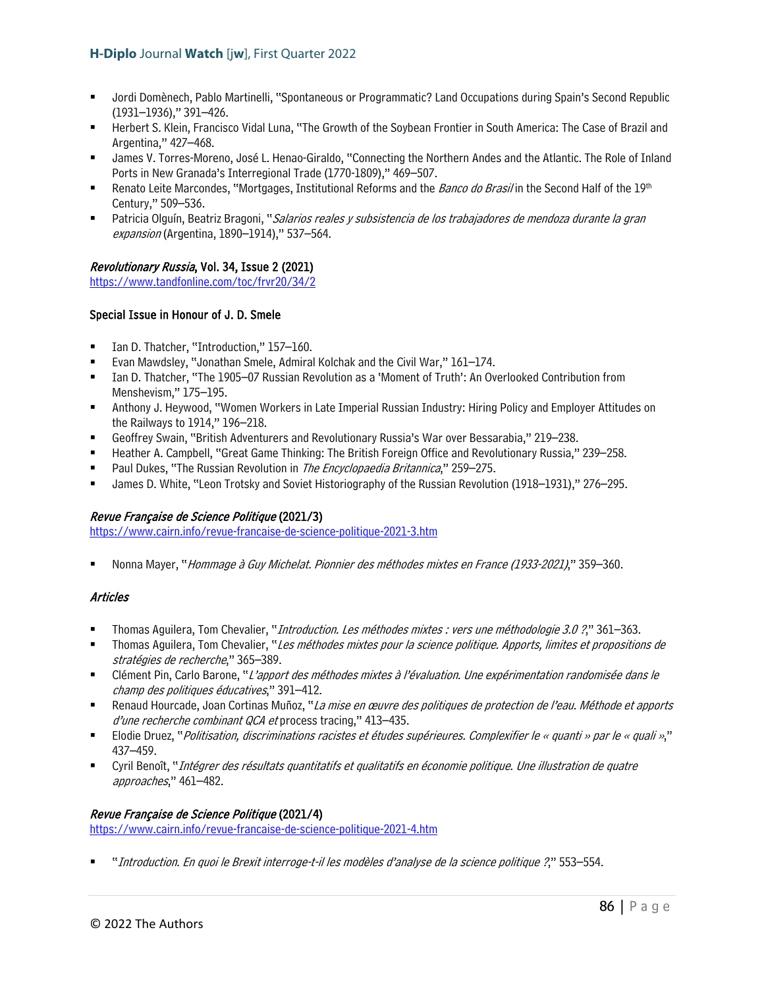- Jordi Domènech, Pablo Martinelli, "Spontaneous or Programmatic? Land Occupations during Spain's Second Republic (1931–1936)," 391–426.
- Herbert S. Klein, Francisco Vidal Luna, "The Growth of the Soybean Frontier in South America: The Case of Brazil and Argentina," 427–468.
- James V. Torres-Moreno, José L. Henao-Giraldo, "Connecting the Northern Andes and the Atlantic. The Role of Inland Ports in New Granada's Interregional Trade (1770-1809)," 469–507.
- Renato Leite Marcondes, "Mortgages, Institutional Reforms and the *Banco do Brasil* in the Second Half of the 19<sup>th</sup> Century," 509–536.
- Patricia Olguín, Beatriz Bragoni, "Salarios reales y subsistencia de los trabajadores de mendoza durante la gran expansion (Argentina, 1890-1914)," 537-564.

### Revolutionary Russia, Vol. 34, Issue 2 (2021)

<https://www.tandfonline.com/toc/frvr20/34/2>

### Special Issue in Honour of J. D. Smele

- Ian D. Thatcher, "Introduction," 157–160.
- Evan Mawdsley, "Jonathan Smele, Admiral Kolchak and the Civil War," 161–174.
- Ian D. Thatcher, "The 1905–07 Russian Revolution as a 'Moment of Truth': An Overlooked Contribution from Menshevism," 175–195.
- Anthony J. Heywood, "Women Workers in Late Imperial Russian Industry: Hiring Policy and Employer Attitudes on the Railways to 1914," 196–218.
- Geoffrey Swain, "British Adventurers and Revolutionary Russia's War over Bessarabia," 219–238.
- Heather A. Campbell, "Great Game Thinking: The British Foreign Office and Revolutionary Russia," 239–258.
- Paul Dukes, "The Russian Revolution in The Encyclopaedia Britannica," 259–275.
- James D. White, "Leon Trotsky and Soviet Historiography of the Russian Revolution (1918–1931)," 276–295.

### Revue Française de Science Politique (2021/3)

<https://www.cairn.info/revue-francaise-de-science-politique-2021-3.htm>

Nonna Mayer, "Hommage à Guy Michelat. Pionnier des méthodes mixtes en France (1933-2021)," 359–360.

### **Articles**

- Thomas Aguilera, Tom Chevalier, "Introduction. Les méthodes mixtes : vers une méthodologie 3.0 ?," 361–363.
- Thomas Aguilera, Tom Chevalier, "Les méthodes mixtes pour la science politique. Apports, limites et propositions de stratégies de recherche," 365–389.
- Clément Pin, Carlo Barone, "L'apport des méthodes mixtes à l'évaluation. Une expérimentation randomisée dans le champ des politiques éducatives," 391–412.
- **EXEL** Renaud Hourcade, Joan Cortinas Muñoz, "La mise en œuvre des politiques de protection de l'eau. Méthode et apports d'une recherche combinant QCA et process tracing," 413–435.
- Elodie Druez, "Politisation, discriminations racistes et études supérieures. Complexifier le « quanti » par le « quali »," 437–459.
- Cyril Benoît, "Intégrer des résultats quantitatifs et qualitatifs en économie politique. Une illustration de quatre approaches," 461–482.

### Revue Française de Science Politique (2021/4)

<https://www.cairn.info/revue-francaise-de-science-politique-2021-4.htm>

"Introduction. En quoi le Brexit interroge-t-il les modèles d'analyse de la science politique ?," 553–554.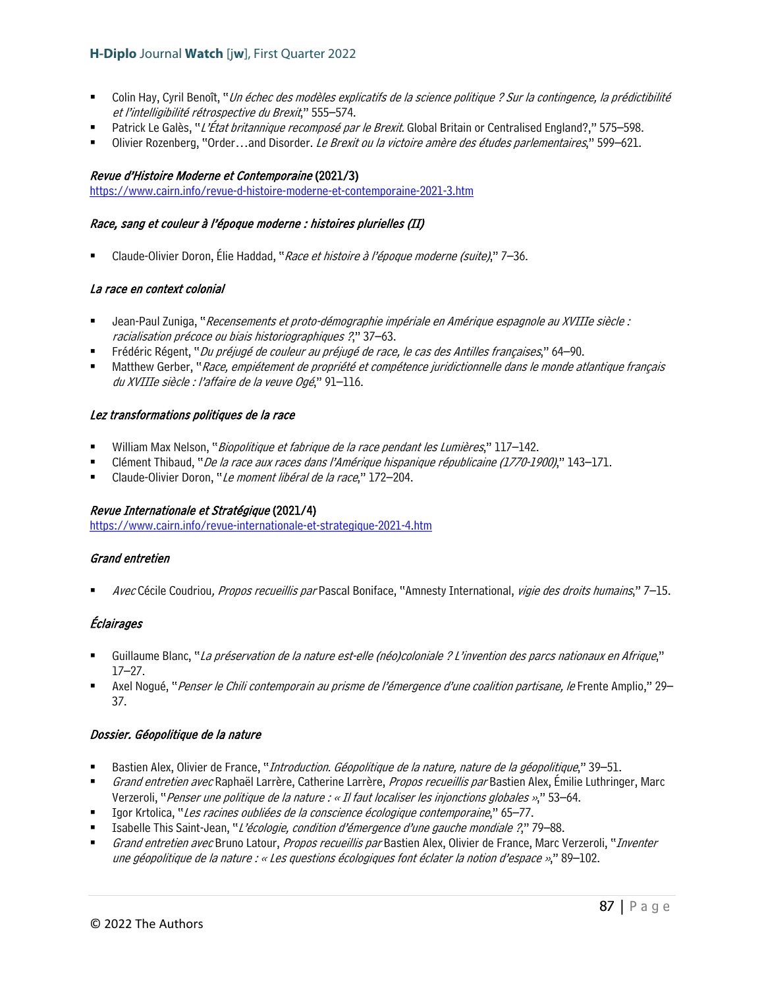- Colin Hay, Cyril Benoît, "Un échec des modèles explicatifs de la science politique ? Sur la contingence, la prédictibilité et l'intelligibilité rétrospective du Brexit," 555–574.
- Patrick Le Galès, "L'État britannique recomposé par le Brexit. Global Britain or Centralised England?," 575–598.
- Olivier Rozenberg, "Order…and Disorder. Le Brexit ou la victoire amère des études parlementaires," 599–621.

### Revue d'Histoire Moderne et Contemporaine (2021/3)

<https://www.cairn.info/revue-d-histoire-moderne-et-contemporaine-2021-3.htm>

### Race, sang et couleur à l'époque moderne : histoires plurielles (II)

Claude-Olivier Doron, Élie Haddad, "Race et histoire à l'époque moderne (suite)," 7–36.

### La race en context colonial

- Jean-Paul Zuniga, "Recensements et proto-démographie impériale en Amérique espagnole au XVIIIe siècle : racialisation précoce ou biais historiographiques ?," 37–63.
- Frédéric Régent, "Du préjugé de couleur au préjugé de race, le cas des Antilles françaises," 64–90.
- Matthew Gerber, "Race, empiétement de propriété et compétence juridictionnelle dans le monde atlantique français du XVIIIe siècle : l'affaire de la veuve Ogé," 91-116.

### Lez transformations politiques de la race

- William Max Nelson, "*Biopolitique et fabrique de la race pendant les Lumières*," 117–142.
- Clément Thibaud, "De la race aux races dans l'Amérique hispanique républicaine (1770-1900)," 143–171.
- Claude-Olivier Doron, "Le moment libéral de la race," 172-204.

### Revue Internationale et Stratégique (2021/4)

<https://www.cairn.info/revue-internationale-et-strategique-2021-4.htm>

### Grand entretien

Avec Cécile Coudriou, Propos recueillis par Pascal Boniface, "Amnesty International, vigie des droits humains," 7–15.

# Éclairages

- Guillaume Blanc, "La préservation de la nature est-elle (néo)coloniale ? L'invention des parcs nationaux en Afrique," 17–27.
- Axel Nogué, "Penser le Chili contemporain au prisme de l'émergence d'une coalition partisane, le Frente Amplio," 29-37.

### Dossier. Géopolitique de la nature

- Bastien Alex, Olivier de France, "*Introduction. Géopolitique de la nature, nature de la géopolitique*," 39–51.
- Grand entretien avec Raphaël Larrère, Catherine Larrère, Propos recueillis par Bastien Alex, Émilie Luthringer, Marc Verzeroli, "Penser une politique de la nature : « Il faut localiser les injonctions globales »," 53–64.
- Igor Krtolica, "Les racines oubliées de la conscience écologique contemporaine," 65–77.
- Isabelle This Saint-Jean, "L'écologie, condition d'émergence d'une gauche mondiale ?," 79–88.
- Grand entretien avec Bruno Latour, Propos recueillis par Bastien Alex, Olivier de France, Marc Verzeroli, "Inventer une géopolitique de la nature : « Les questions écologiques font éclater la notion d'espace »," 89-102.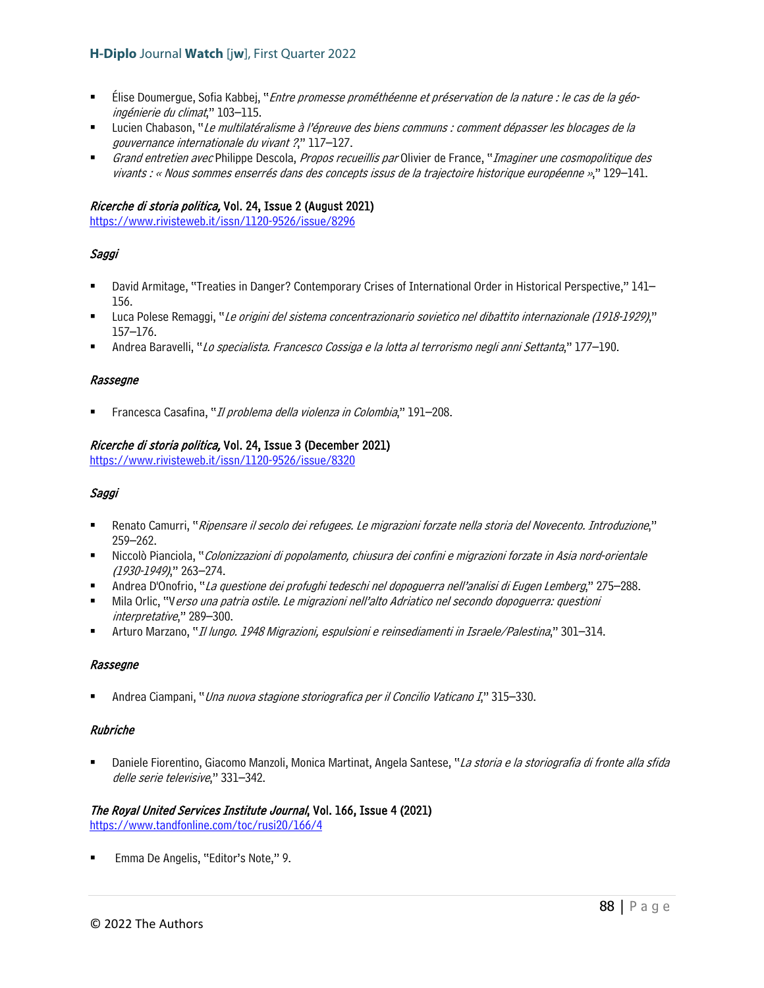- Élise Doumergue, Sofia Kabbej, "Entre promesse prométhéenne et préservation de la nature : le cas de la géoingénierie du climat," 103–115.
- Lucien Chabason, "Le multilatéralisme à l'épreuve des biens communs : comment dépasser les blocages de la gouvernance internationale du vivant ?," 117–127.
- Grand entretien avec Philippe Descola, Propos recueillis par Olivier de France, "Imaginer une cosmopolitique des vivants : « Nous sommes enserrés dans des concepts issus de la trajectoire historique européenne »," 129–141.

### Ricerche di storia politica, Vol. 24, Issue 2 (August 2021)

<https://www.rivisteweb.it/issn/1120-9526/issue/8296>

# Saggi

- David Armitage, "Treaties in Danger? Contemporary Crises of International Order in Historical Perspective," 141– 156.
- Luca Polese Remaggi, "Le origini del sistema concentrazionario sovietico nel dibattito internazionale (1918-1929)," 157–176.
- Andrea Baravelli, "Lo specialista. Francesco Cossiga e la lotta al terrorismo negli anni Settanta," 177–190.

### Rassegne

Francesca Casafina, "Il problema della violenza in Colombia," 191–208.

### Ricerche di storia politica, Vol. 24, Issue 3 (December 2021)

<https://www.rivisteweb.it/issn/1120-9526/issue/8320>

### Saggi

- Renato Camurri, "Ripensare il secolo dei refugees. Le migrazioni forzate nella storia del Novecento. Introduzione," 259–262.
- Niccolò Pianciola, "Colonizzazioni di popolamento, chiusura dei confini e migrazioni forzate in Asia nord-orientale (1930-1949)," 263–274.
- Andrea D'Onofrio, "La questione dei profughi tedeschi nel dopoguerra nell'analisi di Eugen Lemberg," 275–288.
- Mila Orlic, "Verso una patria ostile. Le migrazioni nell'alto Adriatico nel secondo dopoguerra: questioni interpretative," 289–300.
- Arturo Marzano, "Il lungo. 1948 Migrazioni, espulsioni e reinsediamenti in Israele/Palestina," 301–314.

### Rassegne

Andrea Ciampani, "Una nuova stagione storiografica per il Concilio Vaticano I," 315–330.

### Rubriche

Daniele Fiorentino, Giacomo Manzoli, Monica Martinat, Angela Santese, "La storia e la storiografia di fronte alla sfida delle serie televisive," 331–342.

### The Royal United Services Institute Journal, Vol. 166, Issue 4 (2021) <https://www.tandfonline.com/toc/rusi20/166/4>

Emma De Angelis, "Editor's Note," 9.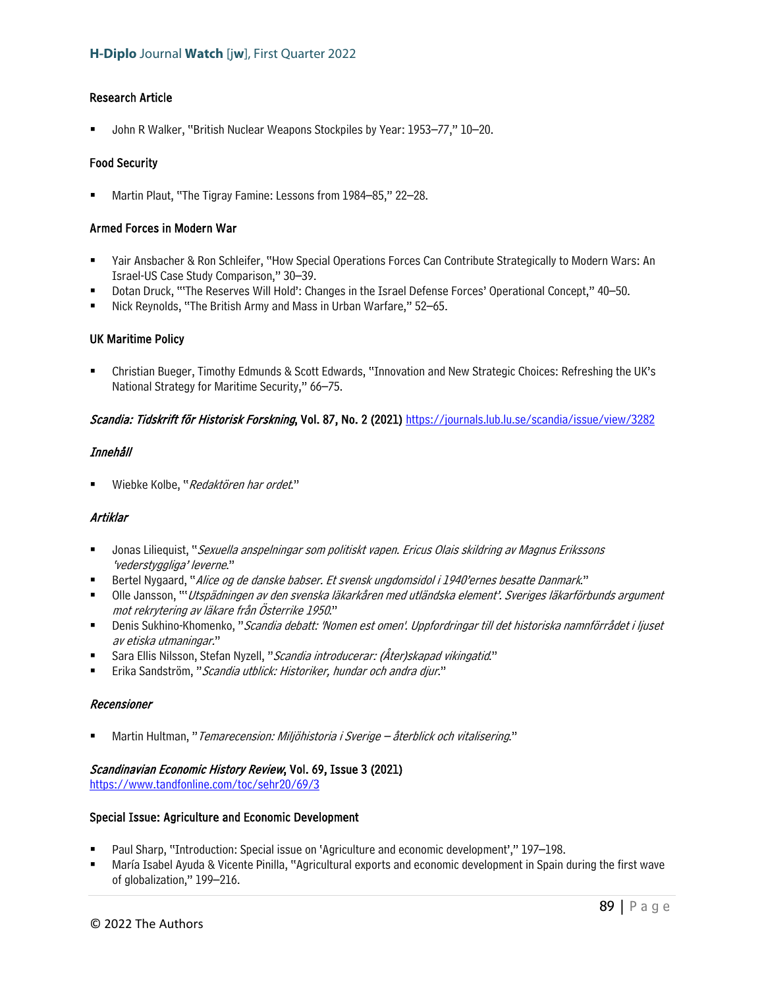### Research Article

John R Walker, "British Nuclear Weapons Stockpiles by Year: 1953–77," 10–20.

### Food Security

Martin Plaut, "The Tigray Famine: Lessons from 1984–85," 22–28.

### Armed Forces in Modern War

- Yair Ansbacher & Ron Schleifer, "How Special Operations Forces Can Contribute Strategically to Modern Wars: An Israel-US Case Study Comparison," 30–39.
- Dotan Druck, "'The Reserves Will Hold': Changes in the Israel Defense Forces' Operational Concept," 40–50.
- Nick Reynolds, "The British Army and Mass in Urban Warfare," 52–65.

### UK Maritime Policy

 Christian Bueger, Timothy Edmunds & Scott Edwards, "Innovation and New Strategic Choices: Refreshing the UK's National Strategy for Maritime Security," 66–75.

### Scandia: Tidskrift för Historisk Forskning, Vol. 87, No. 2 (2021)<https://journals.lub.lu.se/scandia/issue/view/3282>

### Innehåll

Wiebke Kolbe, "Redaktören har ordet."

# Artiklar

- Jonas Liliequist, "Sexuella anspelningar som politiskt vapen. Ericus Olais skildring av Magnus Erikssons 'vederstyggliga' leverne."
- Bertel Nygaard, "Alice og de danske babser. Et svensk ungdomsidol i 1940'ernes besatte Danmark."
- **Dile Jansson, "'Utspädningen av den svenska läkarkåren med utländska element'. Sveriges läkarförbunds argument** mot rekrytering av läkare från Österrike 1950."
- Denis Sukhino-Khomenko, "Scandia debatt: 'Nomen est omen'. Uppfordringar till det historiska namnförrådet i ljuset av etiska utmaningar."
- Sara Ellis Nilsson, Stefan Nyzell, "Scandia introducerar: (Åter)skapad vikingatid."
- Erika Sandström, "Scandia utblick: Historiker, hundar och andra djur."

### Recensioner

Martin Hultman, "Temarecension: Miljöhistoria i Sverige – återblick och vitalisering."

### Scandinavian Economic History Review, Vol. 69, Issue 3 (2021)

<https://www.tandfonline.com/toc/sehr20/69/3>

### Special Issue: Agriculture and Economic Development

- Paul Sharp, "Introduction: Special issue on 'Agriculture and economic development'," 197–198.
- María Isabel Ayuda & Vicente Pinilla, "Agricultural exports and economic development in Spain during the first wave of globalization," 199–216.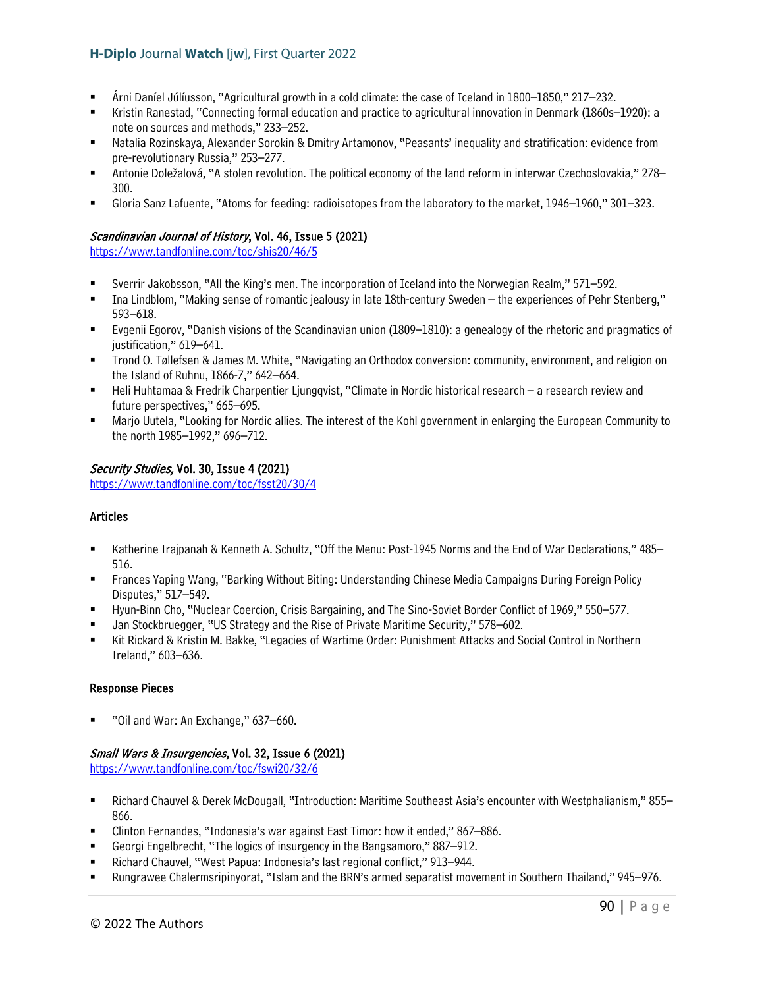- Árni Daníel Júlíusson, "Agricultural growth in a cold climate: the case of Iceland in 1800–1850," 217–232.
- Kristin Ranestad, "Connecting formal education and practice to agricultural innovation in Denmark (1860s–1920): a note on sources and methods," 233–252.
- Natalia Rozinskaya, Alexander Sorokin & Dmitry Artamonov, "Peasants' inequality and stratification: evidence from pre-revolutionary Russia," 253–277.
- Antonie Doležalová, "A stolen revolution. The political economy of the land reform in interwar Czechoslovakia," 278– 300.
- Gloria Sanz Lafuente, "Atoms for feeding: radioisotopes from the laboratory to the market, 1946–1960," 301–323.

# Scandinavian Journal of History, Vol. 46, Issue 5 (2021)

<https://www.tandfonline.com/toc/shis20/46/5>

- Sverrir Jakobsson, "All the King's men. The incorporation of Iceland into the Norwegian Realm," 571–592.
- Ina Lindblom, "Making sense of romantic jealousy in late 18th-century Sweden the experiences of Pehr Stenberg," 593–618.
- Evgenii Egorov, "Danish visions of the Scandinavian union (1809–1810): a genealogy of the rhetoric and pragmatics of justification," 619–641.
- Trond O. Tøllefsen & James M. White, "Navigating an Orthodox conversion: community, environment, and religion on the Island of Ruhnu, 1866-7," 642–664.
- Heli Huhtamaa & Fredrik Charpentier Ljungqvist, "Climate in Nordic historical research a research review and future perspectives," 665–695.
- Marjo Uutela, "Looking for Nordic allies. The interest of the Kohl government in enlarging the European Community to the north 1985–1992," 696–712.

### Security Studies, Vol. 30, Issue 4 (2021)

<https://www.tandfonline.com/toc/fsst20/30/4>

### Articles

- Katherine Irajpanah & Kenneth A. Schultz, "Off the Menu: Post-1945 Norms and the End of War Declarations," 485– 516.
- Frances Yaping Wang, "Barking Without Biting: Understanding Chinese Media Campaigns During Foreign Policy Disputes," 517–549.
- Hyun-Binn Cho, "Nuclear Coercion, Crisis Bargaining, and The Sino-Soviet Border Conflict of 1969," 550–577.
- Jan Stockbruegger, "US Strategy and the Rise of Private Maritime Security," 578–602.
- Kit Rickard & Kristin M. Bakke, "Legacies of Wartime Order: Punishment Attacks and Social Control in Northern Ireland," 603–636.

### Response Pieces

"Oil and War: An Exchange," 637–660.

# Small Wars & Insurgencies, Vol. 32, Issue 6 (2021)

<https://www.tandfonline.com/toc/fswi20/32/6>

- Richard Chauvel & Derek McDougall, "Introduction: Maritime Southeast Asia's encounter with Westphalianism," 855– 866.
- Clinton Fernandes, "Indonesia's war against East Timor: how it ended," 867–886.
- Georgi Engelbrecht, "The logics of insurgency in the Bangsamoro," 887–912.
- Richard Chauvel, "West Papua: Indonesia's last regional conflict," 913–944.
- Rungrawee Chalermsripinyorat, "Islam and the BRN's armed separatist movement in Southern Thailand," 945–976.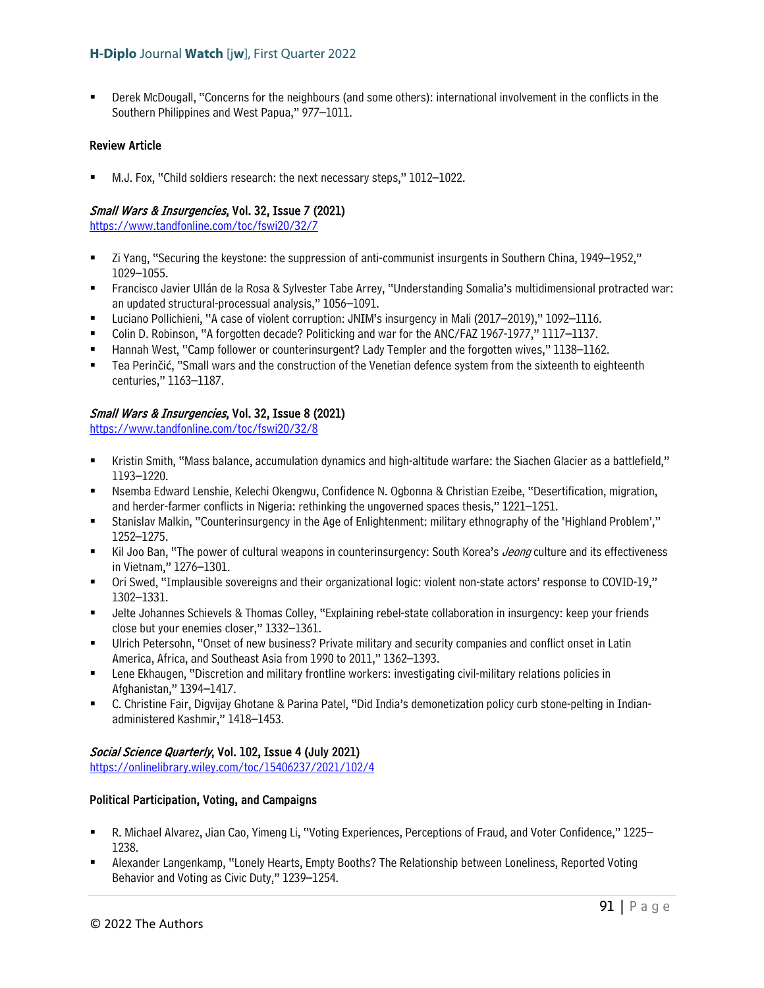Derek McDougall, "Concerns for the neighbours (and some others): international involvement in the conflicts in the Southern Philippines and West Papua," 977–1011.

### Review Article

M.J. Fox, "Child soldiers research: the next necessary steps," 1012–1022.

### Small Wars & Insurgencies, Vol. 32, Issue 7 (2021)

<https://www.tandfonline.com/toc/fswi20/32/7>

- Zi Yang, "Securing the keystone: the suppression of anti-communist insurgents in Southern China, 1949–1952," 1029–1055.
- Francisco Javier Ullán de la Rosa & Sylvester Tabe Arrey, "Understanding Somalia's multidimensional protracted war: an updated structural-processual analysis," 1056–1091.
- Luciano Pollichieni, "A case of violent corruption: JNIM's insurgency in Mali (2017–2019)," 1092–1116.
- Colin D. Robinson, "A forgotten decade? Politicking and war for the ANC/FAZ 1967-1977," 1117–1137.
- Hannah West, "Camp follower or counterinsurgent? Lady Templer and the forgotten wives," 1138–1162.
- Tea Perinčić, "Small wars and the construction of the Venetian defence system from the sixteenth to eighteenth centuries," 1163–1187.

### Small Wars & Insurgencies, Vol. 32, Issue 8 (2021)

<https://www.tandfonline.com/toc/fswi20/32/8>

- Kristin Smith, "Mass balance, accumulation dynamics and high-altitude warfare: the Siachen Glacier as a battlefield," 1193–1220.
- Nsemba Edward Lenshie, Kelechi Okengwu, Confidence N. Ogbonna & Christian Ezeibe, "Desertification, migration, and herder-farmer conflicts in Nigeria: rethinking the ungoverned spaces thesis," 1221–1251.
- Stanislav Malkin, "Counterinsurgency in the Age of Enlightenment: military ethnography of the 'Highland Problem'," 1252–1275.
- Kil Joo Ban, "The power of cultural weapons in counterinsurgency: South Korea's *Jeong* culture and its effectiveness in Vietnam," 1276–1301.
- Ori Swed, "Implausible sovereigns and their organizational logic: violent non-state actors' response to COVID-19," 1302–1331.
- Jelte Johannes Schievels & Thomas Colley, "Explaining rebel-state collaboration in insurgency: keep your friends close but your enemies closer," 1332–1361.
- Ulrich Petersohn, "Onset of new business? Private military and security companies and conflict onset in Latin America, Africa, and Southeast Asia from 1990 to 2011," 1362–1393.
- Lene Ekhaugen, "Discretion and military frontline workers: investigating civil-military relations policies in Afghanistan," 1394–1417.
- C. Christine Fair, Digvijay Ghotane & Parina Patel, "Did India's demonetization policy curb stone-pelting in Indianadministered Kashmir," 1418–1453.

# Social Science Quarterly, Vol. 102, Issue 4 (July 2021)

<https://onlinelibrary.wiley.com/toc/15406237/2021/102/4>

# Political Participation, Voting, and Campaigns

- R. Michael Alvarez, Jian Cao, Yimeng Li, "Voting Experiences, Perceptions of Fraud, and Voter Confidence," 1225– 1238.
- Alexander Langenkamp, "Lonely Hearts, Empty Booths? The Relationship between Loneliness, Reported Voting Behavior and Voting as Civic Duty," 1239–1254.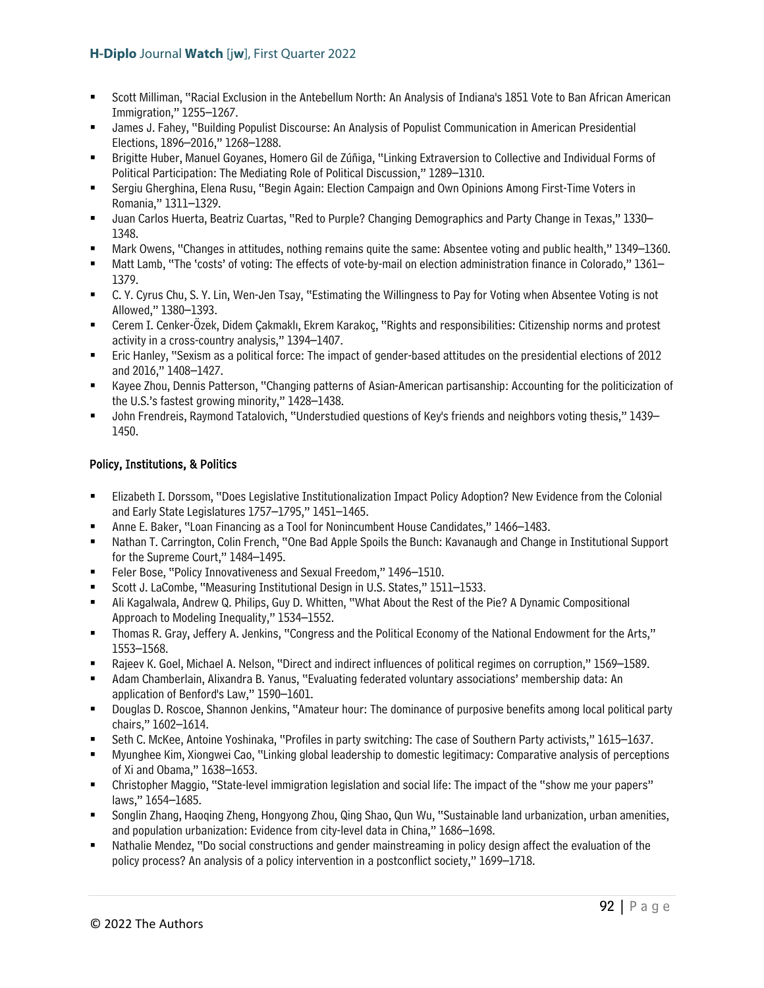- Scott Milliman, "Racial Exclusion in the Antebellum North: An Analysis of Indiana's 1851 Vote to Ban African American Immigration," 1255–1267.
- James J. Fahey, "Building Populist Discourse: An Analysis of Populist Communication in American Presidential Elections, 1896–2016," 1268–1288.
- Brigitte Huber, Manuel Goyanes, Homero Gil de Zúñiga, "Linking Extraversion to Collective and Individual Forms of Political Participation: The Mediating Role of Political Discussion," 1289–1310.
- Sergiu Gherghina, Elena Rusu, "Begin Again: Election Campaign and Own Opinions Among First-Time Voters in Romania," 1311–1329.
- Juan Carlos Huerta, Beatriz Cuartas, "Red to Purple? Changing Demographics and Party Change in Texas," 1330– 1348.
- Mark Owens, "Changes in attitudes, nothing remains quite the same: Absentee voting and public health," 1349–1360.
- Matt Lamb, "The 'costs' of voting: The effects of vote-by-mail on election administration finance in Colorado," 1361– 1379.
- C. Y. Cyrus Chu, S. Y. Lin, Wen-Jen Tsay, "Estimating the Willingness to Pay for Voting when Absentee Voting is not Allowed," 1380–1393.
- Cerem I. Cenker-Özek, Didem Çakmaklı, Ekrem Karakoç, "Rights and responsibilities: Citizenship norms and protest activity in a cross-country analysis," 1394–1407.
- Eric Hanley, "Sexism as a political force: The impact of gender-based attitudes on the presidential elections of 2012 and 2016," 1408–1427.
- Kayee Zhou, Dennis Patterson, "Changing patterns of Asian-American partisanship: Accounting for the politicization of the U.S.'s fastest growing minority," 1428–1438.
- John Frendreis, Raymond Tatalovich, "Understudied questions of Key's friends and neighbors voting thesis," 1439– 1450.

# Policy, Institutions, & Politics

- Elizabeth I. Dorssom, "Does Legislative Institutionalization Impact Policy Adoption? New Evidence from the Colonial and Early State Legislatures 1757–1795," 1451–1465.
- Anne E. Baker, "Loan Financing as a Tool for Nonincumbent House Candidates," 1466–1483.
- Nathan T. Carrington, Colin French, "One Bad Apple Spoils the Bunch: Kavanaugh and Change in Institutional Support for the Supreme Court," 1484–1495.
- Feler Bose, "Policy Innovativeness and Sexual Freedom," 1496–1510.
- Scott J. LaCombe, "Measuring Institutional Design in U.S. States," 1511–1533.
- Ali Kagalwala, Andrew Q. Philips, Guy D. Whitten, "What About the Rest of the Pie? A Dynamic Compositional Approach to Modeling Inequality," 1534–1552.
- Thomas R. Gray, Jeffery A. Jenkins, "Congress and the Political Economy of the National Endowment for the Arts," 1553–1568.
- Rajeev K. Goel, Michael A. Nelson, "Direct and indirect influences of political regimes on corruption," 1569–1589.
- Adam Chamberlain, Alixandra B. Yanus, "Evaluating federated voluntary associations' membership data: An application of Benford's Law," 1590–1601.
- Douglas D. Roscoe, Shannon Jenkins, "Amateur hour: The dominance of purposive benefits among local political party chairs," 1602–1614.
- Seth C. McKee, Antoine Yoshinaka, "Profiles in party switching: The case of Southern Party activists," 1615–1637.
- Myunghee Kim, Xiongwei Cao, "Linking global leadership to domestic legitimacy: Comparative analysis of perceptions of Xi and Obama," 1638–1653.
- Christopher Maggio, "State-level immigration legislation and social life: The impact of the "show me your papers" laws," 1654–1685.
- Songlin Zhang, Haoqing Zheng, Hongyong Zhou, Qing Shao, Qun Wu, "Sustainable land urbanization, urban amenities, and population urbanization: Evidence from city-level data in China," 1686–1698.
- Nathalie Mendez, "Do social constructions and gender mainstreaming in policy design affect the evaluation of the policy process? An analysis of a policy intervention in a postconflict society," 1699–1718.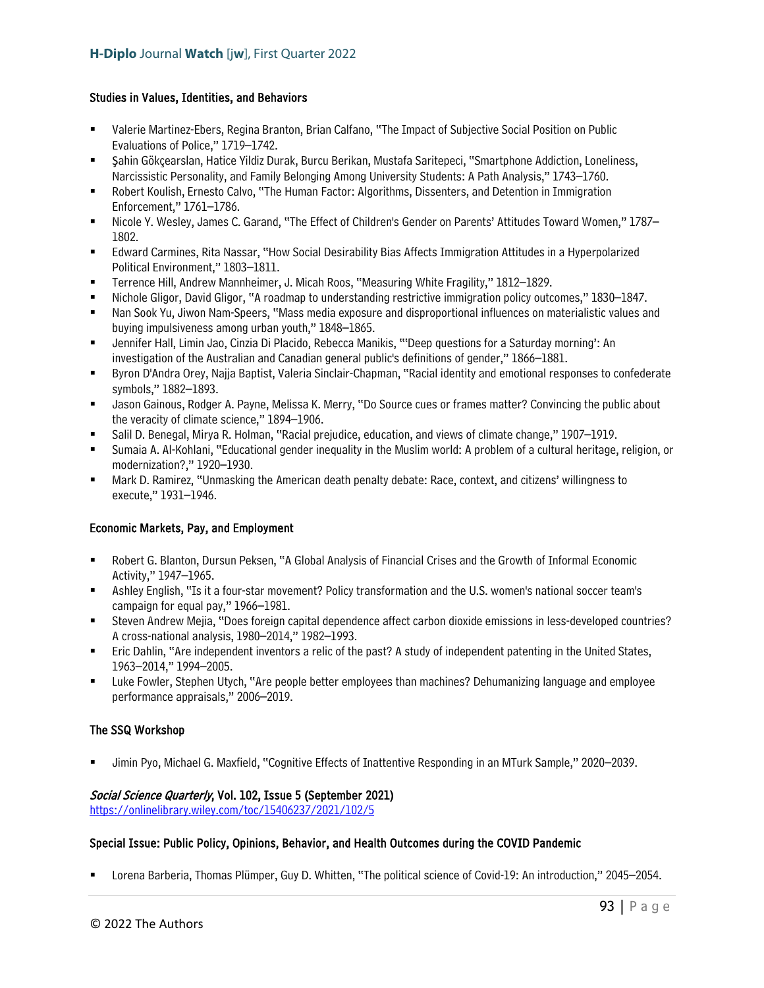### Studies in Values, Identities, and Behaviors

- Valerie Martinez-Ebers, Regina Branton, Brian Calfano, "The Impact of Subjective Social Position on Public Evaluations of Police," 1719–1742.
- Şahin Gökçearslan, Hatice Yildiz Durak, Burcu Berikan, Mustafa Saritepeci, "Smartphone Addiction, Loneliness, Narcissistic Personality, and Family Belonging Among University Students: A Path Analysis," 1743–1760.
- Robert Koulish, Ernesto Calvo, "The Human Factor: Algorithms, Dissenters, and Detention in Immigration Enforcement," 1761–1786.
- Nicole Y. Wesley, James C. Garand, "The Effect of Children's Gender on Parents' Attitudes Toward Women," 1787– 1802.
- Edward Carmines, Rita Nassar, "How Social Desirability Bias Affects Immigration Attitudes in a Hyperpolarized Political Environment," 1803–1811.
- Terrence Hill, Andrew Mannheimer, J. Micah Roos, "Measuring White Fragility," 1812–1829.
- Nichole Gligor, David Gligor, "A roadmap to understanding restrictive immigration policy outcomes," 1830–1847.
- Nan Sook Yu, Jiwon Nam-Speers, "Mass media exposure and disproportional influences on materialistic values and buying impulsiveness among urban youth," 1848–1865.
- Jennifer Hall, Limin Jao, Cinzia Di Placido, Rebecca Manikis, "'Deep questions for a Saturday morning': An investigation of the Australian and Canadian general public's definitions of gender," 1866–1881.
- Byron D'Andra Orey, Najja Baptist, Valeria Sinclair-Chapman, "Racial identity and emotional responses to confederate symbols," 1882–1893.
- Jason Gainous, Rodger A. Payne, Melissa K. Merry, "Do Source cues or frames matter? Convincing the public about the veracity of climate science," 1894–1906.
- Salil D. Benegal, Mirya R. Holman, "Racial prejudice, education, and views of climate change," 1907–1919.
- Sumaia A. Al-Kohlani, "Educational gender inequality in the Muslim world: A problem of a cultural heritage, religion, or modernization?," 1920–1930.
- Mark D. Ramirez, "Unmasking the American death penalty debate: Race, context, and citizens' willingness to execute," 1931–1946.

# Economic Markets, Pay, and Employment

- Robert G. Blanton, Dursun Peksen, "A Global Analysis of Financial Crises and the Growth of Informal Economic Activity," 1947–1965.
- Ashley English, "Is it a four-star movement? Policy transformation and the U.S. women's national soccer team's campaign for equal pay," 1966–1981.
- Steven Andrew Mejia, "Does foreign capital dependence affect carbon dioxide emissions in less-developed countries? A cross-national analysis, 1980–2014," 1982–1993.
- Eric Dahlin, "Are independent inventors a relic of the past? A study of independent patenting in the United States, 1963–2014," 1994–2005.
- Luke Fowler, Stephen Utych, "Are people better employees than machines? Dehumanizing language and employee performance appraisals," 2006–2019.

# The SSQ Workshop

Jimin Pyo, Michael G. Maxfield, "Cognitive Effects of Inattentive Responding in an MTurk Sample," 2020–2039.

### Social Science Quarterly, Vol. 102, Issue 5 (September 2021)

<https://onlinelibrary.wiley.com/toc/15406237/2021/102/5>

### Special Issue: Public Policy, Opinions, Behavior, and Health Outcomes during the COVID Pandemic

Lorena Barberia, Thomas Plümper, Guy D. Whitten, "The political science of Covid-19: An introduction," 2045–2054.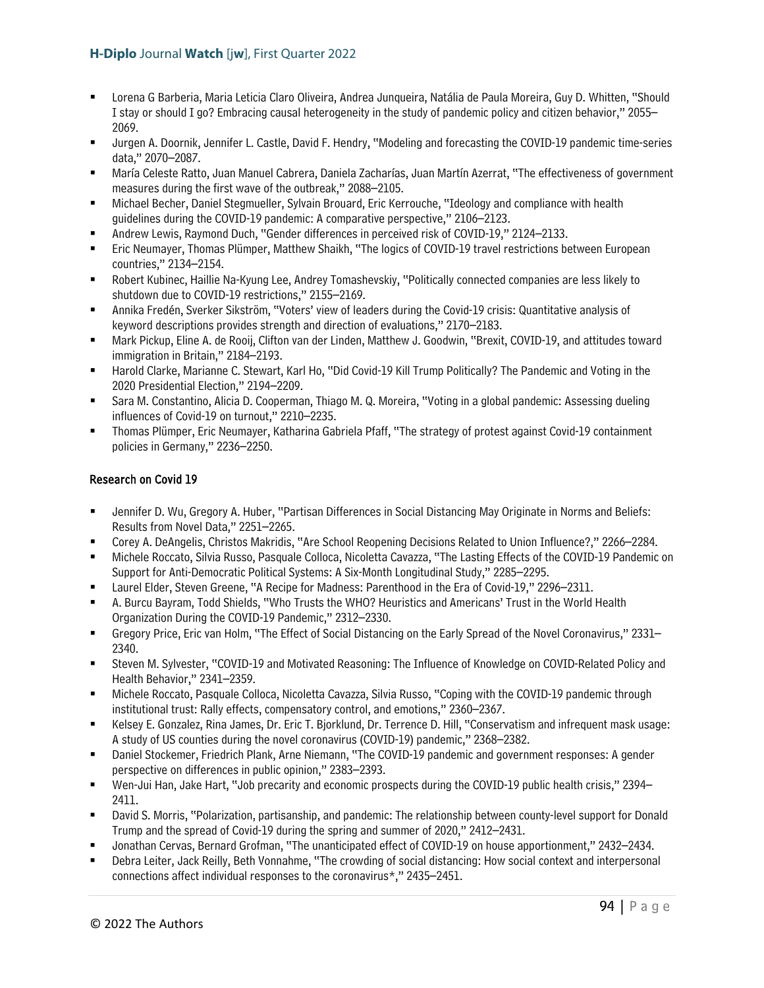- Lorena G Barberia, Maria Leticia Claro Oliveira, Andrea Junqueira, Natália de Paula Moreira, Guy D. Whitten, "Should I stay or should I go? Embracing causal heterogeneity in the study of pandemic policy and citizen behavior," 2055– 2069.
- Jurgen A. Doornik, Jennifer L. Castle, David F. Hendry, "Modeling and forecasting the COVID-19 pandemic time-series data," 2070–2087.
- María Celeste Ratto, Juan Manuel Cabrera, Daniela Zacharías, Juan Martín Azerrat, "The effectiveness of government measures during the first wave of the outbreak," 2088–2105.
- Michael Becher, Daniel Stegmueller, Sylvain Brouard, Eric Kerrouche, "Ideology and compliance with health guidelines during the COVID-19 pandemic: A comparative perspective," 2106–2123.
- Andrew Lewis, Raymond Duch, "Gender differences in perceived risk of COVID-19," 2124–2133.
- Eric Neumayer, Thomas Plümper, Matthew Shaikh, "The logics of COVID-19 travel restrictions between European countries," 2134–2154.
- Robert Kubinec, Haillie Na-Kyung Lee, Andrey Tomashevskiy, "Politically connected companies are less likely to shutdown due to COVID-19 restrictions," 2155–2169.
- Annika Fredén, Sverker Sikström, "Voters' view of leaders during the Covid-19 crisis: Quantitative analysis of keyword descriptions provides strength and direction of evaluations," 2170–2183.
- Mark Pickup, Eline A. de Rooij, Clifton van der Linden, Matthew J. Goodwin, "Brexit, COVID-19, and attitudes toward immigration in Britain," 2184–2193.
- Harold Clarke, Marianne C. Stewart, Karl Ho, "Did Covid-19 Kill Trump Politically? The Pandemic and Voting in the 2020 Presidential Election," 2194–2209.
- Sara M. Constantino, Alicia D. Cooperman, Thiago M. Q. Moreira, "Voting in a global pandemic: Assessing dueling influences of Covid-19 on turnout," 2210–2235.
- Thomas Plümper, Eric Neumayer, Katharina Gabriela Pfaff, "The strategy of protest against Covid-19 containment policies in Germany," 2236–2250.

### Research on Covid 19

- Jennifer D. Wu, Gregory A. Huber, "Partisan Differences in Social Distancing May Originate in Norms and Beliefs: Results from Novel Data," 2251–2265.
- Corey A. DeAngelis, Christos Makridis, "Are School Reopening Decisions Related to Union Influence?," 2266–2284.
- Michele Roccato, Silvia Russo, Pasquale Colloca, Nicoletta Cavazza, "The Lasting Effects of the COVID-19 Pandemic on Support for Anti-Democratic Political Systems: A Six-Month Longitudinal Study," 2285–2295.
- Laurel Elder, Steven Greene, "A Recipe for Madness: Parenthood in the Era of Covid-19," 2296–2311.
- A. Burcu Bayram, Todd Shields, "Who Trusts the WHO? Heuristics and Americans' Trust in the World Health Organization During the COVID-19 Pandemic," 2312–2330.
- Gregory Price, Eric van Holm, "The Effect of Social Distancing on the Early Spread of the Novel Coronavirus," 2331– 2340.
- Steven M. Sylvester, "COVID-19 and Motivated Reasoning: The Influence of Knowledge on COVID-Related Policy and Health Behavior," 2341–2359.
- Michele Roccato, Pasquale Colloca, Nicoletta Cavazza, Silvia Russo, "Coping with the COVID-19 pandemic through institutional trust: Rally effects, compensatory control, and emotions," 2360–2367.
- Kelsey E. Gonzalez, Rina James, Dr. Eric T. Bjorklund, Dr. Terrence D. Hill, "Conservatism and infrequent mask usage: A study of US counties during the novel coronavirus (COVID-19) pandemic," 2368–2382.
- Daniel Stockemer, Friedrich Plank, Arne Niemann, "The COVID-19 pandemic and government responses: A gender perspective on differences in public opinion," 2383–2393.
- Wen-Jui Han, Jake Hart, "Job precarity and economic prospects during the COVID-19 public health crisis," 2394– 2411.
- David S. Morris, "Polarization, partisanship, and pandemic: The relationship between county-level support for Donald Trump and the spread of Covid-19 during the spring and summer of 2020," 2412–2431.
- Jonathan Cervas, Bernard Grofman, "The unanticipated effect of COVID-19 on house apportionment," 2432–2434.
- Debra Leiter, Jack Reilly, Beth Vonnahme, "The crowding of social distancing: How social context and interpersonal connections affect individual responses to the coronavirus\*," 2435–2451.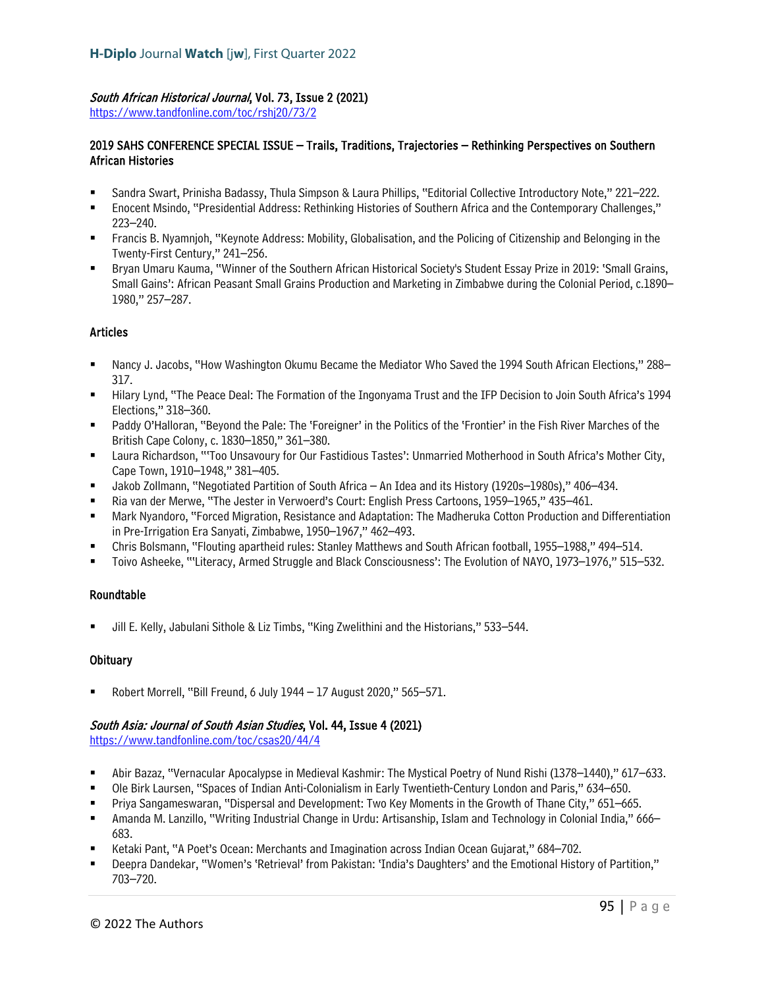### South African Historical Journal, Vol. 73, Issue 2 (2021)

<https://www.tandfonline.com/toc/rshj20/73/2>

### 2019 SAHS CONFERENCE SPECIAL ISSUE – Trails, Traditions, Trajectories – Rethinking Perspectives on Southern African Histories

- Sandra Swart, Prinisha Badassy, Thula Simpson & Laura Phillips, "Editorial Collective Introductory Note," 221–222.
- Enocent Msindo, "Presidential Address: Rethinking Histories of Southern Africa and the Contemporary Challenges," 223–240.
- Francis B. Nyamnjoh, "Keynote Address: Mobility, Globalisation, and the Policing of Citizenship and Belonging in the Twenty-First Century," 241–256.
- Bryan Umaru Kauma, "Winner of the Southern African Historical Society's Student Essay Prize in 2019: 'Small Grains, Small Gains': African Peasant Small Grains Production and Marketing in Zimbabwe during the Colonial Period, c.1890– 1980," 257–287.

# Articles

- Nancy J. Jacobs, "How Washington Okumu Became the Mediator Who Saved the 1994 South African Elections," 288– 317.
- Hilary Lynd, "The Peace Deal: The Formation of the Ingonyama Trust and the IFP Decision to Join South Africa's 1994 Elections," 318–360.
- Paddy O'Halloran, "Beyond the Pale: The 'Foreigner' in the Politics of the 'Frontier' in the Fish River Marches of the British Cape Colony, c. 1830–1850," 361–380.
- Laura Richardson, "'Too Unsavoury for Our Fastidious Tastes': Unmarried Motherhood in South Africa's Mother City, Cape Town, 1910–1948," 381–405.
- Jakob Zollmann, "Negotiated Partition of South Africa An Idea and its History (1920s–1980s)," 406–434.
- Ria van der Merwe, "The Jester in Verwoerd's Court: English Press Cartoons, 1959–1965," 435–461.
- Mark Nyandoro, "Forced Migration, Resistance and Adaptation: The Madheruka Cotton Production and Differentiation in Pre-Irrigation Era Sanyati, Zimbabwe, 1950–1967," 462–493.
- Chris Bolsmann, "Flouting apartheid rules: Stanley Matthews and South African football, 1955–1988," 494–514.
- Toivo Asheeke, "'Literacy, Armed Struggle and Black Consciousness': The Evolution of NAYO, 1973–1976," 515–532.

# Roundtable

Jill E. Kelly, Jabulani Sithole & Liz Timbs, "King Zwelithini and the Historians," 533–544.

# **Obituary**

Robert Morrell, "Bill Freund, 6 July 1944 – 17 August 2020," 565–571.

### South Asia: Journal of South Asian Studies, Vol. 44, Issue 4 (2021)

<https://www.tandfonline.com/toc/csas20/44/4>

- Abir Bazaz, "Vernacular Apocalypse in Medieval Kashmir: The Mystical Poetry of Nund Rishi (1378–1440)," 617–633.
- Ole Birk Laursen, "Spaces of Indian Anti-Colonialism in Early Twentieth-Century London and Paris," 634–650.
- Priya Sangameswaran, "Dispersal and Development: Two Key Moments in the Growth of Thane City," 651–665.
- Amanda M. Lanzillo, "Writing Industrial Change in Urdu: Artisanship, Islam and Technology in Colonial India," 666– 683.
- Ketaki Pant, "A Poet's Ocean: Merchants and Imagination across Indian Ocean Gujarat," 684–702.
- Deepra Dandekar, "Women's 'Retrieval' from Pakistan: 'India's Daughters' and the Emotional History of Partition," 703–720.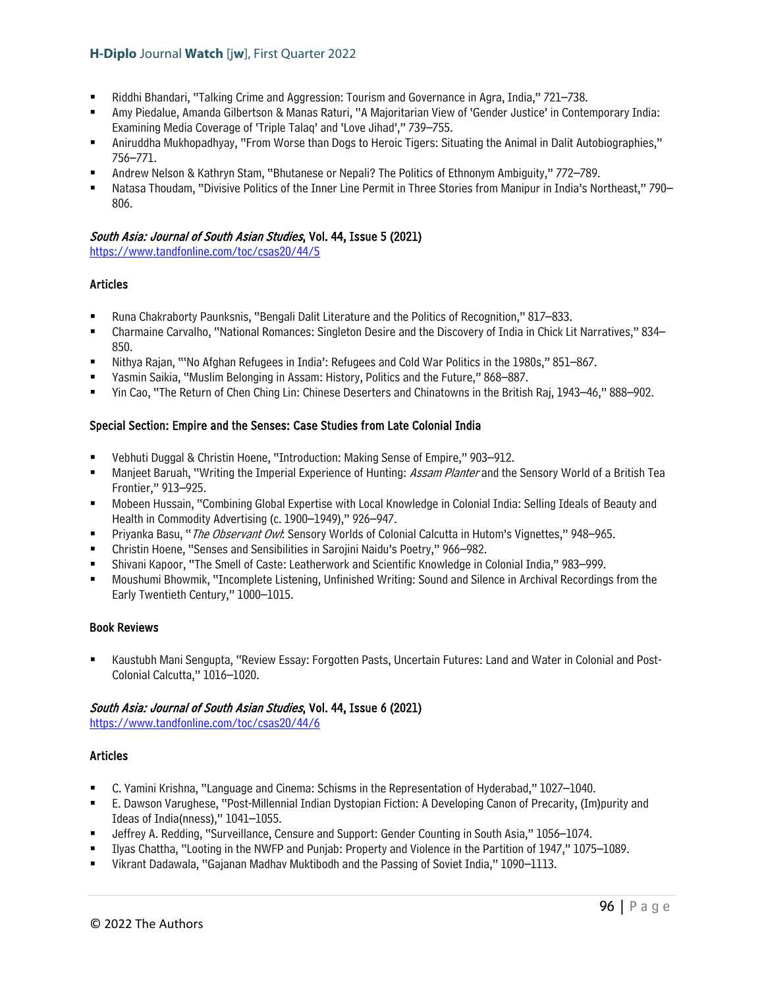- Riddhi Bhandari, "Talking Crime and Aggression: Tourism and Governance in Agra, India," 721–738.
- Amy Piedalue, Amanda Gilbertson & Manas Raturi, "A Majoritarian View of 'Gender Justice' in Contemporary India: Examining Media Coverage of 'Triple Talaq' and 'Love Jihad'," 739–755.
- Aniruddha Mukhopadhyay, "From Worse than Dogs to Heroic Tigers: Situating the Animal in Dalit Autobiographies," 756–771.
- Andrew Nelson & Kathryn Stam, "Bhutanese or Nepali? The Politics of Ethnonym Ambiguity," 772–789.
- Natasa Thoudam, "Divisive Politics of the Inner Line Permit in Three Stories from Manipur in India's Northeast," 790– 806.

### South Asia: Journal of South Asian Studies, Vol. 44, Issue 5 (2021)

<https://www.tandfonline.com/toc/csas20/44/5>

### Articles

- Runa Chakraborty Paunksnis, "Bengali Dalit Literature and the Politics of Recognition," 817–833.
- Charmaine Carvalho, "National Romances: Singleton Desire and the Discovery of India in Chick Lit Narratives," 834– 850.
- Nithya Rajan, "'No Afghan Refugees in India': Refugees and Cold War Politics in the 1980s," 851–867.
- Yasmin Saikia, "Muslim Belonging in Assam: History, Politics and the Future," 868–887.
- Yin Cao, "The Return of Chen Ching Lin: Chinese Deserters and Chinatowns in the British Raj, 1943–46," 888–902.

### Special Section: Empire and the Senses: Case Studies from Late Colonial India

- Vebhuti Duggal & Christin Hoene, "Introduction: Making Sense of Empire," 903–912.
- Manjeet Baruah, "Writing the Imperial Experience of Hunting: *Assam Planter* and the Sensory World of a British Tea Frontier," 913–925.
- Mobeen Hussain, "Combining Global Expertise with Local Knowledge in Colonial India: Selling Ideals of Beauty and Health in Commodity Advertising (c. 1900–1949)," 926–947.
- Priyanka Basu, "The Observant Ow!: Sensory Worlds of Colonial Calcutta in Hutom's Vignettes," 948-965.
- Christin Hoene, "Senses and Sensibilities in Sarojini Naidu's Poetry," 966–982.
- Shivani Kapoor, "The Smell of Caste: Leatherwork and Scientific Knowledge in Colonial India," 983–999.
- Moushumi Bhowmik, "Incomplete Listening, Unfinished Writing: Sound and Silence in Archival Recordings from the Early Twentieth Century," 1000–1015.

### Book Reviews

 Kaustubh Mani Sengupta, "Review Essay: Forgotten Pasts, Uncertain Futures: Land and Water in Colonial and Post-Colonial Calcutta," 1016–1020.

### South Asia: Journal of South Asian Studies, Vol. 44, Issue 6 (2021)

<https://www.tandfonline.com/toc/csas20/44/6>

### Articles

- C. Yamini Krishna, "Language and Cinema: Schisms in the Representation of Hyderabad," 1027–1040.
- E. Dawson Varughese, "Post-Millennial Indian Dystopian Fiction: A Developing Canon of Precarity, (Im)purity and Ideas of India(nness)," 1041–1055.
- Jeffrey A. Redding, "Surveillance, Censure and Support: Gender Counting in South Asia," 1056–1074.
- Ilyas Chattha, "Looting in the NWFP and Punjab: Property and Violence in the Partition of 1947," 1075–1089.
- Vikrant Dadawala, "Gajanan Madhav Muktibodh and the Passing of Soviet India," 1090–1113.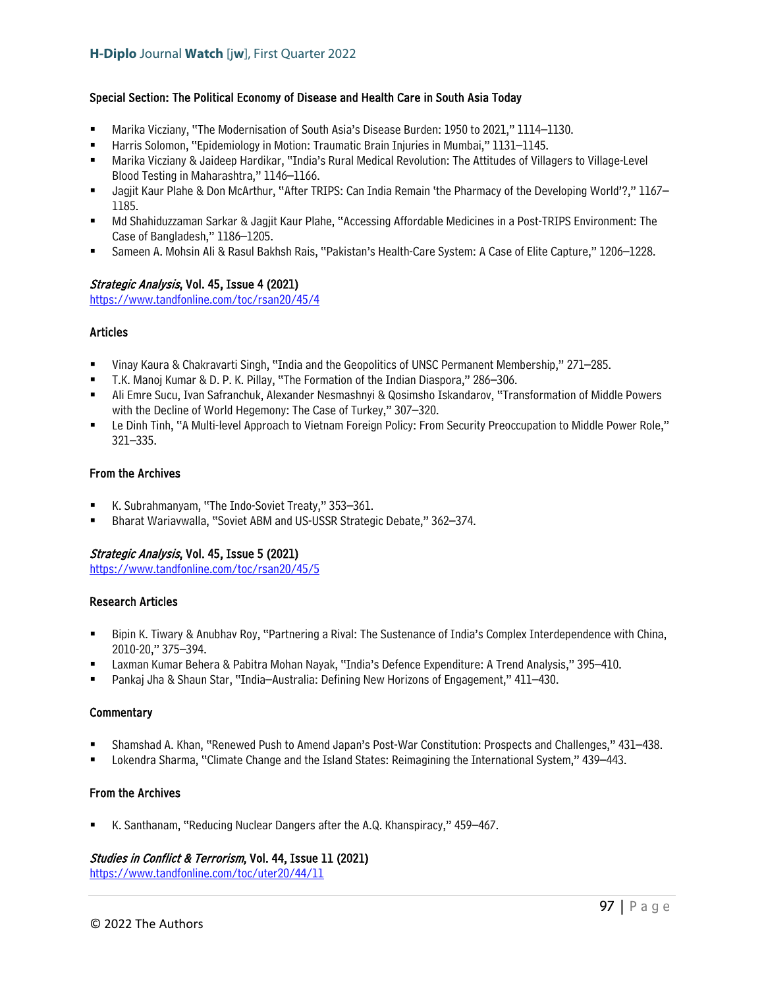### Special Section: The Political Economy of Disease and Health Care in South Asia Today

- Marika Vicziany, "The Modernisation of South Asia's Disease Burden: 1950 to 2021," 1114–1130.
- Harris Solomon, "Epidemiology in Motion: Traumatic Brain Injuries in Mumbai," 1131–1145.
- Marika Vicziany & Jaideep Hardikar, "India's Rural Medical Revolution: The Attitudes of Villagers to Village-Level Blood Testing in Maharashtra," 1146–1166.
- Jagjit Kaur Plahe & Don McArthur, "After TRIPS: Can India Remain 'the Pharmacy of the Developing World'?," 1167– 1185.
- Md Shahiduzzaman Sarkar & Jagjit Kaur Plahe, "Accessing Affordable Medicines in a Post-TRIPS Environment: The Case of Bangladesh," 1186–1205.
- Sameen A. Mohsin Ali & Rasul Bakhsh Rais, "Pakistan's Health-Care System: A Case of Elite Capture," 1206–1228.

### Strategic Analysis, Vol. 45, Issue 4 (2021)

<https://www.tandfonline.com/toc/rsan20/45/4>

### Articles

- Vinay Kaura & Chakravarti Singh, "India and the Geopolitics of UNSC Permanent Membership," 271–285.
- T.K. Manoj Kumar & D. P. K. Pillay, "The Formation of the Indian Diaspora," 286–306.
- Ali Emre Sucu, Ivan Safranchuk, Alexander Nesmashnyi & Qosimsho Iskandarov, "Transformation of Middle Powers with the Decline of World Hegemony: The Case of Turkey," 307–320.
- Le Dinh Tinh, "A Multi-level Approach to Vietnam Foreign Policy: From Security Preoccupation to Middle Power Role," 321–335.

### From the Archives

- K. Subrahmanyam, "The Indo-Soviet Treaty," 353–361.
- Bharat Wariavwalla, "Soviet ABM and US-USSR Strategic Debate," 362–374.

### Strategic Analysis, Vol. 45, Issue 5 (2021)

<https://www.tandfonline.com/toc/rsan20/45/5>

### Research Articles

- Bipin K. Tiwary & Anubhav Roy, "Partnering a Rival: The Sustenance of India's Complex Interdependence with China, 2010-20," 375–394.
- Laxman Kumar Behera & Pabitra Mohan Nayak, "India's Defence Expenditure: A Trend Analysis," 395–410.
- Pankaj Jha & Shaun Star, "India–Australia: Defining New Horizons of Engagement," 411–430.

### **Commentary**

- Shamshad A. Khan, "Renewed Push to Amend Japan's Post-War Constitution: Prospects and Challenges," 431–438.
- Lokendra Sharma, "Climate Change and the Island States: Reimagining the International System," 439–443.

### From the Archives

K. Santhanam, "Reducing Nuclear Dangers after the A.Q. Khanspiracy," 459–467.

### Studies in Conflict & Terrorism, Vol. 44, Issue 11 (2021)

<https://www.tandfonline.com/toc/uter20/44/11>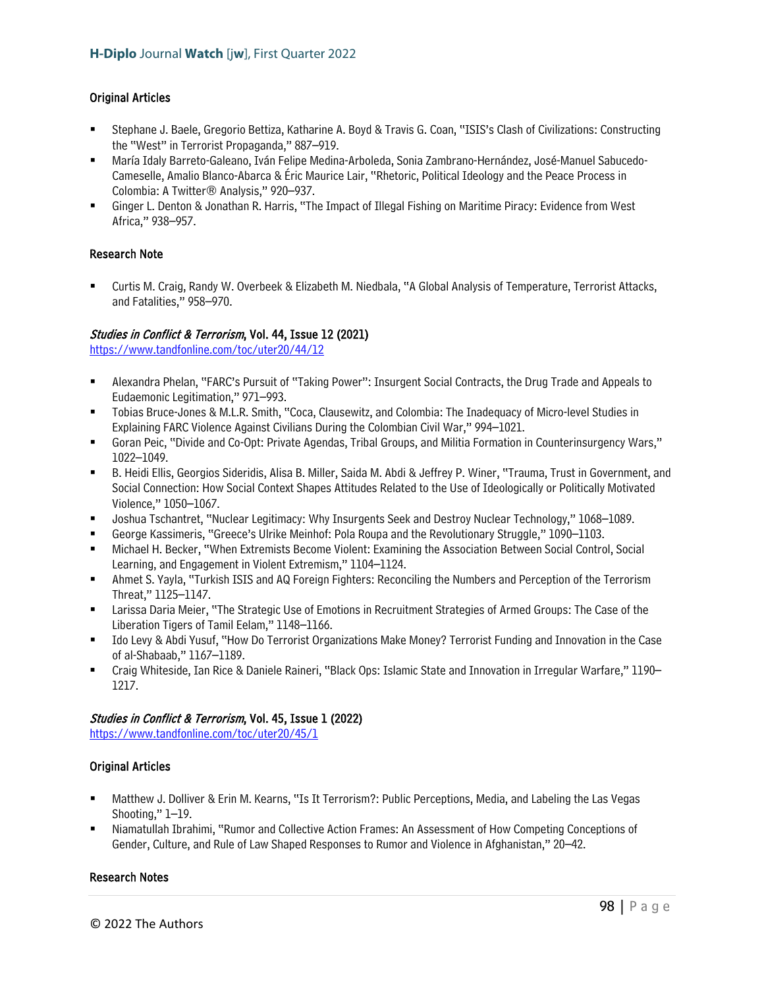# Original Articles

- Stephane J. Baele, Gregorio Bettiza, Katharine A. Boyd & Travis G. Coan, "ISIS's Clash of Civilizations: Constructing the "West" in Terrorist Propaganda," 887–919.
- María Idaly Barreto-Galeano, Iván Felipe Medina-Arboleda, Sonia Zambrano-Hernández, José-Manuel Sabucedo-Cameselle, Amalio Blanco-Abarca & Éric Maurice Lair, "Rhetoric, Political Ideology and the Peace Process in Colombia: A Twitter® Analysis," 920–937.
- Ginger L. Denton & Jonathan R. Harris, "The Impact of Illegal Fishing on Maritime Piracy: Evidence from West Africa," 938–957.

### Research Note

 Curtis M. Craig, Randy W. Overbeek & Elizabeth M. Niedbala, "A Global Analysis of Temperature, Terrorist Attacks, and Fatalities," 958–970.

### Studies in Conflict & Terrorism, Vol. 44, Issue 12 (2021)

<https://www.tandfonline.com/toc/uter20/44/12>

- Alexandra Phelan, "FARC's Pursuit of "Taking Power": Insurgent Social Contracts, the Drug Trade and Appeals to Eudaemonic Legitimation," 971–993.
- Tobias Bruce-Jones & M.L.R. Smith, "Coca, Clausewitz, and Colombia: The Inadequacy of Micro-level Studies in Explaining FARC Violence Against Civilians During the Colombian Civil War," 994–1021.
- Goran Peic, "Divide and Co-Opt: Private Agendas, Tribal Groups, and Militia Formation in Counterinsurgency Wars," 1022–1049.
- B. Heidi Ellis, Georgios Sideridis, Alisa B. Miller, Saida M. Abdi & Jeffrey P. Winer, "Trauma, Trust in Government, and Social Connection: How Social Context Shapes Attitudes Related to the Use of Ideologically or Politically Motivated Violence," 1050–1067.
- Joshua Tschantret, "Nuclear Legitimacy: Why Insurgents Seek and Destroy Nuclear Technology," 1068–1089.
- George Kassimeris, "Greece's Ulrike Meinhof: Pola Roupa and the Revolutionary Struggle," 1090–1103.
- Michael H. Becker, "When Extremists Become Violent: Examining the Association Between Social Control, Social Learning, and Engagement in Violent Extremism," 1104–1124.
- Ahmet S. Yayla, "Turkish ISIS and AQ Foreign Fighters: Reconciling the Numbers and Perception of the Terrorism Threat," 1125–1147.
- Larissa Daria Meier, "The Strategic Use of Emotions in Recruitment Strategies of Armed Groups: The Case of the Liberation Tigers of Tamil Eelam," 1148–1166.
- Ido Levy & Abdi Yusuf, "How Do Terrorist Organizations Make Money? Terrorist Funding and Innovation in the Case of al-Shabaab," 1167–1189.
- Craig Whiteside, Ian Rice & Daniele Raineri, "Black Ops: Islamic State and Innovation in Irregular Warfare," 1190– 1217.

### Studies in Conflict & Terrorism, Vol. 45, Issue 1 (2022)

<https://www.tandfonline.com/toc/uter20/45/1>

# Original Articles

- Matthew J. Dolliver & Erin M. Kearns, "Is It Terrorism?: Public Perceptions, Media, and Labeling the Las Vegas Shooting," 1–19.
- Niamatullah Ibrahimi, "Rumor and Collective Action Frames: An Assessment of How Competing Conceptions of Gender, Culture, and Rule of Law Shaped Responses to Rumor and Violence in Afghanistan," 20–42.

### Research Notes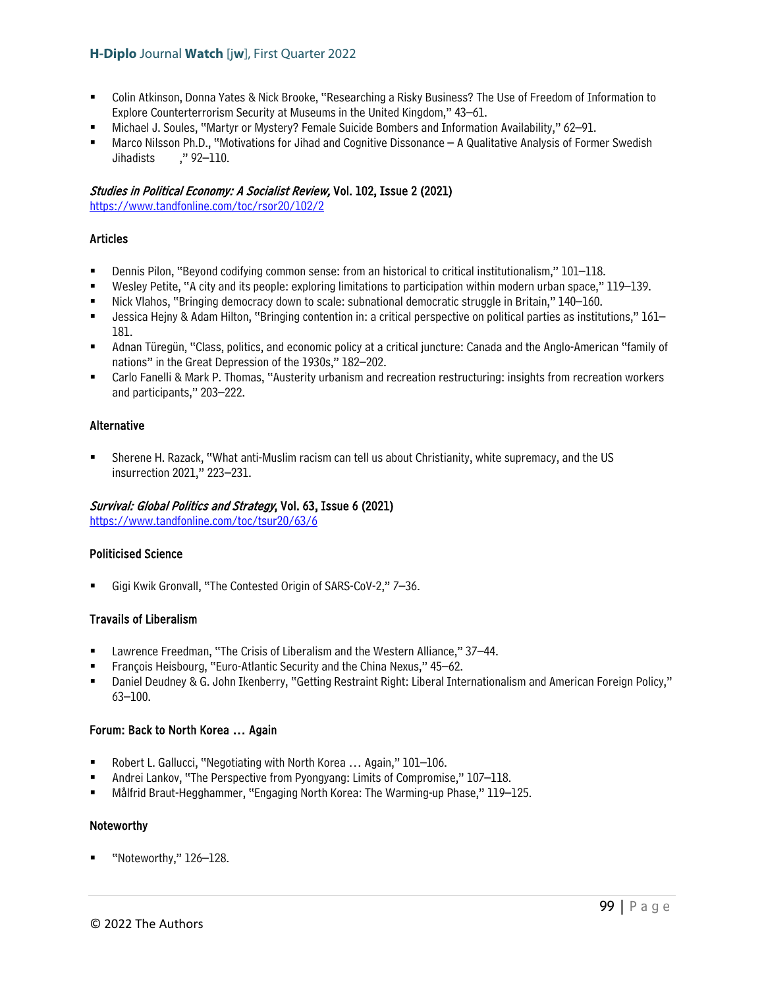- Colin Atkinson, Donna Yates & Nick Brooke, "Researching a Risky Business? The Use of Freedom of Information to Explore Counterterrorism Security at Museums in the United Kingdom," 43–61.
- Michael J. Soules, "Martyr or Mystery? Female Suicide Bombers and Information Availability," 62–91.
- Marco Nilsson Ph.D., "Motivations for Jihad and Cognitive Dissonance A Qualitative Analysis of Former Swedish Jihadists ," 92–110.

### Studies in Political Economy: A Socialist Review, Vol. 102, Issue 2 (2021)

<https://www.tandfonline.com/toc/rsor20/102/2>

### Articles

- Dennis Pilon, "Beyond codifying common sense: from an historical to critical institutionalism," 101–118.
- Wesley Petite, "A city and its people: exploring limitations to participation within modern urban space," 119–139.
- Nick Vlahos, "Bringing democracy down to scale: subnational democratic struggle in Britain," 140–160.
- Jessica Hejny & Adam Hilton, "Bringing contention in: a critical perspective on political parties as institutions," 161– 181.
- Adnan Türegün, "Class, politics, and economic policy at a critical juncture: Canada and the Anglo-American "family of nations" in the Great Depression of the 1930s," 182–202.
- Carlo Fanelli & Mark P. Thomas, "Austerity urbanism and recreation restructuring: insights from recreation workers and participants," 203–222.

### Alternative

 Sherene H. Razack, "What anti-Muslim racism can tell us about Christianity, white supremacy, and the US insurrection 2021," 223–231.

### Survival: Global Politics and Strategy, Vol. 63, Issue 6 (2021)

<https://www.tandfonline.com/toc/tsur20/63/6>

### Politicised Science

Gigi Kwik Gronvall, "The Contested Origin of SARS-CoV-2," 7–36.

### Travails of Liberalism

- Lawrence Freedman, "The Crisis of Liberalism and the Western Alliance," 37–44.
- François Heisbourg, "Euro-Atlantic Security and the China Nexus," 45–62.
- Daniel Deudney & G. John Ikenberry, "Getting Restraint Right: Liberal Internationalism and American Foreign Policy," 63–100.

### Forum: Back to North Korea … Again

- Robert L. Gallucci, "Negotiating with North Korea … Again," 101–106.
- Andrei Lankov, "The Perspective from Pyongyang: Limits of Compromise," 107–118.
- Målfrid Braut-Hegghammer, "Engaging North Korea: The Warming-up Phase," 119–125.

### Noteworthy

"Noteworthy," 126–128.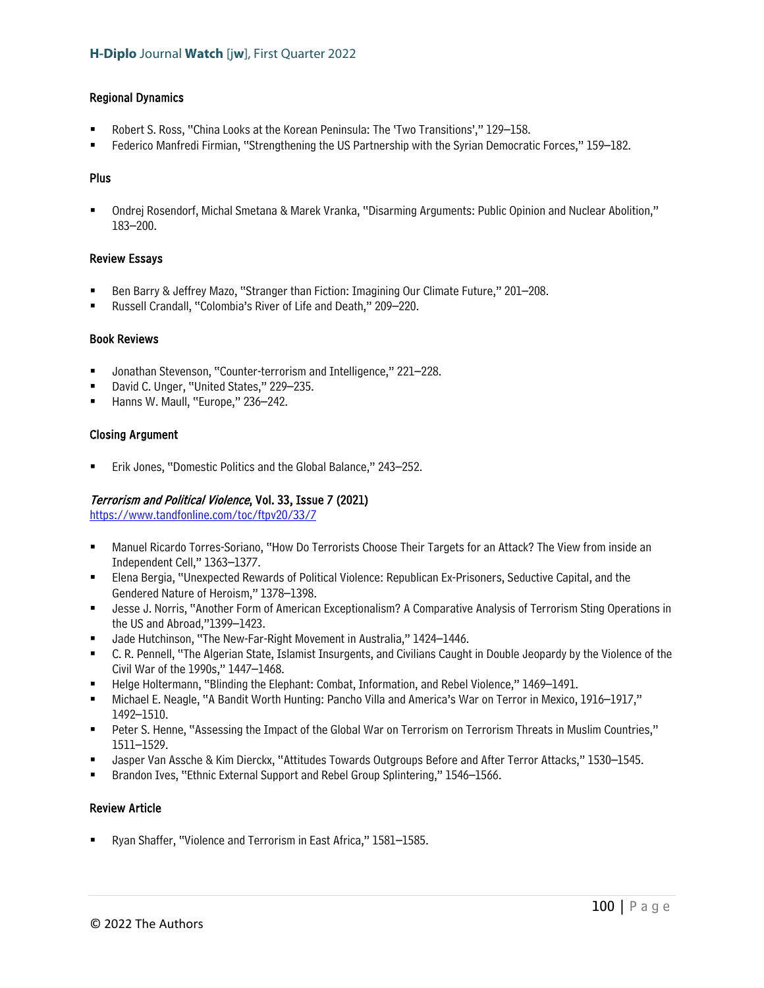### Regional Dynamics

- Robert S. Ross, "China Looks at the Korean Peninsula: The 'Two Transitions'," 129–158.
- Federico Manfredi Firmian, "Strengthening the US Partnership with the Syrian Democratic Forces," 159–182.

### Plus

 Ondrej Rosendorf, Michal Smetana & Marek Vranka, "Disarming Arguments: Public Opinion and Nuclear Abolition," 183–200.

### Review Essays

- Ben Barry & Jeffrey Mazo, "Stranger than Fiction: Imagining Our Climate Future," 201–208.
- Russell Crandall, "Colombia's River of Life and Death," 209–220.

### Book Reviews

- Jonathan Stevenson, "Counter-terrorism and Intelligence," 221–228.
- David C. Unger, "United States," 229–235.
- Hanns W. Maull, "Europe," 236–242.

### Closing Argument

Erik Jones, "Domestic Politics and the Global Balance," 243–252.

# Terrorism and Political Violence, Vol. 33, Issue 7 (2021)

<https://www.tandfonline.com/toc/ftpv20/33/7>

- Manuel Ricardo Torres-Soriano, "How Do Terrorists Choose Their Targets for an Attack? The View from inside an Independent Cell," 1363–1377.
- Elena Bergia, "Unexpected Rewards of Political Violence: Republican Ex-Prisoners, Seductive Capital, and the Gendered Nature of Heroism," 1378–1398.
- Jesse J. Norris, "Another Form of American Exceptionalism? A Comparative Analysis of Terrorism Sting Operations in the US and Abroad,"1399–1423.
- Jade Hutchinson, "The New-Far-Right Movement in Australia," 1424–1446.
- C. R. Pennell, "The Algerian State, Islamist Insurgents, and Civilians Caught in Double Jeopardy by the Violence of the Civil War of the 1990s," 1447–1468.
- Helge Holtermann, "Blinding the Elephant: Combat, Information, and Rebel Violence," 1469–1491.
- Michael E. Neagle, "A Bandit Worth Hunting: Pancho Villa and America's War on Terror in Mexico, 1916–1917," 1492–1510.
- Peter S. Henne, "Assessing the Impact of the Global War on Terrorism on Terrorism Threats in Muslim Countries," 1511–1529.
- Jasper Van Assche & Kim Dierckx, "Attitudes Towards Outgroups Before and After Terror Attacks," 1530–1545.
- Brandon Ives, "Ethnic External Support and Rebel Group Splintering," 1546–1566.

# Review Article

Ryan Shaffer, "Violence and Terrorism in East Africa," 1581–1585.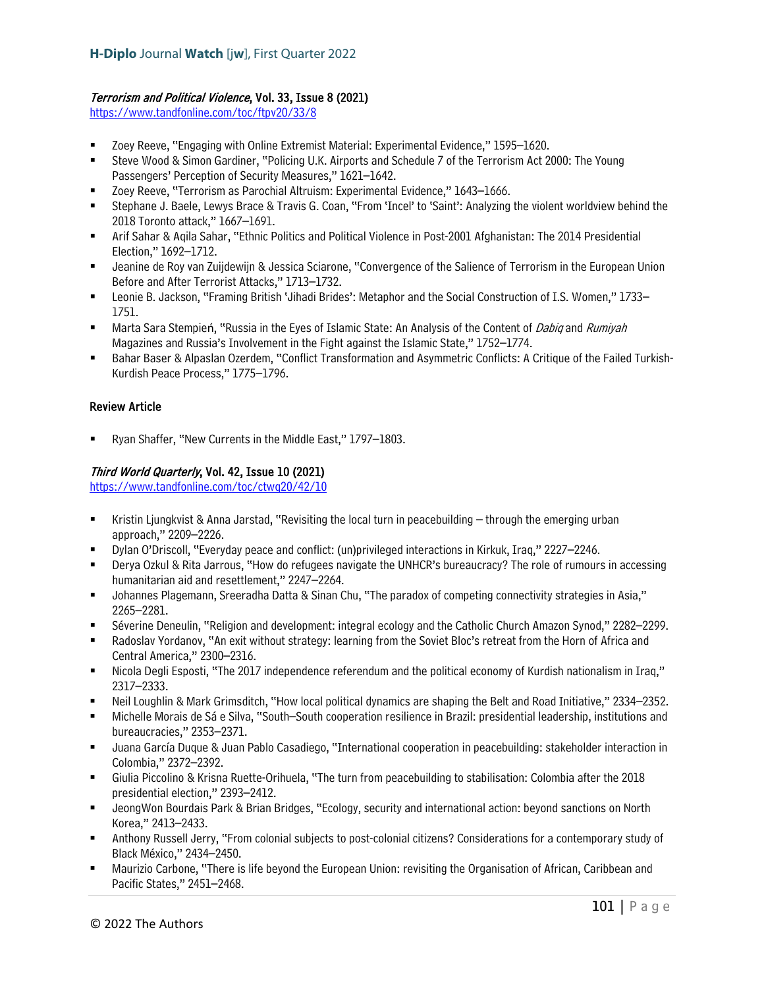# Terrorism and Political Violence, Vol. 33, Issue 8 (2021)

<https://www.tandfonline.com/toc/ftpv20/33/8>

- Zoey Reeve, "Engaging with Online Extremist Material: Experimental Evidence," 1595–1620.
- Steve Wood & Simon Gardiner, "Policing U.K. Airports and Schedule 7 of the Terrorism Act 2000: The Young Passengers' Perception of Security Measures," 1621–1642.
- Zoey Reeve, "Terrorism as Parochial Altruism: Experimental Evidence," 1643–1666.
- Stephane J. Baele, Lewys Brace & Travis G. Coan, "From 'Incel' to 'Saint': Analyzing the violent worldview behind the 2018 Toronto attack," 1667–1691.
- Arif Sahar & Aqila Sahar, "Ethnic Politics and Political Violence in Post-2001 Afghanistan: The 2014 Presidential Election," 1692–1712.
- Jeanine de Roy van Zuijdewijn & Jessica Sciarone, "Convergence of the Salience of Terrorism in the European Union Before and After Terrorist Attacks," 1713–1732.
- Leonie B. Jackson, "Framing British 'Jihadi Brides': Metaphor and the Social Construction of I.S. Women," 1733– 1751.
- Marta Sara Stempień, "Russia in the Eyes of Islamic State: An Analysis of the Content of Dabiq and Rumiyah Magazines and Russia's Involvement in the Fight against the Islamic State," 1752–1774.
- Bahar Baser & Alpaslan Ozerdem, "Conflict Transformation and Asymmetric Conflicts: A Critique of the Failed Turkish-Kurdish Peace Process," 1775–1796.

# Review Article

Ryan Shaffer, "New Currents in the Middle East," 1797–1803.

# Third World Quarterly, Vol. 42, Issue 10 (2021)

<https://www.tandfonline.com/toc/ctwq20/42/10>

- Kristin Ljungkvist & Anna Jarstad, "Revisiting the local turn in peacebuilding through the emerging urban approach," 2209–2226.
- Dylan O'Driscoll, "Everyday peace and conflict: (un)privileged interactions in Kirkuk, Iraq," 2227–2246.
- Derya Ozkul & Rita Jarrous, "How do refugees navigate the UNHCR's bureaucracy? The role of rumours in accessing humanitarian aid and resettlement," 2247–2264.
- Johannes Plagemann, Sreeradha Datta & Sinan Chu, "The paradox of competing connectivity strategies in Asia," 2265–2281.
- Séverine Deneulin, "Religion and development: integral ecology and the Catholic Church Amazon Synod," 2282–2299.
- Radoslav Yordanov, "An exit without strategy: learning from the Soviet Bloc's retreat from the Horn of Africa and Central America," 2300–2316.
- Nicola Degli Esposti, "The 2017 independence referendum and the political economy of Kurdish nationalism in Iraq," 2317–2333.
- Neil Loughlin & Mark Grimsditch, "How local political dynamics are shaping the Belt and Road Initiative," 2334–2352.
- Michelle Morais de Sá e Silva, "South–South cooperation resilience in Brazil: presidential leadership, institutions and bureaucracies," 2353–2371.
- Juana García Duque & Juan Pablo Casadiego, "International cooperation in peacebuilding: stakeholder interaction in Colombia," 2372–2392.
- Giulia Piccolino & Krisna Ruette-Orihuela, "The turn from peacebuilding to stabilisation: Colombia after the 2018 presidential election," 2393–2412.
- JeongWon Bourdais Park & Brian Bridges, "Ecology, security and international action: beyond sanctions on North Korea," 2413–2433.
- Anthony Russell Jerry, "From colonial subjects to post-colonial citizens? Considerations for a contemporary study of Black México," 2434–2450.
- Maurizio Carbone, "There is life beyond the European Union: revisiting the Organisation of African, Caribbean and Pacific States," 2451–2468.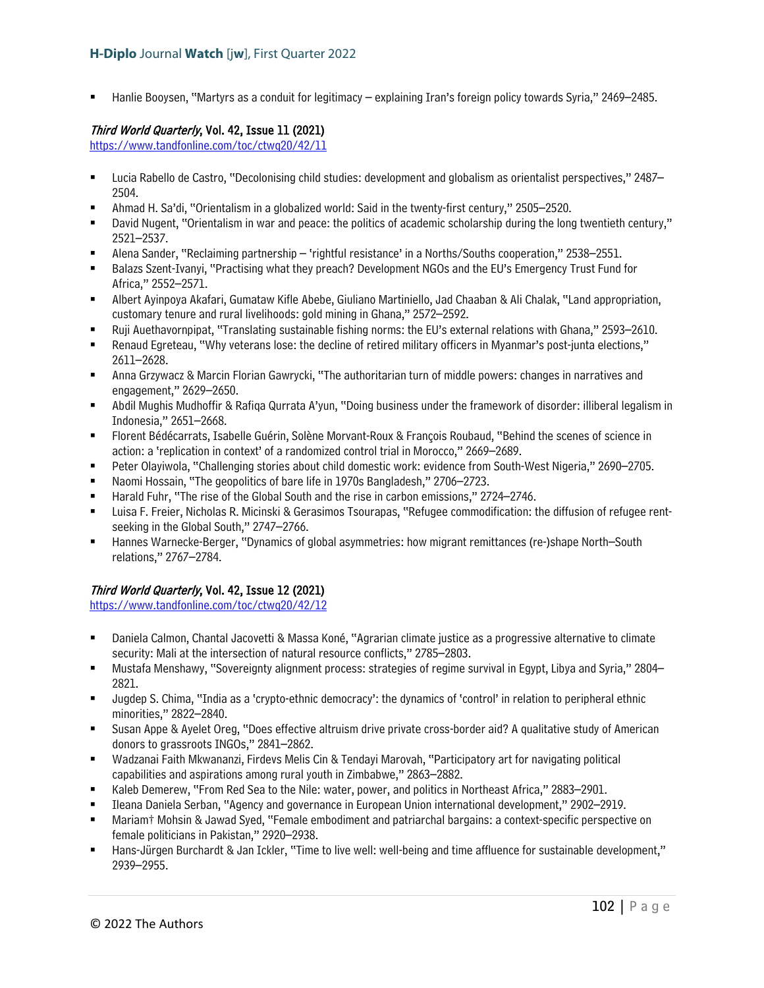Hanlie Booysen, "Martyrs as a conduit for legitimacy – explaining Iran's foreign policy towards Syria," 2469–2485.

# Third World Quarterly, Vol. 42, Issue 11 (2021)

<https://www.tandfonline.com/toc/ctwq20/42/11>

- Lucia Rabello de Castro, "Decolonising child studies: development and globalism as orientalist perspectives," 2487– 2504.
- Ahmad H. Sa'di, "Orientalism in a globalized world: Said in the twenty-first century," 2505–2520.
- David Nugent, "Orientalism in war and peace: the politics of academic scholarship during the long twentieth century," 2521–2537.
- Alena Sander, "Reclaiming partnership 'rightful resistance' in a Norths/Souths cooperation," 2538–2551.
- Balazs Szent-Ivanyi, "Practising what they preach? Development NGOs and the EU's Emergency Trust Fund for Africa," 2552–2571.
- Albert Ayinpoya Akafari, Gumataw Kifle Abebe, Giuliano Martiniello, Jad Chaaban & Ali Chalak, "Land appropriation, customary tenure and rural livelihoods: gold mining in Ghana," 2572–2592.
- Ruji Auethavornpipat, "Translating sustainable fishing norms: the EU's external relations with Ghana," 2593–2610.
- Renaud Egreteau, "Why veterans lose: the decline of retired military officers in Myanmar's post-junta elections," 2611–2628.
- Anna Grzywacz & Marcin Florian Gawrycki, "The authoritarian turn of middle powers: changes in narratives and engagement," 2629–2650.
- Abdil Mughis Mudhoffir & Rafiqa Qurrata A'yun, "Doing business under the framework of disorder: illiberal legalism in Indonesia," 2651–2668.
- Florent Bédécarrats, Isabelle Guérin, Solène Morvant-Roux & François Roubaud, "Behind the scenes of science in action: a 'replication in context' of a randomized control trial in Morocco," 2669–2689.
- Peter Olayiwola, "Challenging stories about child domestic work: evidence from South-West Nigeria," 2690–2705.
- Naomi Hossain, "The geopolitics of bare life in 1970s Bangladesh," 2706–2723.
- Harald Fuhr, "The rise of the Global South and the rise in carbon emissions," 2724–2746.
- Luisa F. Freier, Nicholas R. Micinski & Gerasimos Tsourapas, "Refugee commodification: the diffusion of refugee rentseeking in the Global South," 2747–2766.
- Hannes Warnecke-Berger, "Dynamics of global asymmetries: how migrant remittances (re-)shape North–South relations," 2767–2784.

# Third World Quarterly, Vol. 42, Issue 12 (2021)

<https://www.tandfonline.com/toc/ctwq20/42/12>

- Daniela Calmon, Chantal Jacovetti & Massa Koné, "Agrarian climate justice as a progressive alternative to climate security: Mali at the intersection of natural resource conflicts," 2785–2803.
- Mustafa Menshawy, "Sovereignty alignment process: strategies of regime survival in Egypt, Libya and Syria," 2804– 2821.
- Jugdep S. Chima, "India as a 'crypto-ethnic democracy': the dynamics of 'control' in relation to peripheral ethnic minorities," 2822–2840.
- Susan Appe & Ayelet Oreg, "Does effective altruism drive private cross-border aid? A qualitative study of American donors to grassroots INGOs," 2841–2862.
- Wadzanai Faith Mkwananzi, Firdevs Melis Cin & Tendayi Marovah, "Participatory art for navigating political capabilities and aspirations among rural youth in Zimbabwe," 2863–2882.
- Kaleb Demerew, "From Red Sea to the Nile: water, power, and politics in Northeast Africa," 2883–2901.
- Ileana Daniela Serban, "Agency and governance in European Union international development," 2902–2919.
- Mariam† Mohsin & Jawad Syed, "Female embodiment and patriarchal bargains: a context-specific perspective on female politicians in Pakistan," 2920–2938.
- Hans-Jürgen Burchardt & Jan Ickler, "Time to live well: well-being and time affluence for sustainable development," 2939–2955.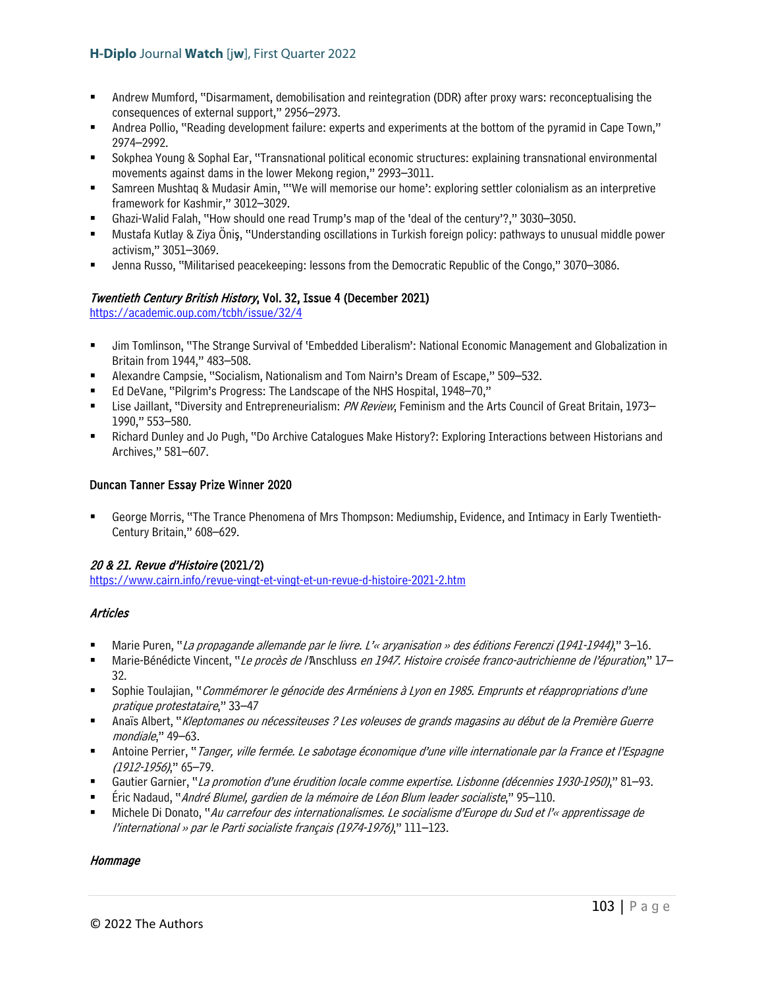- Andrew Mumford, "Disarmament, demobilisation and reintegration (DDR) after proxy wars: reconceptualising the consequences of external support," 2956–2973.
- Andrea Pollio, "Reading development failure: experts and experiments at the bottom of the pyramid in Cape Town," 2974–2992.
- Sokphea Young & Sophal Ear, "Transnational political economic structures: explaining transnational environmental movements against dams in the lower Mekong region," 2993–3011.
- Samreen Mushtaq & Mudasir Amin, "'We will memorise our home': exploring settler colonialism as an interpretive framework for Kashmir," 3012–3029.
- Ghazi-Walid Falah, "How should one read Trump's map of the 'deal of the century'?," 3030–3050.
- Mustafa Kutlay & Ziya Öniş, "Understanding oscillations in Turkish foreign policy: pathways to unusual middle power activism," 3051–3069.
- Jenna Russo, "Militarised peacekeeping: lessons from the Democratic Republic of the Congo," 3070–3086.

# Twentieth Century British History, Vol. 32, Issue 4 (December 2021)

<https://academic.oup.com/tcbh/issue/32/4>

- Jim Tomlinson, "The Strange Survival of 'Embedded Liberalism': National Economic Management and Globalization in Britain from 1944," 483–508.
- Alexandre Campsie, "Socialism, Nationalism and Tom Nairn's Dream of Escape," 509–532.
- Ed DeVane, "Pilgrim's Progress: The Landscape of the NHS Hospital, 1948–70,"
- Lise Jaillant, "Diversity and Entrepreneurialism: PN Review, Feminism and the Arts Council of Great Britain, 1973– 1990," 553–580.
- Richard Dunley and Jo Pugh, "Do Archive Catalogues Make History?: Exploring Interactions between Historians and Archives," 581–607.

### Duncan Tanner Essay Prize Winner 2020

 George Morris, "The Trance Phenomena of Mrs Thompson: Mediumship, Evidence, and Intimacy in Early Twentieth-Century Britain," 608–629.

# 20 & 21. Revue d'Histoire (2021/2)

<https://www.cairn.info/revue-vingt-et-vingt-et-un-revue-d-histoire-2021-2.htm>

# Articles

- Marie Puren, "La propagande allemande par le livre. L'« aryanisation » des éditions Ferenczi (1941-1944)," 3–16.
- Marie-Bénédicte Vincent, "Le procès de l'Anschluss en 1947. Histoire croisée franco-autrichienne de l'épuration," 17– 32.
- Sophie Toulajian, "Commémorer le génocide des Arméniens à Lyon en 1985. Emprunts et réappropriations d'une pratique protestataire," 33–47
- Anaïs Albert, "Kleptomanes ou nécessiteuses ? Les voleuses de grands magasins au début de la Première Guerre mondiale," 49–63.
- Antoine Perrier, "Tanger, ville fermée. Le sabotage économique d'une ville internationale par la France et l'Espagne (1912-1956)," 65–79.
- Gautier Garnier, "La promotion d'une érudition locale comme expertise. Lisbonne (décennies 1930-1950)," 81–93.
- Éric Nadaud, "André Blumel, gardien de la mémoire de Léon Blum leader socialiste," 95–110.
- Michele Di Donato, "Au carrefour des internationalismes. Le socialisme d'Europe du Sud et l'« apprentissage de l'international » par le Parti socialiste français (1974-1976)," 111–123.

### **Hommage**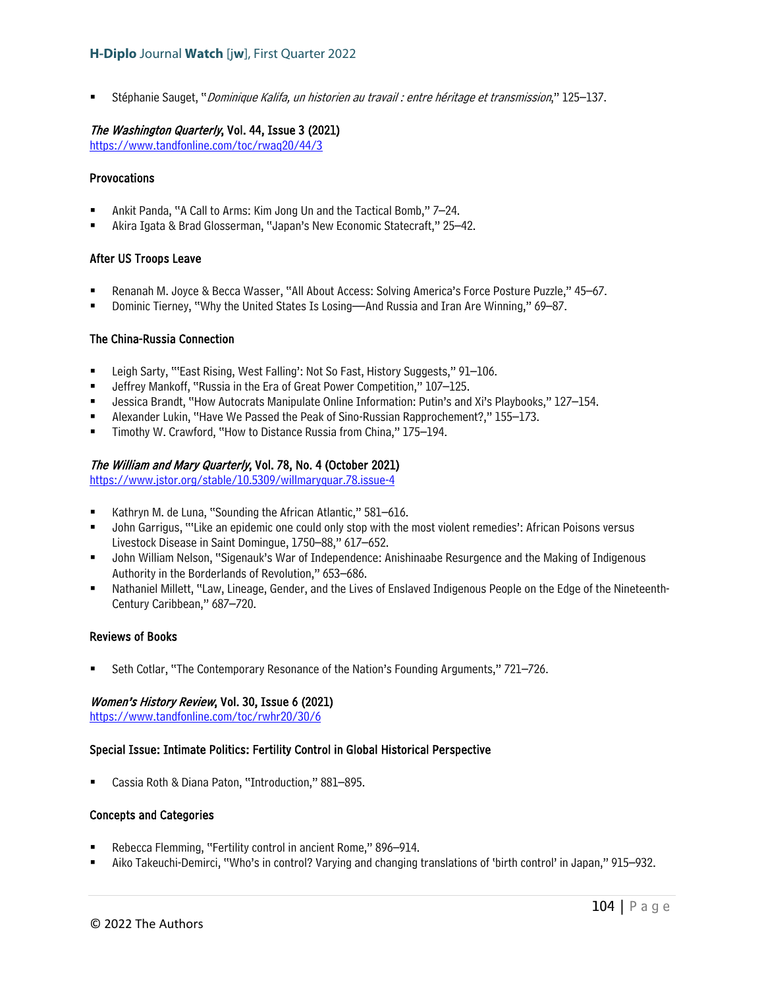Stéphanie Sauget, "Dominique Kalifa, un historien au travail : entre héritage et transmission," 125–137.

### The Washington Quarterly, Vol. 44, Issue 3 (2021)

<https://www.tandfonline.com/toc/rwaq20/44/3>

### **Provocations**

- Ankit Panda, "A Call to Arms: Kim Jong Un and the Tactical Bomb," 7–24.
- Akira Igata & Brad Glosserman, "Japan's New Economic Statecraft," 25–42.

### After US Troops Leave

- Renanah M. Joyce & Becca Wasser, "All About Access: Solving America's Force Posture Puzzle," 45–67.
- Dominic Tierney, "Why the United States Is Losing—And Russia and Iran Are Winning," 69–87.

### The China-Russia Connection

- Leigh Sarty, "'East Rising, West Falling': Not So Fast, History Suggests," 91–106.
- Jeffrey Mankoff, "Russia in the Era of Great Power Competition," 107–125.
- Jessica Brandt, "How Autocrats Manipulate Online Information: Putin's and Xi's Playbooks," 127–154.
- Alexander Lukin, "Have We Passed the Peak of Sino-Russian Rapprochement?," 155–173.
- Timothy W. Crawford, "How to Distance Russia from China," 175–194.

### The William and Mary Quarterly, Vol. 78, No. 4 (October 2021)

<https://www.jstor.org/stable/10.5309/willmaryquar.78.issue-4>

- Kathryn M. de Luna, "Sounding the African Atlantic," 581–616.
- John Garrigus, "'Like an epidemic one could only stop with the most violent remedies': African Poisons versus Livestock Disease in Saint Domingue, 1750–88," 617–652.
- John William Nelson, "Sigenauk's War of Independence: Anishinaabe Resurgence and the Making of Indigenous Authority in the Borderlands of Revolution," 653–686.
- Nathaniel Millett, "Law, Lineage, Gender, and the Lives of Enslaved Indigenous People on the Edge of the Nineteenth-Century Caribbean," 687–720.

### Reviews of Books

Seth Cotlar, "The Contemporary Resonance of the Nation's Founding Arguments," 721–726.

### Women's History Review, Vol. 30, Issue 6 (2021)

<https://www.tandfonline.com/toc/rwhr20/30/6>

### Special Issue: Intimate Politics: Fertility Control in Global Historical Perspective

Cassia Roth & Diana Paton, "Introduction," 881–895.

### Concepts and Categories

- Rebecca Flemming, "Fertility control in ancient Rome," 896–914.
- Aiko Takeuchi-Demirci, "Who's in control? Varying and changing translations of 'birth control' in Japan," 915–932.